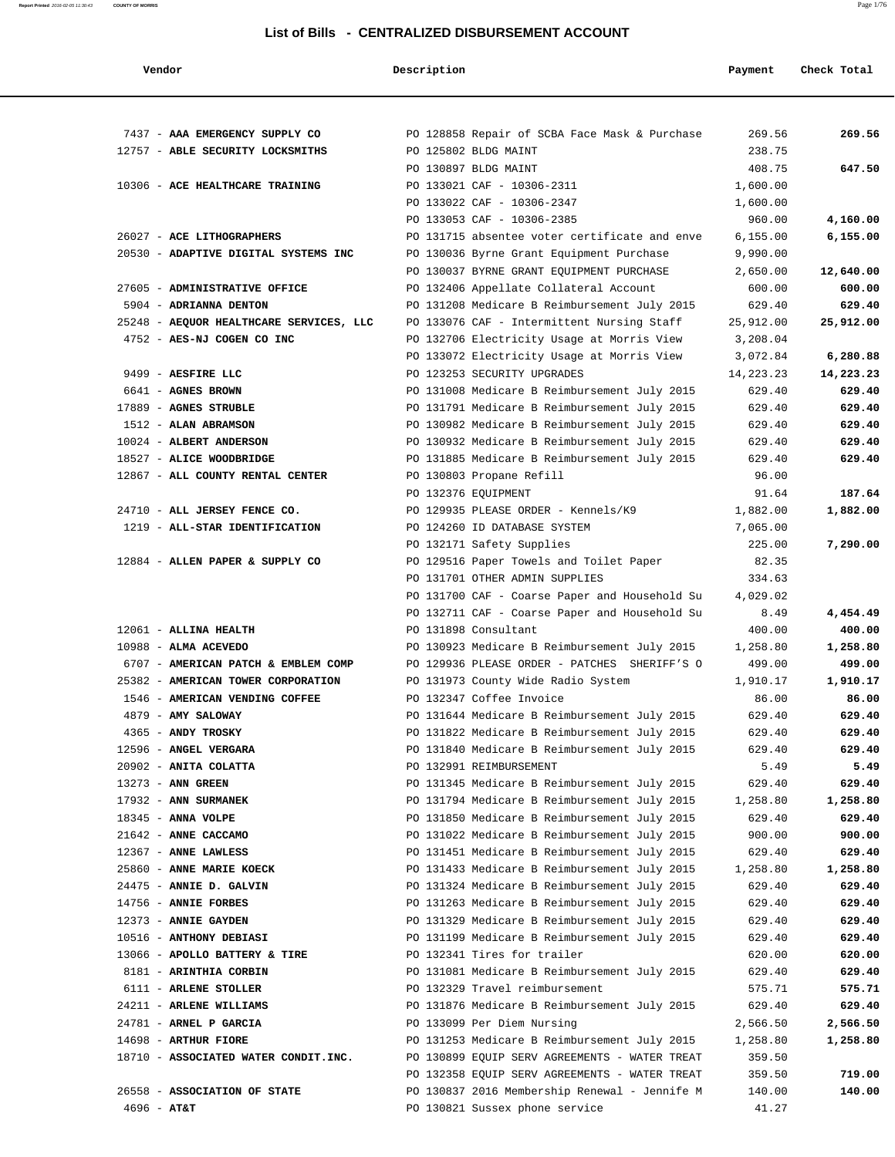**Report Printed** 2016-02-05 11:30:43 **COUNTY OF MORRIS** Page 1/76

#### **List of Bills - CENTRALIZED DISBURSEMENT ACCOUNT**

 **Vendor Description Payment Check Total**

| 7437 - AAA EMERGENCY SUPPLY CO          | PO 128858 Repair of SCBA Face Mask & Purchase                                                  | 269.56           | 269.56             |
|-----------------------------------------|------------------------------------------------------------------------------------------------|------------------|--------------------|
| 12757 - ABLE SECURITY LOCKSMITHS        | PO 125802 BLDG MAINT                                                                           | 238.75           |                    |
|                                         | PO 130897 BLDG MAINT                                                                           | 408.75           | 647.50             |
| 10306 - ACE HEALTHCARE TRAINING         | PO 133021 CAF - 10306-2311                                                                     | 1,600.00         |                    |
|                                         | PO 133022 CAF - 10306-2347                                                                     | 1,600.00         |                    |
|                                         | PO 133053 CAF - 10306-2385                                                                     | 960.00           | 4,160.00           |
| 26027 - ACE LITHOGRAPHERS               | PO 131715 absentee voter certificate and enve                                                  | 6,155.00         | 6,155.00           |
| 20530 - ADAPTIVE DIGITAL SYSTEMS INC    | PO 130036 Byrne Grant Equipment Purchase                                                       | 9,990.00         |                    |
|                                         | PO 130037 BYRNE GRANT EQUIPMENT PURCHASE                                                       | 2,650.00         | 12,640.00          |
| 27605 - ADMINISTRATIVE OFFICE           | PO 132406 Appellate Collateral Account                                                         | 600.00           | 600.00             |
| 5904 - ADRIANNA DENTON                  | PO 131208 Medicare B Reimbursement July 2015                                                   | 629.40           | 629.40             |
| 25248 - AEQUOR HEALTHCARE SERVICES, LLC |                                                                                                | 25,912.00        | 25,912.00          |
|                                         | PO 133076 CAF - Intermittent Nursing Staff                                                     |                  |                    |
| 4752 - AES-NJ COGEN CO INC              | PO 132706 Electricity Usage at Morris View                                                     | 3,208.04         |                    |
|                                         | PO 133072 Electricity Usage at Morris View                                                     | 3,072.84         | 6,280.88           |
| 9499 - AESFIRE LLC                      | PO 123253 SECURITY UPGRADES                                                                    | 14,223.23        | 14,223.23          |
| 6641 - AGNES BROWN                      | PO 131008 Medicare B Reimbursement July 2015                                                   | 629.40           | 629.40             |
| 17889 - AGNES STRUBLE                   | PO 131791 Medicare B Reimbursement July 2015                                                   | 629.40           | 629.40             |
| 1512 - ALAN ABRAMSON                    | PO 130982 Medicare B Reimbursement July 2015                                                   | 629.40           | 629.40             |
| 10024 - ALBERT ANDERSON                 | PO 130932 Medicare B Reimbursement July 2015                                                   | 629.40           | 629.40             |
| 18527 - ALICE WOODBRIDGE                | PO 131885 Medicare B Reimbursement July 2015                                                   | 629.40           | 629.40             |
| 12867 - ALL COUNTY RENTAL CENTER        | PO 130803 Propane Refill                                                                       | 96.00            |                    |
|                                         | PO 132376 EQUIPMENT                                                                            | 91.64            | 187.64             |
| 24710 - ALL JERSEY FENCE CO.            | PO 129935 PLEASE ORDER - Kennels/K9                                                            | 1,882.00         | 1,882.00           |
| 1219 - ALL-STAR IDENTIFICATION          | PO 124260 ID DATABASE SYSTEM                                                                   | 7,065.00         |                    |
|                                         | PO 132171 Safety Supplies                                                                      | 225.00           | 7,290.00           |
| 12884 - ALLEN PAPER & SUPPLY CO         | PO 129516 Paper Towels and Toilet Paper                                                        | 82.35            |                    |
|                                         | PO 131701 OTHER ADMIN SUPPLIES                                                                 | 334.63           |                    |
|                                         | PO 131700 CAF - Coarse Paper and Household Su                                                  | 4,029.02         |                    |
|                                         | PO 132711 CAF - Coarse Paper and Household Su                                                  | 8.49             | 4,454.49           |
| 12061 - ALLINA HEALTH                   | PO 131898 Consultant                                                                           | 400.00           | 400.00             |
| $10988$ - ALMA ACEVEDO                  | PO 130923 Medicare B Reimbursement July 2015                                                   | 1,258.80         | 1,258.80           |
| 6707 - AMERICAN PATCH & EMBLEM COMP     | PO 129936 PLEASE ORDER - PATCHES SHERIFF'S O                                                   | 499.00           | 499.00             |
| 25382 - AMERICAN TOWER CORPORATION      | PO 131973 County Wide Radio System                                                             | 1,910.17         | 1,910.17           |
| 1546 - AMERICAN VENDING COFFEE          | PO 132347 Coffee Invoice                                                                       | 86.00            | 86.00              |
| 4879 - AMY SALOWAY                      | PO 131644 Medicare B Reimbursement July 2015                                                   | 629.40           | 629.40             |
| 4365 - ANDY TROSKY                      | PO 131822 Medicare B Reimbursement July 2015                                                   | 629.40           | 629.40             |
| 12596 - ANGEL VERGARA                   | PO 131840 Medicare B Reimbursement July 2015                                                   | 629.40           | 629.40             |
| 20902 - ANITA COLATTA                   | PO 132991 REIMBURSEMENT                                                                        | 5.49             | 5.49               |
| 13273 - ANN GREEN                       | PO 131345 Medicare B Reimbursement July 2015                                                   | 629.40           | 629.40             |
| 17932 - ANN SURMANEK                    | PO 131794 Medicare B Reimbursement July 2015                                                   | 1,258.80         | 1,258.80           |
| 18345 - ANNA VOLPE                      | PO 131850 Medicare B Reimbursement July 2015                                                   | 629.40           | 629.40             |
| 21642 - ANNE CACCAMO                    | PO 131022 Medicare B Reimbursement July 2015                                                   | 900.00           | 900.00             |
| 12367 - ANNE LAWLESS                    | PO 131451 Medicare B Reimbursement July 2015                                                   | 629.40           | 629.40             |
| 25860 - ANNE MARIE KOECK                | PO 131433 Medicare B Reimbursement July 2015                                                   | 1,258.80         | 1,258.80           |
| 24475 - ANNIE D. GALVIN                 | PO 131324 Medicare B Reimbursement July 2015                                                   | 629.40           | 629.40             |
| 14756 - ANNIE FORBES                    | PO 131263 Medicare B Reimbursement July 2015                                                   | 629.40           | 629.40             |
| 12373 - ANNIE GAYDEN                    | PO 131329 Medicare B Reimbursement July 2015                                                   | 629.40           | 629.40             |
| 10516 - ANTHONY DEBIASI                 | PO 131199 Medicare B Reimbursement July 2015                                                   | 629.40           | 629.40             |
| 13066 - APOLLO BATTERY & TIRE           | PO 132341 Tires for trailer                                                                    | 620.00           | 620.00             |
| 8181 - ARINTHIA CORBIN                  | PO 131081 Medicare B Reimbursement July 2015                                                   | 629.40           | 629.40             |
| 6111 - ARLENE STOLLER                   | PO 132329 Travel reimbursement                                                                 | 575.71           | 575.71             |
| 24211 - ARLENE WILLIAMS                 | PO 131876 Medicare B Reimbursement July 2015                                                   | 629.40           | 629.40             |
|                                         | PO 133099 Per Diem Nursing                                                                     | 2,566.50         | 2,566.50           |
| 24781 - ARNEL P GARCIA                  |                                                                                                |                  |                    |
| 14698 - ARTHUR FIORE                    |                                                                                                |                  |                    |
|                                         | PO 131253 Medicare B Reimbursement July 2015                                                   | 1,258.80         |                    |
| 18710 - ASSOCIATED WATER CONDIT.INC.    | PO 130899 EQUIP SERV AGREEMENTS - WATER TREAT<br>PO 132358 EQUIP SERV AGREEMENTS - WATER TREAT | 359.50<br>359.50 | 1,258.80<br>719.00 |

4696 - **AT&T** PO 130821 Sussex phone service 41.27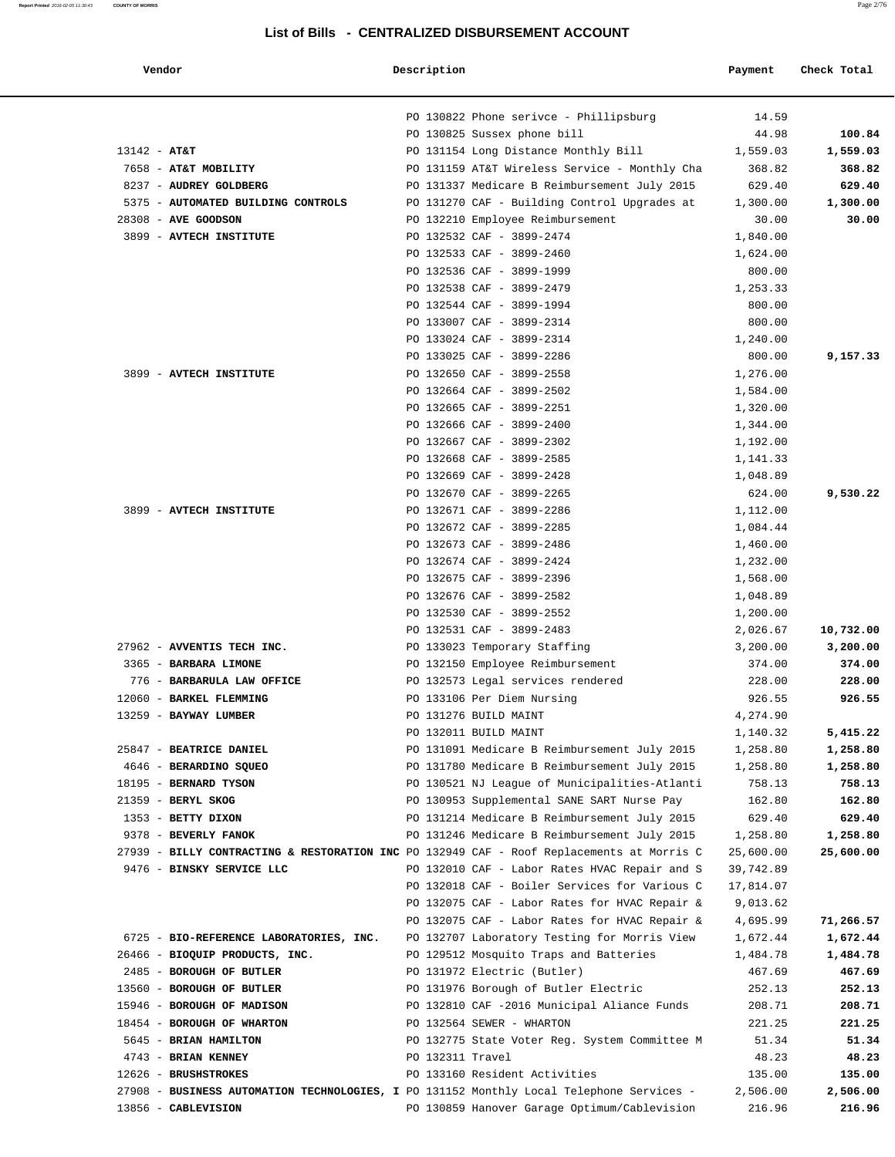| Vendor                                                                                    | Description      |                                               | Payment   | Check Total |
|-------------------------------------------------------------------------------------------|------------------|-----------------------------------------------|-----------|-------------|
|                                                                                           |                  | PO 130822 Phone serivce - Phillipsburg        | 14.59     |             |
|                                                                                           |                  | PO 130825 Sussex phone bill                   | 44.98     | 100.84      |
| $13142 - AT&T$                                                                            |                  | PO 131154 Long Distance Monthly Bill          | 1,559.03  | 1,559.03    |
| 7658 - AT&T MOBILITY                                                                      |                  | PO 131159 AT&T Wireless Service - Monthly Cha | 368.82    | 368.82      |
| 8237 - AUDREY GOLDBERG                                                                    |                  | PO 131337 Medicare B Reimbursement July 2015  | 629.40    | 629.40      |
| 5375 - AUTOMATED BUILDING CONTROLS                                                        |                  | PO 131270 CAF - Building Control Upgrades at  | 1,300.00  | 1,300.00    |
| 28308 - AVE GOODSON                                                                       |                  | PO 132210 Employee Reimbursement              | 30.00     | 30.00       |
| 3899 - AVTECH INSTITUTE                                                                   |                  | PO 132532 CAF - 3899-2474                     | 1,840.00  |             |
|                                                                                           |                  | PO 132533 CAF - 3899-2460                     | 1,624.00  |             |
|                                                                                           |                  | PO 132536 CAF - 3899-1999                     | 800.00    |             |
|                                                                                           |                  | PO 132538 CAF - 3899-2479                     | 1,253.33  |             |
|                                                                                           |                  | PO 132544 CAF - 3899-1994                     | 800.00    |             |
|                                                                                           |                  | PO 133007 CAF - 3899-2314                     | 800.00    |             |
|                                                                                           |                  | PO 133024 CAF - 3899-2314                     | 1,240.00  |             |
|                                                                                           |                  | PO 133025 CAF - 3899-2286                     | 800.00    | 9,157.33    |
| 3899 - AVTECH INSTITUTE                                                                   |                  | PO 132650 CAF - 3899-2558                     | 1,276.00  |             |
|                                                                                           |                  | PO 132664 CAF - 3899-2502                     | 1,584.00  |             |
|                                                                                           |                  | PO 132665 CAF - 3899-2251                     | 1,320.00  |             |
|                                                                                           |                  | PO 132666 CAF - 3899-2400                     | 1,344.00  |             |
|                                                                                           |                  | PO 132667 CAF - 3899-2302                     | 1,192.00  |             |
|                                                                                           |                  | PO 132668 CAF - 3899-2585                     | 1,141.33  |             |
|                                                                                           |                  | PO 132669 CAF - 3899-2428                     | 1,048.89  |             |
|                                                                                           |                  | PO 132670 CAF - 3899-2265                     | 624.00    | 9,530.22    |
| 3899 - AVTECH INSTITUTE                                                                   |                  | PO 132671 CAF - 3899-2286                     | 1,112.00  |             |
|                                                                                           |                  | PO 132672 CAF - 3899-2285                     | 1,084.44  |             |
|                                                                                           |                  | PO 132673 CAF - 3899-2486                     | 1,460.00  |             |
|                                                                                           |                  | PO 132674 CAF - 3899-2424                     | 1,232.00  |             |
|                                                                                           |                  | PO 132675 CAF - 3899-2396                     | 1,568.00  |             |
|                                                                                           |                  | PO 132676 CAF - 3899-2582                     | 1,048.89  |             |
|                                                                                           |                  | PO 132530 CAF - 3899-2552                     | 1,200.00  |             |
|                                                                                           |                  | PO 132531 CAF - 3899-2483                     | 2,026.67  | 10,732.00   |
| 27962 - AVVENTIS TECH INC.                                                                |                  | PO 133023 Temporary Staffing                  | 3,200.00  | 3,200.00    |
| 3365 - BARBARA LIMONE                                                                     |                  | PO 132150 Employee Reimbursement              | 374.00    | 374.00      |
| 776 - BARBARULA LAW OFFICE                                                                |                  | PO 132573 Legal services rendered             | 228.00    | 228.00      |
| 12060 - BARKEL FLEMMING                                                                   |                  | PO 133106 Per Diem Nursing                    | 926.55    | 926.55      |
| 13259 - BAYWAY LUMBER                                                                     |                  | PO 131276 BUILD MAINT                         | 4,274.90  |             |
|                                                                                           |                  | PO 132011 BUILD MAINT                         | 1,140.32  | 5,415.22    |
| 25847 - BEATRICE DANIEL                                                                   |                  | PO 131091 Medicare B Reimbursement July 2015  | 1,258.80  | 1,258.80    |
| 4646 - BERARDINO SQUEO                                                                    |                  | PO 131780 Medicare B Reimbursement July 2015  | 1,258.80  | 1,258.80    |
| 18195 - BERNARD TYSON                                                                     |                  | PO 130521 NJ League of Municipalities-Atlanti | 758.13    | 758.13      |
| 21359 - BERYL SKOG                                                                        |                  | PO 130953 Supplemental SANE SART Nurse Pay    | 162.80    | 162.80      |
| 1353 - BETTY DIXON                                                                        |                  | PO 131214 Medicare B Reimbursement July 2015  | 629.40    | 629.40      |
| 9378 - BEVERLY FANOK                                                                      |                  | PO 131246 Medicare B Reimbursement July 2015  | 1,258.80  | 1,258.80    |
| 27939 - BILLY CONTRACTING & RESTORATION INC PO 132949 CAF - Roof Replacements at Morris C |                  |                                               | 25,600.00 | 25,600.00   |
| 9476 - BINSKY SERVICE LLC                                                                 |                  | PO 132010 CAF - Labor Rates HVAC Repair and S | 39,742.89 |             |
|                                                                                           |                  | PO 132018 CAF - Boiler Services for Various C | 17,814.07 |             |
|                                                                                           |                  | PO 132075 CAF - Labor Rates for HVAC Repair & | 9,013.62  |             |
|                                                                                           |                  | PO 132075 CAF - Labor Rates for HVAC Repair & | 4,695.99  | 71,266.57   |
| 6725 - BIO-REFERENCE LABORATORIES, INC.                                                   |                  | PO 132707 Laboratory Testing for Morris View  | 1,672.44  | 1,672.44    |
| 26466 - BIOQUIP PRODUCTS, INC.                                                            |                  | PO 129512 Mosquito Traps and Batteries        | 1,484.78  | 1,484.78    |
| 2485 - BOROUGH OF BUTLER                                                                  |                  | PO 131972 Electric (Butler)                   | 467.69    | 467.69      |
| 13560 - BOROUGH OF BUTLER                                                                 |                  | PO 131976 Borough of Butler Electric          | 252.13    | 252.13      |
| 15946 - BOROUGH OF MADISON                                                                |                  | PO 132810 CAF -2016 Municipal Aliance Funds   | 208.71    | 208.71      |
| 18454 - BOROUGH OF WHARTON                                                                |                  | PO 132564 SEWER - WHARTON                     | 221.25    | 221.25      |
| 5645 - BRIAN HAMILTON                                                                     |                  | PO 132775 State Voter Reg. System Committee M | 51.34     | 51.34       |
| 4743 - BRIAN KENNEY                                                                       | PO 132311 Travel |                                               | 48.23     | 48.23       |
| 12626 - BRUSHSTROKES                                                                      |                  | PO 133160 Resident Activities                 | 135.00    | 135.00      |
| 27908 - BUSINESS AUTOMATION TECHNOLOGIES, I PO 131152 Monthly Local Telephone Services -  |                  |                                               | 2,506.00  | 2,506.00    |
| 13856 - CABLEVISION                                                                       |                  | PO 130859 Hanover Garage Optimum/Cablevision  | 216.96    | 216.96      |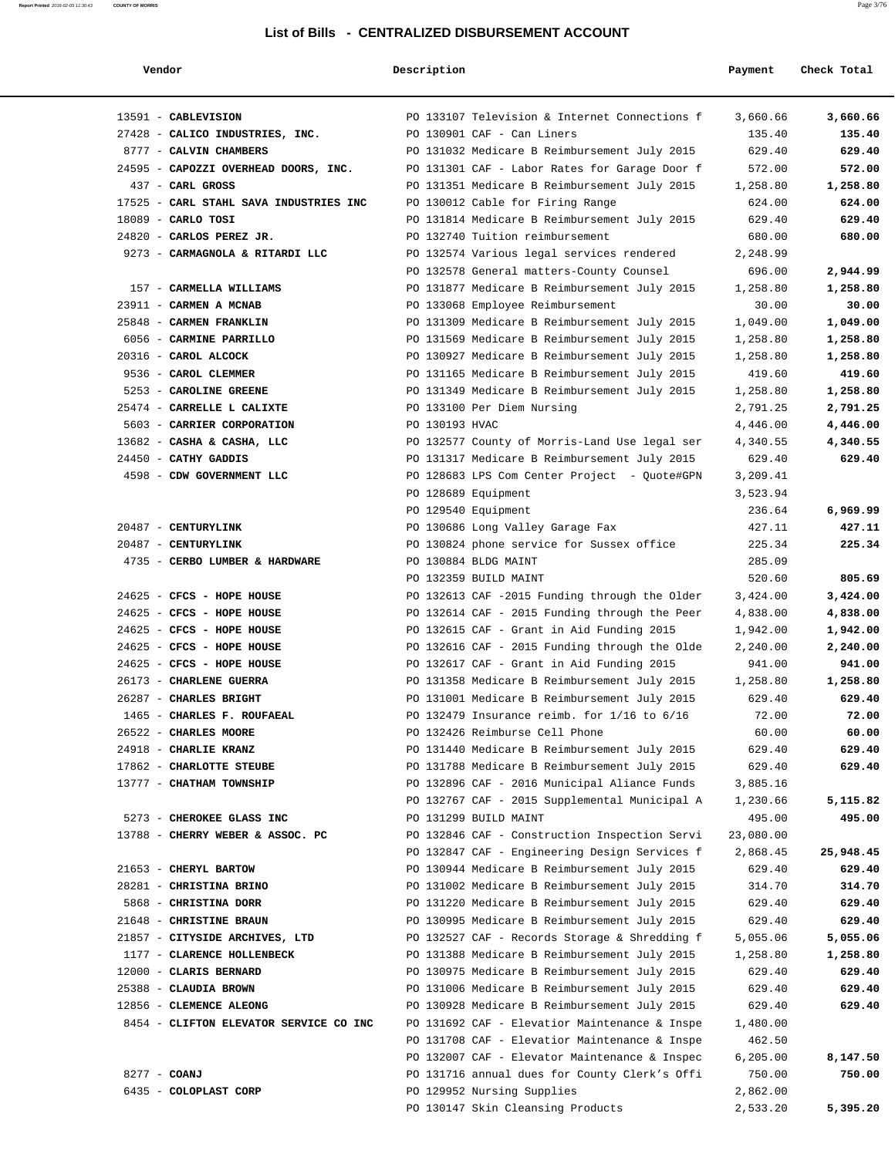| Vendor                                 | Description    |                                               | Payment   | Check Total |
|----------------------------------------|----------------|-----------------------------------------------|-----------|-------------|
| 13591 - CABLEVISION                    |                | PO 133107 Television & Internet Connections f | 3,660.66  | 3,660.66    |
| 27428 - CALICO INDUSTRIES, INC.        |                | PO 130901 CAF - Can Liners                    | 135.40    | 135.40      |
| 8777 - CALVIN CHAMBERS                 |                | PO 131032 Medicare B Reimbursement July 2015  | 629.40    | 629.40      |
| 24595 - CAPOZZI OVERHEAD DOORS, INC.   |                | PO 131301 CAF - Labor Rates for Garage Door f | 572.00    | 572.00      |
| 437 - CARL GROSS                       |                | PO 131351 Medicare B Reimbursement July 2015  | 1,258.80  | 1,258.80    |
| 17525 - CARL STAHL SAVA INDUSTRIES INC |                | PO 130012 Cable for Firing Range              | 624.00    | 624.00      |
| $18089$ - CARLO TOSI                   |                | PO 131814 Medicare B Reimbursement July 2015  | 629.40    | 629.40      |
| 24820 - CARLOS PEREZ JR.               |                | PO 132740 Tuition reimbursement               | 680.00    | 680.00      |
| 9273 - CARMAGNOLA & RITARDI LLC        |                | PO 132574 Various legal services rendered     | 2,248.99  |             |
|                                        |                | PO 132578 General matters-County Counsel      | 696.00    | 2,944.99    |
| 157 - CARMELLA WILLIAMS                |                | PO 131877 Medicare B Reimbursement July 2015  | 1,258.80  | 1,258.80    |
| 23911 - CARMEN A MCNAB                 |                | PO 133068 Employee Reimbursement              | 30.00     | 30.00       |
| 25848 - CARMEN FRANKLIN                |                | PO 131309 Medicare B Reimbursement July 2015  | 1,049.00  | 1,049.00    |
| 6056 - CARMINE PARRILLO                |                | PO 131569 Medicare B Reimbursement July 2015  | 1,258.80  | 1,258.80    |
| 20316 - CAROL ALCOCK                   |                | PO 130927 Medicare B Reimbursement July 2015  | 1,258.80  | 1,258.80    |
| 9536 - CAROL CLEMMER                   |                | PO 131165 Medicare B Reimbursement July 2015  | 419.60    | 419.60      |
| 5253 - CAROLINE GREENE                 |                | PO 131349 Medicare B Reimbursement July 2015  | 1,258.80  | 1,258.80    |
| 25474 - CARRELLE L CALIXTE             |                | PO 133100 Per Diem Nursing                    | 2,791.25  | 2,791.25    |
| 5603 - CARRIER CORPORATION             | PO 130193 HVAC |                                               | 4,446.00  | 4,446.00    |
| 13682 - CASHA & CASHA, LLC             |                | PO 132577 County of Morris-Land Use legal ser | 4,340.55  | 4,340.55    |
| 24450 - CATHY GADDIS                   |                | PO 131317 Medicare B Reimbursement July 2015  | 629.40    | 629.40      |
| 4598 - CDW GOVERNMENT LLC              |                | PO 128683 LPS Com Center Project - Quote#GPN  | 3,209.41  |             |
|                                        |                | PO 128689 Equipment                           | 3,523.94  |             |
|                                        |                | PO 129540 Equipment                           | 236.64    | 6,969.99    |
| 20487 - CENTURYLINK                    |                | PO 130686 Long Valley Garage Fax              | 427.11    | 427.11      |
| 20487 - CENTURYLINK                    |                | PO 130824 phone service for Sussex office     | 225.34    | 225.34      |
| 4735 - CERBO LUMBER & HARDWARE         |                | PO 130884 BLDG MAINT                          | 285.09    |             |
|                                        |                | PO 132359 BUILD MAINT                         | 520.60    | 805.69      |
| 24625 - CFCS - HOPE HOUSE              |                | PO 132613 CAF -2015 Funding through the Older | 3,424.00  | 3,424.00    |
| 24625 - CFCS - HOPE HOUSE              |                | PO 132614 CAF - 2015 Funding through the Peer | 4,838.00  | 4,838.00    |
| 24625 - CFCS - HOPE HOUSE              |                | PO 132615 CAF - Grant in Aid Funding 2015     | 1,942.00  | 1,942.00    |
| 24625 - CFCS - HOPE HOUSE              |                | PO 132616 CAF - 2015 Funding through the Olde | 2,240.00  | 2,240.00    |
| 24625 - CFCS - HOPE HOUSE              |                | PO 132617 CAF - Grant in Aid Funding 2015     | 941.00    | 941.00      |
| 26173 - CHARLENE GUERRA                |                | PO 131358 Medicare B Reimbursement July 2015  | 1,258.80  | 1,258.80    |
| 26287 - CHARLES BRIGHT                 |                | PO 131001 Medicare B Reimbursement July 2015  | 629.40    | 629.40      |
| 1465 - CHARLES F. ROUFAEAL             |                | PO 132479 Insurance reimb. for 1/16 to 6/16   | 72.00     | 72.00       |
| 26522 - CHARLES MOORE                  |                | PO 132426 Reimburse Cell Phone                | 60.00     | 60.00       |
| 24918 - CHARLIE KRANZ                  |                | PO 131440 Medicare B Reimbursement July 2015  | 629.40    | 629.40      |
| 17862 - CHARLOTTE STEUBE               |                | PO 131788 Medicare B Reimbursement July 2015  | 629.40    | 629.40      |
| 13777 - CHATHAM TOWNSHIP               |                | PO 132896 CAF - 2016 Municipal Aliance Funds  | 3,885.16  |             |
|                                        |                | PO 132767 CAF - 2015 Supplemental Municipal A | 1,230.66  | 5,115.82    |
| 5273 - CHEROKEE GLASS INC              |                | PO 131299 BUILD MAINT                         | 495.00    | 495.00      |
| 13788 - CHERRY WEBER & ASSOC. PC       |                | PO 132846 CAF - Construction Inspection Servi | 23,080.00 |             |
|                                        |                | PO 132847 CAF - Engineering Design Services f | 2,868.45  | 25,948.45   |
| 21653 - CHERYL BARTOW                  |                | PO 130944 Medicare B Reimbursement July 2015  | 629.40    | 629.40      |
| 28281 - CHRISTINA BRINO                |                | PO 131002 Medicare B Reimbursement July 2015  | 314.70    | 314.70      |
| 5868 - CHRISTINA DORR                  |                | PO 131220 Medicare B Reimbursement July 2015  | 629.40    | 629.40      |
| 21648 - CHRISTINE BRAUN                |                | PO 130995 Medicare B Reimbursement July 2015  | 629.40    | 629.40      |
| 21857 - CITYSIDE ARCHIVES, LTD         |                | PO 132527 CAF - Records Storage & Shredding f | 5,055.06  | 5,055.06    |
| 1177 - CLARENCE HOLLENBECK             |                | PO 131388 Medicare B Reimbursement July 2015  | 1,258.80  | 1,258.80    |
| 12000 - CLARIS BERNARD                 |                | PO 130975 Medicare B Reimbursement July 2015  | 629.40    | 629.40      |
| 25388 - CLAUDIA BROWN                  |                | PO 131006 Medicare B Reimbursement July 2015  | 629.40    | 629.40      |
| 12856 - CLEMENCE ALEONG                |                | PO 130928 Medicare B Reimbursement July 2015  | 629.40    | 629.40      |
| 8454 - CLIFTON ELEVATOR SERVICE CO INC |                | PO 131692 CAF - Elevatior Maintenance & Inspe | 1,480.00  |             |
|                                        |                | PO 131708 CAF - Elevatior Maintenance & Inspe | 462.50    |             |
|                                        |                | PO 132007 CAF - Elevator Maintenance & Inspec | 6, 205.00 | 8,147.50    |
| 8277 - COANJ                           |                | PO 131716 annual dues for County Clerk's Offi | 750.00    | 750.00      |
| 6435 - COLOPLAST CORP                  |                | PO 129952 Nursing Supplies                    | 2,862.00  |             |
|                                        |                | PO 130147 Skin Cleansing Products             | 2,533.20  | 5,395.20    |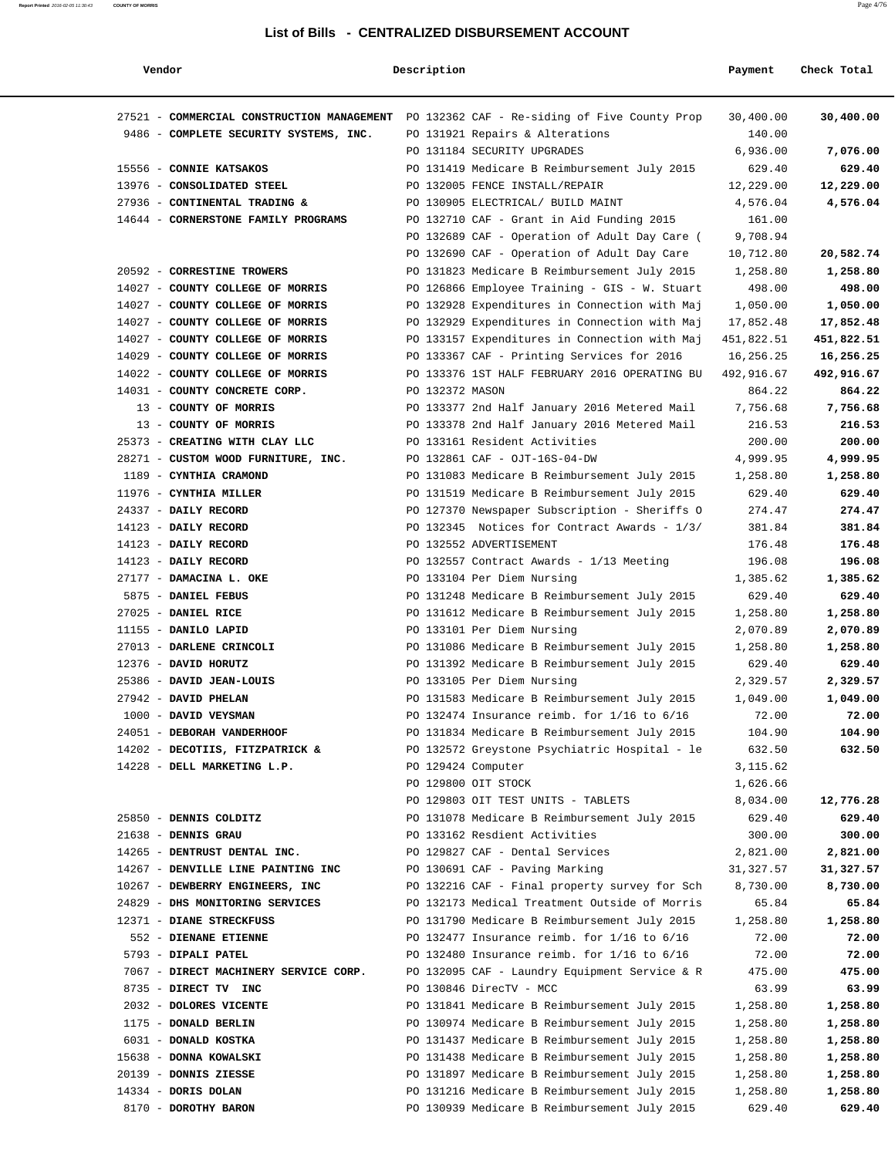| Vendor                                                                                   | Description        |                                                                                                | Payment               | Check Total           |
|------------------------------------------------------------------------------------------|--------------------|------------------------------------------------------------------------------------------------|-----------------------|-----------------------|
| 27521 - COMMERCIAL CONSTRUCTION MANAGEMENT PO 132362 CAF - Re-siding of Five County Prop |                    |                                                                                                | 30,400.00             | 30,400.00             |
| 9486 - COMPLETE SECURITY SYSTEMS, INC.                                                   |                    | PO 131921 Repairs & Alterations                                                                | 140.00                |                       |
|                                                                                          |                    | PO 131184 SECURITY UPGRADES                                                                    | 6,936.00              | 7,076.00              |
| 15556 - CONNIE KATSAKOS                                                                  |                    | PO 131419 Medicare B Reimbursement July 2015                                                   | 629.40                | 629.40                |
| 13976 - CONSOLIDATED STEEL                                                               |                    | PO 132005 FENCE INSTALL/REPAIR                                                                 | 12,229.00             | 12,229.00             |
| 27936 - CONTINENTAL TRADING &                                                            |                    | PO 130905 ELECTRICAL/ BUILD MAINT                                                              | 4,576.04              | 4,576.04              |
| 14644 - CORNERSTONE FAMILY PROGRAMS                                                      |                    | PO 132710 CAF - Grant in Aid Funding 2015                                                      | 161.00                |                       |
|                                                                                          |                    | PO 132689 CAF - Operation of Adult Day Care (                                                  | 9,708.94              |                       |
|                                                                                          |                    | PO 132690 CAF - Operation of Adult Day Care                                                    | 10,712.80             | 20,582.74             |
| 20592 - CORRESTINE TROWERS                                                               |                    | PO 131823 Medicare B Reimbursement July 2015                                                   | 1,258.80              | 1,258.80              |
| 14027 - COUNTY COLLEGE OF MORRIS                                                         |                    | PO 126866 Employee Training - GIS - W. Stuart                                                  | 498.00                | 498.00                |
| 14027 - COUNTY COLLEGE OF MORRIS<br>14027 - COUNTY COLLEGE OF MORRIS                     |                    | PO 132928 Expenditures in Connection with Maj                                                  | 1,050.00<br>17,852.48 | 1,050.00<br>17,852.48 |
| 14027 - COUNTY COLLEGE OF MORRIS                                                         |                    | PO 132929 Expenditures in Connection with Maj<br>PO 133157 Expenditures in Connection with Maj | 451,822.51            | 451,822.51            |
| 14029 - COUNTY COLLEGE OF MORRIS                                                         |                    | PO 133367 CAF - Printing Services for 2016                                                     | 16,256.25             | 16,256.25             |
| 14022 - COUNTY COLLEGE OF MORRIS                                                         |                    | PO 133376 1ST HALF FEBRUARY 2016 OPERATING BU                                                  | 492,916.67            | 492,916.67            |
| 14031 - COUNTY CONCRETE CORP.                                                            | PO 132372 MASON    |                                                                                                | 864.22                | 864.22                |
| 13 - COUNTY OF MORRIS                                                                    |                    | PO 133377 2nd Half January 2016 Metered Mail                                                   | 7,756.68              | 7,756.68              |
| 13 - COUNTY OF MORRIS                                                                    |                    | PO 133378 2nd Half January 2016 Metered Mail                                                   | 216.53                | 216.53                |
| 25373 - CREATING WITH CLAY LLC                                                           |                    | PO 133161 Resident Activities                                                                  | 200.00                | 200.00                |
| 28271 - CUSTOM WOOD FURNITURE, INC.                                                      |                    | PO 132861 CAF - OJT-16S-04-DW                                                                  | 4,999.95              | 4,999.95              |
| 1189 - CYNTHIA CRAMOND                                                                   |                    | PO 131083 Medicare B Reimbursement July 2015                                                   | 1,258.80              | 1,258.80              |
| 11976 - CYNTHIA MILLER                                                                   |                    | PO 131519 Medicare B Reimbursement July 2015                                                   | 629.40                | 629.40                |
| 24337 - DAILY RECORD                                                                     |                    | PO 127370 Newspaper Subscription - Sheriffs O                                                  | 274.47                | 274.47                |
| 14123 - DAILY RECORD                                                                     |                    | PO 132345 Notices for Contract Awards - 1/3/                                                   | 381.84                | 381.84                |
| 14123 - DAILY RECORD                                                                     |                    | PO 132552 ADVERTISEMENT                                                                        | 176.48                | 176.48                |
| 14123 - DAILY RECORD                                                                     |                    | PO 132557 Contract Awards - 1/13 Meeting                                                       | 196.08                | 196.08                |
| 27177 - DAMACINA L. OKE                                                                  |                    | PO 133104 Per Diem Nursing                                                                     | 1,385.62              | 1,385.62              |
| 5875 - DANIEL FEBUS                                                                      |                    | PO 131248 Medicare B Reimbursement July 2015                                                   | 629.40                | 629.40                |
| 27025 - DANIEL RICE                                                                      |                    | PO 131612 Medicare B Reimbursement July 2015                                                   | 1,258.80              | 1,258.80              |
| 11155 - DANILO LAPID                                                                     |                    | PO 133101 Per Diem Nursing                                                                     | 2,070.89              | 2,070.89              |
| 27013 - DARLENE CRINCOLI                                                                 |                    | PO 131086 Medicare B Reimbursement July 2015                                                   | 1,258.80              | 1,258.80              |
| 12376 - DAVID HORUTZ                                                                     |                    | PO 131392 Medicare B Reimbursement July 2015                                                   | 629.40                | 629.40                |
| 25386 - DAVID JEAN-LOUIS                                                                 |                    | PO 133105 Per Diem Nursing                                                                     | 2,329.57              | 2,329.57              |
| 27942 - DAVID PHELAN                                                                     |                    | PO 131583 Medicare B Reimbursement July 2015                                                   | 1,049.00              | 1,049.00              |
| 1000 - DAVID VEYSMAN                                                                     |                    | PO 132474 Insurance reimb. for $1/16$ to $6/16$                                                | 72.00                 | 72.00                 |
| 24051 - DEBORAH VANDERHOOF                                                               |                    | PO 131834 Medicare B Reimbursement July 2015                                                   | 104.90                | 104.90                |
| 14202 - DECOTIIS, FITZPATRICK &                                                          |                    | PO 132572 Greystone Psychiatric Hospital - le                                                  | 632.50                | 632.50                |
| 14228 - DELL MARKETING L.P.                                                              | PO 129424 Computer |                                                                                                | 3,115.62              |                       |
|                                                                                          |                    | PO 129800 OIT STOCK                                                                            | 1,626.66              |                       |
|                                                                                          |                    | PO 129803 OIT TEST UNITS - TABLETS                                                             | 8,034.00              | 12,776.28             |
| 25850 - DENNIS COLDITZ                                                                   |                    | PO 131078 Medicare B Reimbursement July 2015                                                   | 629.40                | 629.40                |
| 21638 - DENNIS GRAU<br>14265 - DENTRUST DENTAL INC.                                      |                    | PO 133162 Resdient Activities<br>PO 129827 CAF - Dental Services                               | 300.00<br>2,821.00    | 300.00<br>2,821.00    |
| 14267 - DENVILLE LINE PAINTING INC                                                       |                    | PO 130691 CAF - Paving Marking                                                                 | 31,327.57             | 31,327.57             |
| 10267 - DEWBERRY ENGINEERS, INC                                                          |                    | PO 132216 CAF - Final property survey for Sch                                                  | 8,730.00              | 8,730.00              |
| 24829 - DHS MONITORING SERVICES                                                          |                    | PO 132173 Medical Treatment Outside of Morris                                                  | 65.84                 | 65.84                 |
| 12371 - DIANE STRECKFUSS                                                                 |                    | PO 131790 Medicare B Reimbursement July 2015                                                   | 1,258.80              | 1,258.80              |
| 552 - DIENANE ETIENNE                                                                    |                    | PO 132477 Insurance reimb. for $1/16$ to $6/16$                                                | 72.00                 | 72.00                 |
| 5793 - DIPALI PATEL                                                                      |                    | PO 132480 Insurance reimb. for $1/16$ to $6/16$                                                | 72.00                 | 72.00                 |
| 7067 - DIRECT MACHINERY SERVICE CORP.                                                    |                    | PO 132095 CAF - Laundry Equipment Service & R                                                  | 475.00                | 475.00                |
| 8735 - DIRECT TV INC                                                                     |                    | PO 130846 DirecTV - MCC                                                                        | 63.99                 | 63.99                 |
| 2032 - DOLORES VICENTE                                                                   |                    | PO 131841 Medicare B Reimbursement July 2015                                                   | 1,258.80              | 1,258.80              |
| 1175 - DONALD BERLIN                                                                     |                    | PO 130974 Medicare B Reimbursement July 2015                                                   | 1,258.80              | 1,258.80              |
| 6031 - DONALD KOSTKA                                                                     |                    | PO 131437 Medicare B Reimbursement July 2015                                                   | 1,258.80              | 1,258.80              |
| 15638 - DONNA KOWALSKI                                                                   |                    | PO 131438 Medicare B Reimbursement July 2015                                                   | 1,258.80              | 1,258.80              |
| 20139 - DONNIS ZIESSE                                                                    |                    | PO 131897 Medicare B Reimbursement July 2015                                                   | 1,258.80              | 1,258.80              |
| 14334 - DORIS DOLAN                                                                      |                    | PO 131216 Medicare B Reimbursement July 2015                                                   | 1,258.80              | 1,258.80              |
| 8170 - DOROTHY BARON                                                                     |                    | PO 130939 Medicare B Reimbursement July 2015                                                   | 629.40                | 629.40                |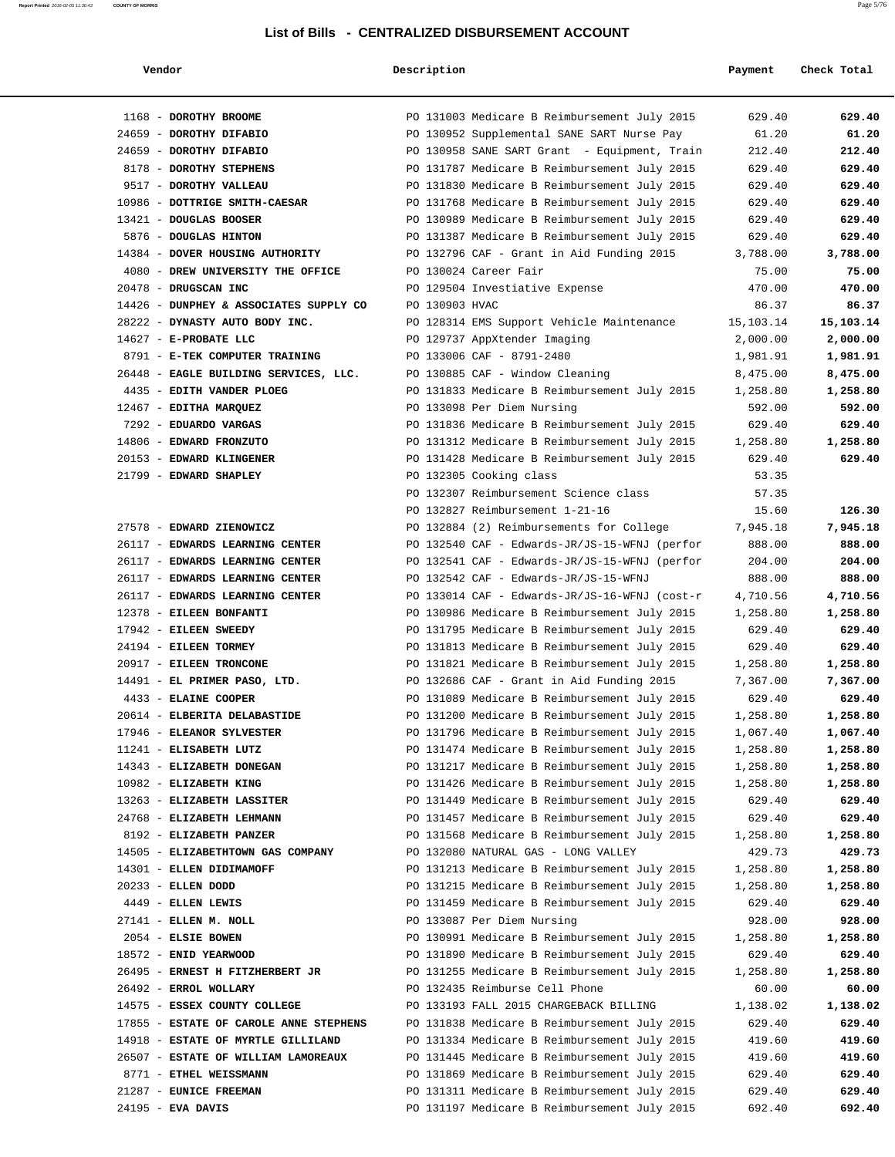| Vendoi |  |  |
|--------|--|--|
|        |  |  |

## **Vendor Description Payment Check Total**

| 1168 - DOROTHY BROOME                                |                | PO 131003 Medicare B Reimbursement July 2015                                                 | 629.40               | 629.40               |
|------------------------------------------------------|----------------|----------------------------------------------------------------------------------------------|----------------------|----------------------|
| 24659 - DOROTHY DIFABIO                              |                | PO 130952 Supplemental SANE SART Nurse Pay                                                   | 61.20                | 61.20                |
| 24659 - DOROTHY DIFABIO                              |                | PO 130958 SANE SART Grant - Equipment, Train                                                 | 212.40               | 212.40               |
| 8178 - DOROTHY STEPHENS                              |                | PO 131787 Medicare B Reimbursement July 2015                                                 | 629.40               | 629.40               |
| 9517 - DOROTHY VALLEAU                               |                | PO 131830 Medicare B Reimbursement July 2015                                                 | 629.40               | 629.40               |
| 10986 - DOTTRIGE SMITH-CAESAR                        |                | PO 131768 Medicare B Reimbursement July 2015                                                 | 629.40               | 629.40               |
| 13421 - DOUGLAS BOOSER                               |                | PO 130989 Medicare B Reimbursement July 2015                                                 | 629.40               | 629.40               |
| 5876 - DOUGLAS HINTON                                |                | PO 131387 Medicare B Reimbursement July 2015                                                 | 629.40               | 629.40               |
| 14384 - DOVER HOUSING AUTHORITY                      |                | PO 132796 CAF - Grant in Aid Funding 2015                                                    | 3,788.00             | 3,788.00             |
| 4080 - DREW UNIVERSITY THE OFFICE                    |                | PO 130024 Career Fair                                                                        | 75.00                | 75.00                |
| 20478 - DRUGSCAN INC                                 |                | PO 129504 Investiative Expense                                                               | 470.00               | 470.00               |
| 14426 - DUNPHEY & ASSOCIATES SUPPLY CO               | PO 130903 HVAC |                                                                                              | 86.37                | 86.37                |
| 28222 - DYNASTY AUTO BODY INC.                       |                | PO 128314 EMS Support Vehicle Maintenance                                                    | 15,103.14            | 15,103.14            |
| 14627 - E-PROBATE LLC                                |                | PO 129737 AppXtender Imaging                                                                 | 2,000.00             | 2,000.00             |
| 8791 - E-TEK COMPUTER TRAINING                       |                | PO 133006 CAF - 8791-2480                                                                    | 1,981.91             | 1,981.91             |
| 26448 - EAGLE BUILDING SERVICES, LLC.                |                | PO 130885 CAF - Window Cleaning                                                              | 8,475.00             | 8,475.00             |
| 4435 - EDITH VANDER PLOEG                            |                | PO 131833 Medicare B Reimbursement July 2015                                                 | 1,258.80             | 1,258.80             |
| 12467 - EDITHA MARQUEZ                               |                | PO 133098 Per Diem Nursing                                                                   | 592.00               | 592.00               |
| 7292 - EDUARDO VARGAS                                |                | PO 131836 Medicare B Reimbursement July 2015                                                 | 629.40               | 629.40               |
| 14806 - EDWARD FRONZUTO                              |                | PO 131312 Medicare B Reimbursement July 2015                                                 | 1,258.80             | 1,258.80             |
| 20153 - EDWARD KLINGENER                             |                | PO 131428 Medicare B Reimbursement July 2015                                                 | 629.40               | 629.40               |
| 21799 - EDWARD SHAPLEY                               |                | PO 132305 Cooking class                                                                      | 53.35                |                      |
|                                                      |                | PO 132307 Reimbursement Science class                                                        | 57.35                |                      |
|                                                      |                | PO 132827 Reimbursement 1-21-16                                                              | 15.60                | 126.30               |
| 27578 - EDWARD ZIENOWICZ                             |                | PO 132884 (2) Reimbursements for College                                                     | 7,945.18             | 7,945.18             |
| 26117 - EDWARDS LEARNING CENTER                      |                | PO 132540 CAF - Edwards-JR/JS-15-WFNJ (perfor                                                | 888.00               | 888.00               |
| 26117 - EDWARDS LEARNING CENTER                      |                | PO 132541 CAF - Edwards-JR/JS-15-WFNJ (perfor                                                | 204.00               | 204.00               |
| 26117 - EDWARDS LEARNING CENTER                      |                | PO 132542 CAF - Edwards-JR/JS-15-WFNJ                                                        | 888.00               | 888.00               |
| 26117 - EDWARDS LEARNING CENTER                      |                | PO 133014 CAF - Edwards-JR/JS-16-WFNJ (cost-r                                                | 4,710.56             | 4,710.56             |
| 12378 - EILEEN BONFANTI                              |                | PO 130986 Medicare B Reimbursement July 2015                                                 | 1,258.80             | 1,258.80             |
| 17942 - EILEEN SWEEDY                                |                | PO 131795 Medicare B Reimbursement July 2015                                                 | 629.40               | 629.40               |
| 24194 - EILEEN TORMEY                                |                | PO 131813 Medicare B Reimbursement July 2015                                                 | 629.40               | 629.40               |
| 20917 - EILEEN TRONCONE                              |                | PO 131821 Medicare B Reimbursement July 2015                                                 | 1,258.80             | 1,258.80             |
| 14491 - EL PRIMER PASO, LTD.<br>4433 - ELAINE COOPER |                | PO 132686 CAF - Grant in Aid Funding 2015                                                    | 7,367.00             | 7,367.00             |
| 20614 - ELBERITA DELABASTIDE                         |                | PO 131089 Medicare B Reimbursement July 2015                                                 | 629.40               | 629.40               |
| 17946 - ELEANOR SYLVESTER                            |                | PO 131200 Medicare B Reimbursement July 2015                                                 | 1,258.80<br>1,067.40 | 1,258.80             |
|                                                      |                | PO 131796 Medicare B Reimbursement July 2015                                                 |                      | 1,067.40             |
| 11241 - ELISABETH LUTZ<br>14343 - ELIZABETH DONEGAN  |                | PO 131474 Medicare B Reimbursement July 2015                                                 | 1,258.80             | 1,258.80<br>1,258.80 |
| 10982 - ELIZABETH KING                               |                | PO 131217 Medicare B Reimbursement July 2015<br>PO 131426 Medicare B Reimbursement July 2015 | 1,258.80             |                      |
| 13263 - ELIZABETH LASSITER                           |                | PO 131449 Medicare B Reimbursement July 2015                                                 | 1,258.80             | 1,258.80             |
| 24768 - ELIZABETH LEHMANN                            |                | PO 131457 Medicare B Reimbursement July 2015                                                 | 629.40<br>629.40     | 629.40<br>629.40     |
| 8192 - ELIZABETH PANZER                              |                | PO 131568 Medicare B Reimbursement July 2015                                                 | 1,258.80             | 1,258.80             |
| 14505 - ELIZABETHTOWN GAS COMPANY                    |                | PO 132080 NATURAL GAS - LONG VALLEY                                                          | 429.73               | 429.73               |
| 14301 - ELLEN DIDIMAMOFF                             |                | PO 131213 Medicare B Reimbursement July 2015                                                 | 1,258.80             | 1,258.80             |
| 20233 - ELLEN DODD                                   |                | PO 131215 Medicare B Reimbursement July 2015                                                 | 1,258.80             | 1,258.80             |
| 4449 - ELLEN LEWIS                                   |                | PO 131459 Medicare B Reimbursement July 2015                                                 | 629.40               | 629.40               |
| 27141 - ELLEN M. NOLL                                |                | PO 133087 Per Diem Nursing                                                                   | 928.00               | 928.00               |
| 2054 - ELSIE BOWEN                                   |                | PO 130991 Medicare B Reimbursement July 2015                                                 | 1,258.80             | 1,258.80             |
| 18572 - ENID YEARWOOD                                |                | PO 131890 Medicare B Reimbursement July 2015                                                 | 629.40               | 629.40               |
| 26495 - ERNEST H FITZHERBERT JR                      |                | PO 131255 Medicare B Reimbursement July 2015                                                 | 1,258.80             | 1,258.80             |
| 26492 - ERROL WOLLARY                                |                | PO 132435 Reimburse Cell Phone                                                               | 60.00                | 60.00                |
| 14575 - ESSEX COUNTY COLLEGE                         |                | PO 133193 FALL 2015 CHARGEBACK BILLING                                                       | 1,138.02             | 1,138.02             |
| 17855 - ESTATE OF CAROLE ANNE STEPHENS               |                | PO 131838 Medicare B Reimbursement July 2015                                                 | 629.40               | 629.40               |
| 14918 - ESTATE OF MYRTLE GILLILAND                   |                | PO 131334 Medicare B Reimbursement July 2015                                                 | 419.60               | 419.60               |
| 26507 - ESTATE OF WILLIAM LAMOREAUX                  |                | PO 131445 Medicare B Reimbursement July 2015                                                 | 419.60               | 419.60               |
| 8771 - ETHEL WEISSMANN                               |                | PO 131869 Medicare B Reimbursement July 2015                                                 | 629.40               | 629.40               |
| 21287 - EUNICE FREEMAN                               |                | PO 131311 Medicare B Reimbursement July 2015                                                 | 629.40               | 629.40               |
| 24195 - EVA DAVIS                                    |                | PO 131197 Medicare B Reimbursement July 2015                                                 | 692.40               | 692.40               |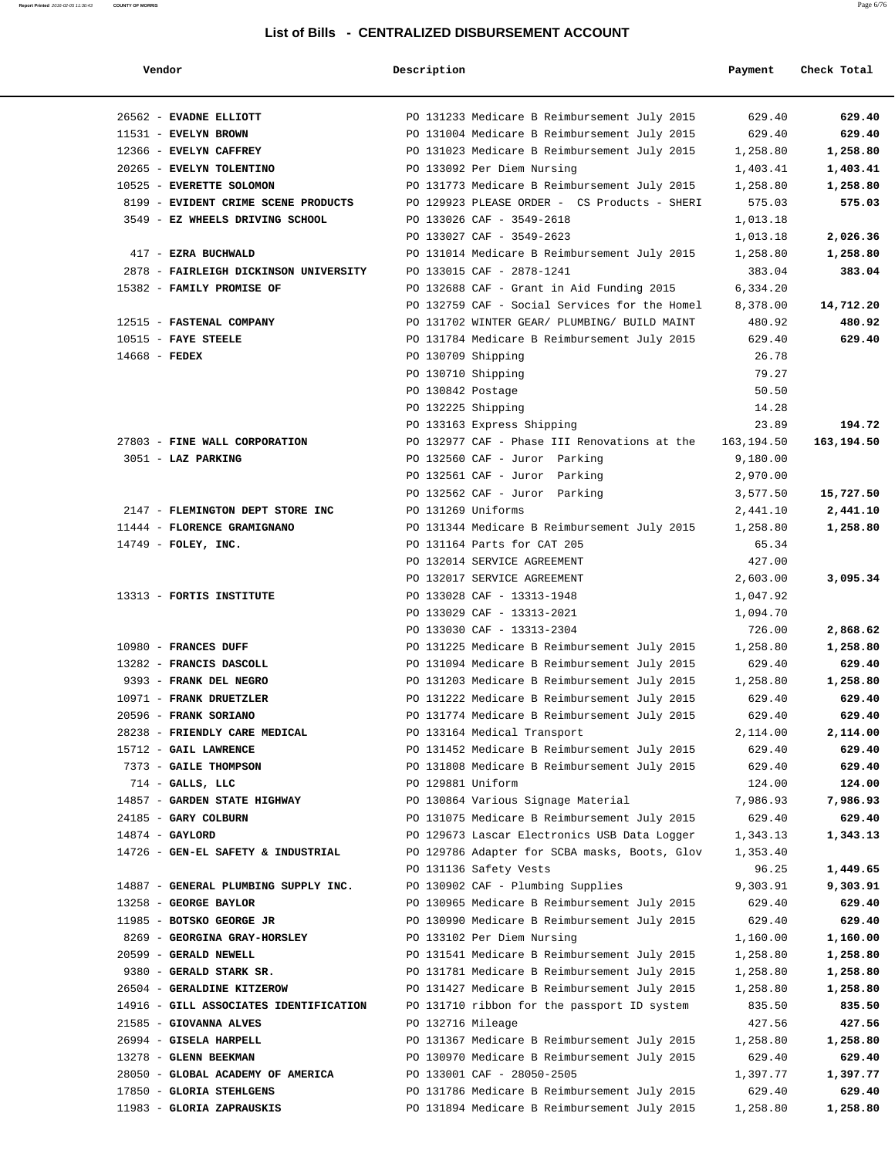| Vendor |  |
|--------|--|
|        |  |

## **Report Printed** 2016-02-05 11:30:43 **COUNTY OF MORRIS** Page 6/76

| Vendor                                                  | Description                                                                                   | Payment           | Check Total |
|---------------------------------------------------------|-----------------------------------------------------------------------------------------------|-------------------|-------------|
| 26562 - EVADNE ELLIOTT                                  | PO 131233 Medicare B Reimbursement July 2015                                                  | 629.40            | 629.40      |
| 11531 - EVELYN BROWN                                    | PO 131004 Medicare B Reimbursement July 2015                                                  | 629.40            | 629.40      |
| 12366 - EVELYN CAFFREY                                  | PO 131023 Medicare B Reimbursement July 2015                                                  | 1,258.80          | 1,258.80    |
| 20265 - EVELYN TOLENTINO                                | PO 133092 Per Diem Nursing                                                                    | 1,403.41          | 1,403.41    |
| 10525 - EVERETTE SOLOMON                                | PO 131773 Medicare B Reimbursement July 2015                                                  | 1,258.80          | 1,258.80    |
| 8199 - EVIDENT CRIME SCENE PRODUCTS                     | PO 129923 PLEASE ORDER - CS Products - SHERI                                                  | 575.03            | 575.03      |
| 3549 - EZ WHEELS DRIVING SCHOOL                         | PO 133026 CAF - 3549-2618                                                                     | 1,013.18          |             |
|                                                         | PO 133027 CAF - 3549-2623                                                                     | 1,013.18          | 2,026.36    |
| 417 - EZRA BUCHWALD                                     | PO 131014 Medicare B Reimbursement July 2015                                                  | 1,258.80          | 1,258.80    |
| 2878 - FAIRLEIGH DICKINSON UNIVERSITY                   | PO 133015 CAF - 2878-1241                                                                     | 383.04            | 383.04      |
| 15382 - FAMILY PROMISE OF                               | PO 132688 CAF - Grant in Aid Funding 2015                                                     | 6,334.20          |             |
|                                                         | PO 132759 CAF - Social Services for the Homel                                                 | 8,378.00          | 14,712.20   |
| 12515 - FASTENAL COMPANY                                | PO 131702 WINTER GEAR/ PLUMBING/ BUILD MAINT                                                  | 480.92            | 480.92      |
| $10515$ - FAYE STEELE                                   | PO 131784 Medicare B Reimbursement July 2015                                                  | 629.40            | 629.40      |
| 14668 - FEDEX                                           | PO 130709 Shipping                                                                            | 26.78             |             |
|                                                         | PO 130710 Shipping                                                                            | 79.27             |             |
|                                                         | PO 130842 Postage                                                                             | 50.50             |             |
|                                                         | PO 132225 Shipping                                                                            | 14.28             |             |
|                                                         | PO 133163 Express Shipping                                                                    | 23.89             | 194.72      |
| 27803 - FINE WALL CORPORATION                           | PO 132977 CAF - Phase III Renovations at the 163,194.50                                       |                   | 163,194.50  |
| 3051 - LAZ PARKING                                      | PO 132560 CAF - Juror Parking                                                                 | 9,180.00          |             |
|                                                         | PO 132561 CAF - Juror Parking                                                                 | 2,970.00          |             |
|                                                         | PO 132562 CAF - Juror Parking                                                                 | 3,577.50          | 15,727.50   |
| 2147 - FLEMINGTON DEPT STORE INC                        | PO 131269 Uniforms                                                                            | 2,441.10          | 2,441.10    |
| 11444 - FLORENCE GRAMIGNANO                             | PO 131344 Medicare B Reimbursement July 2015                                                  | 1,258.80          | 1,258.80    |
| $14749$ - FOLEY, INC.                                   | PO 131164 Parts for CAT 205                                                                   | 65.34             |             |
|                                                         | PO 132014 SERVICE AGREEMENT                                                                   | 427.00            |             |
|                                                         | PO 132017 SERVICE AGREEMENT                                                                   | 2,603.00          | 3,095.34    |
| 13313 - FORTIS INSTITUTE                                | PO 133028 CAF - 13313-1948                                                                    | 1,047.92          |             |
|                                                         | PO 133029 CAF - 13313-2021                                                                    | 1,094.70          |             |
|                                                         | PO 133030 CAF - 13313-2304                                                                    | 726.00            | 2,868.62    |
| 10980 - FRANCES DUFF                                    | PO 131225 Medicare B Reimbursement July 2015                                                  | 1,258.80          | 1,258.80    |
| 13282 - FRANCIS DASCOLL                                 | PO 131094 Medicare B Reimbursement July 2015                                                  | 629.40            | 629.40      |
| 9393 - FRANK DEL NEGRO                                  | PO 131203 Medicare B Reimbursement July 2015                                                  | 1,258.80          | 1,258.80    |
| 10971 - FRANK DRUETZLER                                 | PO 131222 Medicare B Reimbursement July 2015                                                  | 629.40            | 629.40      |
| 20596 - FRANK SORIANO                                   | PO 131774 Medicare B Reimbursement July 2015                                                  | 629.40            | 629.40      |
| 28238 - FRIENDLY CARE MEDICAL                           | PO 133164 Medical Transport                                                                   | 2,114.00          | 2,114.00    |
| 15712 - GAIL LAWRENCE                                   | PO 131452 Medicare B Reimbursement July 2015                                                  | 629.40            | 629.40      |
| 7373 - GAILE THOMPSON                                   | PO 131808 Medicare B Reimbursement July 2015                                                  | 629.40            | 629.40      |
| $714$ - GALLS, LLC                                      | PO 129881 Uniform                                                                             | 124.00            | 124.00      |
| 14857 - GARDEN STATE HIGHWAY                            | PO 130864 Various Signage Material                                                            | 7,986.93          | 7,986.93    |
| 24185 - GARY COLBURN                                    | PO 131075 Medicare B Reimbursement July 2015                                                  | 629.40            | 629.40      |
| $14874 - GAYLORD$<br>14726 - GEN-EL SAFETY & INDUSTRIAL | PO 129673 Lascar Electronics USB Data Logger<br>PO 129786 Adapter for SCBA masks, Boots, Glov | 1,343.13          | 1,343.13    |
|                                                         | PO 131136 Safety Vests                                                                        | 1,353.40<br>96.25 | 1,449.65    |
| 14887 - GENERAL PLUMBING SUPPLY INC.                    | PO 130902 CAF - Plumbing Supplies                                                             | 9,303.91          | 9,303.91    |
| 13258 - GEORGE BAYLOR                                   | PO 130965 Medicare B Reimbursement July 2015                                                  | 629.40            | 629.40      |
| 11985 - BOTSKO GEORGE JR                                | PO 130990 Medicare B Reimbursement July 2015                                                  | 629.40            | 629.40      |
| 8269 - GEORGINA GRAY-HORSLEY                            | PO 133102 Per Diem Nursing                                                                    | 1,160.00          | 1,160.00    |
| 20599 - GERALD NEWELL                                   | PO 131541 Medicare B Reimbursement July 2015                                                  | 1,258.80          | 1,258.80    |
| 9380 - GERALD STARK SR.                                 | PO 131781 Medicare B Reimbursement July 2015                                                  | 1,258.80          | 1,258.80    |
| 26504 - GERALDINE KITZEROW                              | PO 131427 Medicare B Reimbursement July 2015                                                  | 1,258.80          | 1,258.80    |
| 14916 - GILL ASSOCIATES IDENTIFICATION                  | PO 131710 ribbon for the passport ID system                                                   | 835.50            | 835.50      |
| 21585 - GIOVANNA ALVES                                  | PO 132716 Mileage                                                                             | 427.56            | 427.56      |
| 26994 - GISELA HARPELL                                  | PO 131367 Medicare B Reimbursement July 2015                                                  | 1,258.80          | 1,258.80    |
| 13278 - GLENN BEEKMAN                                   | PO 130970 Medicare B Reimbursement July 2015                                                  | 629.40            | 629.40      |
| 28050 - GLOBAL ACADEMY OF AMERICA                       | PO 133001 CAF - 28050-2505                                                                    | 1,397.77          | 1,397.77    |
| 17850 - GLORIA STEHLGENS                                | PO 131786 Medicare B Reimbursement July 2015                                                  | 629.40            | 629.40      |
| 11983 - GLORIA ZAPRAUSKIS                               | PO 131894 Medicare B Reimbursement July 2015                                                  | 1,258.80          | 1,258.80    |
|                                                         |                                                                                               |                   |             |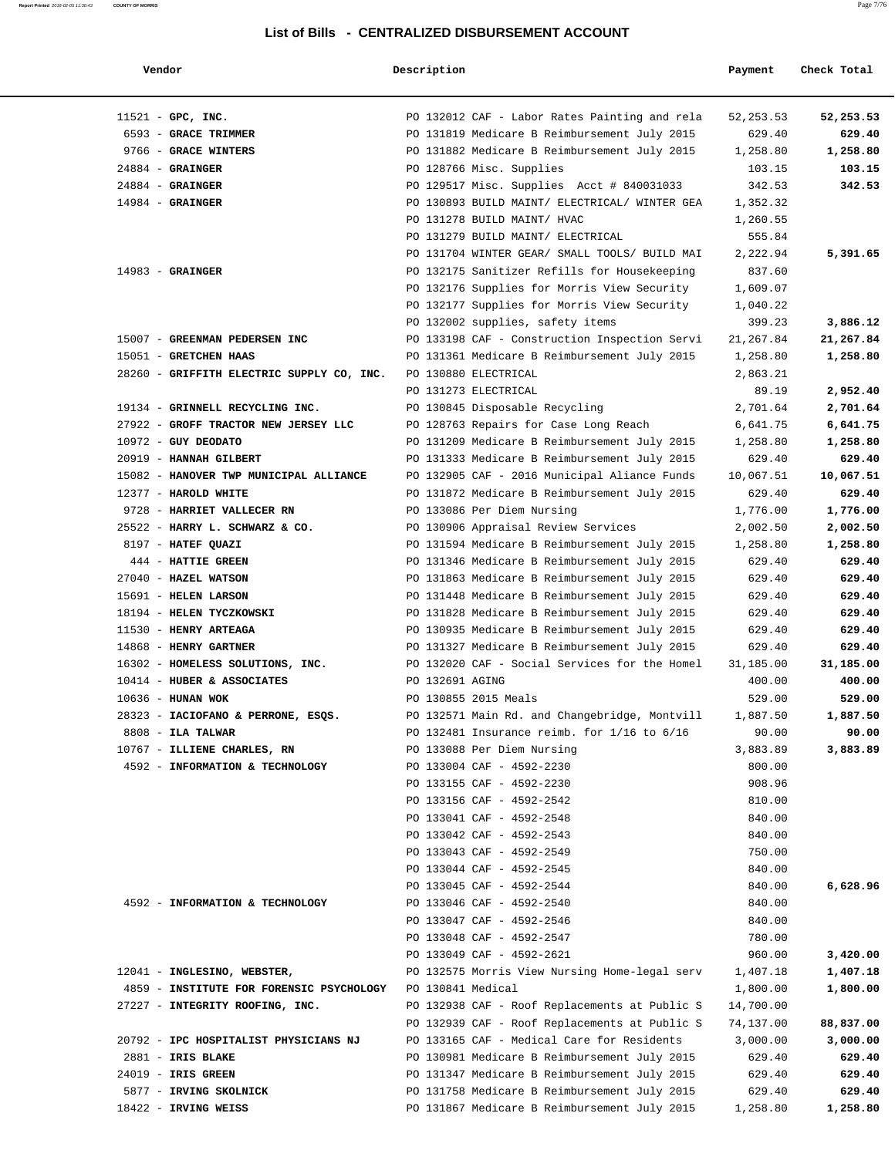| Vendor                                    | Description       |                                                 | Payment    | Check Total |
|-------------------------------------------|-------------------|-------------------------------------------------|------------|-------------|
| $11521$ - GPC, INC.                       |                   | PO 132012 CAF - Labor Rates Painting and rela   | 52, 253.53 | 52,253.53   |
| 6593 - GRACE TRIMMER                      |                   | PO 131819 Medicare B Reimbursement July 2015    | 629.40     | 629.40      |
| 9766 - GRACE WINTERS                      |                   | PO 131882 Medicare B Reimbursement July 2015    | 1,258.80   | 1,258.80    |
| $24884$ - GRAINGER                        |                   | PO 128766 Misc. Supplies                        | 103.15     | 103.15      |
| $24884$ - GRAINGER                        |                   | PO 129517 Misc. Supplies Acct # 840031033       | 342.53     | 342.53      |
| $14984$ - GRAINGER                        |                   | PO 130893 BUILD MAINT/ ELECTRICAL/ WINTER GEA   | 1,352.32   |             |
|                                           |                   | PO 131278 BUILD MAINT/ HVAC                     | 1,260.55   |             |
|                                           |                   | PO 131279 BUILD MAINT/ ELECTRICAL               | 555.84     |             |
|                                           |                   | PO 131704 WINTER GEAR/ SMALL TOOLS/ BUILD MAI   | 2,222.94   | 5,391.65    |
| $14983$ - GRAINGER                        |                   | PO 132175 Sanitizer Refills for Housekeeping    | 837.60     |             |
|                                           |                   | PO 132176 Supplies for Morris View Security     | 1,609.07   |             |
|                                           |                   | PO 132177 Supplies for Morris View Security     | 1,040.22   |             |
|                                           |                   | PO 132002 supplies, safety items                | 399.23     | 3,886.12    |
| 15007 - GREENMAN PEDERSEN INC             |                   | PO 133198 CAF - Construction Inspection Servi   | 21,267.84  | 21,267.84   |
| 15051 - GRETCHEN HAAS                     |                   | PO 131361 Medicare B Reimbursement July 2015    | 1,258.80   | 1,258.80    |
| 28260 - GRIFFITH ELECTRIC SUPPLY CO, INC. |                   | PO 130880 ELECTRICAL                            | 2,863.21   |             |
|                                           |                   | PO 131273 ELECTRICAL                            | 89.19      | 2,952.40    |
| 19134 - GRINNELL RECYCLING INC.           |                   | PO 130845 Disposable Recycling                  | 2,701.64   | 2,701.64    |
| 27922 - GROFF TRACTOR NEW JERSEY LLC      |                   | PO 128763 Repairs for Case Long Reach           | 6,641.75   | 6,641.75    |
| $10972$ - GUY DEODATO                     |                   | PO 131209 Medicare B Reimbursement July 2015    | 1,258.80   | 1,258.80    |
| 20919 - HANNAH GILBERT                    |                   | PO 131333 Medicare B Reimbursement July 2015    | 629.40     | 629.40      |
| 15082 - HANOVER TWP MUNICIPAL ALLIANCE    |                   | PO 132905 CAF - 2016 Municipal Aliance Funds    | 10,067.51  | 10,067.51   |
| 12377 - HAROLD WHITE                      |                   | PO 131872 Medicare B Reimbursement July 2015    | 629.40     | 629.40      |
| 9728 - HARRIET VALLECER RN                |                   | PO 133086 Per Diem Nursing                      | 1,776.00   | 1,776.00    |
| 25522 - HARRY L. SCHWARZ & CO.            |                   | PO 130906 Appraisal Review Services             | 2,002.50   | 2,002.50    |
| 8197 - HATEF QUAZI                        |                   | PO 131594 Medicare B Reimbursement July 2015    | 1,258.80   | 1,258.80    |
| 444 - HATTIE GREEN                        |                   | PO 131346 Medicare B Reimbursement July 2015    | 629.40     | 629.40      |
| 27040 - HAZEL WATSON                      |                   | PO 131863 Medicare B Reimbursement July 2015    | 629.40     | 629.40      |
| 15691 - HELEN LARSON                      |                   | PO 131448 Medicare B Reimbursement July 2015    | 629.40     | 629.40      |
| 18194 - HELEN TYCZKOWSKI                  |                   |                                                 | 629.40     | 629.40      |
|                                           |                   | PO 131828 Medicare B Reimbursement July 2015    | 629.40     | 629.40      |
| 11530 - HENRY ARTEAGA                     |                   | PO 130935 Medicare B Reimbursement July 2015    |            |             |
| 14868 - HENRY GARTNER                     |                   | PO 131327 Medicare B Reimbursement July 2015    | 629.40     | 629.40      |
| 16302 - HOMELESS SOLUTIONS, INC.          |                   | PO 132020 CAF - Social Services for the Homel   | 31,185.00  | 31,185.00   |
| 10414 - HUBER & ASSOCIATES                | PO 132691 AGING   |                                                 | 400.00     | 400.00      |
| 10636 - HUNAN WOK                         |                   | PO 130855 2015 Meals                            | 529.00     | 529.00      |
| 28323 - IACIOFANO & PERRONE, ESQS.        |                   | PO 132571 Main Rd. and Changebridge, Montvill   | 1,887.50   | 1,887.50    |
| $8808$ - ILA TALWAR                       |                   | PO 132481 Insurance reimb. for $1/16$ to $6/16$ | 90.00      | 90.00       |
| 10767 - ILLIENE CHARLES, RN               |                   | PO 133088 Per Diem Nursing                      | 3,883.89   | 3,883.89    |
| 4592 - INFORMATION & TECHNOLOGY           |                   | PO 133004 CAF - 4592-2230                       | 800.00     |             |
|                                           |                   | PO 133155 CAF - 4592-2230                       | 908.96     |             |
|                                           |                   | PO 133156 CAF - 4592-2542                       | 810.00     |             |
|                                           |                   | PO 133041 CAF - 4592-2548                       | 840.00     |             |
|                                           |                   | PO 133042 CAF - 4592-2543                       | 840.00     |             |
|                                           |                   | PO 133043 CAF - 4592-2549                       | 750.00     |             |
|                                           |                   | PO 133044 CAF - 4592-2545                       | 840.00     |             |
|                                           |                   | PO 133045 CAF - 4592-2544                       | 840.00     | 6,628.96    |
| 4592 - INFORMATION & TECHNOLOGY           |                   | PO 133046 CAF - 4592-2540                       | 840.00     |             |
|                                           |                   | PO 133047 CAF - 4592-2546                       | 840.00     |             |
|                                           |                   | PO 133048 CAF - 4592-2547                       | 780.00     |             |
|                                           |                   | PO 133049 CAF - 4592-2621                       | 960.00     | 3,420.00    |
| 12041 - INGLESINO, WEBSTER,               |                   | PO 132575 Morris View Nursing Home-legal serv   | 1,407.18   | 1,407.18    |
| 4859 - INSTITUTE FOR FORENSIC PSYCHOLOGY  | PO 130841 Medical |                                                 | 1,800.00   | 1,800.00    |
| 27227 - INTEGRITY ROOFING, INC.           |                   | PO 132938 CAF - Roof Replacements at Public S   | 14,700.00  |             |
|                                           |                   | PO 132939 CAF - Roof Replacements at Public S   | 74,137.00  | 88,837.00   |
| 20792 - IPC HOSPITALIST PHYSICIANS NJ     |                   | PO 133165 CAF - Medical Care for Residents      | 3,000.00   | 3,000.00    |
| 2881 - IRIS BLAKE                         |                   | PO 130981 Medicare B Reimbursement July 2015    | 629.40     | 629.40      |
| 24019 - IRIS GREEN                        |                   | PO 131347 Medicare B Reimbursement July 2015    | 629.40     | 629.40      |
| 5877 - IRVING SKOLNICK                    |                   | PO 131758 Medicare B Reimbursement July 2015    | 629.40     | 629.40      |
| 18422 - IRVING WEISS                      |                   | PO 131867 Medicare B Reimbursement July 2015    | 1,258.80   | 1,258.80    |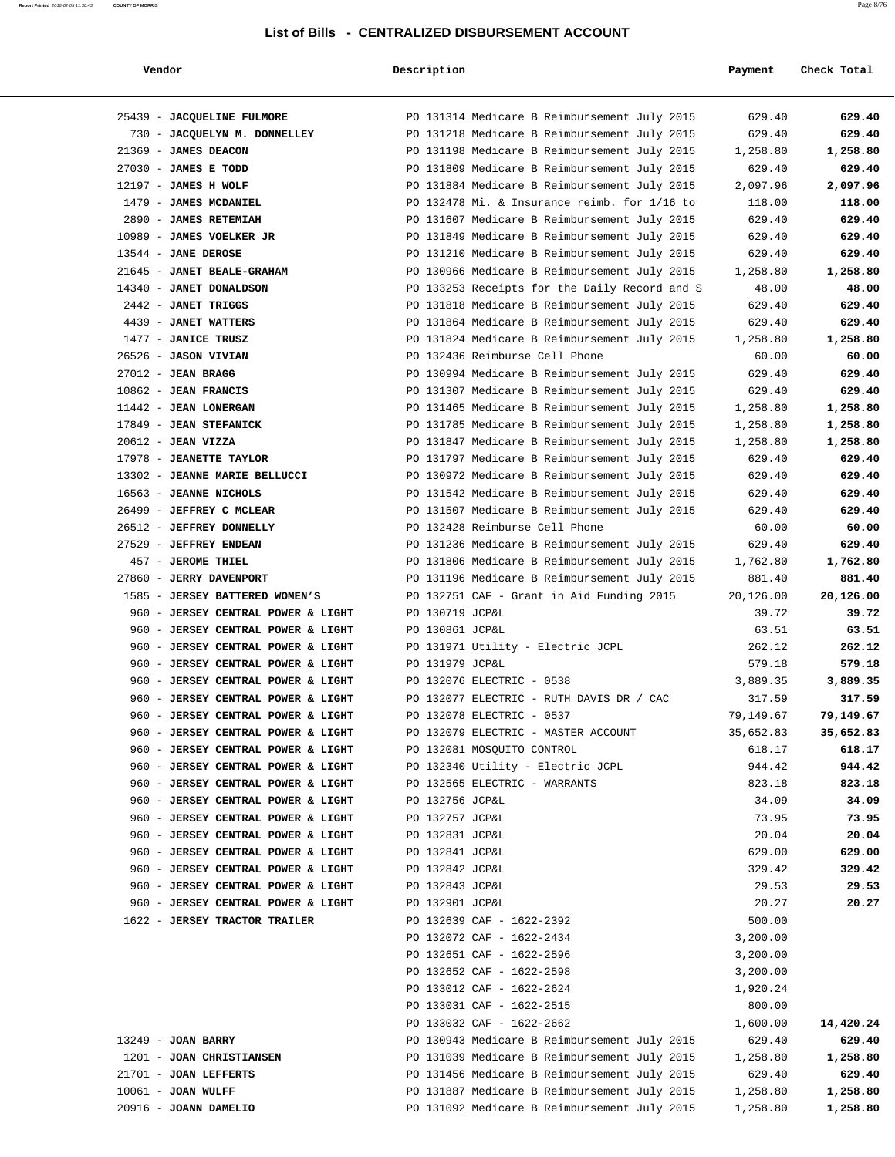## **Report Printed** 2016-02-05 11:30:43 **COUNTY OF MORRIS** Page 8/76

| Vendor                                                                   | Description                                                                                  | Payment          | Check Total      |
|--------------------------------------------------------------------------|----------------------------------------------------------------------------------------------|------------------|------------------|
|                                                                          |                                                                                              |                  |                  |
| 25439 - JACQUELINE FULMORE                                               | PO 131314 Medicare B Reimbursement July 2015                                                 | 629.40           | 629.40           |
| 730 - JACQUELYN M. DONNELLEY                                             | PO 131218 Medicare B Reimbursement July 2015                                                 | 629.40           | 629.40           |
| 21369 - JAMES DEACON                                                     | PO 131198 Medicare B Reimbursement July 2015                                                 | 1,258.80         | 1,258.80         |
| 27030 - JAMES E TODD                                                     | PO 131809 Medicare B Reimbursement July 2015                                                 | 629.40           | 629.40           |
| 12197 - JAMES H WOLF                                                     | PO 131884 Medicare B Reimbursement July 2015                                                 | 2,097.96         | 2,097.96         |
| 1479 - JAMES MCDANIEL                                                    | PO 132478 Mi. & Insurance reimb. for 1/16 to                                                 | 118.00           | 118.00           |
| 2890 - JAMES RETEMIAH                                                    | PO 131607 Medicare B Reimbursement July 2015                                                 | 629.40           | 629.40           |
| 10989 - JAMES VOELKER JR                                                 | PO 131849 Medicare B Reimbursement July 2015                                                 | 629.40           | 629.40           |
| 13544 - JANE DEROSE                                                      | PO 131210 Medicare B Reimbursement July 2015                                                 | 629.40           | 629.40           |
| 21645 - JANET BEALE-GRAHAM                                               | PO 130966 Medicare B Reimbursement July 2015                                                 | 1,258.80         | 1,258.80         |
| 14340 - JANET DONALDSON                                                  | PO 133253 Receipts for the Daily Record and S                                                | 48.00            | 48.00            |
| 2442 - JANET TRIGGS                                                      | PO 131818 Medicare B Reimbursement July 2015                                                 | 629.40           | 629.40           |
| 4439 - JANET WATTERS                                                     | PO 131864 Medicare B Reimbursement July 2015                                                 | 629.40           | 629.40           |
| 1477 - JANICE TRUSZ                                                      | PO 131824 Medicare B Reimbursement July 2015                                                 | 1,258.80         | 1,258.80         |
| 26526 - JASON VIVIAN                                                     | PO 132436 Reimburse Cell Phone                                                               | 60.00            | 60.00            |
| $27012$ - JEAN BRAGG                                                     | PO 130994 Medicare B Reimbursement July 2015                                                 | 629.40           | 629.40           |
| $10862$ - JEAN FRANCIS                                                   | PO 131307 Medicare B Reimbursement July 2015                                                 | 629.40           | 629.40           |
| 11442 - JEAN LONERGAN                                                    | PO 131465 Medicare B Reimbursement July 2015                                                 | 1,258.80         | 1,258.80         |
| 17849 - JEAN STEFANICK                                                   | PO 131785 Medicare B Reimbursement July 2015                                                 | 1,258.80         | 1,258.80         |
| 20612 - JEAN VIZZA<br>17978 - JEANETTE TAYLOR                            | PO 131847 Medicare B Reimbursement July 2015                                                 | 1,258.80         | 1,258.80         |
| 13302 - JEANNE MARIE BELLUCCI                                            | PO 131797 Medicare B Reimbursement July 2015<br>PO 130972 Medicare B Reimbursement July 2015 | 629.40<br>629.40 | 629.40<br>629.40 |
| 16563 - JEANNE NICHOLS                                                   | PO 131542 Medicare B Reimbursement July 2015                                                 | 629.40           | 629.40           |
| 26499 - JEFFREY C MCLEAR                                                 | PO 131507 Medicare B Reimbursement July 2015                                                 | 629.40           | 629.40           |
| 26512 - JEFFREY DONNELLY                                                 | PO 132428 Reimburse Cell Phone                                                               | 60.00            | 60.00            |
| 27529 - JEFFREY ENDEAN                                                   | PO 131236 Medicare B Reimbursement July 2015                                                 | 629.40           | 629.40           |
| 457 - JEROME THIEL                                                       | PO 131806 Medicare B Reimbursement July 2015                                                 | 1,762.80         | 1,762.80         |
| 27860 - JERRY DAVENPORT                                                  | PO 131196 Medicare B Reimbursement July 2015                                                 | 881.40           | 881.40           |
| 1585 - JERSEY BATTERED WOMEN'S                                           | PO 132751 CAF - Grant in Aid Funding 2015                                                    | 20,126.00        | 20,126.00        |
| 960 - JERSEY CENTRAL POWER & LIGHT                                       | PO 130719 JCP&L                                                                              | 39.72            | 39.72            |
| 960 - JERSEY CENTRAL POWER & LIGHT                                       | PO 130861 JCP&L                                                                              | 63.51            | 63.51            |
| 960 - JERSEY CENTRAL POWER & LIGHT                                       | PO 131971 Utility - Electric JCPL                                                            | 262.12           | 262.12           |
| 960 - JERSEY CENTRAL POWER & LIGHT                                       | PO 131979 JCP&L                                                                              | 579.18           | 579.18           |
| 960 - JERSEY CENTRAL POWER & LIGHT                                       | PO 132076 ELECTRIC - 0538                                                                    | 3,889.35         | 3,889.35         |
| 960 - JERSEY CENTRAL POWER & LIGHT                                       | PO 132077 ELECTRIC - RUTH DAVIS DR / CAC                                                     | 317.59           | 317.59           |
| 960 - JERSEY CENTRAL POWER & LIGHT                                       | PO 132078 ELECTRIC - 0537                                                                    | 79,149.67        | 79,149.67        |
| 960 - JERSEY CENTRAL POWER & LIGHT                                       | PO 132079 ELECTRIC - MASTER ACCOUNT                                                          | 35,652.83        | 35,652.83        |
| 960 - JERSEY CENTRAL POWER & LIGHT                                       | PO 132081 MOSQUITO CONTROL                                                                   | 618.17           | 618.17           |
| 960 - JERSEY CENTRAL POWER & LIGHT                                       | PO 132340 Utility - Electric JCPL                                                            | 944.42           | 944.42           |
| 960 - JERSEY CENTRAL POWER & LIGHT                                       | PO 132565 ELECTRIC - WARRANTS                                                                | 823.18           | 823.18           |
| 960 - JERSEY CENTRAL POWER & LIGHT                                       | PO 132756 JCP&L                                                                              | 34.09            | 34.09            |
| 960 - JERSEY CENTRAL POWER & LIGHT                                       | PO 132757 JCP&L                                                                              | 73.95            | 73.95            |
| 960 - JERSEY CENTRAL POWER & LIGHT<br>960 - JERSEY CENTRAL POWER & LIGHT | PO 132831 JCP&L<br>PO 132841 JCP&L                                                           | 20.04<br>629.00  | 20.04<br>629.00  |
| 960 - JERSEY CENTRAL POWER & LIGHT                                       | PO 132842 JCP&L                                                                              | 329.42           | 329.42           |
| 960 - JERSEY CENTRAL POWER & LIGHT                                       | PO 132843 JCP&L                                                                              | 29.53            | 29.53            |
| 960 - JERSEY CENTRAL POWER & LIGHT                                       | PO 132901 JCP&L                                                                              | 20.27            | 20.27            |
| 1622 - JERSEY TRACTOR TRAILER                                            | PO 132639 CAF - 1622-2392                                                                    | 500.00           |                  |
|                                                                          | PO 132072 CAF - 1622-2434                                                                    | 3,200.00         |                  |
|                                                                          | PO 132651 CAF - 1622-2596                                                                    | 3,200.00         |                  |
|                                                                          | PO 132652 CAF - 1622-2598                                                                    | 3,200.00         |                  |
|                                                                          | PO 133012 CAF - 1622-2624                                                                    | 1,920.24         |                  |
|                                                                          | PO 133031 CAF - 1622-2515                                                                    | 800.00           |                  |
|                                                                          | PO 133032 CAF - 1622-2662                                                                    | 1,600.00         | 14,420.24        |
| $13249$ - JOAN BARRY                                                     | PO 130943 Medicare B Reimbursement July 2015                                                 | 629.40           | 629.40           |
| 1201 - JOAN CHRISTIANSEN                                                 | PO 131039 Medicare B Reimbursement July 2015                                                 | 1,258.80         | 1,258.80         |
| 21701 - JOAN LEFFERTS                                                    | PO 131456 Medicare B Reimbursement July 2015                                                 | 629.40           | 629.40           |
| $10061$ - JOAN WULFF                                                     | PO 131887 Medicare B Reimbursement July 2015                                                 | 1,258.80         | 1,258.80         |
| 20916 - JOANN DAMELIO                                                    | PO 131092 Medicare B Reimbursement July 2015                                                 | 1,258.80         | 1,258.80         |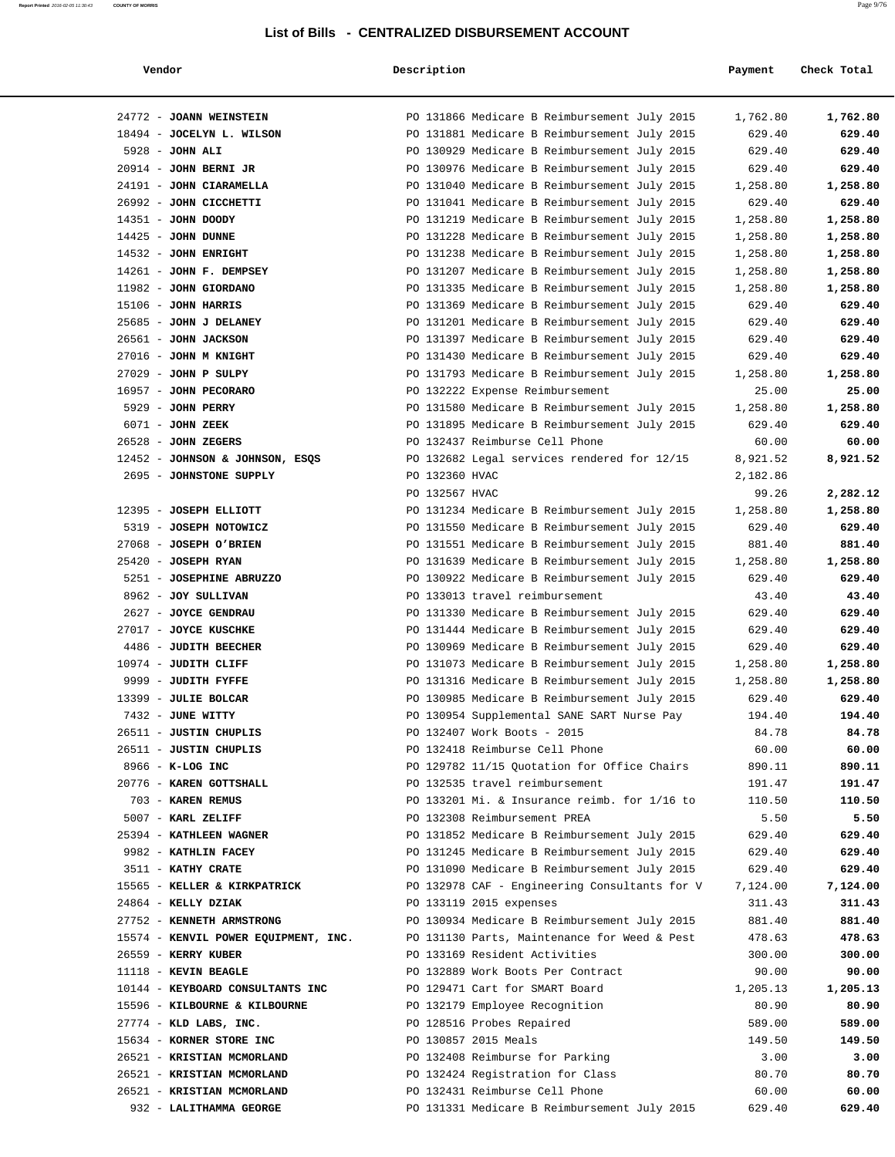|  | Vendor | Description | Payment<br>Check Total |
|--|--------|-------------|------------------------|
|--|--------|-------------|------------------------|

| 24772 - JOANN WEINSTEIN                                |                | PO 131866 Medicare B Reimbursement July 2015                        | 1,762.80      | 1,762.80      |
|--------------------------------------------------------|----------------|---------------------------------------------------------------------|---------------|---------------|
| 18494 - JOCELYN L. WILSON                              |                | PO 131881 Medicare B Reimbursement July 2015                        | 629.40        | 629.40        |
| $5928$ - JOHN ALI                                      |                | PO 130929 Medicare B Reimbursement July 2015                        | 629.40        | 629.40        |
| $20914$ - JOHN BERNI JR                                |                | PO 130976 Medicare B Reimbursement July 2015                        | 629.40        | 629.40        |
| 24191 - JOHN CIARAMELLA                                |                | PO 131040 Medicare B Reimbursement July 2015                        | 1,258.80      | 1,258.80      |
| 26992 - JOHN CICCHETTI                                 |                | PO 131041 Medicare B Reimbursement July 2015                        | 629.40        | 629.40        |
| 14351 - JOHN DOODY                                     |                | PO 131219 Medicare B Reimbursement July 2015                        | 1,258.80      | 1,258.80      |
| $14425$ - JOHN DUNNE                                   |                | PO 131228 Medicare B Reimbursement July 2015                        | 1,258.80      | 1,258.80      |
| 14532 - JOHN ENRIGHT                                   |                | PO 131238 Medicare B Reimbursement July 2015                        | 1,258.80      | 1,258.80      |
| 14261 - JOHN F. DEMPSEY                                |                | PO 131207 Medicare B Reimbursement July 2015                        | 1,258.80      | 1,258.80      |
| 11982 - JOHN GIORDANO                                  |                | PO 131335 Medicare B Reimbursement July 2015                        | 1,258.80      | 1,258.80      |
| $15106$ - JOHN HARRIS                                  |                | PO 131369 Medicare B Reimbursement July 2015                        | 629.40        | 629.40        |
| 25685 - JOHN J DELANEY                                 |                | PO 131201 Medicare B Reimbursement July 2015                        | 629.40        | 629.40        |
| 26561 - JOHN JACKSON                                   |                | PO 131397 Medicare B Reimbursement July 2015                        | 629.40        | 629.40        |
| $27016$ - JOHN M KNIGHT                                |                | PO 131430 Medicare B Reimbursement July 2015                        | 629.40        | 629.40        |
| $27029$ - JOHN P SULPY                                 |                | PO 131793 Medicare B Reimbursement July 2015                        | 1,258.80      | 1,258.80      |
| 16957 - JOHN PECORARO                                  |                | PO 132222 Expense Reimbursement                                     | 25.00         | 25.00         |
| 5929 - JOHN PERRY                                      |                | PO 131580 Medicare B Reimbursement July 2015                        | 1,258.80      | 1,258.80      |
| 6071 - JOHN ZEEK                                       |                | PO 131895 Medicare B Reimbursement July 2015                        | 629.40        | 629.40        |
| $26528$ - JOHN ZEGERS                                  |                | PO 132437 Reimburse Cell Phone                                      | 60.00         | 60.00         |
| 12452 - JOHNSON & JOHNSON, ESQS                        |                | PO 132682 Legal services rendered for 12/15                         | 8,921.52      | 8,921.52      |
| 2695 - JOHNSTONE SUPPLY                                | PO 132360 HVAC |                                                                     | 2,182.86      |               |
|                                                        | PO 132567 HVAC |                                                                     | 99.26         | 2,282.12      |
| 12395 - JOSEPH ELLIOTT                                 |                | PO 131234 Medicare B Reimbursement July 2015                        | 1,258.80      | 1,258.80      |
| 5319 - JOSEPH NOTOWICZ                                 |                | PO 131550 Medicare B Reimbursement July 2015                        | 629.40        | 629.40        |
| 27068 - JOSEPH O'BRIEN                                 |                | PO 131551 Medicare B Reimbursement July 2015                        | 881.40        | 881.40        |
| $25420$ - JOSEPH RYAN                                  |                | PO 131639 Medicare B Reimbursement July 2015                        | 1,258.80      | 1,258.80      |
| 5251 - JOSEPHINE ABRUZZO                               |                | PO 130922 Medicare B Reimbursement July 2015                        | 629.40        | 629.40        |
| 8962 - JOY SULLIVAN                                    |                | PO 133013 travel reimbursement                                      | 43.40         | 43.40         |
| 2627 - JOYCE GENDRAU                                   |                | PO 131330 Medicare B Reimbursement July 2015                        | 629.40        | 629.40        |
| 27017 - JOYCE KUSCHKE                                  |                | PO 131444 Medicare B Reimbursement July 2015                        | 629.40        | 629.40        |
| 4486 - JUDITH BEECHER                                  |                | PO 130969 Medicare B Reimbursement July 2015                        | 629.40        | 629.40        |
| 10974 - JUDITH CLIFF                                   |                | PO 131073 Medicare B Reimbursement July 2015                        | 1,258.80      | 1,258.80      |
| 9999 - JUDITH FYFFE                                    |                | PO 131316 Medicare B Reimbursement July 2015                        | 1,258.80      | 1,258.80      |
| 13399 - JULIE BOLCAR                                   |                | PO 130985 Medicare B Reimbursement July 2015                        | 629.40        | 629.40        |
| 7432 - JUNE WITTY                                      |                | PO 130954 Supplemental SANE SART Nurse Pay                          | 194.40        | 194.40        |
| 26511 - JUSTIN CHUPLIS                                 |                | PO 132407 Work Boots - 2015                                         | 84.78         | 84.78         |
| 26511 - JUSTIN CHUPLIS                                 |                | PO 132418 Reimburse Cell Phone                                      | 60.00         | 60.00         |
| 8966 - K-LOG INC                                       |                | PO 129782 11/15 Ouotation for Office Chairs                         | 890.11        | 890.11        |
| 20776 - KAREN GOTTSHALL                                |                | PO 132535 travel reimbursement                                      | 191.47        | 191.47        |
| 703 - KAREN REMUS                                      |                | PO 133201 Mi. & Insurance reimb. for 1/16 to                        | 110.50        | 110.50        |
| 5007 - KARL ZELIFF                                     |                | PO 132308 Reimbursement PREA                                        | 5.50          | 5.50          |
| 25394 - KATHLEEN WAGNER                                |                | PO 131852 Medicare B Reimbursement July 2015                        | 629.40        | 629.40        |
| 9982 - KATHLIN FACEY                                   |                | PO 131245 Medicare B Reimbursement July 2015                        | 629.40        | 629.40        |
| 3511 - KATHY CRATE                                     |                | PO 131090 Medicare B Reimbursement July 2015                        | 629.40        | 629.40        |
| 15565 - KELLER & KIRKPATRICK                           |                | PO 132978 CAF - Engineering Consultants for V                       | 7,124.00      | 7,124.00      |
| 24864 - KELLY DZIAK                                    |                | PO 133119 2015 expenses                                             | 311.43        | 311.43        |
| 27752 - KENNETH ARMSTRONG                              |                | PO 130934 Medicare B Reimbursement July 2015                        | 881.40        | 881.40        |
| 15574 - KENVIL POWER EQUIPMENT, INC.                   |                | PO 131130 Parts, Maintenance for Weed & Pest                        | 478.63        | 478.63        |
| 26559 - KERRY KUBER                                    |                | PO 133169 Resident Activities                                       | 300.00        | 300.00        |
| 11118 - KEVIN BEAGLE                                   |                | PO 132889 Work Boots Per Contract                                   | 90.00         | 90.00         |
| 10144 - KEYBOARD CONSULTANTS INC                       |                | PO 129471 Cart for SMART Board                                      | 1,205.13      | 1,205.13      |
| 15596 - KILBOURNE & KILBOURNE                          |                | PO 132179 Employee Recognition                                      | 80.90         | 80.90         |
| 27774 - KLD LABS, INC.                                 |                | PO 128516 Probes Repaired                                           | 589.00        | 589.00        |
| 15634 - KORNER STORE INC<br>26521 - KRISTIAN MCMORLAND |                | PO 130857 2015 Meals                                                | 149.50        | 149.50        |
| 26521 - KRISTIAN MCMORLAND                             |                | PO 132408 Reimburse for Parking<br>PO 132424 Registration for Class | 3.00<br>80.70 | 3.00<br>80.70 |
| 26521 - KRISTIAN MCMORLAND                             |                | PO 132431 Reimburse Cell Phone                                      | 60.00         | 60.00         |
| 932 - LALITHAMMA GEORGE                                |                | PO 131331 Medicare B Reimbursement July 2015                        | 629.40        | 629.40        |
|                                                        |                |                                                                     |               |               |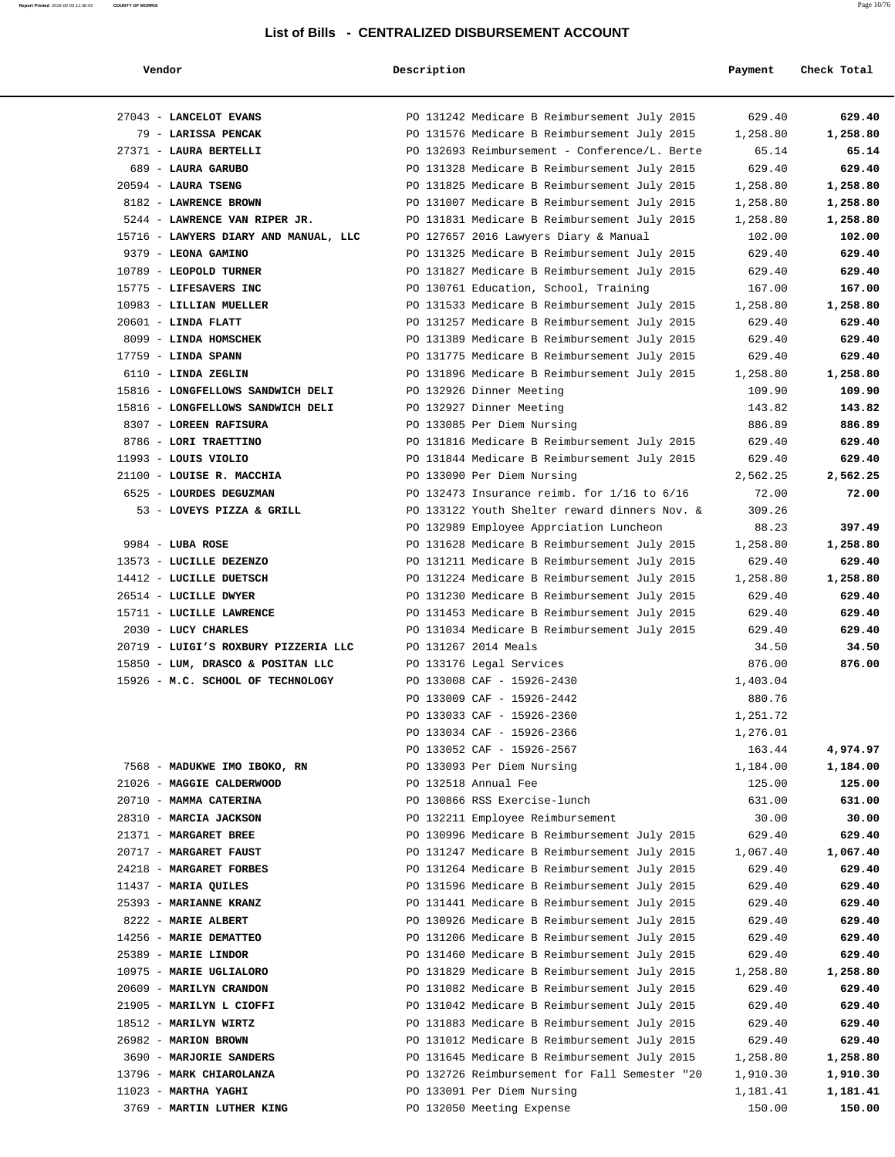|                                                 | Vendor |
|-------------------------------------------------|--------|
|                                                 |        |
| $\mathcal{O} \cap \mathcal{O} \neq \mathcal{O}$ | - - -  |

| Vendor                                | Description |                                                 | Payment  | Check Total |
|---------------------------------------|-------------|-------------------------------------------------|----------|-------------|
| 27043 - LANCELOT EVANS                |             | PO 131242 Medicare B Reimbursement July 2015    | 629.40   | 629.40      |
| 79 - LARISSA PENCAK                   |             | PO 131576 Medicare B Reimbursement July 2015    | 1,258.80 | 1,258.80    |
| 27371 - LAURA BERTELLI                |             | PO 132693 Reimbursement - Conference/L. Berte   | 65.14    | 65.14       |
| 689 - LAURA GARUBO                    |             | PO 131328 Medicare B Reimbursement July 2015    | 629.40   | 629.40      |
| $20594$ - LAURA TSENG                 |             | PO 131825 Medicare B Reimbursement July 2015    | 1,258.80 | 1,258.80    |
| 8182 - LAWRENCE BROWN                 |             | PO 131007 Medicare B Reimbursement July 2015    | 1,258.80 | 1,258.80    |
| 5244 - LAWRENCE VAN RIPER JR.         |             | PO 131831 Medicare B Reimbursement July 2015    | 1,258.80 | 1,258.80    |
| 15716 - LAWYERS DIARY AND MANUAL, LLC |             | PO 127657 2016 Lawyers Diary & Manual           | 102.00   | 102.00      |
| 9379 - LEONA GAMINO                   |             | PO 131325 Medicare B Reimbursement July 2015    | 629.40   | 629.40      |
| 10789 - LEOPOLD TURNER                |             | PO 131827 Medicare B Reimbursement July 2015    | 629.40   | 629.40      |
| 15775 - LIFESAVERS INC                |             | PO 130761 Education, School, Training           | 167.00   | 167.00      |
| 10983 - LILLIAN MUELLER               |             | PO 131533 Medicare B Reimbursement July 2015    | 1,258.80 | 1,258.80    |
| $20601$ - LINDA FLATT                 |             | PO 131257 Medicare B Reimbursement July 2015    | 629.40   | 629.40      |
| 8099 - LINDA HOMSCHEK                 |             | PO 131389 Medicare B Reimbursement July 2015    | 629.40   | 629.40      |
| $17759$ - LINDA SPANN                 |             | PO 131775 Medicare B Reimbursement July 2015    | 629.40   | 629.40      |
| 6110 - LINDA ZEGLIN                   |             | PO 131896 Medicare B Reimbursement July 2015    | 1,258.80 | 1,258.80    |
| 15816 - LONGFELLOWS SANDWICH DELI     |             | PO 132926 Dinner Meeting                        | 109.90   | 109.90      |
| 15816 - LONGFELLOWS SANDWICH DELI     |             | PO 132927 Dinner Meeting                        | 143.82   | 143.82      |
| 8307 - LOREEN RAFISURA                |             | PO 133085 Per Diem Nursing                      | 886.89   | 886.89      |
| 8786 - LORI TRAETTINO                 |             | PO 131816 Medicare B Reimbursement July 2015    | 629.40   | 629.40      |
| 11993 - LOUIS VIOLIO                  |             | PO 131844 Medicare B Reimbursement July 2015    | 629.40   | 629.40      |
| 21100 - LOUISE R. MACCHIA             |             | PO 133090 Per Diem Nursing                      | 2,562.25 | 2,562.25    |
| 6525 - LOURDES DEGUZMAN               |             | PO 132473 Insurance reimb. for $1/16$ to $6/16$ | 72.00    | 72.00       |
| 53 - LOVEYS PIZZA & GRILL             |             | PO 133122 Youth Shelter reward dinners Nov. &   | 309.26   |             |
|                                       |             | PO 132989 Employee Apprciation Luncheon         | 88.23    | 397.49      |
| $9984$ - LUBA ROSE                    |             | PO 131628 Medicare B Reimbursement July 2015    | 1,258.80 | 1,258.80    |
| 13573 - LUCILLE DEZENZO               |             | PO 131211 Medicare B Reimbursement July 2015    | 629.40   | 629.40      |
| 14412 - LUCILLE DUETSCH               |             | PO 131224 Medicare B Reimbursement July 2015    | 1,258.80 | 1,258.80    |
| 26514 - LUCILLE DWYER                 |             | PO 131230 Medicare B Reimbursement July 2015    | 629.40   | 629.40      |
| 15711 - LUCILLE LAWRENCE              |             | PO 131453 Medicare B Reimbursement July 2015    | 629.40   | 629.40      |
| 2030 - LUCY CHARLES                   |             | PO 131034 Medicare B Reimbursement July 2015    | 629.40   | 629.40      |
| 20719 - LUIGI'S ROXBURY PIZZERIA LLC  |             | PO 131267 2014 Meals                            | 34.50    | 34.50       |
| 15850 - LUM, DRASCO & POSITAN LLC     |             | PO 133176 Legal Services                        | 876.00   | 876.00      |
| 15926 - M.C. SCHOOL OF TECHNOLOGY     |             | PO 133008 CAF - 15926-2430                      | 1,403.04 |             |
|                                       |             | PO 133009 CAF - 15926-2442                      | 880.76   |             |
|                                       |             | PO 133033 CAF - 15926-2360                      | 1,251.72 |             |
|                                       |             | PO 133034 CAF - 15926-2366                      | 1,276.01 |             |
|                                       |             | PO 133052 CAF - 15926-2567                      | 163.44   | 4,974.97    |
| 7568 - MADUKWE IMO IBOKO, RN          |             | PO 133093 Per Diem Nursing                      | 1,184.00 | 1,184.00    |
| 21026 - MAGGIE CALDERWOOD             |             | PO 132518 Annual Fee                            | 125.00   | 125.00      |
| 20710 - MAMMA CATERINA                |             | PO 130866 RSS Exercise-lunch                    | 631.00   | 631.00      |
| 28310 - MARCIA JACKSON                |             | PO 132211 Employee Reimbursement                | 30.00    | 30.00       |
| 21371 - MARGARET BREE                 |             | PO 130996 Medicare B Reimbursement July 2015    | 629.40   | 629.40      |
| 20717 - MARGARET FAUST                |             | PO 131247 Medicare B Reimbursement July 2015    | 1,067.40 | 1,067.40    |
| 24218 - MARGARET FORBES               |             | PO 131264 Medicare B Reimbursement July 2015    | 629.40   | 629.40      |
| 11437 - MARIA QUILES                  |             | PO 131596 Medicare B Reimbursement July 2015    | 629.40   | 629.40      |
| 25393 - MARIANNE KRANZ                |             | PO 131441 Medicare B Reimbursement July 2015    | 629.40   | 629.40      |
| 8222 - MARIE ALBERT                   |             | PO 130926 Medicare B Reimbursement July 2015    | 629.40   | 629.40      |
| 14256 - MARIE DEMATTEO                |             | PO 131206 Medicare B Reimbursement July 2015    | 629.40   | 629.40      |
| 25389 - MARIE LINDOR                  |             | PO 131460 Medicare B Reimbursement July 2015    | 629.40   | 629.40      |
| 10975 - MARIE UGLIALORO               |             | PO 131829 Medicare B Reimbursement July 2015    | 1,258.80 | 1,258.80    |
| 20609 - MARILYN CRANDON               |             | PO 131082 Medicare B Reimbursement July 2015    | 629.40   | 629.40      |
| 21905 - MARILYN L CIOFFI              |             | PO 131042 Medicare B Reimbursement July 2015    | 629.40   | 629.40      |
| 18512 - MARILYN WIRTZ                 |             | PO 131883 Medicare B Reimbursement July 2015    | 629.40   | 629.40      |
| 26982 - MARION BROWN                  |             | PO 131012 Medicare B Reimbursement July 2015    | 629.40   | 629.40      |
| 3690 - MARJORIE SANDERS               |             | PO 131645 Medicare B Reimbursement July 2015    | 1,258.80 | 1,258.80    |
| 13796 - MARK CHIAROLANZA              |             | PO 132726 Reimbursement for Fall Semester "20   | 1,910.30 | 1,910.30    |
| $11023$ - MARTHA YAGHI                |             | PO 133091 Per Diem Nursing                      | 1,181.41 | 1,181.41    |
| 3769 - MARTIN LUTHER KING             |             | PO 132050 Meeting Expense                       | 150.00   | 150.00      |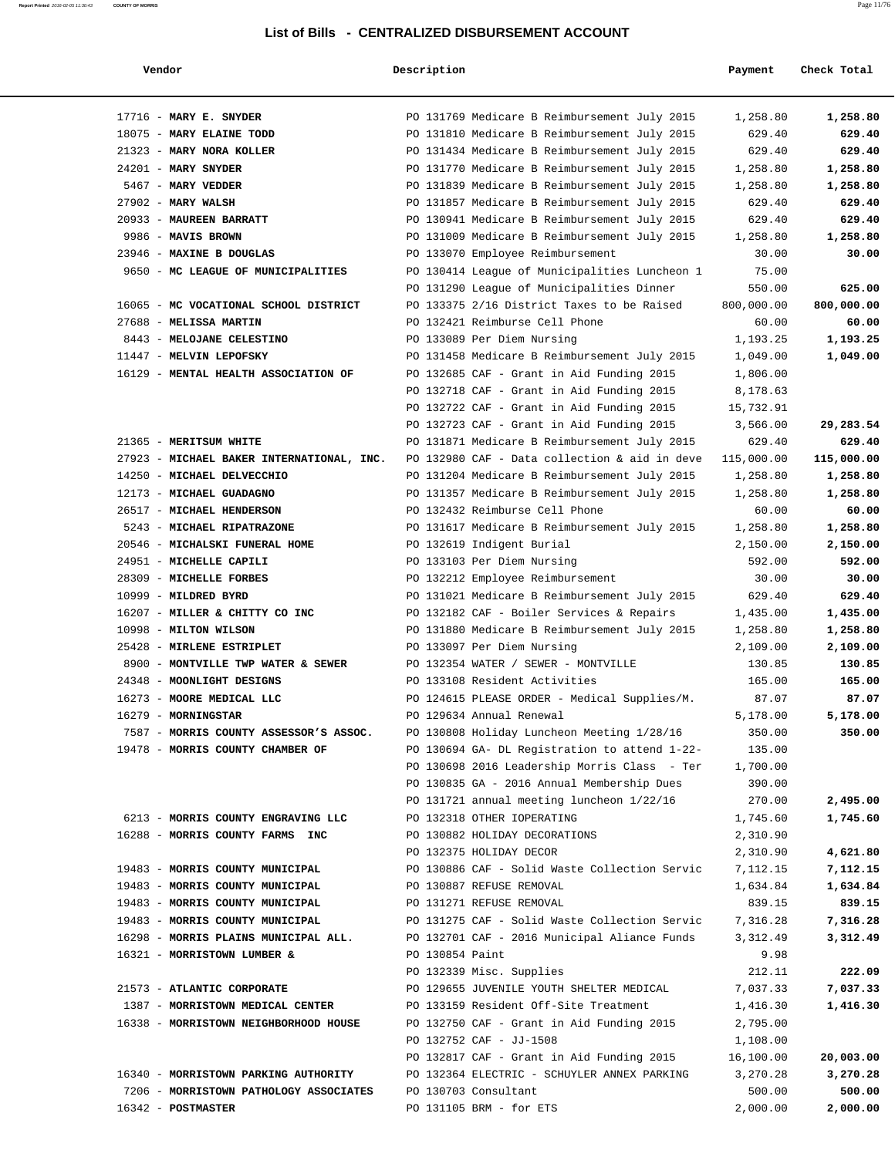| Vendor                                    | Description     |                                               | Payment    | Check Total |
|-------------------------------------------|-----------------|-----------------------------------------------|------------|-------------|
| $17716$ - MARY E. SNYDER                  |                 | PO 131769 Medicare B Reimbursement July 2015  | 1,258.80   | 1,258.80    |
| 18075 - MARY ELAINE TODD                  |                 | PO 131810 Medicare B Reimbursement July 2015  | 629.40     | 629.40      |
| 21323 - MARY NORA KOLLER                  |                 | PO 131434 Medicare B Reimbursement July 2015  | 629.40     | 629.40      |
| $24201$ - MARY SNYDER                     |                 | PO 131770 Medicare B Reimbursement July 2015  | 1,258.80   | 1,258.80    |
| 5467 - MARY VEDDER                        |                 | PO 131839 Medicare B Reimbursement July 2015  | 1,258.80   | 1,258.80    |
| $27902$ - MARY WALSH                      |                 | PO 131857 Medicare B Reimbursement July 2015  | 629.40     | 629.40      |
| 20933 - MAUREEN BARRATT                   |                 | PO 130941 Medicare B Reimbursement July 2015  | 629.40     | 629.40      |
| 9986 - MAVIS BROWN                        |                 | PO 131009 Medicare B Reimbursement July 2015  | 1,258.80   | 1,258.80    |
| 23946 - MAXINE B DOUGLAS                  |                 | PO 133070 Employee Reimbursement              | 30.00      | 30.00       |
| 9650 - MC LEAGUE OF MUNICIPALITIES        |                 | PO 130414 League of Municipalities Luncheon 1 | 75.00      |             |
|                                           |                 | PO 131290 League of Municipalities Dinner     | 550.00     | 625.00      |
| 16065 - MC VOCATIONAL SCHOOL DISTRICT     |                 | PO 133375 2/16 District Taxes to be Raised    | 800,000.00 | 800,000.00  |
| 27688 - MELISSA MARTIN                    |                 | PO 132421 Reimburse Cell Phone                | 60.00      | 60.00       |
| 8443 - MELOJANE CELESTINO                 |                 | PO 133089 Per Diem Nursing                    | 1,193.25   | 1,193.25    |
| 11447 - MELVIN LEPOFSKY                   |                 | PO 131458 Medicare B Reimbursement July 2015  | 1,049.00   | 1,049.00    |
| 16129 - MENTAL HEALTH ASSOCIATION OF      |                 | PO 132685 CAF - Grant in Aid Funding 2015     | 1,806.00   |             |
|                                           |                 | PO 132718 CAF - Grant in Aid Funding 2015     | 8,178.63   |             |
|                                           |                 | PO 132722 CAF - Grant in Aid Funding 2015     | 15,732.91  |             |
|                                           |                 | PO 132723 CAF - Grant in Aid Funding 2015     | 3,566.00   | 29,283.54   |
| 21365 - MERITSUM WHITE                    |                 | PO 131871 Medicare B Reimbursement July 2015  | 629.40     | 629.40      |
| 27923 - MICHAEL BAKER INTERNATIONAL, INC. |                 | PO 132980 CAF - Data collection & aid in deve | 115,000.00 | 115,000.00  |
| 14250 - MICHAEL DELVECCHIO                |                 | PO 131204 Medicare B Reimbursement July 2015  | 1,258.80   | 1,258.80    |
| 12173 - MICHAEL GUADAGNO                  |                 | PO 131357 Medicare B Reimbursement July 2015  | 1,258.80   | 1,258.80    |
| 26517 - MICHAEL HENDERSON                 |                 | PO 132432 Reimburse Cell Phone                | 60.00      | 60.00       |
| 5243 - MICHAEL RIPATRAZONE                |                 | PO 131617 Medicare B Reimbursement July 2015  | 1,258.80   | 1,258.80    |
| 20546 - MICHALSKI FUNERAL HOME            |                 | PO 132619 Indigent Burial                     | 2,150.00   | 2,150.00    |
| 24951 - MICHELLE CAPILI                   |                 | PO 133103 Per Diem Nursing                    | 592.00     | 592.00      |
| 28309 - MICHELLE FORBES                   |                 | PO 132212 Employee Reimbursement              | 30.00      | 30.00       |
| 10999 - MILDRED BYRD                      |                 | PO 131021 Medicare B Reimbursement July 2015  | 629.40     | 629.40      |
| 16207 - MILLER & CHITTY CO INC            |                 | PO 132182 CAF - Boiler Services & Repairs     | 1,435.00   | 1,435.00    |
| 10998 - MILTON WILSON                     |                 | PO 131880 Medicare B Reimbursement July 2015  | 1,258.80   | 1,258.80    |
| 25428 - MIRLENE ESTRIPLET                 |                 | PO 133097 Per Diem Nursing                    | 2,109.00   | 2,109.00    |
| 8900 - MONTVILLE TWP WATER & SEWER        |                 | PO 132354 WATER / SEWER - MONTVILLE           | 130.85     | 130.85      |
| 24348 - MOONLIGHT DESIGNS                 |                 | PO 133108 Resident Activities                 | 165.00     | 165.00      |
| 16273 - MOORE MEDICAL LLC                 |                 | PO 124615 PLEASE ORDER - Medical Supplies/M.  | 87.07      | 87.07       |
| 16279 - MORNINGSTAR                       |                 | PO 129634 Annual Renewal                      | 5,178.00   | 5,178.00    |
| 7587 - MORRIS COUNTY ASSESSOR'S ASSOC.    |                 | PO 130808 Holiday Luncheon Meeting 1/28/16    | 350.00     | 350.00      |
| 19478 - MORRIS COUNTY CHAMBER OF          |                 | PO 130694 GA- DL Registration to attend 1-22- | 135.00     |             |
|                                           |                 | PO 130698 2016 Leadership Morris Class - Ter  | 1,700.00   |             |
|                                           |                 | PO 130835 GA - 2016 Annual Membership Dues    | 390.00     |             |
|                                           |                 | PO 131721 annual meeting luncheon 1/22/16     | 270.00     | 2,495.00    |
| 6213 - MORRIS COUNTY ENGRAVING LLC        |                 | PO 132318 OTHER IOPERATING                    | 1,745.60   | 1,745.60    |
| 16288 - MORRIS COUNTY FARMS INC           |                 | PO 130882 HOLIDAY DECORATIONS                 | 2,310.90   |             |
|                                           |                 | PO 132375 HOLIDAY DECOR                       | 2,310.90   | 4,621.80    |
| 19483 - MORRIS COUNTY MUNICIPAL           |                 | PO 130886 CAF - Solid Waste Collection Servic | 7,112.15   | 7,112.15    |
| 19483 - MORRIS COUNTY MUNICIPAL           |                 | PO 130887 REFUSE REMOVAL                      | 1,634.84   | 1,634.84    |
| 19483 - MORRIS COUNTY MUNICIPAL           |                 | PO 131271 REFUSE REMOVAL                      | 839.15     | 839.15      |
| 19483 - MORRIS COUNTY MUNICIPAL           |                 | PO 131275 CAF - Solid Waste Collection Servic | 7,316.28   | 7,316.28    |
| 16298 - MORRIS PLAINS MUNICIPAL ALL.      |                 | PO 132701 CAF - 2016 Municipal Aliance Funds  | 3,312.49   | 3,312.49    |
| 16321 - MORRISTOWN LUMBER &               | PO 130854 Paint |                                               | 9.98       |             |
|                                           |                 | PO 132339 Misc. Supplies                      | 212.11     | 222.09      |
| 21573 - ATLANTIC CORPORATE                |                 | PO 129655 JUVENILE YOUTH SHELTER MEDICAL      | 7,037.33   | 7,037.33    |
| 1387 - MORRISTOWN MEDICAL CENTER          |                 | PO 133159 Resident Off-Site Treatment         | 1,416.30   | 1,416.30    |
| 16338 - MORRISTOWN NEIGHBORHOOD HOUSE     |                 | PO 132750 CAF - Grant in Aid Funding 2015     | 2,795.00   |             |
|                                           |                 | PO 132752 CAF - JJ-1508                       | 1,108.00   |             |
|                                           |                 | PO 132817 CAF - Grant in Aid Funding 2015     | 16,100.00  | 20,003.00   |
| 16340 - MORRISTOWN PARKING AUTHORITY      |                 | PO 132364 ELECTRIC - SCHUYLER ANNEX PARKING   | 3,270.28   | 3,270.28    |
| 7206 - MORRISTOWN PATHOLOGY ASSOCIATES    |                 | PO 130703 Consultant                          | 500.00     | 500.00      |
| 16342 - POSTMASTER                        |                 | PO 131105 BRM - for ETS                       | 2,000.00   | 2,000.00    |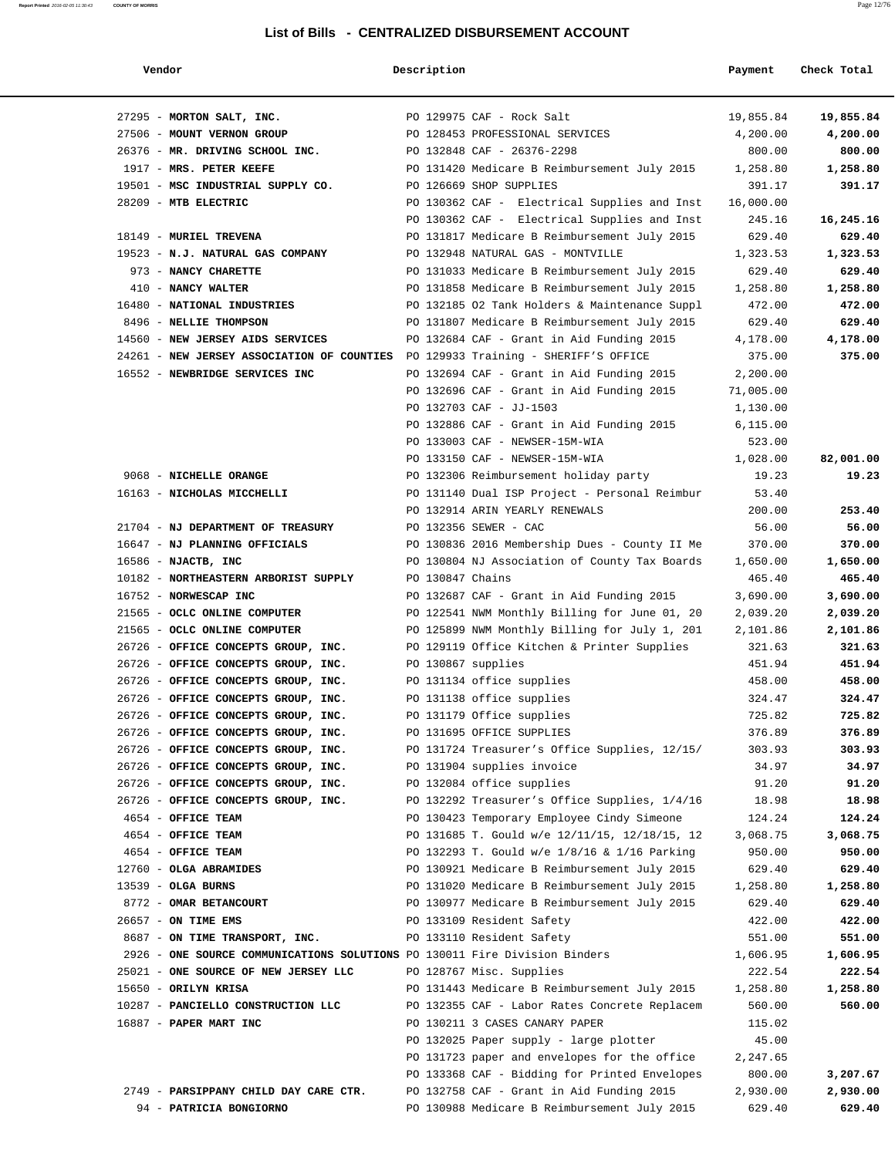| Vendor                                                                           | Description        |                                                                          | Payment            | Check Total        |
|----------------------------------------------------------------------------------|--------------------|--------------------------------------------------------------------------|--------------------|--------------------|
| 27295 - MORTON SALT, INC.                                                        |                    | PO 129975 CAF - Rock Salt                                                | 19,855.84          | 19,855.84          |
| 27506 - MOUNT VERNON GROUP                                                       |                    | PO 128453 PROFESSIONAL SERVICES                                          | 4,200.00           | 4,200.00           |
| 26376 - MR. DRIVING SCHOOL INC.                                                  |                    | PO 132848 CAF - 26376-2298                                               | 800.00             | 800.00             |
| 1917 - MRS. PETER KEEFE                                                          |                    | PO 131420 Medicare B Reimbursement July 2015                             | 1,258.80           | 1,258.80           |
| 19501 - MSC INDUSTRIAL SUPPLY CO.                                                |                    | PO 126669 SHOP SUPPLIES                                                  | 391.17             | 391.17             |
| 28209 - MTB ELECTRIC                                                             |                    | PO 130362 CAF - Electrical Supplies and Inst                             | 16,000.00          |                    |
|                                                                                  |                    | PO 130362 CAF - Electrical Supplies and Inst                             | 245.16             | 16,245.16          |
| 18149 - MURIEL TREVENA                                                           |                    | PO 131817 Medicare B Reimbursement July 2015                             | 629.40             | 629.40             |
| 19523 - N.J. NATURAL GAS COMPANY                                                 |                    | PO 132948 NATURAL GAS - MONTVILLE                                        | 1,323.53           | 1,323.53           |
| 973 - NANCY CHARETTE                                                             |                    | PO 131033 Medicare B Reimbursement July 2015                             | 629.40             | 629.40             |
| 410 - NANCY WALTER                                                               |                    | PO 131858 Medicare B Reimbursement July 2015                             | 1,258.80           | 1,258.80           |
| 16480 - NATIONAL INDUSTRIES                                                      |                    | PO 132185 O2 Tank Holders & Maintenance Suppl                            | 472.00             | 472.00             |
| 8496 - NELLIE THOMPSON                                                           |                    | PO 131807 Medicare B Reimbursement July 2015                             | 629.40             | 629.40             |
| 14560 - NEW JERSEY AIDS SERVICES                                                 |                    | PO 132684 CAF - Grant in Aid Funding 2015                                | 4,178.00           | 4,178.00           |
| 24261 - NEW JERSEY ASSOCIATION OF COUNTIES PO 129933 Training - SHERIFF'S OFFICE |                    |                                                                          | 375.00             | 375.00             |
| 16552 - NEWBRIDGE SERVICES INC                                                   |                    | PO 132694 CAF - Grant in Aid Funding 2015                                | 2,200.00           |                    |
|                                                                                  |                    | PO 132696 CAF - Grant in Aid Funding 2015                                | 71,005.00          |                    |
|                                                                                  |                    | PO 132703 CAF - JJ-1503                                                  | 1,130.00           |                    |
|                                                                                  |                    | PO 132886 CAF - Grant in Aid Funding 2015                                | 6,115.00           |                    |
|                                                                                  |                    | PO 133003 CAF - NEWSER-15M-WIA                                           | 523.00             |                    |
|                                                                                  |                    | PO 133150 CAF - NEWSER-15M-WIA                                           | 1,028.00           | 82,001.00          |
| 9068 - NICHELLE ORANGE                                                           |                    | PO 132306 Reimbursement holiday party                                    | 19.23              | 19.23              |
| 16163 - NICHOLAS MICCHELLI                                                       |                    | PO 131140 Dual ISP Project - Personal Reimbur                            | 53.40              |                    |
|                                                                                  |                    | PO 132914 ARIN YEARLY RENEWALS                                           | 200.00             | 253.40             |
| 21704 - NJ DEPARTMENT OF TREASURY                                                |                    | PO 132356 SEWER - CAC                                                    | 56.00              | 56.00              |
| 16647 - NJ PLANNING OFFICIALS                                                    |                    | PO 130836 2016 Membership Dues - County II Me                            | 370.00             | 370.00             |
| 16586 - NJACTB, INC<br>10182 - NORTHEASTERN ARBORIST SUPPLY                      | PO 130847 Chains   | PO 130804 NJ Association of County Tax Boards                            | 1,650.00<br>465.40 | 1,650.00<br>465.40 |
| 16752 - NORWESCAP INC                                                            |                    | PO 132687 CAF - Grant in Aid Funding 2015                                | 3,690.00           | 3,690.00           |
| 21565 - OCLC ONLINE COMPUTER                                                     |                    | PO 122541 NWM Monthly Billing for June 01, 20                            | 2,039.20           | 2,039.20           |
| 21565 - OCLC ONLINE COMPUTER                                                     |                    | PO 125899 NWM Monthly Billing for July 1, 201                            | 2,101.86           | 2,101.86           |
| 26726 - OFFICE CONCEPTS GROUP, INC.                                              |                    | PO 129119 Office Kitchen & Printer Supplies                              | 321.63             | 321.63             |
| 26726 - OFFICE CONCEPTS GROUP, INC.                                              | PO 130867 supplies |                                                                          | 451.94             | 451.94             |
| 26726 - OFFICE CONCEPTS GROUP, INC.                                              |                    | PO 131134 office supplies                                                | 458.00             | 458.00             |
| 26726 - OFFICE CONCEPTS GROUP, INC.                                              |                    | PO 131138 office supplies                                                | 324.47             | 324.47             |
| 26726 - OFFICE CONCEPTS GROUP, INC.                                              |                    | PO 131179 Office supplies                                                | 725.82             | 725.82             |
| 26726 - OFFICE CONCEPTS GROUP, INC.                                              |                    | PO 131695 OFFICE SUPPLIES                                                | 376.89             | 376.89             |
| 26726 - OFFICE CONCEPTS GROUP, INC.                                              |                    | PO 131724 Treasurer's Office Supplies, 12/15/                            | 303.93             | 303.93             |
| 26726 - OFFICE CONCEPTS GROUP, INC.                                              |                    | PO 131904 supplies invoice                                               | 34.97              | 34.97              |
| 26726 - OFFICE CONCEPTS GROUP, INC.                                              |                    | PO 132084 office supplies                                                | 91.20              | 91.20              |
| 26726 - OFFICE CONCEPTS GROUP, INC.                                              |                    | PO 132292 Treasurer's Office Supplies, 1/4/16                            | 18.98              | 18.98              |
| 4654 - OFFICE TEAM                                                               |                    | PO 130423 Temporary Employee Cindy Simeone                               | 124.24             | 124.24             |
| 4654 - OFFICE TEAM                                                               |                    | PO 131685 T. Gould w/e 12/11/15, 12/18/15, 12                            | 3,068.75           | 3,068.75           |
| 4654 - OFFICE TEAM                                                               |                    | PO 132293 T. Gould w/e 1/8/16 & 1/16 Parking                             | 950.00             | 950.00             |
| 12760 - OLGA ABRAMIDES                                                           |                    | PO 130921 Medicare B Reimbursement July 2015                             | 629.40             | 629.40             |
| $13539$ - OLGA BURNS                                                             |                    | PO 131020 Medicare B Reimbursement July 2015                             | 1,258.80           | 1,258.80           |
| 8772 - OMAR BETANCOURT                                                           |                    | PO 130977 Medicare B Reimbursement July 2015                             | 629.40             | 629.40             |
| 26657 - ON TIME EMS                                                              |                    | PO 133109 Resident Safety                                                | 422.00             | 422.00             |
| 8687 - ON TIME TRANSPORT, INC.                                                   |                    | PO 133110 Resident Safety                                                | 551.00             | 551.00             |
| 2926 - ONE SOURCE COMMUNICATIONS SOLUTIONS PO 130011 Fire Division Binders       |                    |                                                                          | 1,606.95           | 1,606.95           |
| 25021 - ONE SOURCE OF NEW JERSEY LLC<br>15650 - ORILYN KRISA                     |                    | PO 128767 Misc. Supplies<br>PO 131443 Medicare B Reimbursement July 2015 | 222.54<br>1,258.80 | 222.54<br>1,258.80 |
| 10287 - PANCIELLO CONSTRUCTION LLC                                               |                    | PO 132355 CAF - Labor Rates Concrete Replacem                            | 560.00             | 560.00             |
| 16887 - PAPER MART INC                                                           |                    | PO 130211 3 CASES CANARY PAPER                                           | 115.02             |                    |
|                                                                                  |                    | PO 132025 Paper supply - large plotter                                   | 45.00              |                    |
|                                                                                  |                    | PO 131723 paper and envelopes for the office                             | 2,247.65           |                    |
|                                                                                  |                    | PO 133368 CAF - Bidding for Printed Envelopes                            | 800.00             | 3,207.67           |
| 2749 - PARSIPPANY CHILD DAY CARE CTR.                                            |                    | PO 132758 CAF - Grant in Aid Funding 2015                                | 2,930.00           | 2,930.00           |
| 94 - PATRICIA BONGIORNO                                                          |                    | PO 130988 Medicare B Reimbursement July 2015                             | 629.40             | 629.40             |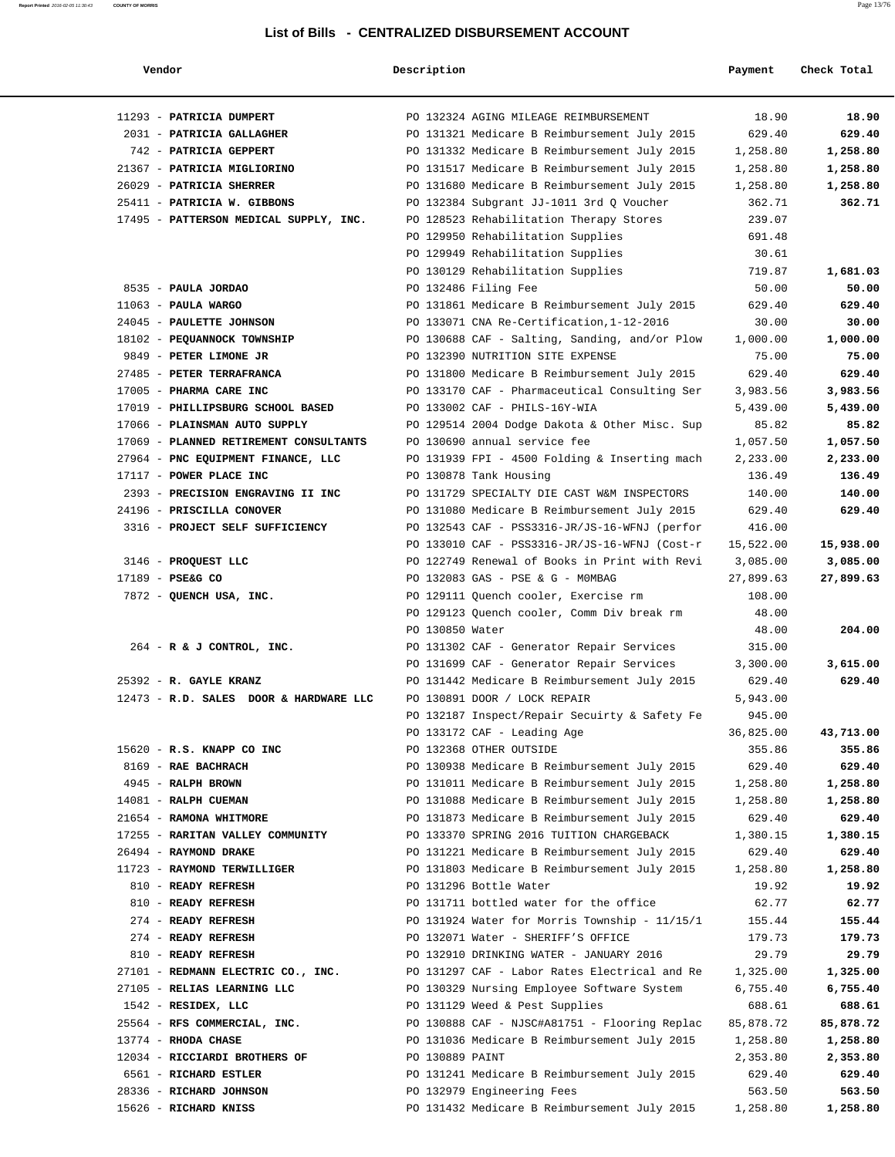|  | ,,ango |  |
|--|--------|--|

# **Vendor** Payment Check Total

| 11293 - PATRICIA DUMPERT                                          |                 | PO 132324 AGING MILEAGE REIMBURSEMENT                                                       | 18.90                | 18.90                |
|-------------------------------------------------------------------|-----------------|---------------------------------------------------------------------------------------------|----------------------|----------------------|
| 2031 - PATRICIA GALLAGHER                                         |                 | PO 131321 Medicare B Reimbursement July 2015                                                | 629.40               | 629.40               |
| 742 - PATRICIA GEPPERT                                            |                 | PO 131332 Medicare B Reimbursement July 2015                                                | 1,258.80             | 1,258.80             |
| 21367 - PATRICIA MIGLIORINO                                       |                 | PO 131517 Medicare B Reimbursement July 2015                                                | 1,258.80             | 1,258.80             |
| 26029 - PATRICIA SHERRER                                          |                 | PO 131680 Medicare B Reimbursement July 2015                                                | 1,258.80             | 1,258.80             |
| 25411 - PATRICIA W. GIBBONS                                       |                 | PO 132384 Subgrant JJ-1011 3rd Q Voucher                                                    | 362.71               | 362.71               |
| 17495 - PATTERSON MEDICAL SUPPLY, INC.                            |                 | PO 128523 Rehabilitation Therapy Stores                                                     | 239.07               |                      |
|                                                                   |                 | PO 129950 Rehabilitation Supplies                                                           | 691.48               |                      |
|                                                                   |                 | PO 129949 Rehabilitation Supplies                                                           | 30.61                |                      |
|                                                                   |                 | PO 130129 Rehabilitation Supplies                                                           | 719.87               | 1,681.03             |
| 8535 - PAULA JORDAO                                               |                 | PO 132486 Filing Fee                                                                        | 50.00                | 50.00                |
| $11063$ - PAULA WARGO                                             |                 | PO 131861 Medicare B Reimbursement July 2015                                                | 629.40               | 629.40               |
| 24045 - PAULETTE JOHNSON                                          |                 | PO 133071 CNA Re-Certification, 1-12-2016                                                   | 30.00                | 30.00                |
| 18102 - PEQUANNOCK TOWNSHIP                                       |                 | PO 130688 CAF - Salting, Sanding, and/or Plow                                               | 1,000.00             | 1,000.00             |
| 9849 - PETER LIMONE JR                                            |                 | PO 132390 NUTRITION SITE EXPENSE                                                            | 75.00                | 75.00                |
| 27485 - PETER TERRAFRANCA                                         |                 | PO 131800 Medicare B Reimbursement July 2015                                                | 629.40               | 629.40               |
| 17005 - PHARMA CARE INC                                           |                 | PO 133170 CAF - Pharmaceutical Consulting Ser                                               | 3,983.56             | 3,983.56             |
| 17019 - PHILLIPSBURG SCHOOL BASED                                 |                 | PO 133002 CAF - PHILS-16Y-WIA                                                               | 5,439.00             | 5,439.00             |
| 17066 - PLAINSMAN AUTO SUPPLY                                     |                 | PO 129514 2004 Dodge Dakota & Other Misc. Sup                                               | 85.82                | 85.82                |
| 17069 - PLANNED RETIREMENT CONSULTANTS                            |                 | PO 130690 annual service fee                                                                | 1,057.50             | 1,057.50             |
| 27964 - PNC EQUIPMENT FINANCE, LLC                                |                 | PO 131939 FPI - 4500 Folding & Inserting mach                                               | 2,233.00             | 2,233.00             |
| 17117 - POWER PLACE INC                                           |                 | PO 130878 Tank Housing                                                                      | 136.49               | 136.49               |
| 2393 - PRECISION ENGRAVING II INC                                 |                 | PO 131729 SPECIALTY DIE CAST W&M INSPECTORS                                                 | 140.00               | 140.00               |
| 24196 - PRISCILLA CONOVER                                         |                 | PO 131080 Medicare B Reimbursement July 2015                                                | 629.40               | 629.40               |
| 3316 - PROJECT SELF SUFFICIENCY                                   |                 | PO 132543 CAF - PSS3316-JR/JS-16-WFNJ (perfor                                               | 416.00               |                      |
|                                                                   |                 | PO 133010 CAF - PSS3316-JR/JS-16-WFNJ (Cost-r                                               | 15,522.00            | 15,938.00            |
| 3146 - PROQUEST LLC                                               |                 | PO 122749 Renewal of Books in Print with Revi                                               | 3,085.00             | 3,085.00             |
| 17189 - PSE&G CO                                                  |                 | PO 132083 GAS - PSE & G - MOMBAG                                                            | 27,899.63            | 27,899.63            |
| 7872 - QUENCH USA, INC.                                           |                 | PO 129111 Quench cooler, Exercise rm                                                        | 108.00               |                      |
|                                                                   |                 | PO 129123 Quench cooler, Comm Div break rm                                                  | 48.00                |                      |
|                                                                   | PO 130850 Water |                                                                                             | 48.00                | 204.00               |
| 264 - R & J CONTROL, INC.                                         |                 | PO 131302 CAF - Generator Repair Services                                                   | 315.00               |                      |
|                                                                   |                 | PO 131699 CAF - Generator Repair Services                                                   | 3,300.00             | 3,615.00             |
| 25392 - R. GAYLE KRANZ                                            |                 | PO 131442 Medicare B Reimbursement July 2015                                                | 629.40               | 629.40               |
| 12473 - R.D. SALES DOOR & HARDWARE LLC                            |                 | PO 130891 DOOR / LOCK REPAIR                                                                | 5,943.00             |                      |
|                                                                   |                 | PO 132187 Inspect/Repair Secuirty & Safety Fe                                               | 945.00               |                      |
|                                                                   |                 | PO 133172 CAF - Leading Age                                                                 | 36,825.00            | 43,713.00            |
| 15620 - R.S. KNAPP CO INC                                         |                 | PO 132368 OTHER OUTSIDE                                                                     | 355.86               | 355.86               |
| 8169 - RAE BACHRACH                                               |                 | PO 130938 Medicare B Reimbursement July 2015                                                | 629.40               | 629.40               |
| 4945 - RALPH BROWN                                                |                 | PO 131011 Medicare B Reimbursement July 2015                                                | 1,258.80             | 1,258.80             |
| 14081 - RALPH CUEMAN                                              |                 | PO 131088 Medicare B Reimbursement July 2015                                                | 1,258.80             | 1,258.80             |
| 21654 - RAMONA WHITMORE                                           |                 | PO 131873 Medicare B Reimbursement July 2015                                                | 629.40               | 629.40               |
| 17255 - RARITAN VALLEY COMMUNITY                                  |                 | PO 133370 SPRING 2016 TUITION CHARGEBACK                                                    | 1,380.15             | 1,380.15             |
| 26494 - RAYMOND DRAKE                                             |                 | PO 131221 Medicare B Reimbursement July 2015                                                | 629.40               | 629.40               |
| 11723 - RAYMOND TERWILLIGER                                       |                 | PO 131803 Medicare B Reimbursement July 2015                                                | 1,258.80             | 1,258.80             |
| 810 - READY REFRESH                                               |                 | PO 131296 Bottle Water                                                                      | 19.92                | 19.92                |
| 810 - READY REFRESH<br>274 - READY REFRESH                        |                 | PO 131711 bottled water for the office                                                      | 62.77                | 62.77                |
|                                                                   |                 | PO 131924 Water for Morris Township - 11/15/1                                               | 155.44               | 155.44<br>179.73     |
| 274 - READY REFRESH                                               |                 | PO 132071 Water - SHERIFF'S OFFICE                                                          | 179.73               |                      |
| 810 - READY REFRESH                                               |                 | PO 132910 DRINKING WATER - JANUARY 2016                                                     | 29.79                | 29.79                |
| 27101 - REDMANN ELECTRIC CO., INC.<br>27105 - RELIAS LEARNING LLC |                 | PO 131297 CAF - Labor Rates Electrical and Re<br>PO 130329 Nursing Employee Software System | 1,325.00<br>6,755.40 | 1,325.00<br>6,755.40 |
|                                                                   |                 |                                                                                             |                      |                      |
| 1542 - RESIDEX, LLC                                               |                 | PO 131129 Weed & Pest Supplies                                                              | 688.61               | 688.61               |
| 25564 - RFS COMMERCIAL, INC.                                      |                 | PO 130888 CAF - NJSC#A81751 - Flooring Replac                                               | 85,878.72            | 85,878.72            |
| 13774 - RHODA CHASE                                               |                 | PO 131036 Medicare B Reimbursement July 2015                                                | 1,258.80             | 1,258.80             |
| 12034 - RICCIARDI BROTHERS OF                                     | PO 130889 PAINT |                                                                                             | 2,353.80             | 2,353.80             |
| 6561 - RICHARD ESTLER                                             |                 | PO 131241 Medicare B Reimbursement July 2015                                                | 629.40               | 629.40               |
| 28336 - RICHARD JOHNSON                                           |                 | PO 132979 Engineering Fees                                                                  | 563.50               | 563.50               |
| 15626 - RICHARD KNISS                                             |                 | PO 131432 Medicare B Reimbursement July 2015                                                | 1,258.80             | 1,258.80             |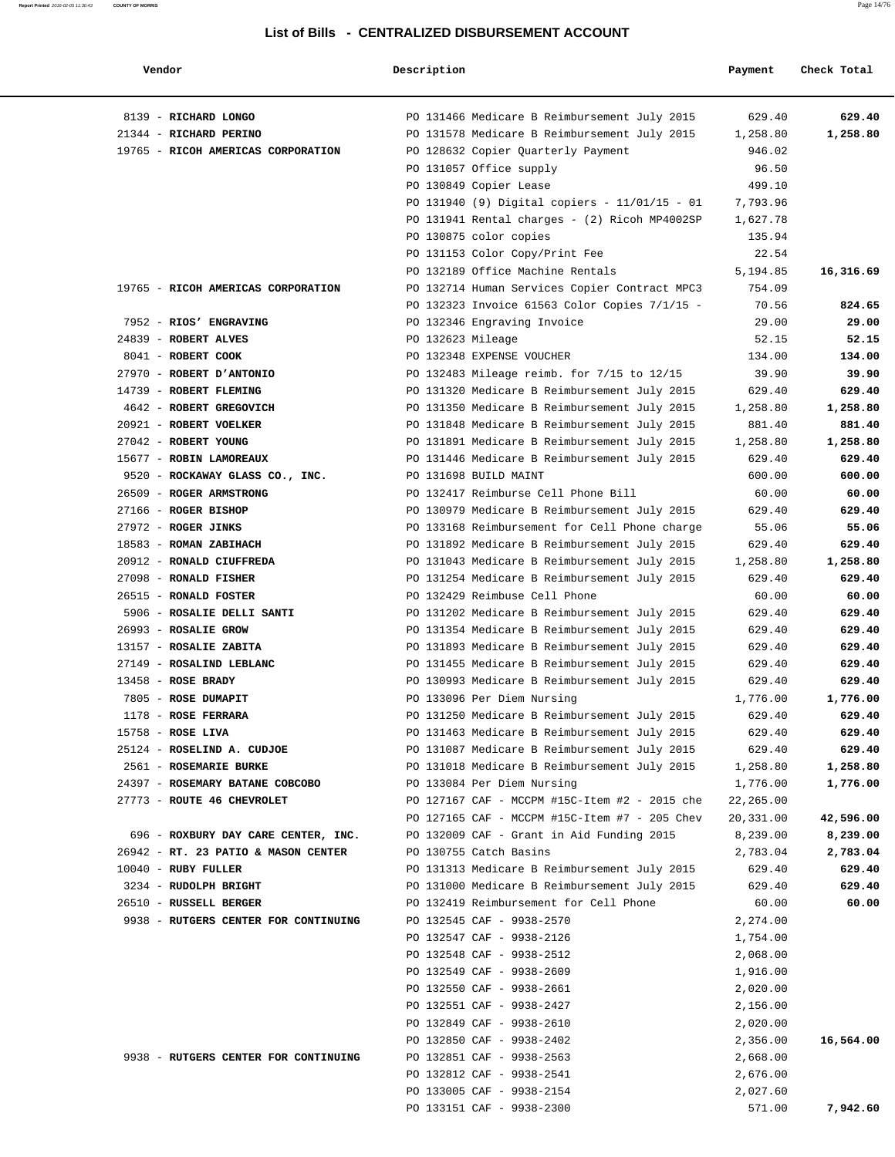| Vendor                               | Description       |                                                 | Payment   | Check Total |
|--------------------------------------|-------------------|-------------------------------------------------|-----------|-------------|
| 8139 - RICHARD LONGO                 |                   | PO 131466 Medicare B Reimbursement July 2015    | 629.40    | 629.40      |
| 21344 - RICHARD PERINO               |                   | PO 131578 Medicare B Reimbursement July 2015    | 1,258.80  | 1,258.80    |
| 19765 - RICOH AMERICAS CORPORATION   |                   | PO 128632 Copier Quarterly Payment              | 946.02    |             |
|                                      |                   | PO 131057 Office supply                         | 96.50     |             |
|                                      |                   | PO 130849 Copier Lease                          | 499.10    |             |
|                                      |                   | PO 131940 (9) Digital copiers - $11/01/15 - 01$ | 7,793.96  |             |
|                                      |                   | PO 131941 Rental charges - (2) Ricoh MP4002SP   | 1,627.78  |             |
|                                      |                   | PO 130875 color copies                          | 135.94    |             |
|                                      |                   | PO 131153 Color Copy/Print Fee                  | 22.54     |             |
|                                      |                   | PO 132189 Office Machine Rentals                | 5,194.85  | 16,316.69   |
| 19765 - RICOH AMERICAS CORPORATION   |                   | PO 132714 Human Services Copier Contract MPC3   | 754.09    |             |
|                                      |                   | PO 132323 Invoice 61563 Color Copies 7/1/15 -   | 70.56     | 824.65      |
| 7952 - RIOS' ENGRAVING               |                   | PO 132346 Engraving Invoice                     | 29.00     | 29.00       |
| 24839 - ROBERT ALVES                 | PO 132623 Mileage |                                                 | 52.15     | 52.15       |
| 8041 - ROBERT COOK                   |                   | PO 132348 EXPENSE VOUCHER                       | 134.00    | 134.00      |
| 27970 - ROBERT D'ANTONIO             |                   | PO 132483 Mileage reimb. for 7/15 to 12/15      | 39.90     | 39.90       |
| 14739 - ROBERT FLEMING               |                   | PO 131320 Medicare B Reimbursement July 2015    | 629.40    | 629.40      |
| 4642 - ROBERT GREGOVICH              |                   | PO 131350 Medicare B Reimbursement July 2015    | 1,258.80  | 1,258.80    |
| 20921 - ROBERT VOELKER               |                   | PO 131848 Medicare B Reimbursement July 2015    | 881.40    | 881.40      |
| 27042 - ROBERT YOUNG                 |                   | PO 131891 Medicare B Reimbursement July 2015    | 1,258.80  | 1,258.80    |
| 15677 - ROBIN LAMOREAUX              |                   | PO 131446 Medicare B Reimbursement July 2015    | 629.40    | 629.40      |
| 9520 - ROCKAWAY GLASS CO., INC.      |                   | PO 131698 BUILD MAINT                           | 600.00    | 600.00      |
| 26509 - ROGER ARMSTRONG              |                   | PO 132417 Reimburse Cell Phone Bill             | 60.00     | 60.00       |
| 27166 - ROGER BISHOP                 |                   | PO 130979 Medicare B Reimbursement July 2015    | 629.40    | 629.40      |
| 27972 - ROGER JINKS                  |                   | PO 133168 Reimbursement for Cell Phone charge   | 55.06     | 55.06       |
| 18583 - ROMAN ZABIHACH               |                   | PO 131892 Medicare B Reimbursement July 2015    | 629.40    | 629.40      |
| 20912 - RONALD CIUFFREDA             |                   | PO 131043 Medicare B Reimbursement July 2015    | 1,258.80  | 1,258.80    |
| 27098 - RONALD FISHER                |                   | PO 131254 Medicare B Reimbursement July 2015    | 629.40    | 629.40      |
| 26515 - RONALD FOSTER                |                   | PO 132429 Reimbuse Cell Phone                   | 60.00     | 60.00       |
| 5906 - ROSALIE DELLI SANTI           |                   | PO 131202 Medicare B Reimbursement July 2015    | 629.40    | 629.40      |
| 26993 - ROSALIE GROW                 |                   | PO 131354 Medicare B Reimbursement July 2015    | 629.40    | 629.40      |
| 13157 - ROSALIE ZABITA               |                   | PO 131893 Medicare B Reimbursement July 2015    | 629.40    | 629.40      |
| 27149 - ROSALIND LEBLANC             |                   | PO 131455 Medicare B Reimbursement July 2015    | 629.40    | 629.40      |
| $13458$ - ROSE BRADY                 |                   | PO 130993 Medicare B Reimbursement July 2015    | 629.40    | 629.40      |
| 7805 - ROSE DUMAPIT                  |                   | PO 133096 Per Diem Nursing                      | 1,776.00  | 1,776.00    |
| $1178$ - ROSE FERRARA                |                   | PO 131250 Medicare B Reimbursement July 2015    | 629.40    | 629.40      |
| $15758$ - ROSE LIVA                  |                   | PO 131463 Medicare B Reimbursement July 2015    | 629.40    | 629.40      |
| 25124 - ROSELIND A. CUDJOE           |                   | PO 131087 Medicare B Reimbursement July 2015    | 629.40    | 629.40      |
| 2561 - ROSEMARIE BURKE               |                   | PO 131018 Medicare B Reimbursement July 2015    | 1,258.80  | 1,258.80    |
| 24397 - ROSEMARY BATANE COBCOBO      |                   | PO 133084 Per Diem Nursing                      | 1,776.00  | 1,776.00    |
| 27773 - ROUTE 46 CHEVROLET           |                   | PO 127167 CAF - MCCPM #15C-Item #2 - 2015 che   | 22,265.00 |             |
|                                      |                   | PO 127165 CAF - MCCPM #15C-Item #7 - 205 Chev   | 20,331.00 | 42,596.00   |
| 696 - ROXBURY DAY CARE CENTER, INC.  |                   | PO 132009 CAF - Grant in Aid Funding 2015       | 8,239.00  | 8,239.00    |
| 26942 - RT. 23 PATIO & MASON CENTER  |                   | PO 130755 Catch Basins                          | 2,783.04  | 2,783.04    |
| $10040$ - RUBY FULLER                |                   | PO 131313 Medicare B Reimbursement July 2015    | 629.40    | 629.40      |
| 3234 - RUDOLPH BRIGHT                |                   | PO 131000 Medicare B Reimbursement July 2015    | 629.40    | 629.40      |
| 26510 - RUSSELL BERGER               |                   | PO 132419 Reimbursement for Cell Phone          | 60.00     | 60.00       |
| 9938 - RUTGERS CENTER FOR CONTINUING |                   | PO 132545 CAF - 9938-2570                       | 2,274.00  |             |
|                                      |                   | PO 132547 CAF - 9938-2126                       | 1,754.00  |             |
|                                      |                   | PO 132548 CAF - 9938-2512                       | 2,068.00  |             |
|                                      |                   | PO 132549 CAF - 9938-2609                       | 1,916.00  |             |
|                                      |                   | PO 132550 CAF - 9938-2661                       | 2,020.00  |             |
|                                      |                   | PO 132551 CAF - 9938-2427                       | 2,156.00  |             |
|                                      |                   | PO 132849 CAF - 9938-2610                       | 2,020.00  |             |
|                                      |                   | PO 132850 CAF - 9938-2402                       | 2,356.00  | 16,564.00   |
| 9938 - RUTGERS CENTER FOR CONTINUING |                   | PO 132851 CAF - 9938-2563                       | 2,668.00  |             |
|                                      |                   | PO 132812 CAF - 9938-2541                       | 2,676.00  |             |
|                                      |                   | PO 133005 CAF - 9938-2154                       | 2,027.60  |             |
|                                      |                   |                                                 | 571.00    | 7,942.60    |
|                                      |                   | PO 133151 CAF - 9938-2300                       |           |             |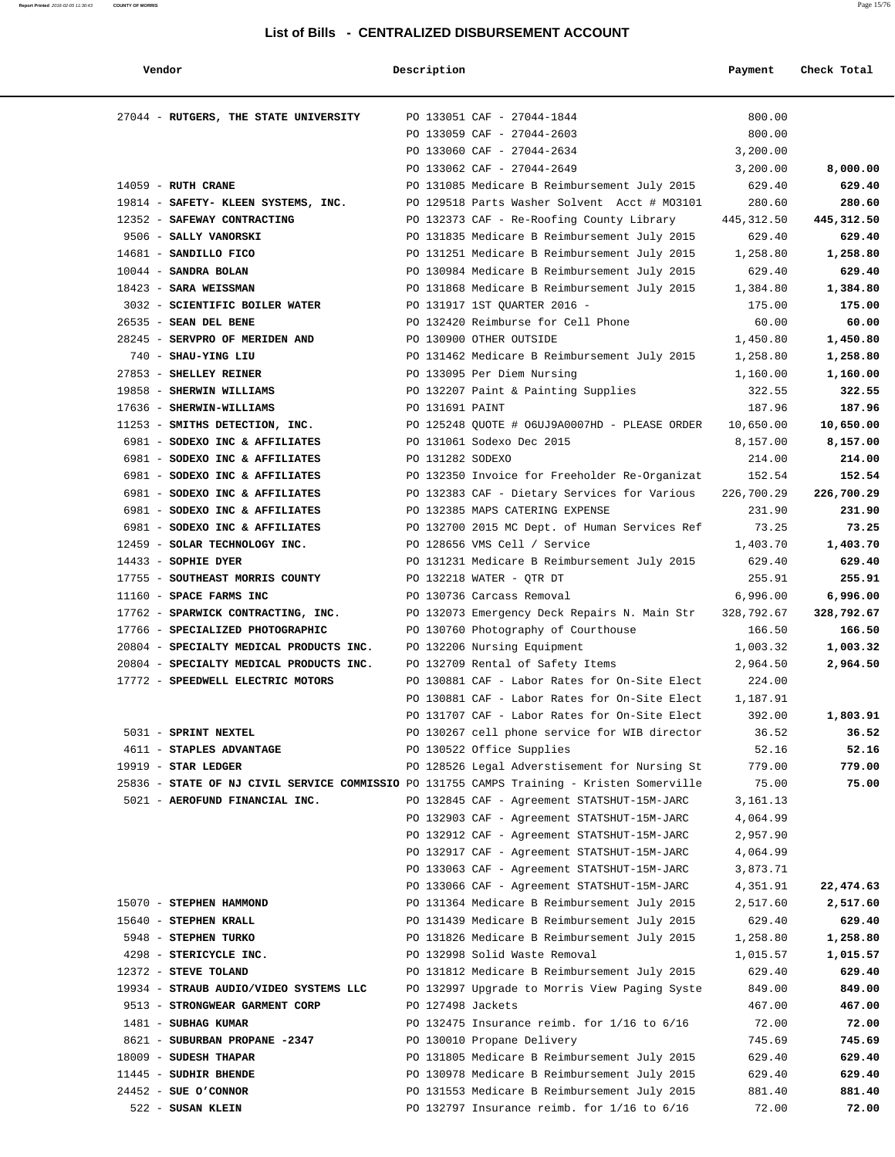#### **Report Printed** 2016-02-05 11:30:43 **COUNTY OF MORRIS** Page 15/76

| Vendor                                                                                    | Description       |                                                                                              | Payment            | Check Total        |
|-------------------------------------------------------------------------------------------|-------------------|----------------------------------------------------------------------------------------------|--------------------|--------------------|
|                                                                                           |                   |                                                                                              |                    |                    |
| 27044 - RUTGERS, THE STATE UNIVERSITY                                                     |                   | PO 133051 CAF - 27044-1844                                                                   | 800.00             |                    |
|                                                                                           |                   | PO 133059 CAF - 27044-2603                                                                   | 800.00             |                    |
|                                                                                           |                   | PO 133060 CAF - 27044-2634                                                                   | 3,200.00           |                    |
|                                                                                           |                   | PO 133062 CAF - 27044-2649                                                                   | 3,200.00           | 8,000.00           |
| $14059$ - RUTH CRANE                                                                      |                   | PO 131085 Medicare B Reimbursement July 2015                                                 | 629.40             | 629.40             |
| 19814 - SAFETY- KLEEN SYSTEMS, INC.                                                       |                   | PO 129518 Parts Washer Solvent Acct # M03101                                                 | 280.60             | 280.60             |
| 12352 - SAFEWAY CONTRACTING                                                               |                   | PO 132373 CAF - Re-Roofing County Library                                                    | 445,312.50         | 445,312.50         |
| 9506 - SALLY VANORSKI                                                                     |                   | PO 131835 Medicare B Reimbursement July 2015                                                 | 629.40             | 629.40             |
| 14681 - SANDILLO FICO                                                                     |                   | PO 131251 Medicare B Reimbursement July 2015                                                 | 1,258.80           | 1,258.80           |
| $10044$ - SANDRA BOLAN                                                                    |                   | PO 130984 Medicare B Reimbursement July 2015                                                 | 629.40             | 629.40             |
| 18423 - SARA WEISSMAN                                                                     |                   | PO 131868 Medicare B Reimbursement July 2015                                                 | 1,384.80           | 1,384.80           |
| 3032 - SCIENTIFIC BOILER WATER                                                            |                   | PO 131917 1ST QUARTER 2016 -                                                                 | 175.00             | 175.00             |
| 26535 - SEAN DEL BENE                                                                     |                   | PO 132420 Reimburse for Cell Phone                                                           | 60.00              | 60.00              |
| 28245 - SERVPRO OF MERIDEN AND                                                            |                   | PO 130900 OTHER OUTSIDE                                                                      | 1,450.80           | 1,450.80           |
| 740 - SHAU-YING LIU                                                                       |                   | PO 131462 Medicare B Reimbursement July 2015                                                 | 1,258.80           | 1,258.80           |
| 27853 - SHELLEY REINER                                                                    |                   | PO 133095 Per Diem Nursing                                                                   | 1,160.00           | 1,160.00           |
| 19858 - SHERWIN WILLIAMS                                                                  |                   | PO 132207 Paint & Painting Supplies                                                          | 322.55             | 322.55             |
| 17636 - SHERWIN-WILLIAMS                                                                  | PO 131691 PAINT   |                                                                                              | 187.96             | 187.96             |
| 11253 - SMITHS DETECTION, INC.                                                            |                   | PO 125248 QUOTE # 06UJ9A0007HD - PLEASE ORDER                                                | 10,650.00          | 10,650.00          |
| 6981 - SODEXO INC & AFFILIATES                                                            |                   | PO 131061 Sodexo Dec 2015                                                                    | 8,157.00           | 8,157.00           |
| 6981 - SODEXO INC & AFFILIATES                                                            | PO 131282 SODEXO  |                                                                                              | 214.00             | 214.00             |
| 6981 - SODEXO INC & AFFILIATES                                                            |                   | PO 132350 Invoice for Freeholder Re-Organizat                                                | 152.54             | 152.54             |
| 6981 - SODEXO INC & AFFILIATES                                                            |                   | PO 132383 CAF - Dietary Services for Various                                                 | 226,700.29         | 226,700.29         |
| 6981 - SODEXO INC & AFFILIATES                                                            |                   | PO 132385 MAPS CATERING EXPENSE                                                              | 231.90             | 231.90             |
| 6981 - SODEXO INC & AFFILIATES                                                            |                   | PO 132700 2015 MC Dept. of Human Services Ref                                                | 73.25              | 73.25              |
| 12459 - SOLAR TECHNOLOGY INC.<br>14433 - SOPHIE DYER                                      |                   | PO 128656 VMS Cell / Service<br>PO 131231 Medicare B Reimbursement July 2015                 | 1,403.70<br>629.40 | 1,403.70<br>629.40 |
| 17755 - SOUTHEAST MORRIS COUNTY                                                           |                   | PO 132218 WATER - QTR DT                                                                     | 255.91             | 255.91             |
| 11160 - SPACE FARMS INC                                                                   |                   | PO 130736 Carcass Removal                                                                    | 6,996.00           | 6,996.00           |
| 17762 - SPARWICK CONTRACTING, INC.                                                        |                   | PO 132073 Emergency Deck Repairs N. Main Str                                                 | 328,792.67         | 328,792.67         |
| 17766 - SPECIALIZED PHOTOGRAPHIC                                                          |                   | PO 130760 Photography of Courthouse                                                          | 166.50             | 166.50             |
| 20804 - SPECIALTY MEDICAL PRODUCTS INC.                                                   |                   | PO 132206 Nursing Equipment                                                                  | 1,003.32           | 1,003.32           |
| 20804 - SPECIALTY MEDICAL PRODUCTS INC.                                                   |                   | PO 132709 Rental of Safety Items                                                             | 2,964.50           | 2,964.50           |
| 17772 - SPEEDWELL ELECTRIC MOTORS                                                         |                   | PO 130881 CAF - Labor Rates for On-Site Elect                                                | 224.00             |                    |
|                                                                                           |                   | PO 130881 CAF - Labor Rates for On-Site Elect                                                | 1,187.91           |                    |
|                                                                                           |                   | PO 131707 CAF - Labor Rates for On-Site Elect                                                | 392.00             | 1,803.91           |
| 5031 - SPRINT NEXTEL                                                                      |                   | PO 130267 cell phone service for WIB director                                                | 36.52              | 36.52              |
| 4611 - STAPLES ADVANTAGE                                                                  |                   | PO 130522 Office Supplies                                                                    | 52.16              | 52.16              |
| $19919$ - STAR LEDGER                                                                     |                   | PO 128526 Legal Adverstisement for Nursing St                                                | 779.00             | 779.00             |
| 25836 - STATE OF NJ CIVIL SERVICE COMMISSIO PO 131755 CAMPS Training - Kristen Somerville |                   |                                                                                              | 75.00              | 75.00              |
| 5021 - AEROFUND FINANCIAL INC.                                                            |                   | PO 132845 CAF - Agreement STATSHUT-15M-JARC                                                  | 3,161.13           |                    |
|                                                                                           |                   | PO 132903 CAF - Agreement STATSHUT-15M-JARC                                                  | 4,064.99           |                    |
|                                                                                           |                   | PO 132912 CAF - Agreement STATSHUT-15M-JARC                                                  | 2,957.90           |                    |
|                                                                                           |                   | PO 132917 CAF - Agreement STATSHUT-15M-JARC                                                  | 4,064.99           |                    |
|                                                                                           |                   | PO 133063 CAF - Agreement STATSHUT-15M-JARC                                                  | 3,873.71           |                    |
| 15070 - STEPHEN HAMMOND                                                                   |                   | PO 133066 CAF - Agreement STATSHUT-15M-JARC                                                  | 4,351.91           | 22,474.63          |
| 15640 - STEPHEN KRALL                                                                     |                   | PO 131364 Medicare B Reimbursement July 2015<br>PO 131439 Medicare B Reimbursement July 2015 | 2,517.60<br>629.40 | 2,517.60<br>629.40 |
| 5948 - STEPHEN TURKO                                                                      |                   | PO 131826 Medicare B Reimbursement July 2015                                                 | 1,258.80           | 1,258.80           |
| 4298 - STERICYCLE INC.                                                                    |                   | PO 132998 Solid Waste Removal                                                                | 1,015.57           | 1,015.57           |
| 12372 - STEVE TOLAND                                                                      |                   | PO 131812 Medicare B Reimbursement July 2015                                                 | 629.40             | 629.40             |
| 19934 - STRAUB AUDIO/VIDEO SYSTEMS LLC                                                    |                   | PO 132997 Upgrade to Morris View Paging Syste                                                | 849.00             | 849.00             |
| 9513 - STRONGWEAR GARMENT CORP                                                            | PO 127498 Jackets |                                                                                              | 467.00             | 467.00             |
| 1481 - SUBHAG KUMAR                                                                       |                   | PO 132475 Insurance reimb. for $1/16$ to $6/16$                                              | 72.00              | 72.00              |
| 8621 - SUBURBAN PROPANE -2347                                                             |                   | PO 130010 Propane Delivery                                                                   | 745.69             | 745.69             |
| 18009 - SUDESH THAPAR                                                                     |                   | PO 131805 Medicare B Reimbursement July 2015                                                 | 629.40             | 629.40             |
| 11445 - SUDHIR BHENDE                                                                     |                   | PO 130978 Medicare B Reimbursement July 2015                                                 | 629.40             | 629.40             |
| $24452$ - SUE O'CONNOR                                                                    |                   | PO 131553 Medicare B Reimbursement July 2015                                                 | 881.40             | 881.40             |
| 522 - SUSAN KLEIN                                                                         |                   | PO 132797 Insurance reimb. for $1/16$ to $6/16$                                              | 72.00              | 72.00              |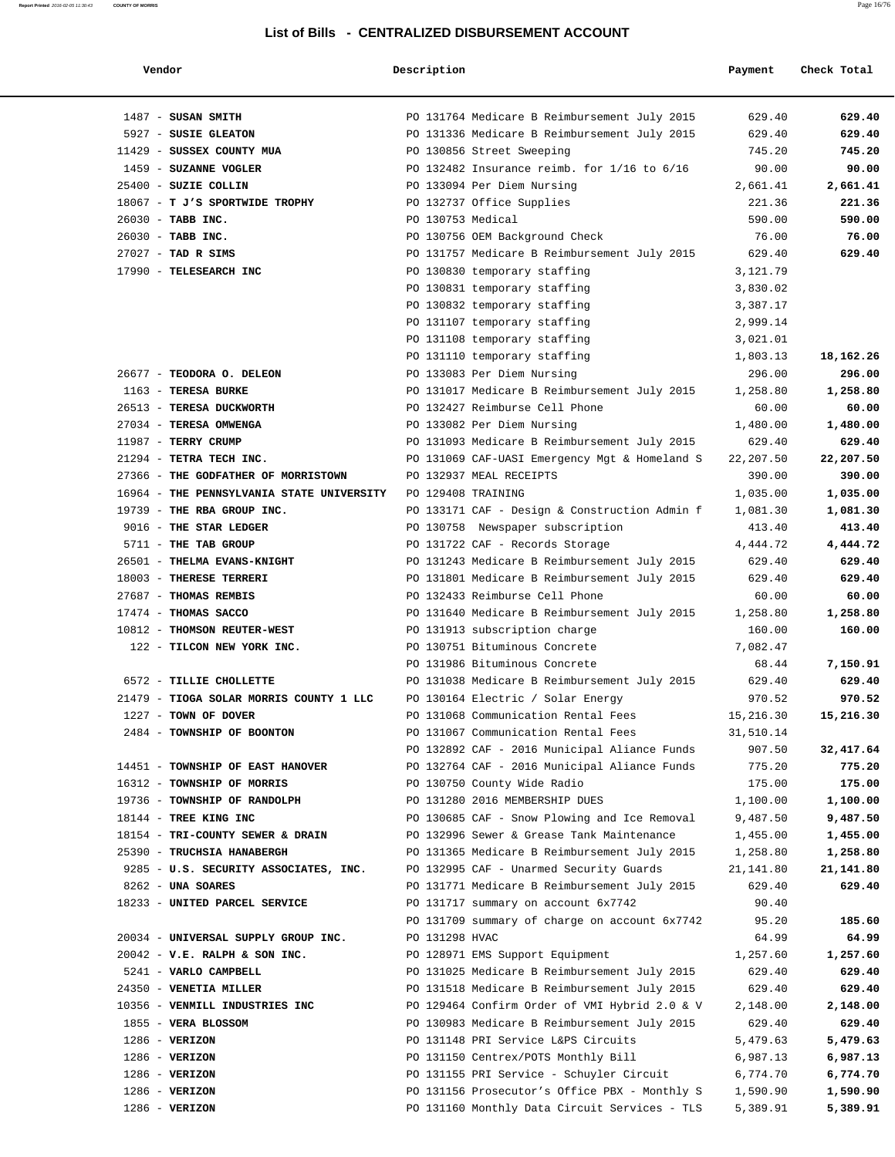| Vendor                                    | Description        |                                                 | Payment   | Check Total |
|-------------------------------------------|--------------------|-------------------------------------------------|-----------|-------------|
| $1487$ - SUSAN SMITH                      |                    | PO 131764 Medicare B Reimbursement July 2015    | 629.40    | 629.40      |
| 5927 - SUSIE GLEATON                      |                    | PO 131336 Medicare B Reimbursement July 2015    | 629.40    | 629.40      |
| 11429 - SUSSEX COUNTY MUA                 |                    | PO 130856 Street Sweeping                       | 745.20    | 745.20      |
| 1459 - SUZANNE VOGLER                     |                    | PO 132482 Insurance reimb. for $1/16$ to $6/16$ | 90.00     | 90.00       |
| 25400 - SUZIE COLLIN                      |                    | PO 133094 Per Diem Nursing                      | 2,661.41  | 2,661.41    |
| 18067 - T J'S SPORTWIDE TROPHY            |                    | PO 132737 Office Supplies                       | 221.36    | 221.36      |
| 26030 - TABB INC.                         | PO 130753 Medical  |                                                 | 590.00    | 590.00      |
|                                           |                    |                                                 | 76.00     | 76.00       |
| 26030 - TABB INC.<br>$27027$ - TAD R SIMS |                    | PO 130756 OEM Background Check                  |           | 629.40      |
|                                           |                    | PO 131757 Medicare B Reimbursement July 2015    | 629.40    |             |
| 17990 - TELESEARCH INC                    |                    | PO 130830 temporary staffing                    | 3,121.79  |             |
|                                           |                    | PO 130831 temporary staffing                    | 3,830.02  |             |
|                                           |                    | PO 130832 temporary staffing                    | 3,387.17  |             |
|                                           |                    | PO 131107 temporary staffing                    | 2,999.14  |             |
|                                           |                    | PO 131108 temporary staffing                    | 3,021.01  |             |
|                                           |                    | PO 131110 temporary staffing                    | 1,803.13  | 18,162.26   |
| 26677 - TEODORA O. DELEON                 |                    | PO 133083 Per Diem Nursing                      | 296.00    | 296.00      |
| 1163 - TERESA BURKE                       |                    | PO 131017 Medicare B Reimbursement July 2015    | 1,258.80  | 1,258.80    |
| 26513 - TERESA DUCKWORTH                  |                    | PO 132427 Reimburse Cell Phone                  | 60.00     | 60.00       |
| 27034 - TERESA OMWENGA                    |                    | PO 133082 Per Diem Nursing                      | 1,480.00  | 1,480.00    |
| 11987 - TERRY CRUMP                       |                    | PO 131093 Medicare B Reimbursement July 2015    | 629.40    | 629.40      |
| 21294 - TETRA TECH INC.                   |                    | PO 131069 CAF-UASI Emergency Mgt & Homeland S   | 22,207.50 | 22,207.50   |
| 27366 - THE GODFATHER OF MORRISTOWN       |                    | PO 132937 MEAL RECEIPTS                         | 390.00    | 390.00      |
| 16964 - THE PENNSYLVANIA STATE UNIVERSITY | PO 129408 TRAINING |                                                 | 1,035.00  | 1,035.00    |
| 19739 - THE RBA GROUP INC.                |                    | PO 133171 CAF - Design & Construction Admin f   | 1,081.30  | 1,081.30    |
| 9016 - THE STAR LEDGER                    |                    | PO 130758 Newspaper subscription                | 413.40    | 413.40      |
| 5711 - THE TAB GROUP                      |                    | PO 131722 CAF - Records Storage                 | 4,444.72  | 4,444.72    |
| 26501 - THELMA EVANS-KNIGHT               |                    | PO 131243 Medicare B Reimbursement July 2015    | 629.40    | 629.40      |
| 18003 - THERESE TERRERI                   |                    | PO 131801 Medicare B Reimbursement July 2015    | 629.40    | 629.40      |
| 27687 - THOMAS REMBIS                     |                    | PO 132433 Reimburse Cell Phone                  | 60.00     | 60.00       |
| 17474 - THOMAS SACCO                      |                    | PO 131640 Medicare B Reimbursement July 2015    | 1,258.80  | 1,258.80    |
| 10812 - THOMSON REUTER-WEST               |                    | PO 131913 subscription charge                   | 160.00    | 160.00      |
| 122 - TILCON NEW YORK INC.                |                    | PO 130751 Bituminous Concrete                   | 7,082.47  |             |
|                                           |                    | PO 131986 Bituminous Concrete                   | 68.44     | 7,150.91    |
| 6572 - TILLIE CHOLLETTE                   |                    | PO 131038 Medicare B Reimbursement July 2015    | 629.40    | 629.40      |
| 21479 - TIOGA SOLAR MORRIS COUNTY 1 LLC   |                    | PO 130164 Electric / Solar Energy               | 970.52    | 970.52      |
| $1227$ - TOWN OF DOVER                    |                    | PO 131068 Communication Rental Fees             | 15,216.30 | 15,216.30   |
| 2484 - TOWNSHIP OF BOONTON                |                    | PO 131067 Communication Rental Fees             | 31,510.14 |             |
|                                           |                    | PO 132892 CAF - 2016 Municipal Aliance Funds    | 907.50    | 32,417.64   |
| 14451 - TOWNSHIP OF EAST HANOVER          |                    | PO 132764 CAF - 2016 Municipal Aliance Funds    | 775.20    | 775.20      |
| 16312 - TOWNSHIP OF MORRIS                |                    | PO 130750 County Wide Radio                     | 175.00    | 175.00      |
| 19736 - TOWNSHIP OF RANDOLPH              |                    | PO 131280 2016 MEMBERSHIP DUES                  | 1,100.00  | 1,100.00    |
| 18144 - TREE KING INC                     |                    | PO 130685 CAF - Snow Plowing and Ice Removal    | 9,487.50  | 9,487.50    |
| 18154 - TRI-COUNTY SEWER & DRAIN          |                    | PO 132996 Sewer & Grease Tank Maintenance       | 1,455.00  | 1,455.00    |
| 25390 - TRUCHSIA HANABERGH                |                    | PO 131365 Medicare B Reimbursement July 2015    | 1,258.80  | 1,258.80    |
| 9285 - U.S. SECURITY ASSOCIATES, INC.     |                    | PO 132995 CAF - Unarmed Security Guards         | 21,141.80 | 21,141.80   |
| 8262 - UNA SOARES                         |                    | PO 131771 Medicare B Reimbursement July 2015    | 629.40    | 629.40      |
| 18233 - UNITED PARCEL SERVICE             |                    | PO 131717 summary on account 6x7742             | 90.40     |             |
|                                           |                    | PO 131709 summary of charge on account 6x7742   | 95.20     | 185.60      |
| 20034 - UNIVERSAL SUPPLY GROUP INC.       | PO 131298 HVAC     |                                                 | 64.99     | 64.99       |
| $20042$ - V.E. RALPH & SON INC.           |                    |                                                 | 1,257.60  | 1,257.60    |
|                                           |                    | PO 128971 EMS Support Equipment                 |           |             |
| 5241 - VARLO CAMPBELL                     |                    | PO 131025 Medicare B Reimbursement July 2015    | 629.40    | 629.40      |
| 24350 - VENETIA MILLER                    |                    | PO 131518 Medicare B Reimbursement July 2015    | 629.40    | 629.40      |
| 10356 - VENMILL INDUSTRIES INC            |                    | PO 129464 Confirm Order of VMI Hybrid 2.0 & V   | 2,148.00  | 2,148.00    |
| 1855 - VERA BLOSSOM                       |                    | PO 130983 Medicare B Reimbursement July 2015    | 629.40    | 629.40      |
| $1286$ - VERIZON                          |                    | PO 131148 PRI Service L&PS Circuits             | 5,479.63  | 5,479.63    |
| $1286$ - VERIZON                          |                    | PO 131150 Centrex/POTS Monthly Bill             | 6,987.13  | 6,987.13    |
| $1286$ - VERIZON                          |                    | PO 131155 PRI Service - Schuyler Circuit        | 6,774.70  | 6,774.70    |
| $1286 - VERIZON$                          |                    | PO 131156 Prosecutor's Office PBX - Monthly S   | 1,590.90  | 1,590.90    |
| $1286$ - VERIZON                          |                    | PO 131160 Monthly Data Circuit Services - TLS   | 5,389.91  | 5,389.91    |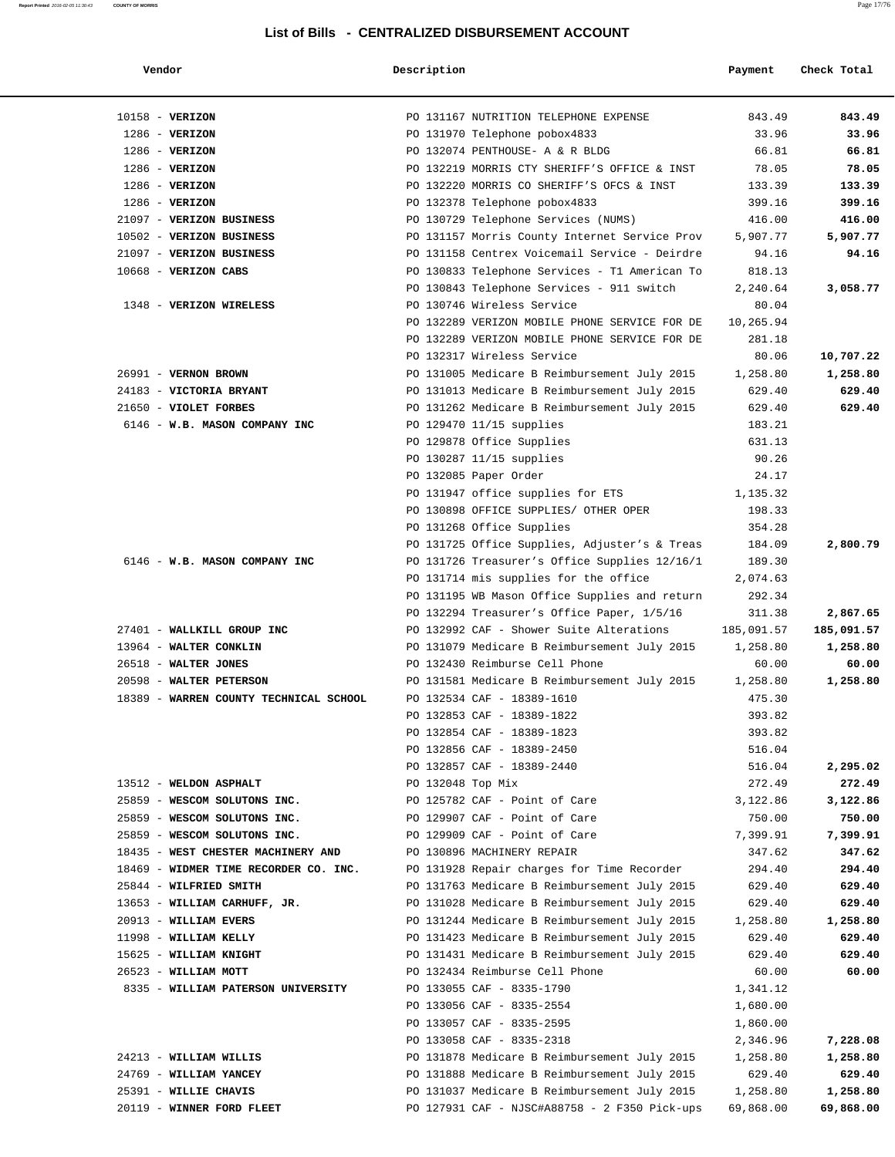| Vendor                                 | Description       |                                               | Payment    | Check Total      |
|----------------------------------------|-------------------|-----------------------------------------------|------------|------------------|
| $10158 - VERTZON$                      |                   | PO 131167 NUTRITION TELEPHONE EXPENSE         | 843.49     | 843.49           |
| $1286$ - VERIZON                       |                   | PO 131970 Telephone pobox4833                 | 33.96      | 33.96            |
| $1286$ - VERIZON                       |                   | PO 132074 PENTHOUSE- A & R BLDG               | 66.81      | 66.81            |
| $1286$ - VERIZON                       |                   | PO 132219 MORRIS CTY SHERIFF'S OFFICE & INST  | 78.05      | 78.05            |
| $1286$ - VERIZON                       |                   | PO 132220 MORRIS CO SHERIFF'S OFCS & INST     | 133.39     | 133.39           |
| $1286$ - VERIZON                       |                   | PO 132378 Telephone pobox4833                 | 399.16     | 399.16           |
| 21097 - VERIZON BUSINESS               |                   | PO 130729 Telephone Services (NUMS)           | 416.00     | 416.00           |
| 10502 - VERIZON BUSINESS               |                   | PO 131157 Morris County Internet Service Prov | 5,907.77   | 5,907.77         |
| 21097 - VERIZON BUSINESS               |                   | PO 131158 Centrex Voicemail Service - Deirdre | 94.16      | 94.16            |
| 10668 - VERIZON CABS                   |                   | PO 130833 Telephone Services - T1 American To | 818.13     |                  |
|                                        |                   | PO 130843 Telephone Services - 911 switch     | 2,240.64   | 3,058.77         |
| 1348 - VERIZON WIRELESS                |                   | PO 130746 Wireless Service                    | 80.04      |                  |
|                                        |                   | PO 132289 VERIZON MOBILE PHONE SERVICE FOR DE | 10,265.94  |                  |
|                                        |                   | PO 132289 VERIZON MOBILE PHONE SERVICE FOR DE | 281.18     |                  |
|                                        |                   | PO 132317 Wireless Service                    | 80.06      | 10,707.22        |
| 26991 - VERNON BROWN                   |                   | PO 131005 Medicare B Reimbursement July 2015  | 1,258.80   | 1,258.80         |
| 24183 - VICTORIA BRYANT                |                   | PO 131013 Medicare B Reimbursement July 2015  | 629.40     | 629.40           |
| 21650 - VIOLET FORBES                  |                   | PO 131262 Medicare B Reimbursement July 2015  | 629.40     | 629.40           |
| 6146 - W.B. MASON COMPANY INC          |                   | PO 129470 11/15 supplies                      | 183.21     |                  |
|                                        |                   | PO 129878 Office Supplies                     | 631.13     |                  |
|                                        |                   | PO 130287 11/15 supplies                      | 90.26      |                  |
|                                        |                   | PO 132085 Paper Order                         | 24.17      |                  |
|                                        |                   | PO 131947 office supplies for ETS             | 1,135.32   |                  |
|                                        |                   | PO 130898 OFFICE SUPPLIES/ OTHER OPER         | 198.33     |                  |
|                                        |                   | PO 131268 Office Supplies                     | 354.28     |                  |
|                                        |                   | PO 131725 Office Supplies, Adjuster's & Treas | 184.09     | 2,800.79         |
| 6146 - W.B. MASON COMPANY INC          |                   | PO 131726 Treasurer's Office Supplies 12/16/1 | 189.30     |                  |
|                                        |                   | PO 131714 mis supplies for the office         | 2,074.63   |                  |
|                                        |                   | PO 131195 WB Mason Office Supplies and return | 292.34     |                  |
|                                        |                   | PO 132294 Treasurer's Office Paper, 1/5/16    | 311.38     | 2,867.65         |
| 27401 - WALLKILL GROUP INC             |                   | PO 132992 CAF - Shower Suite Alterations      | 185,091.57 | 185,091.57       |
| 13964 - WALTER CONKLIN                 |                   | PO 131079 Medicare B Reimbursement July 2015  | 1,258.80   | 1,258.80         |
| 26518 - WALTER JONES                   |                   | PO 132430 Reimburse Cell Phone                | 60.00      | 60.00            |
| 20598 - WALTER PETERSON                |                   | PO 131581 Medicare B Reimbursement July 2015  | 1,258.80   | 1,258.80         |
| 18389 - WARREN COUNTY TECHNICAL SCHOOL |                   | PO 132534 CAF - 18389-1610                    | 475.30     |                  |
|                                        |                   | PO 132853 CAF - 18389-1822                    | 393.82     |                  |
|                                        |                   | PO 132854 CAF - 18389-1823                    | 393.82     |                  |
|                                        |                   | PO 132856 CAF - 18389-2450                    | 516.04     |                  |
|                                        |                   | PO 132857 CAF - 18389-2440                    | 516.04     | 2,295.02         |
| 13512 - WELDON ASPHALT                 | PO 132048 Top Mix |                                               | 272.49     | 272.49           |
| 25859 - WESCOM SOLUTONS INC.           |                   | PO 125782 CAF - Point of Care                 | 3,122.86   | 3,122.86         |
| 25859 - WESCOM SOLUTONS INC.           |                   | PO 129907 CAF - Point of Care                 | 750.00     | 750.00           |
| 25859 - WESCOM SOLUTONS INC.           |                   | PO 129909 CAF - Point of Care                 | 7,399.91   | 7,399.91         |
| 18435 - WEST CHESTER MACHINERY AND     |                   | PO 130896 MACHINERY REPAIR                    | 347.62     | 347.62           |
| 18469 - WIDMER TIME RECORDER CO. INC.  |                   | PO 131928 Repair charges for Time Recorder    | 294.40     | 294.40           |
|                                        |                   |                                               |            |                  |
| 25844 - WILFRIED SMITH                 |                   | PO 131763 Medicare B Reimbursement July 2015  | 629.40     | 629.40<br>629.40 |
| 13653 - WILLIAM CARHUFF, JR.           |                   | PO 131028 Medicare B Reimbursement July 2015  | 629.40     |                  |
| 20913 - WILLIAM EVERS                  |                   | PO 131244 Medicare B Reimbursement July 2015  | 1,258.80   | 1,258.80         |
| 11998 - WILLIAM KELLY                  |                   | PO 131423 Medicare B Reimbursement July 2015  | 629.40     | 629.40           |
| 15625 - WILLIAM KNIGHT                 |                   | PO 131431 Medicare B Reimbursement July 2015  | 629.40     | 629.40           |
| 26523 - WILLIAM MOTT                   |                   | PO 132434 Reimburse Cell Phone                | 60.00      | 60.00            |
| 8335 - WILLIAM PATERSON UNIVERSITY     |                   | PO 133055 CAF - 8335-1790                     | 1,341.12   |                  |
|                                        |                   | PO 133056 CAF - 8335-2554                     | 1,680.00   |                  |
|                                        |                   | PO 133057 CAF - 8335-2595                     | 1,860.00   |                  |
|                                        |                   | PO 133058 CAF - 8335-2318                     | 2,346.96   | 7,228.08         |
| 24213 - WILLIAM WILLIS                 |                   | PO 131878 Medicare B Reimbursement July 2015  | 1,258.80   | 1,258.80         |
| 24769 - WILLIAM YANCEY                 |                   | PO 131888 Medicare B Reimbursement July 2015  | 629.40     | 629.40           |
| 25391 - WILLIE CHAVIS                  |                   | PO 131037 Medicare B Reimbursement July 2015  | 1,258.80   | 1,258.80         |
| 20119 - WINNER FORD FLEET              |                   | PO 127931 CAF - NJSC#A88758 - 2 F350 Pick-ups | 69,868.00  | 69,868.00        |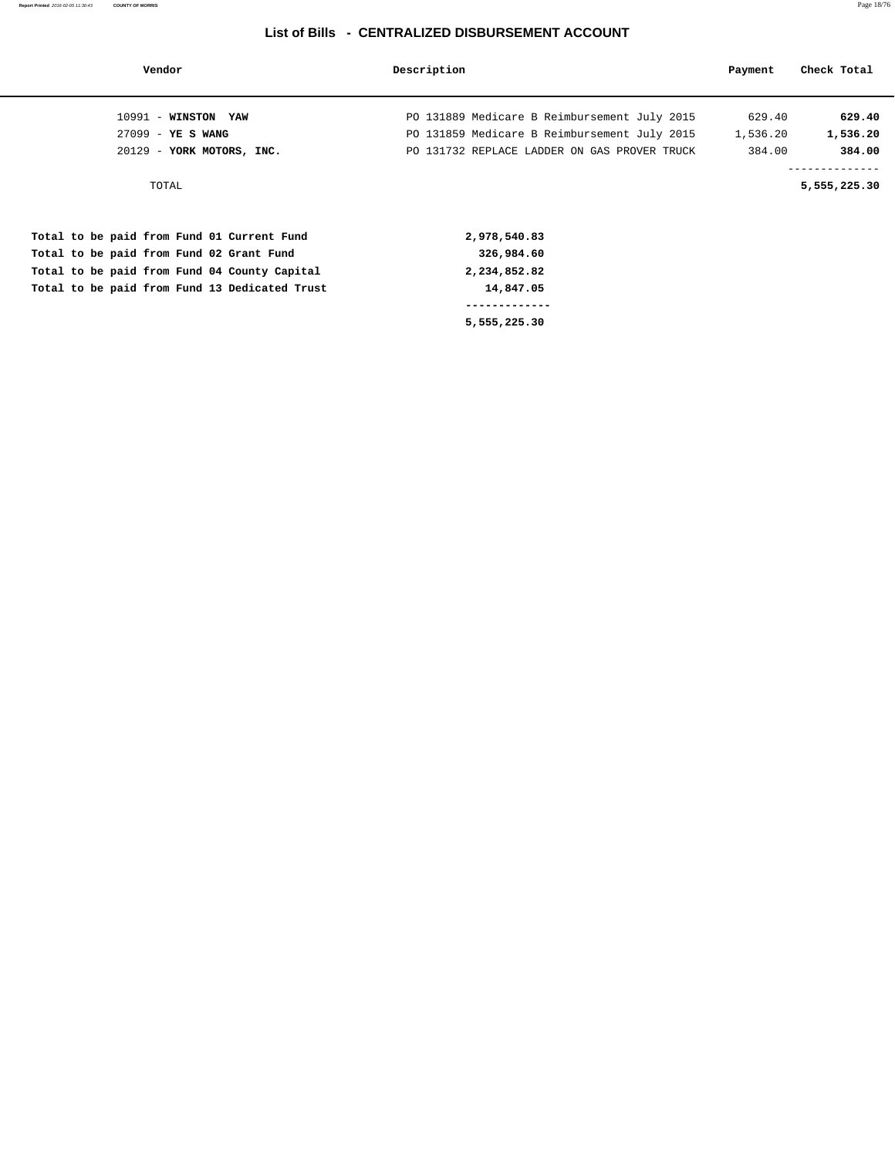| Vendor                                        | Description                                  | Payment  | Check Total                    |
|-----------------------------------------------|----------------------------------------------|----------|--------------------------------|
| $10991$ - WINSTON YAW                         | PO 131889 Medicare B Reimbursement July 2015 | 629.40   | 629.40                         |
| $27099 - YE S WANG$                           | PO 131859 Medicare B Reimbursement July 2015 | 1,536.20 | 1,536.20                       |
| 20129 - YORK MOTORS, INC.                     | PO 131732 REPLACE LADDER ON GAS PROVER TRUCK | 384.00   | 384.00                         |
| TOTAL                                         |                                              |          | --------------<br>5,555,225.30 |
| Total to be paid from Fund 01 Current Fund    | 2,978,540.83                                 |          |                                |
| Total to be paid from Fund 02 Grant Fund      | 326,984.60                                   |          |                                |
| Total to be paid from Fund 04 County Capital  | 2,234,852.82                                 |          |                                |
| Total to be paid from Fund 13 Dedicated Trust | 14,847.05                                    |          |                                |
|                                               |                                              |          |                                |
|                                               | 5,555,225.30                                 |          |                                |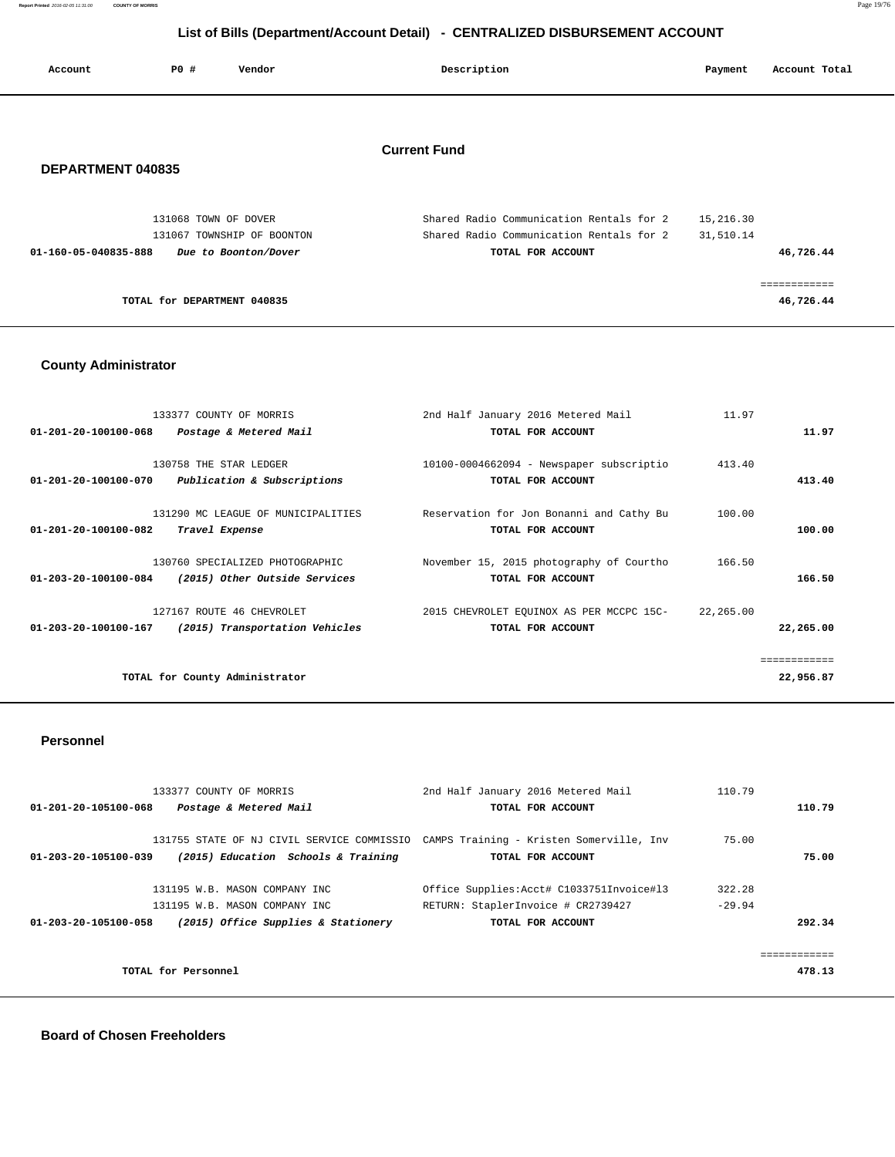**Report Printed** 2016-02-05 11:31:00 **COUNTY OF MORRIS** Page 19/76

## **List of Bills (Department/Account Detail) - CENTRALIZED DISBURSEMENT ACCOUNT**

| Account              | PO#                         | Vendor                     | Description                              | Payment   | Account Total |
|----------------------|-----------------------------|----------------------------|------------------------------------------|-----------|---------------|
|                      |                             |                            |                                          |           |               |
|                      |                             |                            | <b>Current Fund</b>                      |           |               |
| DEPARTMENT 040835    |                             |                            |                                          |           |               |
|                      | 131068 TOWN OF DOVER        |                            | Shared Radio Communication Rentals for 2 | 15,216.30 |               |
|                      |                             | 131067 TOWNSHIP OF BOONTON | Shared Radio Communication Rentals for 2 | 31,510.14 |               |
| 01-160-05-040835-888 |                             | Due to Boonton/Dover       | TOTAL FOR ACCOUNT                        |           | 46,726.44     |
|                      |                             |                            |                                          |           | ------------  |
|                      | TOTAL for DEPARTMENT 040835 |                            |                                          |           | 46,726.44     |

### **County Administrator**

|                                | 133377 COUNTY OF MORRIS            | 2nd Half January 2016 Metered Mail       | 11.97     |              |
|--------------------------------|------------------------------------|------------------------------------------|-----------|--------------|
| $01 - 201 - 20 - 100100 - 068$ | Postage & Metered Mail             | TOTAL FOR ACCOUNT                        |           | 11.97        |
|                                |                                    |                                          |           |              |
|                                | 130758 THE STAR LEDGER             | 10100-0004662094 - Newspaper subscriptio | 413.40    |              |
| 01-201-20-100100-070           | Publication & Subscriptions        | TOTAL FOR ACCOUNT                        |           | 413.40       |
|                                |                                    |                                          |           |              |
|                                | 131290 MC LEAGUE OF MUNICIPALITIES | Reservation for Jon Bonanni and Cathy Bu | 100.00    |              |
| 01-201-20-100100-082           | Travel Expense                     | TOTAL FOR ACCOUNT                        |           | 100.00       |
|                                |                                    |                                          |           |              |
|                                | 130760 SPECIALIZED PHOTOGRAPHIC    | November 15, 2015 photography of Courtho | 166.50    |              |
| 01-203-20-100100-084           | (2015) Other Outside Services      | TOTAL FOR ACCOUNT                        |           | 166.50       |
|                                |                                    |                                          |           |              |
|                                | 127167 ROUTE 46 CHEVROLET          | 2015 CHEVROLET EQUINOX AS PER MCCPC 15C- | 22,265.00 |              |
| $01 - 203 - 20 - 100100 - 167$ | (2015) Transportation Vehicles     | TOTAL FOR ACCOUNT                        |           | 22,265.00    |
|                                |                                    |                                          |           |              |
|                                |                                    |                                          |           | ============ |
|                                | TOTAL for County Administrator     |                                          |           | 22,956.87    |
|                                |                                    |                                          |           |              |

#### **Personnel**

|                      | 133377 COUNTY OF MORRIS             | 2nd Half January 2016 Metered Mail                                                  | 110.79   |  |
|----------------------|-------------------------------------|-------------------------------------------------------------------------------------|----------|--|
| 01-201-20-105100-068 | Postage & Metered Mail              | TOTAL FOR ACCOUNT                                                                   | 110.79   |  |
|                      |                                     |                                                                                     |          |  |
|                      |                                     | 131755 STATE OF NJ CIVIL SERVICE COMMISSIO CAMPS Training - Kristen Somerville, Inv | 75.00    |  |
| 01-203-20-105100-039 | (2015) Education Schools & Training | TOTAL FOR ACCOUNT                                                                   | 75.00    |  |
|                      |                                     |                                                                                     |          |  |
|                      | 131195 W.B. MASON COMPANY INC       | Office Supplies: Acct# C1033751Invoice#13                                           | 322.28   |  |
|                      | 131195 W.B. MASON COMPANY INC       | RETURN: StaplerInvoice # CR2739427                                                  | $-29.94$ |  |
| 01-203-20-105100-058 | (2015) Office Supplies & Stationery | TOTAL FOR ACCOUNT                                                                   | 292.34   |  |
|                      |                                     |                                                                                     |          |  |
|                      |                                     |                                                                                     |          |  |
|                      | TOTAL for Personnel                 |                                                                                     | 478.13   |  |
|                      |                                     |                                                                                     |          |  |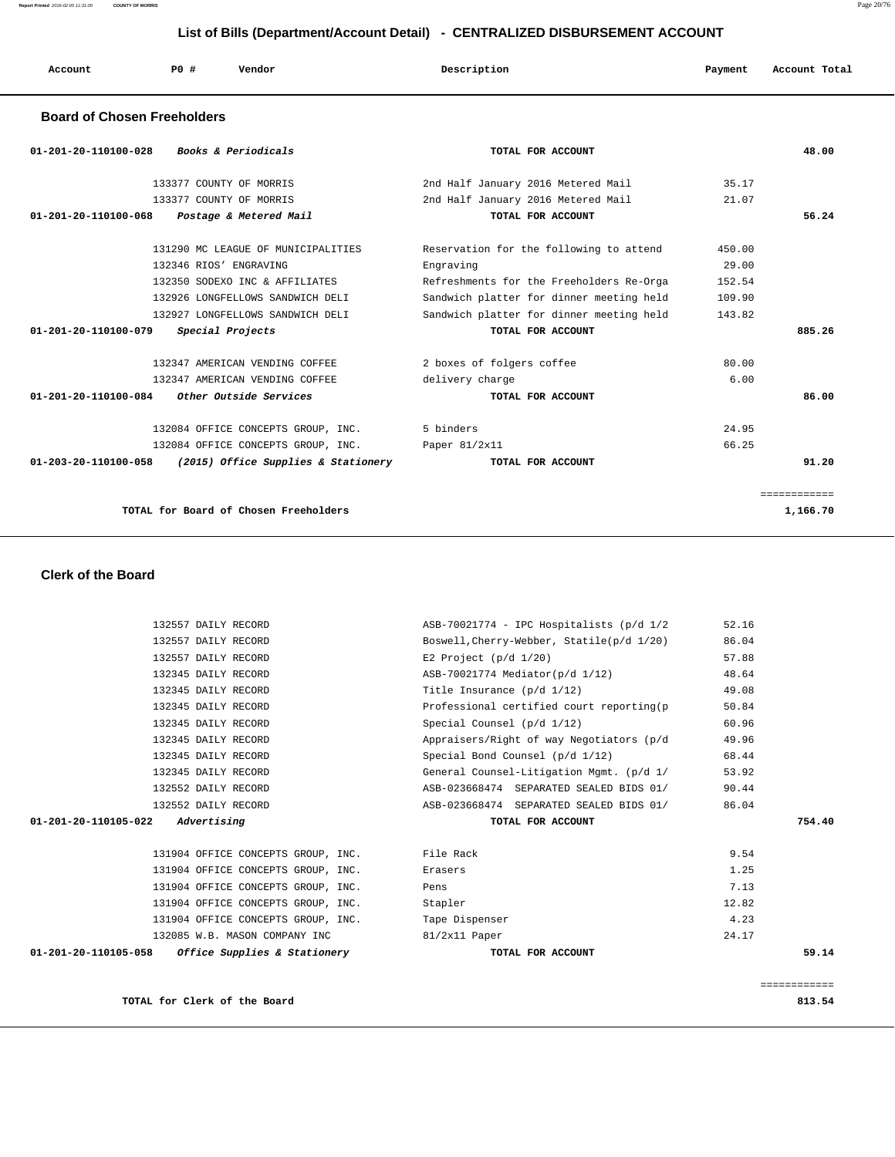**Report Printed** 2016-02-05 11:31:00 **COUNTY OF MORRIS** Page 20/76

## **List of Bills (Department/Account Detail) - CENTRALIZED DISBURSEMENT ACCOUNT**

| Account | <b>PO #</b> | Vendor | Description | Payment | Account Total |
|---------|-------------|--------|-------------|---------|---------------|
|         |             |        |             |         |               |

#### **Board of Chosen Freeholders**

| <b>Books &amp; Periodicals</b><br>$01 - 201 - 20 - 110100 - 028$ | TOTAL FOR ACCOUNT                        |        | 48.00        |
|------------------------------------------------------------------|------------------------------------------|--------|--------------|
| 133377 COUNTY OF MORRIS                                          | 2nd Half January 2016 Metered Mail       | 35.17  |              |
| 133377 COUNTY OF MORRIS                                          | 2nd Half January 2016 Metered Mail       | 21.07  |              |
| 01-201-20-110100-068<br>Postage & Metered Mail                   | TOTAL FOR ACCOUNT                        |        | 56.24        |
| 131290 MC LEAGUE OF MUNICIPALITIES                               | Reservation for the following to attend  | 450.00 |              |
| 132346 RIOS' ENGRAVING                                           | Engraving                                | 29.00  |              |
| 132350 SODEXO INC & AFFILIATES                                   | Refreshments for the Freeholders Re-Orga | 152.54 |              |
| 132926 LONGFELLOWS SANDWICH DELI                                 | Sandwich platter for dinner meeting held | 109.90 |              |
| 132927 LONGFELLOWS SANDWICH DELI                                 | Sandwich platter for dinner meeting held | 143.82 |              |
| 01-201-20-110100-079<br>Special Projects                         | TOTAL FOR ACCOUNT                        |        | 885.26       |
| 132347 AMERICAN VENDING COFFEE                                   | 2 boxes of folgers coffee                | 80.00  |              |
| 132347 AMERICAN VENDING COFFEE                                   | delivery charge                          | 6.00   |              |
| 01-201-20-110100-084<br>Other Outside Services                   | TOTAL FOR ACCOUNT                        |        | 86.00        |
| 132084 OFFICE CONCEPTS GROUP, INC.                               | 5 binders                                | 24.95  |              |
| 132084 OFFICE CONCEPTS GROUP, INC.                               | Paper 81/2x11                            | 66.25  |              |
| 01-203-20-110100-058<br>(2015) Office Supplies & Stationery      | TOTAL FOR ACCOUNT                        |        | 91.20        |
|                                                                  |                                          |        | ============ |
| TOTAL for Board of Chosen Freeholders                            |                                          |        | 1,166.70     |

#### **Clerk of the Board**

| 132557 DAILY RECORD                                             | ASB-70021774 - IPC Hospitalists (p/d 1/2  | 52.16 |        |
|-----------------------------------------------------------------|-------------------------------------------|-------|--------|
| 132557 DAILY RECORD                                             | Boswell, Cherry-Webber, Statile(p/d 1/20) | 86.04 |        |
| 132557 DAILY RECORD                                             | E2 Project $(p/d \ 1/20)$                 | 57.88 |        |
| 132345 DAILY RECORD                                             | ASB-70021774 Mediator(p/d 1/12)           | 48.64 |        |
| 132345 DAILY RECORD                                             | Title Insurance (p/d 1/12)                | 49.08 |        |
| 132345 DAILY RECORD                                             | Professional certified court reporting(p  | 50.84 |        |
| 132345 DAILY RECORD                                             | Special Counsel (p/d 1/12)                | 60.96 |        |
| 132345 DAILY RECORD                                             | Appraisers/Right of way Negotiators (p/d  | 49.96 |        |
| 132345 DAILY RECORD                                             | Special Bond Counsel (p/d 1/12)           | 68.44 |        |
| 132345 DAILY RECORD                                             | General Counsel-Litigation Mgmt. (p/d 1/  | 53.92 |        |
| 132552 DAILY RECORD                                             | ASB-023668474 SEPARATED SEALED BIDS 01/   | 90.44 |        |
| 132552 DAILY RECORD                                             | ASB-023668474 SEPARATED SEALED BIDS 01/   | 86.04 |        |
| $01 - 201 - 20 - 110105 - 022$ Advertising                      | TOTAL FOR ACCOUNT                         |       | 754.40 |
|                                                                 |                                           |       |        |
| 131904 OFFICE CONCEPTS GROUP, INC. File Rack                    |                                           | 9.54  |        |
| 131904 OFFICE CONCEPTS GROUP, INC.                              | Erasers                                   | 1.25  |        |
| 131904 OFFICE CONCEPTS GROUP, INC.                              | Pens                                      | 7.13  |        |
| 131904 OFFICE CONCEPTS GROUP, INC.                              | Stapler                                   | 12.82 |        |
| 131904 OFFICE CONCEPTS GROUP, INC.                              | Tape Dispenser                            | 4.23  |        |
| 132085 W.B. MASON COMPANY INC                                   | $81/2x11$ Paper                           | 24.17 |        |
| <i>Office Supplies &amp; Stationery</i><br>01-201-20-110105-058 | TOTAL FOR ACCOUNT                         |       | 59.14  |
|                                                                 |                                           |       |        |
|                                                                 |                                           |       |        |

============

**TOTAL for Clerk of the Board 813.54**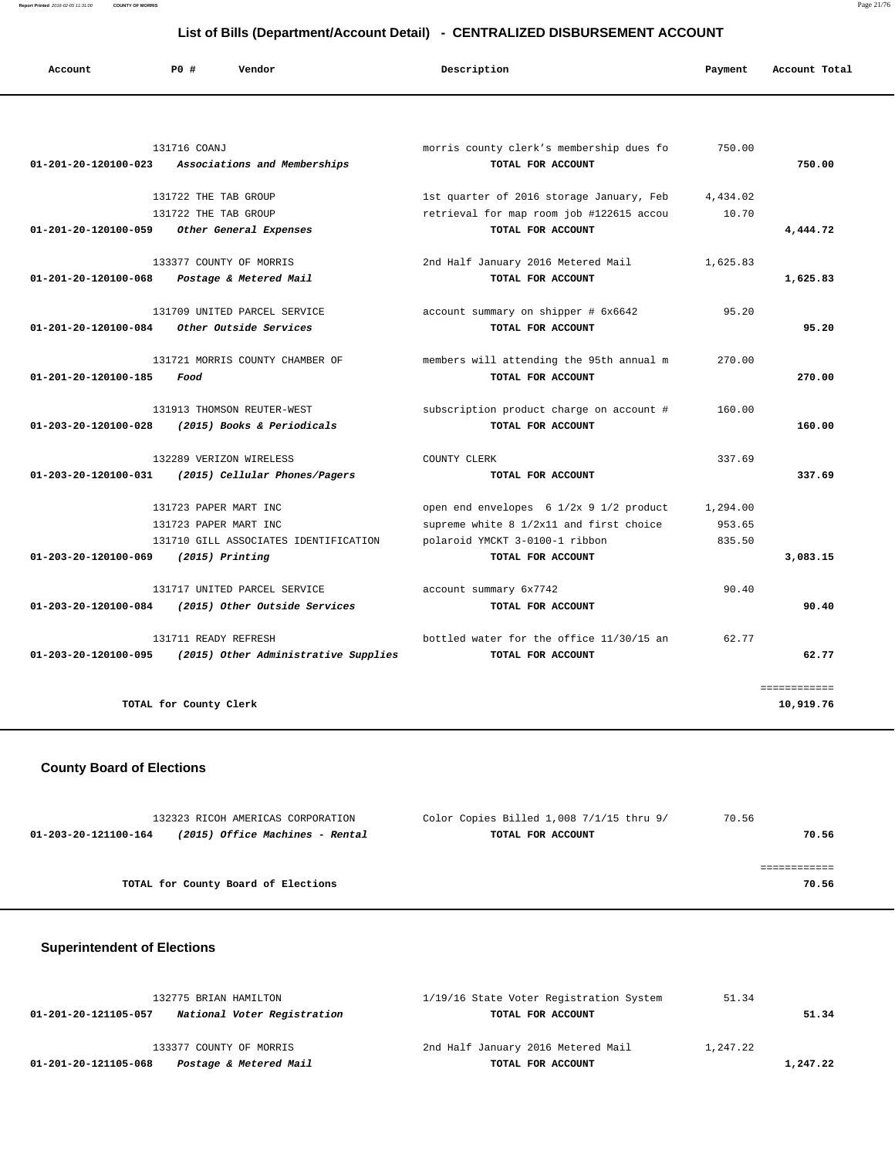**Report Printed** 2016-02-05 11:31:00 **COUNTY OF MORRIS** Page 21/76

| List of Bills (Department/Account Detail) - CENTRALIZED DISBURSEMENT ACCOUNT |                                                    |                                          |          |               |
|------------------------------------------------------------------------------|----------------------------------------------------|------------------------------------------|----------|---------------|
| Account                                                                      | P0 #<br>Vendor                                     | Description                              | Payment  | Account Total |
|                                                                              |                                                    |                                          |          |               |
|                                                                              | 131716 COANJ                                       | morris county clerk's membership dues fo | 750.00   |               |
|                                                                              | 01-201-20-120100-023 Associations and Memberships  | TOTAL FOR ACCOUNT                        |          | 750.00        |
|                                                                              | 131722 THE TAB GROUP                               | 1st quarter of 2016 storage January, Feb | 4,434.02 |               |
|                                                                              | 131722 THE TAB GROUP                               | retrieval for map room job #122615 accou | 10.70    |               |
| 01-201-20-120100-059                                                         | Other General Expenses                             | TOTAL FOR ACCOUNT                        |          | 4,444.72      |
|                                                                              | 133377 COUNTY OF MORRIS                            | 2nd Half January 2016 Metered Mail       | 1,625.83 |               |
| 01-201-20-120100-068                                                         | Postage & Metered Mail                             | TOTAL FOR ACCOUNT                        |          | 1,625.83      |
|                                                                              | 131709 UNITED PARCEL SERVICE                       | account summary on shipper # 6x6642      | 95.20    |               |
| 01-201-20-120100-084                                                         | Other Outside Services                             | TOTAL FOR ACCOUNT                        |          | 95.20         |
|                                                                              | 131721 MORRIS COUNTY CHAMBER OF                    | members will attending the 95th annual m | 270.00   |               |
| 01-201-20-120100-185                                                         | Food                                               | TOTAL FOR ACCOUNT                        |          | 270.00        |
|                                                                              | 131913 THOMSON REUTER-WEST                         | subscription product charge on account # | 160.00   |               |
| 01-203-20-120100-028                                                         | (2015) Books & Periodicals                         | TOTAL FOR ACCOUNT                        |          | 160.00        |
|                                                                              | 132289 VERIZON WIRELESS                            | COUNTY CLERK                             | 337.69   |               |
|                                                                              | 01-203-20-120100-031 (2015) Cellular Phones/Pagers | TOTAL FOR ACCOUNT                        |          | 337.69        |
|                                                                              | 131723 PAPER MART INC                              | open end envelopes 6 1/2x 9 1/2 product  | 1,294.00 |               |
|                                                                              | 131723 PAPER MART INC                              | supreme white 8 1/2x11 and first choice  | 953.65   |               |
|                                                                              | 131710 GILL ASSOCIATES IDENTIFICATION              | polaroid YMCKT 3-0100-1 ribbon           | 835.50   |               |
| 01-203-20-120100-069                                                         | $(2015)$ Printing                                  | TOTAL FOR ACCOUNT                        |          | 3,083.15      |
|                                                                              | 131717 UNITED PARCEL SERVICE                       | account summary 6x7742                   | 90.40    |               |
| 01-203-20-120100-084                                                         | (2015) Other Outside Services                      | TOTAL FOR ACCOUNT                        |          | 90.40         |
|                                                                              | 131711 READY REFRESH                               | bottled water for the office 11/30/15 an | 62.77    |               |
| 01-203-20-120100-095                                                         | (2015) Other Administrative Supplies               | TOTAL FOR ACCOUNT                        |          | 62.77         |

**TOTAL for County Clerk** 10,919.76

## **County Board of Elections**

| 132323 RICOH AMERICAS CORPORATION                       |                                     | Color Copies Billed 1,008 7/1/15 thru 9/ | 70.56 |
|---------------------------------------------------------|-------------------------------------|------------------------------------------|-------|
| (2015) Office Machines - Rental<br>01-203-20-121100-164 |                                     | TOTAL FOR ACCOUNT                        |       |
|                                                         |                                     |                                          |       |
|                                                         |                                     |                                          |       |
|                                                         | TOTAL for County Board of Elections |                                          | 70.56 |
|                                                         |                                     |                                          |       |

### **Superintendent of Elections**

| 132775 BRIAN HAMILTON                               | 1/19/16 State Voter Registration System | 51.34    |
|-----------------------------------------------------|-----------------------------------------|----------|
| National Voter Registration<br>01-201-20-121105-057 | TOTAL FOR ACCOUNT                       | 51.34    |
| 133377 COUNTY OF MORRIS                             | 2nd Half January 2016 Metered Mail      | 1,247.22 |
| Postage & Metered Mail<br>01-201-20-121105-068      | TOTAL FOR ACCOUNT                       | 1,247.22 |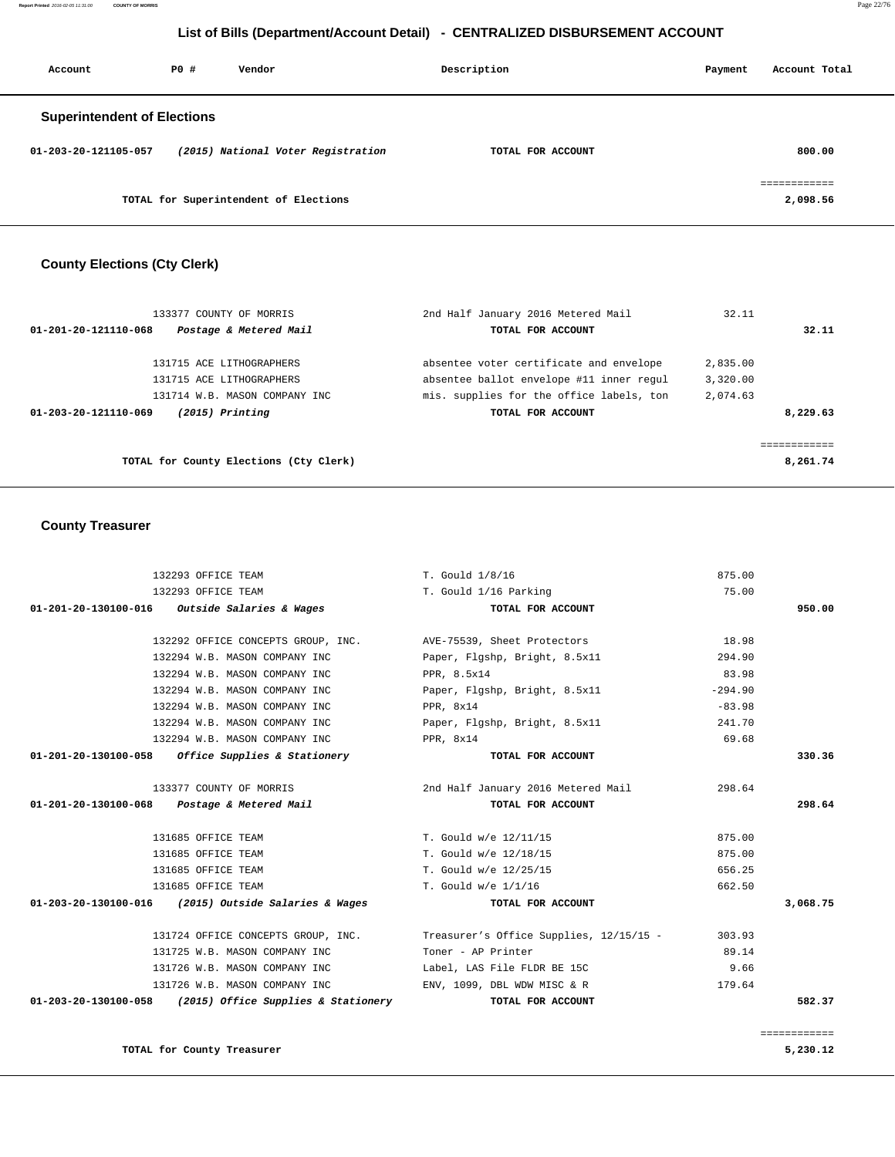## **List of Bills (Department/Account Detail) - CENTRALIZED DISBURSEMENT ACCOUNT**

| Account                            | PO# | Vendor                                | Description       | Payment | Account Total |
|------------------------------------|-----|---------------------------------------|-------------------|---------|---------------|
| <b>Superintendent of Elections</b> |     |                                       |                   |         |               |
| 01-203-20-121105-057               |     | (2015) National Voter Registration    | TOTAL FOR ACCOUNT |         | 800.00        |
|                                    |     |                                       |                   |         | ============  |
|                                    |     | TOTAL for Superintendent of Elections |                   |         | 2,098.56      |

## **County Elections (Cty Clerk)**

| 133377 COUNTY OF MORRIS                        | 2nd Half January 2016 Metered Mail       | 32.11    |          |
|------------------------------------------------|------------------------------------------|----------|----------|
| Postage & Metered Mail<br>01-201-20-121110-068 | TOTAL FOR ACCOUNT                        |          | 32.11    |
| 131715 ACE LITHOGRAPHERS                       | absentee voter certificate and envelope  | 2,835.00 |          |
| 131715 ACE LITHOGRAPHERS                       | absentee ballot envelope #11 inner regul | 3,320.00 |          |
| 131714 W.B. MASON COMPANY INC                  | mis, supplies for the office labels, ton | 2,074.63 |          |
| $(2015)$ Printing<br>01-203-20-121110-069      | TOTAL FOR ACCOUNT                        |          | 8,229.63 |
|                                                |                                          |          |          |
|                                                |                                          |          |          |
| TOTAL for County Elections (Cty Clerk)         |                                          |          | 8,261.74 |

### **County Treasurer**

| 132293 OFFICE TEAM                                             | T. Gould 1/8/16                                                            | 875.00    |              |
|----------------------------------------------------------------|----------------------------------------------------------------------------|-----------|--------------|
| 132293 OFFICE TEAM                                             | T. Gould 1/16 Parking                                                      | 75.00     |              |
| 01-201-20-130100-016 Outside Salaries & Wages                  | TOTAL FOR ACCOUNT                                                          |           | 950.00       |
| 132292 OFFICE CONCEPTS GROUP, INC. AVE-75539, Sheet Protectors |                                                                            | 18.98     |              |
| 132294 W.B. MASON COMPANY INC                                  | Paper, Flgshp, Bright, 8.5x11                                              | 294.90    |              |
| 132294 W.B. MASON COMPANY INC                                  | PPR, 8.5x14                                                                | 83.98     |              |
| 132294 W.B. MASON COMPANY INC                                  | Paper, Flgshp, Bright, 8.5x11                                              | $-294.90$ |              |
| 132294 W.B. MASON COMPANY INC                                  | PPR, 8x14                                                                  | $-83.98$  |              |
| 132294 W.B. MASON COMPANY INC                                  | Paper, Flgshp, Bright, 8.5x11                                              | 241.70    |              |
| 132294 W.B. MASON COMPANY INC                                  | PPR, 8x14                                                                  | 69.68     |              |
| $01-201-20-130100-058$ Office Supplies & Stationery            | TOTAL FOR ACCOUNT                                                          |           | 330.36       |
| 133377 COUNTY OF MORRIS                                        | 2nd Half January 2016 Metered Mail                                         | 298.64    |              |
| $01 - 201 - 20 - 130100 - 068$ Postage & Metered Mail          | TOTAL FOR ACCOUNT                                                          |           | 298.64       |
| 131685 OFFICE TEAM                                             | T. Gould w/e 12/11/15                                                      | 875.00    |              |
| 131685 OFFICE TEAM                                             | T. Gould w/e 12/18/15                                                      | 875.00    |              |
| 131685 OFFICE TEAM                                             | T. Gould w/e 12/25/15                                                      | 656.25    |              |
| 131685 OFFICE TEAM                                             | T. Gould w/e 1/1/16                                                        | 662.50    |              |
| 01-203-20-130100-016 (2015) Outside Salaries & Wages           | TOTAL FOR ACCOUNT                                                          |           | 3,068.75     |
|                                                                | 131724 OFFICE CONCEPTS GROUP, INC. Treasurer's Office Supplies, 12/15/15 - | 303.93    |              |
| 131725 W.B. MASON COMPANY INC                                  | Toner - AP Printer                                                         | 89.14     |              |
| 131726 W.B. MASON COMPANY INC                                  | Label, LAS File FLDR BE 15C                                                | 9.66      |              |
| 131726 W.B. MASON COMPANY INC                                  | $ENV$ , 1099, DBL WDW MISC & R                                             | 179.64    |              |
| $01-203-20-130100-058$ (2015) Office Supplies & Stationery     | TOTAL FOR ACCOUNT                                                          |           | 582.37       |
|                                                                |                                                                            |           |              |
|                                                                |                                                                            |           | essessessess |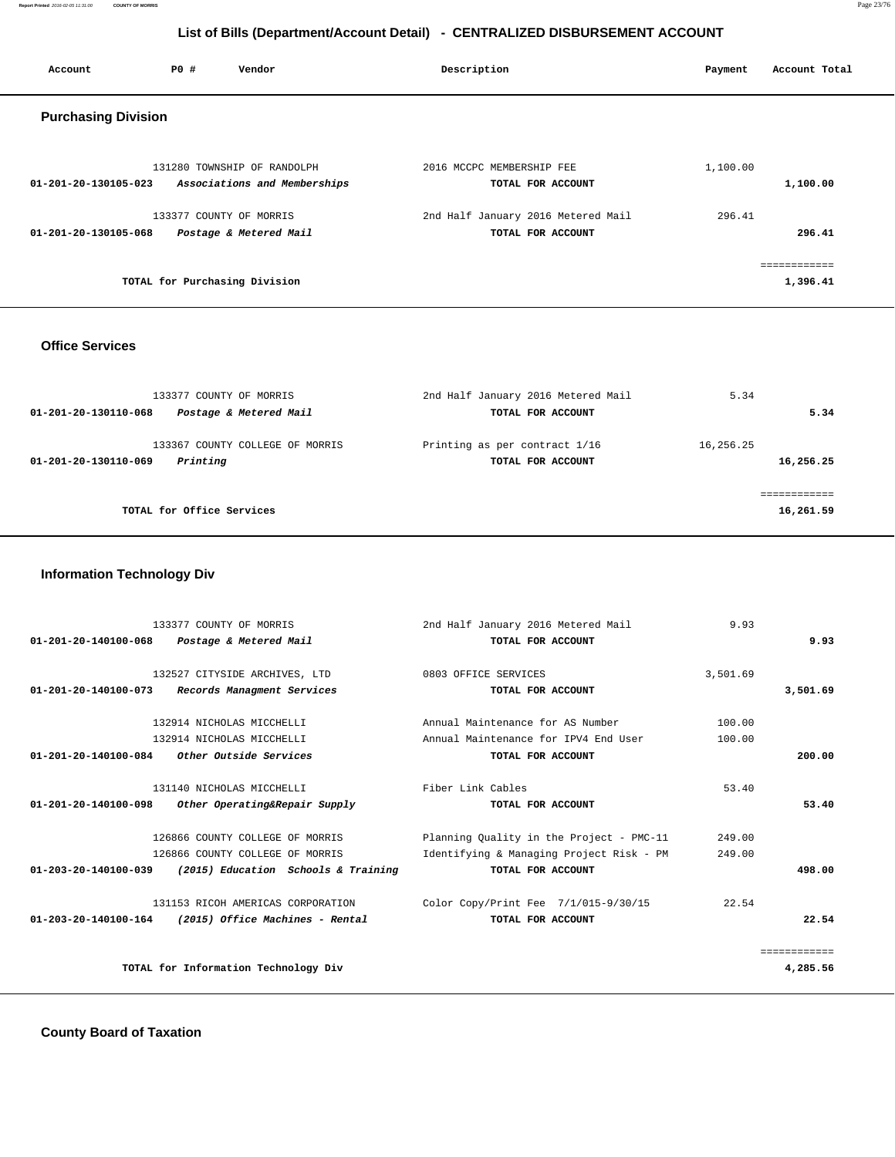**Report Printed** 2016-02-05 11:31:00 **COUNTY OF MORRIS** Page 23/76

## **List of Bills (Department/Account Detail) - CENTRALIZED DISBURSEMENT ACCOUNT**

| Account                        | <b>PO #</b> | Vendor                                                      | Description                                             | Account Total<br>Payment |
|--------------------------------|-------------|-------------------------------------------------------------|---------------------------------------------------------|--------------------------|
| <b>Purchasing Division</b>     |             |                                                             |                                                         |                          |
| 01-201-20-130105-023           |             | 131280 TOWNSHIP OF RANDOLPH<br>Associations and Memberships | 2016 MCCPC MEMBERSHIP FEE<br>TOTAL FOR ACCOUNT          | 1,100.00<br>1,100.00     |
| $01 - 201 - 20 - 130105 - 068$ |             | 133377 COUNTY OF MORRIS<br>Postage & Metered Mail           | 2nd Half January 2016 Metered Mail<br>TOTAL FOR ACCOUNT | 296.41<br>296.41         |
|                                |             | TOTAL for Purchasing Division                               |                                                         | ===========<br>1,396.41  |

## **Office Services**

| 133377 COUNTY OF MORRIS<br>Postage & Metered Mail<br>01-201-20-130110-068 | 2nd Half January 2016 Metered Mail<br>TOTAL FOR ACCOUNT | 5.34<br>5.34           |
|---------------------------------------------------------------------------|---------------------------------------------------------|------------------------|
| 133367 COUNTY COLLEGE OF MORRIS<br>Printing<br>01-201-20-130110-069       | Printing as per contract 1/16<br>TOTAL FOR ACCOUNT      | 16,256.25<br>16,256.25 |
| TOTAL for Office Services                                                 |                                                         | 16,261.59              |

## **Information Technology Div**

|                      | 133377 COUNTY OF MORRIS                                | 2nd Half January 2016 Metered Mail       | 9.93     |              |
|----------------------|--------------------------------------------------------|------------------------------------------|----------|--------------|
|                      | 01-201-20-140100-068 Postage & Metered Mail            | TOTAL FOR ACCOUNT                        |          | 9.93         |
|                      |                                                        |                                          |          |              |
|                      | 132527 CITYSIDE ARCHIVES, LTD                          | 0803 OFFICE SERVICES                     | 3,501.69 |              |
| 01-201-20-140100-073 | Records Managment Services                             | TOTAL FOR ACCOUNT                        |          | 3,501.69     |
|                      | 132914 NICHOLAS MICCHELLI                              | Annual Maintenance for AS Number         | 100.00   |              |
|                      | 132914 NICHOLAS MICCHELLI                              | Annual Maintenance for IPV4 End User     | 100.00   |              |
| 01-201-20-140100-084 | <i>Other Outside Services</i>                          | TOTAL FOR ACCOUNT                        |          | 200.00       |
|                      | 131140 NICHOLAS MICCHELLI                              | Fiber Link Cables                        | 53.40    |              |
| 01-201-20-140100-098 | Other Operating&Repair Supply                          | TOTAL FOR ACCOUNT                        |          | 53.40        |
|                      | 126866 COUNTY COLLEGE OF MORRIS                        | Planning Quality in the Project - PMC-11 | 249.00   |              |
|                      | 126866 COUNTY COLLEGE OF MORRIS                        | Identifying & Managing Project Risk - PM | 249.00   |              |
| 01-203-20-140100-039 | (2015) Education Schools & Training                    | TOTAL FOR ACCOUNT                        |          | 498.00       |
|                      | 131153 RICOH AMERICAS CORPORATION                      | Color Copy/Print Fee 7/1/015-9/30/15     | 22.54    |              |
|                      | $01-203-20-140100-164$ (2015) Office Machines - Rental | TOTAL FOR ACCOUNT                        |          | 22.54        |
|                      |                                                        |                                          |          | ============ |
|                      | TOTAL for Information Technology Div                   |                                          |          | 4,285.56     |
|                      |                                                        |                                          |          |              |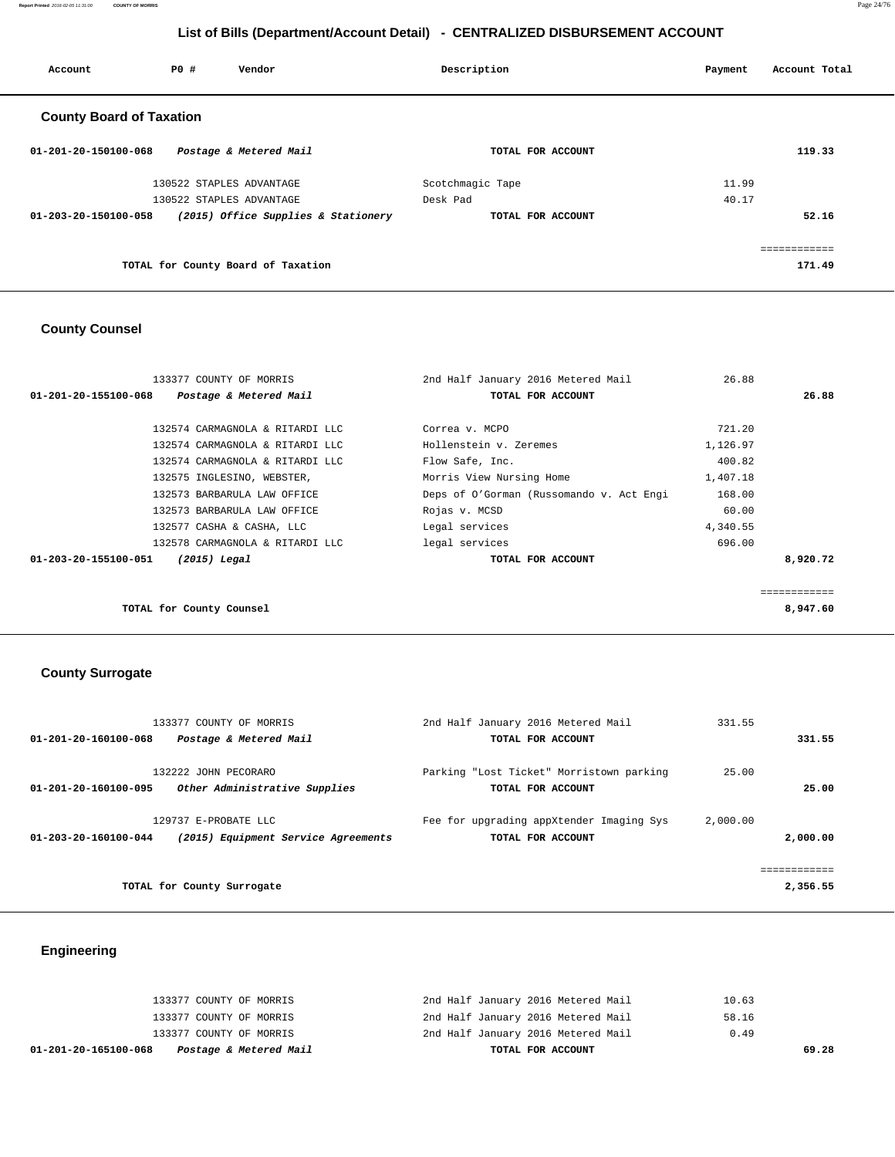**Report Printed** 2016-02-05 11:31:00 **COUNTY OF MORRIS** Page 24/76

## **List of Bills (Department/Account Detail) - CENTRALIZED DISBURSEMENT ACCOUNT**

| Account                         | PO# | Vendor                              | Description      |                   | Payment | Account Total |
|---------------------------------|-----|-------------------------------------|------------------|-------------------|---------|---------------|
| <b>County Board of Taxation</b> |     |                                     |                  |                   |         |               |
| 01-201-20-150100-068            |     | Postage & Metered Mail              |                  | TOTAL FOR ACCOUNT |         | 119.33        |
|                                 |     | 130522 STAPLES ADVANTAGE            | Scotchmagic Tape |                   | 11.99   |               |
|                                 |     | 130522 STAPLES ADVANTAGE            | Desk Pad         |                   | 40.17   |               |
| 01-203-20-150100-058            |     | (2015) Office Supplies & Stationery |                  | TOTAL FOR ACCOUNT |         | 52.16         |
|                                 |     |                                     |                  |                   |         | ============  |
|                                 |     | TOTAL for County Board of Taxation  |                  |                   |         | 171.49        |

## **County Counsel**

| 133377 COUNTY OF MORRIS                        | 2nd Half January 2016 Metered Mail       | 26.88    |              |
|------------------------------------------------|------------------------------------------|----------|--------------|
| 01-201-20-155100-068<br>Postage & Metered Mail | TOTAL FOR ACCOUNT                        |          | 26.88        |
|                                                |                                          |          |              |
| 132574 CARMAGNOLA & RITARDI LLC                | Correa v. MCPO                           | 721.20   |              |
| 132574 CARMAGNOLA & RITARDI LLC                | Hollenstein v. Zeremes                   | 1,126.97 |              |
| 132574 CARMAGNOLA & RITARDI LLC                | Flow Safe, Inc.                          | 400.82   |              |
| 132575 INGLESINO, WEBSTER,                     | Morris View Nursing Home                 | 1,407.18 |              |
| 132573 BARBARULA LAW OFFICE                    | Deps of O'Gorman (Russomando v. Act Engi | 168.00   |              |
| 132573 BARBARULA LAW OFFICE                    | Rojas v. MCSD                            | 60.00    |              |
| 132577 CASHA & CASHA, LLC                      | Legal services                           | 4,340.55 |              |
| 132578 CARMAGNOLA & RITARDI LLC                | legal services                           | 696.00   |              |
| 01-203-20-155100-051<br>$(2015)$ Legal         | TOTAL FOR ACCOUNT                        |          | 8,920.72     |
|                                                |                                          |          |              |
|                                                |                                          |          | ============ |
| TOTAL for County Counsel                       |                                          |          | 8,947.60     |
|                                                |                                          |          |              |

## **County Surrogate**

| 133377 COUNTY OF MORRIS                                                             | 2nd Half January 2016 Metered Mail                            | 331.55   |                          |
|-------------------------------------------------------------------------------------|---------------------------------------------------------------|----------|--------------------------|
| Postage & Metered Mail<br>01-201-20-160100-068                                      | TOTAL FOR ACCOUNT                                             |          | 331.55                   |
| 132222 JOHN PECORARO<br>Other Administrative Supplies<br>01-201-20-160100-095       | Parking "Lost Ticket" Morristown parking<br>TOTAL FOR ACCOUNT | 25.00    | 25.00                    |
| 129737 E-PROBATE LLC<br>(2015) Equipment Service Agreements<br>01-203-20-160100-044 | Fee for upgrading appXtender Imaging Sys<br>TOTAL FOR ACCOUNT | 2,000.00 | 2,000.00                 |
| TOTAL for County Surrogate                                                          |                                                               |          | ============<br>2,356.55 |

## **Engineering**

| Postage & Metered Mail<br>01-201-20-165100-068 | TOTAL FOR ACCOUNT                  | 69.28 |
|------------------------------------------------|------------------------------------|-------|
| 133377 COUNTY OF MORRIS                        | 2nd Half January 2016 Metered Mail | 0.49  |
| 133377 COUNTY OF MORRIS                        | 2nd Half January 2016 Metered Mail | 58.16 |
| 133377 COUNTY OF MORRIS                        | 2nd Half January 2016 Metered Mail | 10.63 |
|                                                |                                    |       |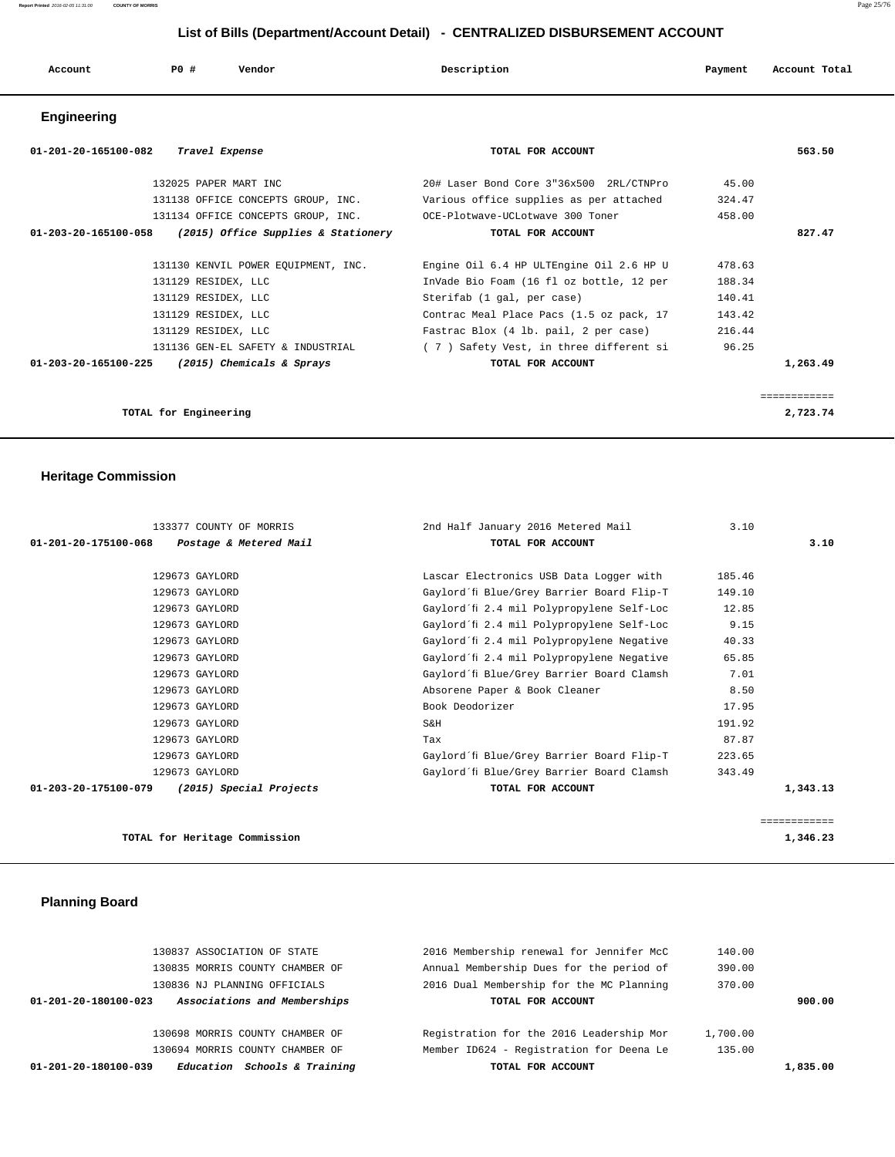## **List of Bills (Department/Account Detail) - CENTRALIZED DISBURSEMENT ACCOUNT**

| Account              | PO#            | Vendor | Description |                   | Payment | Account Total |
|----------------------|----------------|--------|-------------|-------------------|---------|---------------|
| Engineering          |                |        |             |                   |         |               |
| 01-201-20-165100-082 | Travel Expense |        |             | TOTAL FOR ACCOUNT |         | 563.50        |

| 132025 PAPER MART INC                                       | 20# Laser Bond Core 3"36x500 2RL/CTNPro  | 45.00  |              |
|-------------------------------------------------------------|------------------------------------------|--------|--------------|
| 131138 OFFICE CONCEPTS GROUP, INC.                          | Various office supplies as per attached  | 324.47 |              |
| 131134 OFFICE CONCEPTS GROUP, INC.                          | OCE-Plotwave-UCLotwave 300 Toner         | 458.00 |              |
| (2015) Office Supplies & Stationery<br>01-203-20-165100-058 | TOTAL FOR ACCOUNT                        |        | 827.47       |
| 131130 KENVIL POWER EQUIPMENT, INC.                         | Engine Oil 6.4 HP ULTEngine Oil 2.6 HP U | 478.63 |              |
| 131129 RESIDEX, LLC                                         | InVade Bio Foam (16 fl oz bottle, 12 per | 188.34 |              |
| 131129 RESIDEX, LLC                                         | Sterifab (1 gal, per case)               | 140.41 |              |
| 131129 RESIDEX, LLC                                         | Contrac Meal Place Pacs (1.5 oz pack, 17 | 143.42 |              |
| 131129 RESIDEX, LLC                                         | Fastrac Blox (4 lb. pail, 2 per case)    | 216.44 |              |
| 131136 GEN-EL SAFETY & INDUSTRIAL                           | (7) Safety Vest, in three different si   | 96.25  |              |
| (2015) Chemicals & Sprays<br>01-203-20-165100-225           | TOTAL FOR ACCOUNT                        |        | 1,263.49     |
|                                                             |                                          |        |              |
|                                                             |                                          |        | ============ |
| TOTAL for Engineering                                       |                                          |        | 2,723.74     |

### **Heritage Commission**

| 133377 COUNTY OF MORRIS                         | 2nd Half January 2016 Metered Mail        | 3.10         |  |
|-------------------------------------------------|-------------------------------------------|--------------|--|
| 01-201-20-175100-068<br>Postage & Metered Mail  | TOTAL FOR ACCOUNT                         | 3.10         |  |
|                                                 |                                           |              |  |
| 129673 GAYLORD                                  | Lascar Electronics USB Data Logger with   | 185.46       |  |
| 129673 GAYLORD                                  | Gaylord´fi Blue/Grey Barrier Board Flip-T | 149.10       |  |
| 129673 GAYLORD                                  | Gaylord´fi 2.4 mil Polypropylene Self-Loc | 12.85        |  |
| 129673 GAYLORD                                  | Gaylord´fi 2.4 mil Polypropylene Self-Loc | 9.15         |  |
| 129673 GAYLORD                                  | Gaylord'fi 2.4 mil Polypropylene Negative | 40.33        |  |
| 129673 GAYLORD                                  | Gaylord´fi 2.4 mil Polypropylene Negative | 65.85        |  |
| 129673 GAYLORD                                  | Gaylord´fi Blue/Grey Barrier Board Clamsh | 7.01         |  |
| 129673 GAYLORD                                  | Absorene Paper & Book Cleaner             | 8.50         |  |
| 129673 GAYLORD                                  | Book Deodorizer                           | 17.95        |  |
| 129673 GAYLORD                                  | S&H                                       | 191.92       |  |
| 129673 GAYLORD                                  | Tax                                       | 87.87        |  |
| 129673 GAYLORD                                  | Gaylord'fi Blue/Grey Barrier Board Flip-T | 223.65       |  |
| 129673 GAYLORD                                  | Gaylord´fi Blue/Grey Barrier Board Clamsh | 343.49       |  |
| (2015) Special Projects<br>01-203-20-175100-079 | TOTAL FOR ACCOUNT                         | 1,343.13     |  |
|                                                 |                                           |              |  |
|                                                 |                                           | ============ |  |
| TOTAL for Heritage Commission                   |                                           | 1,346.23     |  |

## **Planning Board**

| <i>Schools &amp; Training</i><br>01-201-20-180100-039<br>Education | TOTAL FOR ACCOUNT                        |          | 1,835.00 |
|--------------------------------------------------------------------|------------------------------------------|----------|----------|
| 130694 MORRIS COUNTY CHAMBER OF                                    | Member ID624 - Registration for Deena Le | 135.00   |          |
| 130698 MORRIS COUNTY CHAMBER OF                                    | Registration for the 2016 Leadership Mor | 1,700.00 |          |
| Associations and Memberships<br>01-201-20-180100-023               | TOTAL FOR ACCOUNT                        |          | 900.00   |
| 130836 NJ PLANNING OFFICIALS                                       | 2016 Dual Membership for the MC Planning | 370.00   |          |
| 130835 MORRIS COUNTY CHAMBER OF                                    | Annual Membership Dues for the period of | 390.00   |          |
| 130837 ASSOCIATION OF STATE                                        | 2016 Membership renewal for Jennifer McC | 140.00   |          |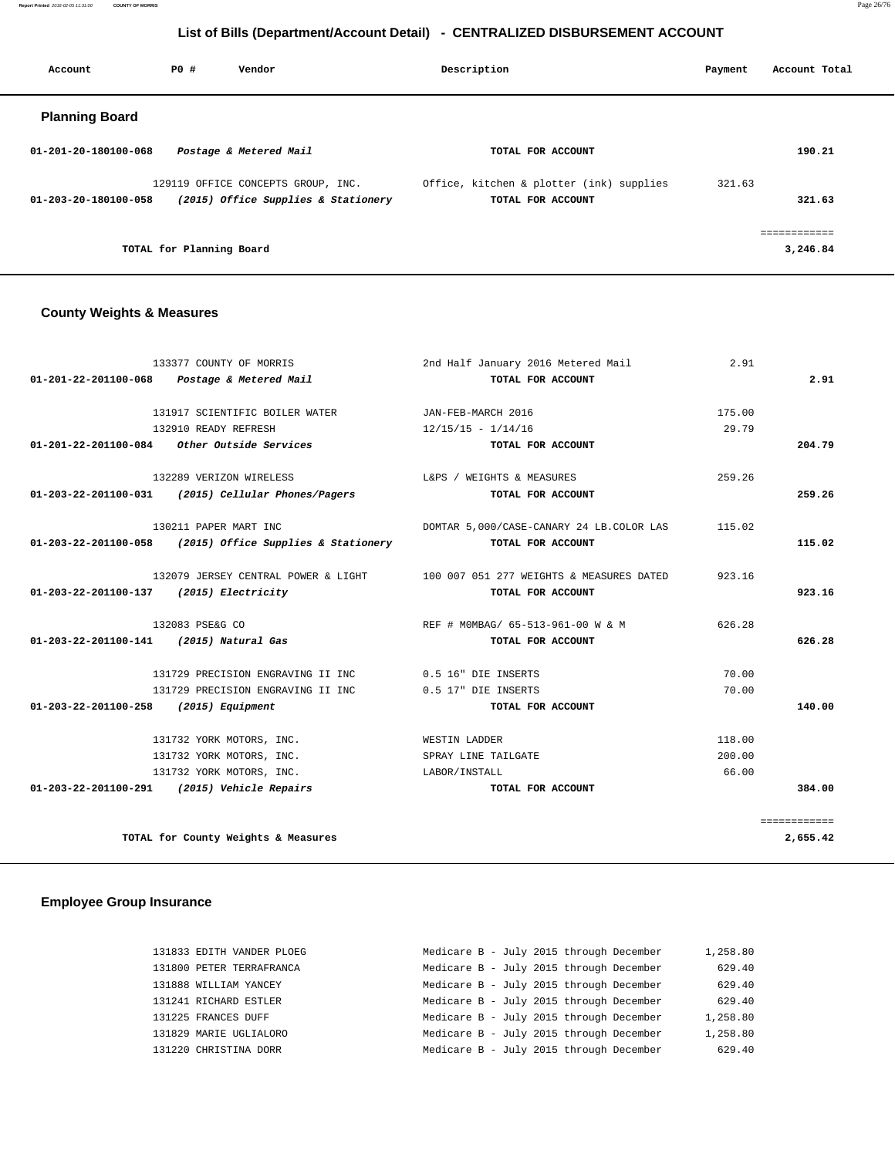**Report Printed** 2016-02-05 11:31:00 **COUNTY OF MORRIS** Page 26/76

## **List of Bills (Department/Account Detail) - CENTRALIZED DISBURSEMENT ACCOUNT**

| Account                        | PO#                      | Vendor                                                                    | Description                                                   | Payment | Account Total            |
|--------------------------------|--------------------------|---------------------------------------------------------------------------|---------------------------------------------------------------|---------|--------------------------|
| <b>Planning Board</b>          |                          |                                                                           |                                                               |         |                          |
| $01 - 201 - 20 - 180100 - 068$ |                          | Postage & Metered Mail                                                    | TOTAL FOR ACCOUNT                                             |         | 190.21                   |
| $01 - 203 - 20 - 180100 - 058$ |                          | 129119 OFFICE CONCEPTS GROUP, INC.<br>(2015) Office Supplies & Stationery | Office, kitchen & plotter (ink) supplies<br>TOTAL FOR ACCOUNT | 321.63  | 321.63                   |
|                                | TOTAL for Planning Board |                                                                           |                                                               |         | ============<br>3,246.84 |

### **County Weights & Measures**

| 133377 COUNTY OF MORRIS                                    |                                   | 2nd Half January 2016 Metered Mail                                           | 2.91   |              |
|------------------------------------------------------------|-----------------------------------|------------------------------------------------------------------------------|--------|--------------|
| 01-201-22-201100-068 Postage & Metered Mail                |                                   | TOTAL FOR ACCOUNT                                                            |        | 2.91         |
| 131917 SCIENTIFIC BOILER WATER                             |                                   | JAN-FEB-MARCH 2016                                                           | 175.00 |              |
| 132910 READY REFRESH                                       |                                   | $12/15/15 - 1/14/16$                                                         | 29.79  |              |
| 01-201-22-201100-084 Other Outside Services                |                                   | TOTAL FOR ACCOUNT                                                            |        | 204.79       |
| 132289 VERIZON WIRELESS                                    |                                   | L&PS / WEIGHTS & MEASURES                                                    | 259.26 |              |
| 01-203-22-201100-031 (2015) Cellular Phones/Pagers         |                                   | TOTAL FOR ACCOUNT                                                            |        | 259.26       |
| 130211 PAPER MART INC                                      |                                   | DOMTAR 5,000/CASE-CANARY 24 LB.COLOR LAS                                     | 115.02 |              |
| $01-203-22-201100-058$ (2015) Office Supplies & Stationery |                                   | TOTAL FOR ACCOUNT                                                            |        | 115.02       |
|                                                            |                                   | 132079 JERSEY CENTRAL POWER & LIGHT 100 007 051 277 WEIGHTS & MEASURES DATED | 923.16 |              |
| 01-203-22-201100-137 (2015) Electricity                    |                                   | TOTAL FOR ACCOUNT                                                            |        | 923.16       |
| 132083 PSE&G CO                                            |                                   | REF # MOMBAG/ 65-513-961-00 W & M                                            | 626.28 |              |
| 01-203-22-201100-141 (2015) Natural Gas                    |                                   | TOTAL FOR ACCOUNT                                                            |        | 626.28       |
|                                                            | 131729 PRECISION ENGRAVING II INC | $0.5$ 16" DIE INSERTS                                                        | 70.00  |              |
|                                                            | 131729 PRECISION ENGRAVING II INC | 0.5 17" DIE INSERTS                                                          | 70.00  |              |
| 01-203-22-201100-258 (2015) Equipment                      |                                   | TOTAL FOR ACCOUNT                                                            |        | 140.00       |
| 131732 YORK MOTORS, INC.                                   |                                   | WESTIN LADDER                                                                | 118.00 |              |
| 131732 YORK MOTORS, INC.                                   |                                   | SPRAY LINE TAILGATE                                                          | 200.00 |              |
| 131732 YORK MOTORS, INC.                                   |                                   | LABOR / INSTALL                                                              | 66.00  |              |
| 01-203-22-201100-291 (2015) Vehicle Repairs                |                                   | TOTAL FOR ACCOUNT                                                            |        | 384.00       |
|                                                            |                                   |                                                                              |        | ============ |
| TOTAL for County Weights & Measures                        |                                   |                                                                              |        | 2,655.42     |

| 131833 EDITH VANDER PLOEG | Medicare B - July 2015 through December | 1,258.80 |
|---------------------------|-----------------------------------------|----------|
| 131800 PETER TERRAFRANCA  | Medicare B - July 2015 through December | 629.40   |
| 131888 WILLIAM YANCEY     | Medicare B - July 2015 through December | 629.40   |
| 131241 RICHARD ESTLER     | Medicare B - July 2015 through December | 629.40   |
| 131225 FRANCES DUFF       | Medicare B - July 2015 through December | 1,258.80 |
| 131829 MARIE UGLIALORO    | Medicare B - July 2015 through December | 1,258.80 |
| 131220 CHRISTINA DORR     | Medicare B - July 2015 through December | 629.40   |
|                           |                                         |          |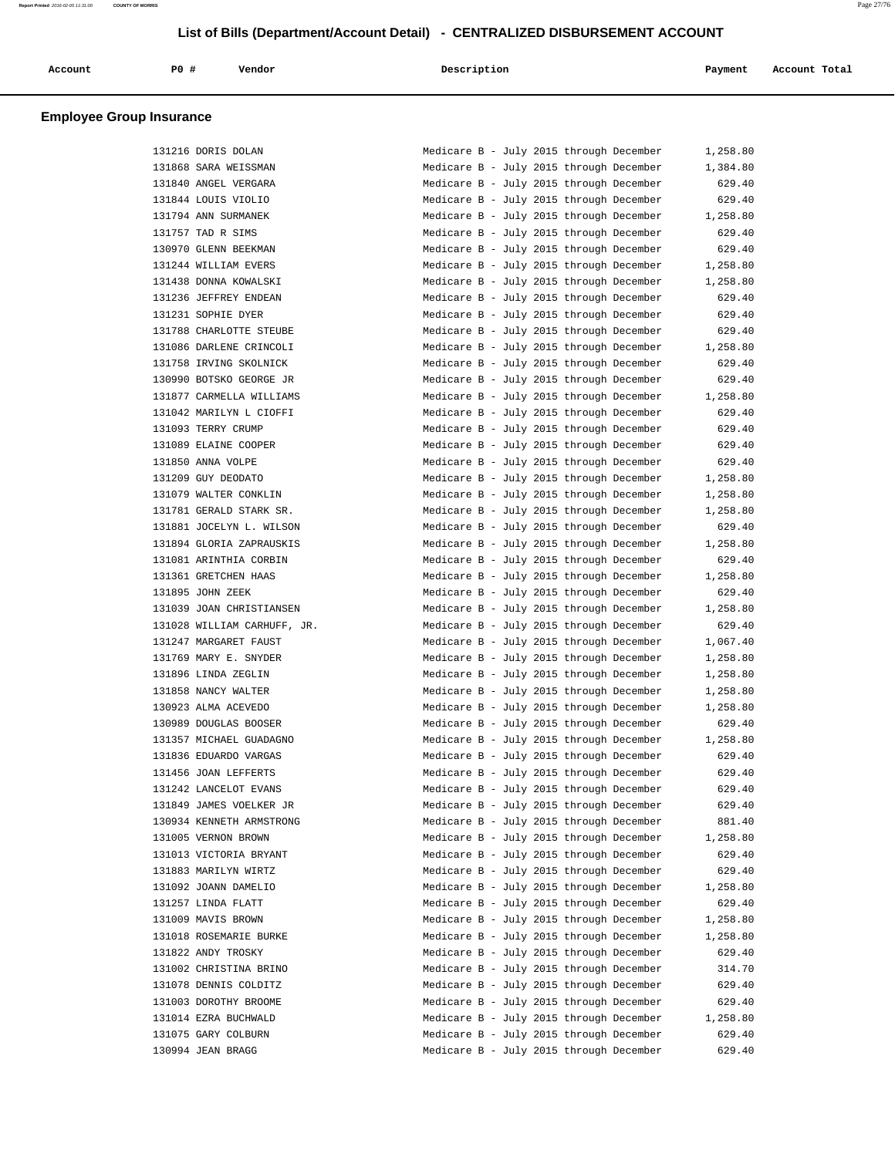| Account | PO# | Vendor | Description | Payment | Account Total |
|---------|-----|--------|-------------|---------|---------------|
|         |     |        |             |         |               |

| 131216 DORIS DOLAN          | Medicare B - July 2015 through December<br>1,258.80 |
|-----------------------------|-----------------------------------------------------|
| 131868 SARA WEISSMAN        | Medicare B - July 2015 through December<br>1,384.80 |
| 131840 ANGEL VERGARA        | 629.40<br>Medicare B - July 2015 through December   |
| 131844 LOUIS VIOLIO         | Medicare B - July 2015 through December<br>629.40   |
| 131794 ANN SURMANEK         | Medicare B - July 2015 through December<br>1,258.80 |
| 131757 TAD R SIMS           | Medicare B - July 2015 through December<br>629.40   |
| 130970 GLENN BEEKMAN        | Medicare B - July 2015 through December<br>629.40   |
| 131244 WILLIAM EVERS        | Medicare B - July 2015 through December<br>1,258.80 |
| 131438 DONNA KOWALSKI       | Medicare B - July 2015 through December<br>1,258.80 |
| 131236 JEFFREY ENDEAN       | Medicare B - July 2015 through December<br>629.40   |
| 131231 SOPHIE DYER          | Medicare B - July 2015 through December<br>629.40   |
| 131788 CHARLOTTE STEUBE     | Medicare B - July 2015 through December<br>629.40   |
| 131086 DARLENE CRINCOLI     | Medicare B - July 2015 through December<br>1,258.80 |
| 131758 IRVING SKOLNICK      | Medicare B - July 2015 through December<br>629.40   |
| 130990 BOTSKO GEORGE JR     | Medicare B - July 2015 through December<br>629.40   |
| 131877 CARMELLA WILLIAMS    | Medicare B - July 2015 through December<br>1,258.80 |
| 131042 MARILYN L CIOFFI     | Medicare B - July 2015 through December<br>629.40   |
| 131093 TERRY CRUMP          | Medicare B - July 2015 through December<br>629.40   |
| 131089 ELAINE COOPER        | Medicare B - July 2015 through December<br>629.40   |
| 131850 ANNA VOLPE           | Medicare B - July 2015 through December<br>629.40   |
| 131209 GUY DEODATO          | Medicare B - July 2015 through December<br>1,258.80 |
| 131079 WALTER CONKLIN       | Medicare B - July 2015 through December<br>1,258.80 |
| 131781 GERALD STARK SR.     | Medicare B - July 2015 through December<br>1,258.80 |
| 131881 JOCELYN L. WILSON    | Medicare B - July 2015 through December<br>629.40   |
| 131894 GLORIA ZAPRAUSKIS    | Medicare B - July 2015 through December<br>1,258.80 |
| 131081 ARINTHIA CORBIN      | Medicare B - July 2015 through December<br>629.40   |
| 131361 GRETCHEN HAAS        | Medicare B - July 2015 through December<br>1,258.80 |
| 131895 JOHN ZEEK            | Medicare B - July 2015 through December<br>629.40   |
| 131039 JOAN CHRISTIANSEN    | Medicare B - July 2015 through December<br>1,258.80 |
| 131028 WILLIAM CARHUFF, JR. | Medicare B - July 2015 through December<br>629.40   |
| 131247 MARGARET FAUST       | Medicare B - July 2015 through December<br>1,067.40 |
| 131769 MARY E. SNYDER       | Medicare B - July 2015 through December<br>1,258.80 |
| 131896 LINDA ZEGLIN         | Medicare B - July 2015 through December<br>1,258.80 |
| 131858 NANCY WALTER         | Medicare B - July 2015 through December<br>1,258.80 |
| 130923 ALMA ACEVEDO         | Medicare B - July 2015 through December<br>1,258.80 |
| 130989 DOUGLAS BOOSER       | Medicare B - July 2015 through December<br>629.40   |
| 131357 MICHAEL GUADAGNO     | Medicare B - July 2015 through December<br>1,258.80 |
| 131836 EDUARDO VARGAS       | Medicare B - July 2015 through December<br>629.40   |
| 131456 JOAN LEFFERTS        | Medicare B - July 2015 through December<br>629.40   |
| 131242 LANCELOT EVANS       | Medicare B - July 2015 through December<br>629.40   |
| 131849 JAMES VOELKER JR     | Medicare B - July 2015 through December<br>629.40   |
| 130934 KENNETH ARMSTRONG    | Medicare B - July 2015 through December<br>881.40   |
| 131005 VERNON BROWN         | Medicare B - July 2015 through December<br>1,258.80 |
| 131013 VICTORIA BRYANT      | Medicare B - July 2015 through December<br>629.40   |
| 131883 MARILYN WIRTZ        | Medicare B - July 2015 through December<br>629.40   |
| 131092 JOANN DAMELIO        | Medicare B - July 2015 through December<br>1,258.80 |
| 131257 LINDA FLATT          | Medicare B - July 2015 through December<br>629.40   |
| 131009 MAVIS BROWN          | Medicare B - July 2015 through December<br>1,258.80 |
| 131018 ROSEMARIE BURKE      | Medicare B - July 2015 through December<br>1,258.80 |
| 131822 ANDY TROSKY          | Medicare B - July 2015 through December<br>629.40   |
| 131002 CHRISTINA BRINO      | Medicare B - July 2015 through December<br>314.70   |
| 131078 DENNIS COLDITZ       | Medicare B - July 2015 through December<br>629.40   |
| 131003 DOROTHY BROOME       | Medicare B - July 2015 through December<br>629.40   |
| 131014 EZRA BUCHWALD        | Medicare B - July 2015 through December<br>1,258.80 |
| 131075 GARY COLBURN         | Medicare B - July 2015 through December<br>629.40   |
| 130994 JEAN BRAGG           | Medicare B - July 2015 through December<br>629.40   |
|                             |                                                     |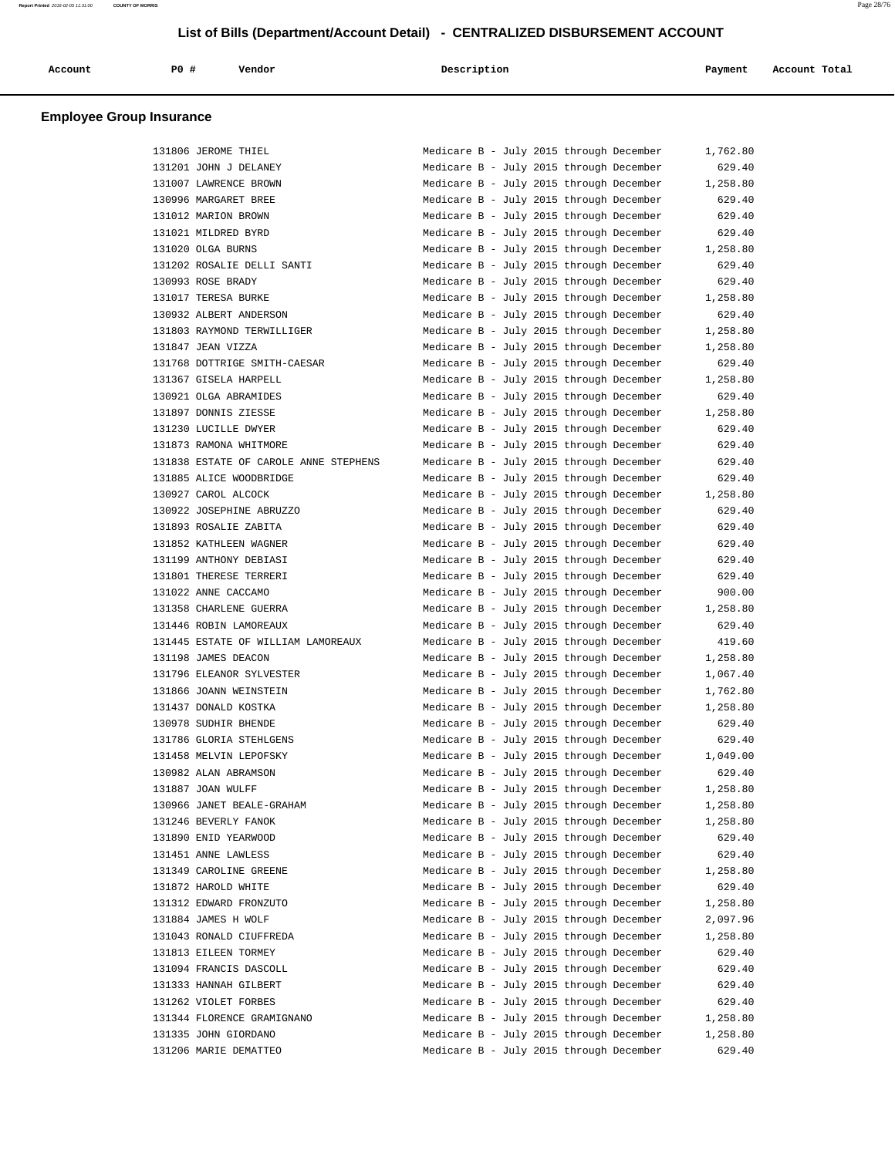| Account | P0 # | Vendor | Description | Payment | Account Total |
|---------|------|--------|-------------|---------|---------------|
|         |      |        |             |         |               |

| 131806 JEROME THIEL                   | Medicare B - July 2015 through December | 1,762.80 |
|---------------------------------------|-----------------------------------------|----------|
| 131201 JOHN J DELANEY                 | Medicare B - July 2015 through December | 629.40   |
| 131007 LAWRENCE BROWN                 | Medicare B - July 2015 through December | 1,258.80 |
| 130996 MARGARET BREE                  | Medicare B - July 2015 through December | 629.40   |
| 131012 MARION BROWN                   | Medicare B - July 2015 through December | 629.40   |
| 131021 MILDRED BYRD                   | Medicare B - July 2015 through December | 629.40   |
| 131020 OLGA BURNS                     | Medicare B - July 2015 through December | 1,258.80 |
| 131202 ROSALIE DELLI SANTI            | Medicare B - July 2015 through December | 629.40   |
| 130993 ROSE BRADY                     | Medicare B - July 2015 through December | 629.40   |
| 131017 TERESA BURKE                   | Medicare B - July 2015 through December | 1,258.80 |
| 130932 ALBERT ANDERSON                | Medicare B - July 2015 through December | 629.40   |
| 131803 RAYMOND TERWILLIGER            | Medicare B - July 2015 through December | 1,258.80 |
| 131847 JEAN VIZZA                     | Medicare B - July 2015 through December | 1,258.80 |
| 131768 DOTTRIGE SMITH-CAESAR          | Medicare B - July 2015 through December | 629.40   |
| 131367 GISELA HARPELL                 | Medicare B - July 2015 through December | 1,258.80 |
| 130921 OLGA ABRAMIDES                 | Medicare B - July 2015 through December | 629.40   |
| 131897 DONNIS ZIESSE                  | Medicare B - July 2015 through December | 1,258.80 |
| 131230 LUCILLE DWYER                  | Medicare B - July 2015 through December | 629.40   |
| 131873 RAMONA WHITMORE                | Medicare B - July 2015 through December | 629.40   |
| 131838 ESTATE OF CAROLE ANNE STEPHENS | Medicare B - July 2015 through December | 629.40   |
| 131885 ALICE WOODBRIDGE               | Medicare B - July 2015 through December | 629.40   |
| 130927 CAROL ALCOCK                   | Medicare B - July 2015 through December | 1,258.80 |
| 130922 JOSEPHINE ABRUZZO              | Medicare B - July 2015 through December | 629.40   |
| 131893 ROSALIE ZABITA                 | Medicare B - July 2015 through December | 629.40   |
| 131852 KATHLEEN WAGNER                | Medicare B - July 2015 through December | 629.40   |
| 131199 ANTHONY DEBIASI                | Medicare B - July 2015 through December | 629.40   |
| 131801 THERESE TERRERI                | Medicare B - July 2015 through December | 629.40   |
| 131022 ANNE CACCAMO                   | Medicare B - July 2015 through December | 900.00   |
| 131358 CHARLENE GUERRA                | Medicare B - July 2015 through December | 1,258.80 |
| 131446 ROBIN LAMOREAUX                | Medicare B - July 2015 through December | 629.40   |
| 131445 ESTATE OF WILLIAM LAMOREAUX    | Medicare B - July 2015 through December | 419.60   |
| 131198 JAMES DEACON                   | Medicare B - July 2015 through December | 1,258.80 |
| 131796 ELEANOR SYLVESTER              | Medicare B - July 2015 through December | 1,067.40 |
| 131866 JOANN WEINSTEIN                | Medicare B - July 2015 through December | 1,762.80 |
| 131437 DONALD KOSTKA                  | Medicare B - July 2015 through December | 1,258.80 |
| 130978 SUDHIR BHENDE                  | Medicare B - July 2015 through December | 629.40   |
| 131786 GLORIA STEHLGENS               | Medicare B - July 2015 through December | 629.40   |
| 131458 MELVIN LEPOFSKY                | Medicare B - July 2015 through December | 1,049.00 |
| 130982 ALAN ABRAMSON                  | Medicare B - July 2015 through December | 629.40   |
| 131887 JOAN WULFF                     | Medicare B - July 2015 through December | 1,258.80 |
| 130966 JANET BEALE-GRAHAM             | Medicare B - July 2015 through December | 1,258.80 |
| 131246 BEVERLY FANOK                  | Medicare B - July 2015 through December | 1,258.80 |
| 131890 ENID YEARWOOD                  | Medicare B - July 2015 through December | 629.40   |
| 131451 ANNE LAWLESS                   | Medicare B - July 2015 through December | 629.40   |
| 131349 CAROLINE GREENE                | Medicare B - July 2015 through December | 1,258.80 |
| 131872 HAROLD WHITE                   | Medicare B - July 2015 through December | 629.40   |
| 131312 EDWARD FRONZUTO                | Medicare B - July 2015 through December | 1,258.80 |
| 131884 JAMES H WOLF                   | Medicare B - July 2015 through December | 2,097.96 |
| 131043 RONALD CIUFFREDA               | Medicare B - July 2015 through December | 1,258.80 |
| 131813 EILEEN TORMEY                  | Medicare B - July 2015 through December | 629.40   |
| 131094 FRANCIS DASCOLL                | Medicare B - July 2015 through December | 629.40   |
| 131333 HANNAH GILBERT                 | Medicare B - July 2015 through December | 629.40   |
| 131262 VIOLET FORBES                  | Medicare B - July 2015 through December | 629.40   |
| 131344 FLORENCE GRAMIGNANO            | Medicare B - July 2015 through December | 1,258.80 |
| 131335 JOHN GIORDANO                  | Medicare B - July 2015 through December | 1,258.80 |
| 131206 MARIE DEMATTEO                 | Medicare B - July 2015 through December | 629.40   |
|                                       |                                         |          |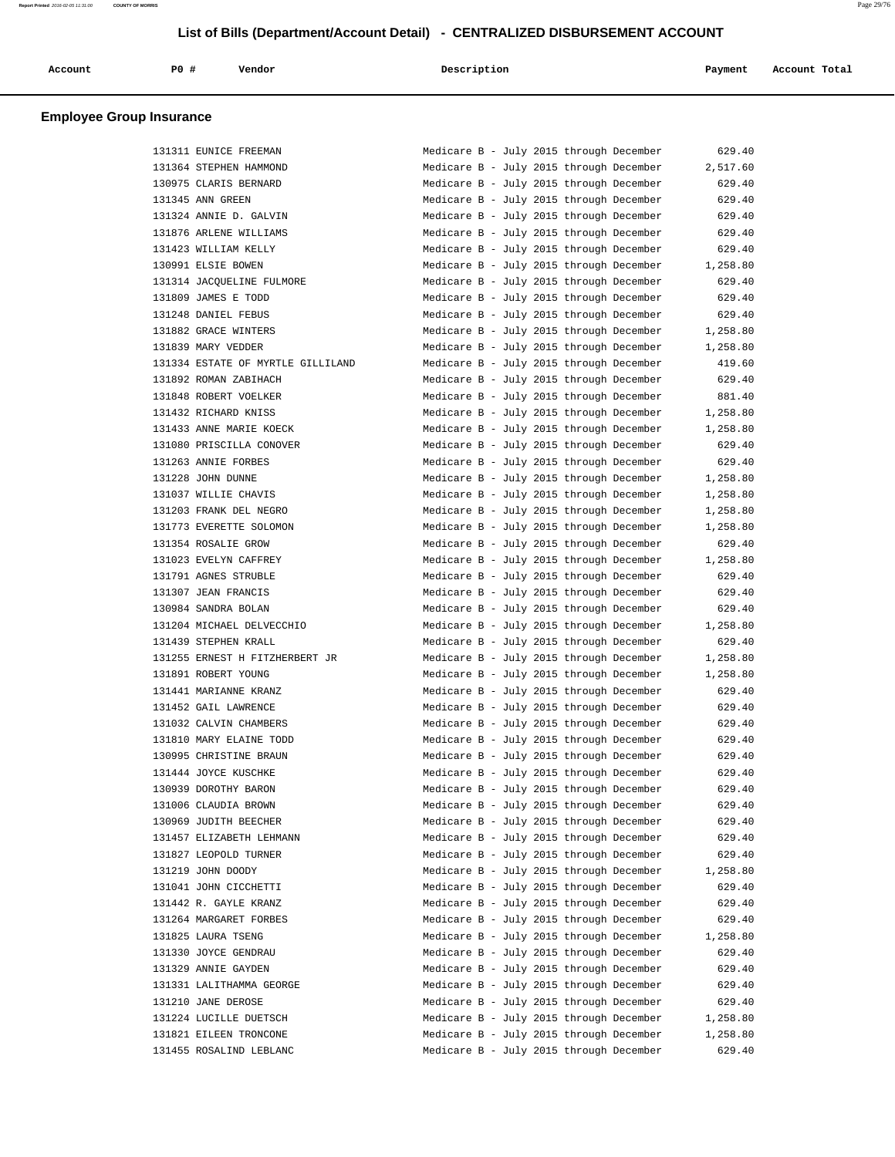| Account                         | PO#<br>Vendor          | Description                             | Payment  | Account Total |
|---------------------------------|------------------------|-----------------------------------------|----------|---------------|
| <b>Employee Group Insurance</b> |                        |                                         |          |               |
|                                 | 131311 EUNICE FREEMAN  | Medicare B - July 2015 through December | 629.40   |               |
|                                 | 131364 STEPHEN HAMMOND | Medicare B - July 2015 through December | 2,517.60 |               |

| 130975 CLARIS BERNARD                          | Medicare B - July 2015 through December<br>629.40   |
|------------------------------------------------|-----------------------------------------------------|
| 131345 ANN GREEN                               | Medicare B - July 2015 through December<br>629.40   |
| 131324 ANNIE D. GALVIN                         | Medicare B - July 2015 through December<br>629.40   |
| 131876 ARLENE WILLIAMS                         | Medicare B - July 2015 through December<br>629.40   |
| 131423 WILLIAM KELLY                           | Medicare B - July 2015 through December<br>629.40   |
| 130991 ELSIE BOWEN                             | Medicare B - July 2015 through December<br>1,258.80 |
| 131314 JACQUELINE FULMORE                      | Medicare B - July 2015 through December<br>629.40   |
| 131809 JAMES E TODD                            | Medicare B - July 2015 through December<br>629.40   |
| 131248 DANIEL FEBUS                            | Medicare B - July 2015 through December<br>629.40   |
| 131882 GRACE WINTERS                           | Medicare B - July 2015 through December<br>1,258.80 |
| 131839 MARY VEDDER                             | Medicare B - July 2015 through December<br>1,258.80 |
| 131334 ESTATE OF MYRTLE GILLILAND              | Medicare B - July 2015 through December<br>419.60   |
| 131892 ROMAN ZABIHACH                          | Medicare B - July 2015 through December<br>629.40   |
| 131848 ROBERT VOELKER                          | Medicare B - July 2015 through December<br>881.40   |
| 131432 RICHARD KNISS                           | Medicare B - July 2015 through December<br>1,258.80 |
| 131433 ANNE MARIE KOECK                        | Medicare B - July 2015 through December<br>1,258.80 |
| 131080 PRISCILLA CONOVER                       | Medicare B - July 2015 through December<br>629.40   |
| 131263 ANNIE FORBES                            | Medicare B - July 2015 through December<br>629.40   |
| 131228 JOHN DUNNE                              | Medicare B - July 2015 through December<br>1,258.80 |
| 131037 WILLIE CHAVIS                           | Medicare B - July 2015 through December<br>1,258.80 |
| 131203 FRANK DEL NEGRO                         | Medicare B - July 2015 through December<br>1,258.80 |
| 131773 EVERETTE SOLOMON                        | Medicare B - July 2015 through December<br>1,258.80 |
| 131354 ROSALIE GROW                            | 629.40<br>Medicare B - July 2015 through December   |
| 131023 EVELYN CAFFREY                          | Medicare B - July 2015 through December<br>1,258.80 |
| 131791 AGNES STRUBLE                           | Medicare B - July 2015 through December<br>629.40   |
| 131307 JEAN FRANCIS                            | Medicare B - July 2015 through December<br>629.40   |
| 130984 SANDRA BOLAN                            | Medicare B - July 2015 through December<br>629.40   |
| 131204 MICHAEL DELVECCHIO                      | Medicare B - July 2015 through December<br>1,258.80 |
| 131439 STEPHEN KRALL                           | Medicare B - July 2015 through December<br>629.40   |
| 131255 ERNEST H FITZHERBERT JR                 | Medicare B - July 2015 through December<br>1,258.80 |
| 131891 ROBERT YOUNG                            | Medicare B - July 2015 through December<br>1,258.80 |
| 131441 MARIANNE KRANZ                          | Medicare B - July 2015 through December<br>629.40   |
| 131452 GAIL LAWRENCE                           | Medicare B - July 2015 through December<br>629.40   |
| 131032 CALVIN CHAMBERS                         | Medicare B - July 2015 through December<br>629.40   |
| 131810 MARY ELAINE TODD                        | Medicare B - July 2015 through December<br>629.40   |
| 130995 CHRISTINE BRAUN                         | Medicare B - July 2015 through December<br>629.40   |
| 131444 JOYCE KUSCHKE                           | Medicare B - July 2015 through December<br>629.40   |
| 130939 DOROTHY BARON                           | Medicare B - July 2015 through December<br>629.40   |
| 131006 CLAUDIA BROWN                           | Medicare B - July 2015 through December<br>629.40   |
| 130969 JUDITH BEECHER                          | Medicare B - July 2015 through December<br>629.40   |
| 131457 ELIZABETH LEHMANN                       | Medicare B - July 2015 through December<br>629.40   |
| 131827 LEOPOLD TURNER                          | Medicare B - July 2015 through December<br>629.40   |
|                                                | Medicare B - July 2015 through December             |
| 131219 JOHN DOODY                              | 1,258.80                                            |
| 131041 JOHN CICCHETTI<br>131442 R. GAYLE KRANZ | Medicare B - July 2015 through December<br>629.40   |
|                                                | Medicare B - July 2015 through December<br>629.40   |
| 131264 MARGARET FORBES                         | Medicare B - July 2015 through December<br>629.40   |
| 131825 LAURA TSENG                             | Medicare B - July 2015 through December<br>1,258.80 |
| 131330 JOYCE GENDRAU                           | Medicare B - July 2015 through December<br>629.40   |
| 131329 ANNIE GAYDEN                            | Medicare B - July 2015 through December<br>629.40   |
| 131331 LALITHAMMA GEORGE                       | Medicare B - July 2015 through December<br>629.40   |
| 131210 JANE DEROSE                             | Medicare B - July 2015 through December<br>629.40   |
| 131224 LUCILLE DUETSCH                         | Medicare B - July 2015 through December<br>1,258.80 |
| 131821 EILEEN TRONCONE                         | Medicare B - July 2015 through December<br>1,258.80 |
| 131455 ROSALIND LEBLANC                        | Medicare B - July 2015 through December<br>629.40   |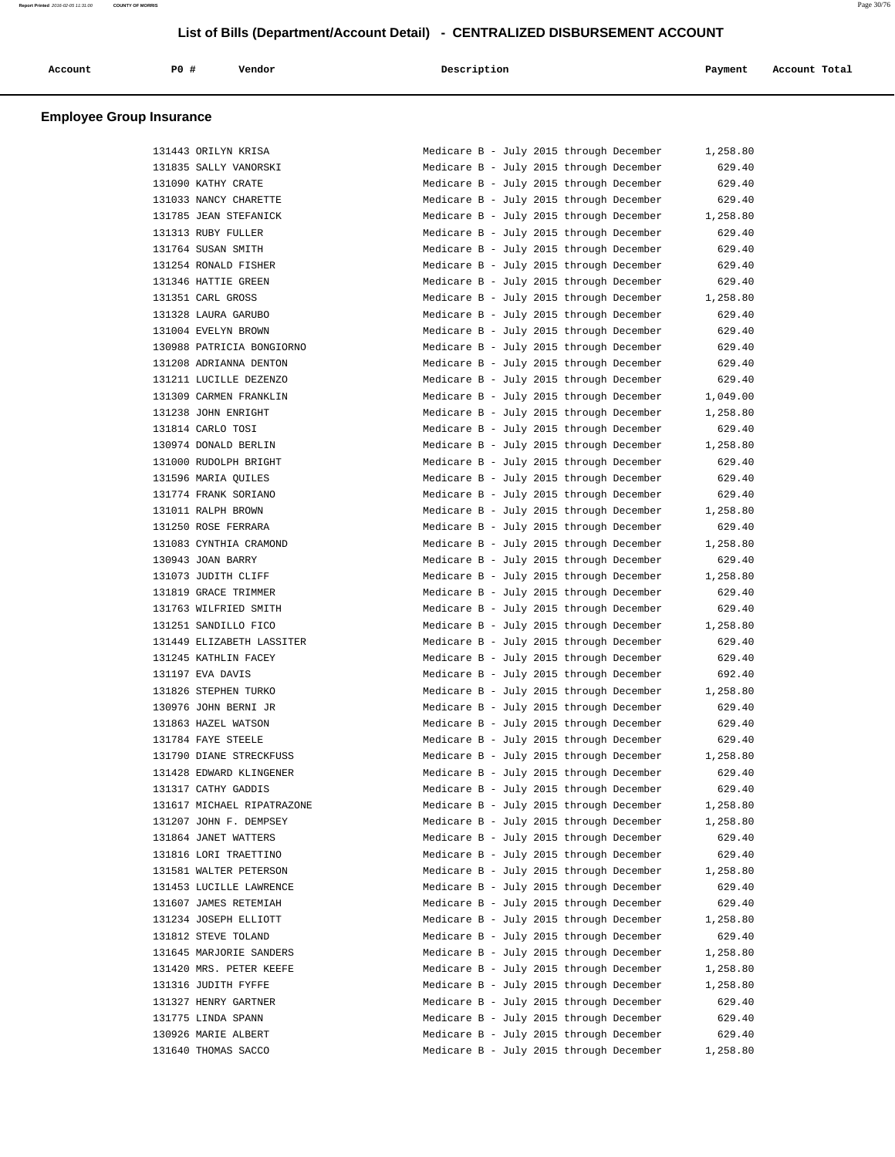| Account<br>. | P0 | Vendor | Description | Payment | Account Total<br>. |
|--------------|----|--------|-------------|---------|--------------------|
|              |    |        |             |         |                    |

| 131443 ORILYN KRISA        | Medicare B - July 2015 through December | 1,258.80 |
|----------------------------|-----------------------------------------|----------|
| 131835 SALLY VANORSKI      | Medicare B - July 2015 through December | 629.40   |
| 131090 KATHY CRATE         | Medicare B - July 2015 through December | 629.40   |
| 131033 NANCY CHARETTE      | Medicare B - July 2015 through December | 629.40   |
| 131785 JEAN STEFANICK      | Medicare B - July 2015 through December | 1,258.80 |
| 131313 RUBY FULLER         | Medicare B - July 2015 through December | 629.40   |
| 131764 SUSAN SMITH         | Medicare B - July 2015 through December | 629.40   |
| 131254 RONALD FISHER       | Medicare B - July 2015 through December | 629.40   |
| 131346 HATTIE GREEN        | Medicare B - July 2015 through December | 629.40   |
| 131351 CARL GROSS          | Medicare B - July 2015 through December | 1,258.80 |
| 131328 LAURA GARUBO        | Medicare B - July 2015 through December | 629.40   |
| 131004 EVELYN BROWN        | Medicare B - July 2015 through December | 629.40   |
| 130988 PATRICIA BONGIORNO  | Medicare B - July 2015 through December | 629.40   |
| 131208 ADRIANNA DENTON     | Medicare B - July 2015 through December | 629.40   |
| 131211 LUCILLE DEZENZO     | Medicare B - July 2015 through December | 629.40   |
| 131309 CARMEN FRANKLIN     | Medicare B - July 2015 through December | 1,049.00 |
| 131238 JOHN ENRIGHT        | Medicare B - July 2015 through December | 1,258.80 |
| 131814 CARLO TOSI          | Medicare B - July 2015 through December | 629.40   |
| 130974 DONALD BERLIN       | Medicare B - July 2015 through December | 1,258.80 |
| 131000 RUDOLPH BRIGHT      | Medicare B - July 2015 through December | 629.40   |
|                            | Medicare B - July 2015 through December |          |
| 131596 MARIA QUILES        |                                         | 629.40   |
| 131774 FRANK SORIANO       | Medicare B - July 2015 through December | 629.40   |
| 131011 RALPH BROWN         | Medicare B - July 2015 through December | 1,258.80 |
| 131250 ROSE FERRARA        | Medicare B - July 2015 through December | 629.40   |
| 131083 CYNTHIA CRAMOND     | Medicare B - July 2015 through December | 1,258.80 |
| 130943 JOAN BARRY          | Medicare B - July 2015 through December | 629.40   |
| 131073 JUDITH CLIFF        | Medicare B - July 2015 through December | 1,258.80 |
| 131819 GRACE TRIMMER       | Medicare B - July 2015 through December | 629.40   |
| 131763 WILFRIED SMITH      | Medicare B - July 2015 through December | 629.40   |
| 131251 SANDILLO FICO       | Medicare B - July 2015 through December | 1,258.80 |
| 131449 ELIZABETH LASSITER  | Medicare B - July 2015 through December | 629.40   |
| 131245 KATHLIN FACEY       | Medicare B - July 2015 through December | 629.40   |
| 131197 EVA DAVIS           | Medicare B - July 2015 through December | 692.40   |
| 131826 STEPHEN TURKO       | Medicare B - July 2015 through December | 1,258.80 |
| 130976 JOHN BERNI JR       | Medicare B - July 2015 through December | 629.40   |
| 131863 HAZEL WATSON        | Medicare B - July 2015 through December | 629.40   |
| 131784 FAYE STEELE         | Medicare B - July 2015 through December | 629.40   |
| 131790 DIANE STRECKFUSS    | Medicare B - July 2015 through December | 1,258.80 |
| 131428 EDWARD KLINGENER    | Medicare B - July 2015 through December | 629.40   |
| 131317 CATHY GADDIS        | Medicare B - July 2015 through December | 629.40   |
| 131617 MICHAEL RIPATRAZONE | Medicare B - July 2015 through December | 1,258.80 |
| 131207 JOHN F. DEMPSEY     | Medicare B - July 2015 through December | 1,258.80 |
| 131864 JANET WATTERS       | Medicare B - July 2015 through December | 629.40   |
| 131816 LORI TRAETTINO      | Medicare B - July 2015 through December | 629.40   |
| 131581 WALTER PETERSON     | Medicare B - July 2015 through December | 1,258.80 |
| 131453 LUCILLE LAWRENCE    | Medicare B - July 2015 through December | 629.40   |
| 131607 JAMES RETEMIAH      | Medicare B - July 2015 through December | 629.40   |
| 131234 JOSEPH ELLIOTT      | Medicare B - July 2015 through December | 1,258.80 |
| 131812 STEVE TOLAND        | Medicare B - July 2015 through December | 629.40   |
| 131645 MARJORIE SANDERS    | Medicare B - July 2015 through December |          |
|                            |                                         | 1,258.80 |
| 131420 MRS. PETER KEEFE    | Medicare B - July 2015 through December | 1,258.80 |
| 131316 JUDITH FYFFE        | Medicare B - July 2015 through December | 1,258.80 |
| 131327 HENRY GARTNER       | Medicare B - July 2015 through December | 629.40   |
| 131775 LINDA SPANN         | Medicare B - July 2015 through December | 629.40   |
| 130926 MARIE ALBERT        | Medicare B - July 2015 through December | 629.40   |
| 131640 THOMAS SACCO        | Medicare B - July 2015 through December | 1,258.80 |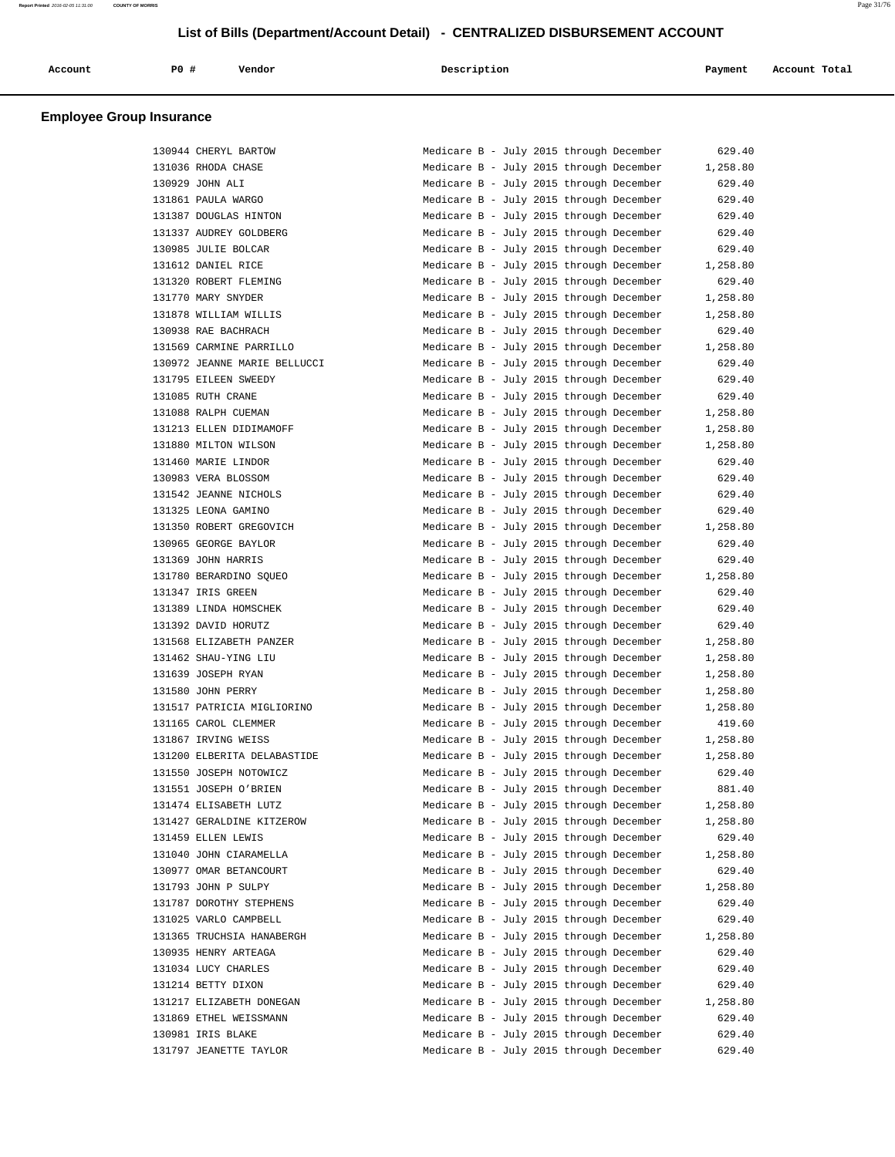| Account                         | <b>PO #</b> | Vendor | Description | Payment | Account Total |
|---------------------------------|-------------|--------|-------------|---------|---------------|
| <b>Employee Group Insurance</b> |             |        |             |         |               |

| 130944 CHERYL BARTOW         |  |  | Medicare B - July 2015 through December | 629.40   |
|------------------------------|--|--|-----------------------------------------|----------|
| 131036 RHODA CHASE           |  |  | Medicare B - July 2015 through December | 1,258.80 |
| 130929 JOHN ALI              |  |  | Medicare B - July 2015 through December | 629.40   |
| 131861 PAULA WARGO           |  |  | Medicare B - July 2015 through December | 629.40   |
| 131387 DOUGLAS HINTON        |  |  | Medicare B - July 2015 through December | 629.40   |
| 131337 AUDREY GOLDBERG       |  |  | Medicare B - July 2015 through December | 629.40   |
| 130985 JULIE BOLCAR          |  |  | Medicare B - July 2015 through December | 629.40   |
| 131612 DANIEL RICE           |  |  | Medicare B - July 2015 through December | 1,258.80 |
| 131320 ROBERT FLEMING        |  |  | Medicare B - July 2015 through December | 629.40   |
| 131770 MARY SNYDER           |  |  | Medicare B - July 2015 through December | 1,258.80 |
| 131878 WILLIAM WILLIS        |  |  | Medicare B - July 2015 through December | 1,258.80 |
| 130938 RAE BACHRACH          |  |  | Medicare B - July 2015 through December | 629.40   |
| 131569 CARMINE PARRILLO      |  |  | Medicare B - July 2015 through December | 1,258.80 |
| 130972 JEANNE MARIE BELLUCCI |  |  | Medicare B - July 2015 through December | 629.40   |
| 131795 EILEEN SWEEDY         |  |  | Medicare B - July 2015 through December | 629.40   |
| 131085 RUTH CRANE            |  |  | Medicare B - July 2015 through December | 629.40   |
| 131088 RALPH CUEMAN          |  |  | Medicare B - July 2015 through December | 1,258.80 |
| 131213 ELLEN DIDIMAMOFF      |  |  | Medicare B - July 2015 through December | 1,258.80 |
| 131880 MILTON WILSON         |  |  | Medicare B - July 2015 through December | 1,258.80 |
| 131460 MARIE LINDOR          |  |  | Medicare B - July 2015 through December | 629.40   |
| 130983 VERA BLOSSOM          |  |  | Medicare B - July 2015 through December | 629.40   |
| 131542 JEANNE NICHOLS        |  |  | Medicare B - July 2015 through December | 629.40   |
| 131325 LEONA GAMINO          |  |  | Medicare B - July 2015 through December | 629.40   |
| 131350 ROBERT GREGOVICH      |  |  | Medicare B - July 2015 through December | 1,258.80 |
| 130965 GEORGE BAYLOR         |  |  | Medicare B - July 2015 through December | 629.40   |
| 131369 JOHN HARRIS           |  |  | Medicare B - July 2015 through December | 629.40   |
| 131780 BERARDINO SQUEO       |  |  | Medicare B - July 2015 through December | 1,258.80 |
| 131347 IRIS GREEN            |  |  | Medicare B - July 2015 through December | 629.40   |
| 131389 LINDA HOMSCHEK        |  |  | Medicare B - July 2015 through December | 629.40   |
| 131392 DAVID HORUTZ          |  |  | Medicare B - July 2015 through December | 629.40   |
| 131568 ELIZABETH PANZER      |  |  | Medicare B - July 2015 through December | 1,258.80 |
| 131462 SHAU-YING LIU         |  |  | Medicare B - July 2015 through December | 1,258.80 |
| 131639 JOSEPH RYAN           |  |  | Medicare B - July 2015 through December | 1,258.80 |
| 131580 JOHN PERRY            |  |  | Medicare B - July 2015 through December | 1,258.80 |
| 131517 PATRICIA MIGLIORINO   |  |  | Medicare B - July 2015 through December | 1,258.80 |
| 131165 CAROL CLEMMER         |  |  | Medicare B - July 2015 through December | 419.60   |
| 131867 IRVING WEISS          |  |  | Medicare B - July 2015 through December | 1,258.80 |
| 131200 ELBERITA DELABASTIDE  |  |  | Medicare B - July 2015 through December | 1,258.80 |
| 131550 JOSEPH NOTOWICZ       |  |  | Medicare B - July 2015 through December | 629.40   |
| 131551 JOSEPH O'BRIEN        |  |  | Medicare B - July 2015 through December | 881.40   |
| 131474 ELISABETH LUTZ        |  |  | Medicare B - July 2015 through December | 1,258.80 |
| 131427 GERALDINE KITZEROW    |  |  | Medicare B - July 2015 through December | 1,258.80 |
| 131459 ELLEN LEWIS           |  |  | Medicare B - July 2015 through December | 629.40   |
| 131040 JOHN CIARAMELLA       |  |  | Medicare B - July 2015 through December | 1,258.80 |
| 130977 OMAR BETANCOURT       |  |  | Medicare B - July 2015 through December | 629.40   |
| 131793 JOHN P SULPY          |  |  | Medicare B - July 2015 through December | 1,258.80 |
| 131787 DOROTHY STEPHENS      |  |  | Medicare B - July 2015 through December | 629.40   |
| 131025 VARLO CAMPBELL        |  |  | Medicare B - July 2015 through December | 629.40   |
| 131365 TRUCHSIA HANABERGH    |  |  | Medicare B - July 2015 through December | 1,258.80 |
| 130935 HENRY ARTEAGA         |  |  | Medicare B - July 2015 through December | 629.40   |
| 131034 LUCY CHARLES          |  |  | Medicare B - July 2015 through December | 629.40   |
| 131214 BETTY DIXON           |  |  | Medicare B - July 2015 through December | 629.40   |
| 131217 ELIZABETH DONEGAN     |  |  | Medicare B - July 2015 through December | 1,258.80 |
| 131869 ETHEL WEISSMANN       |  |  | Medicare B - July 2015 through December | 629.40   |
| 130981 IRIS BLAKE            |  |  | Medicare B - July 2015 through December | 629.40   |
| 131797 JEANETTE TAYLOR       |  |  | Medicare B - July 2015 through December | 629.40   |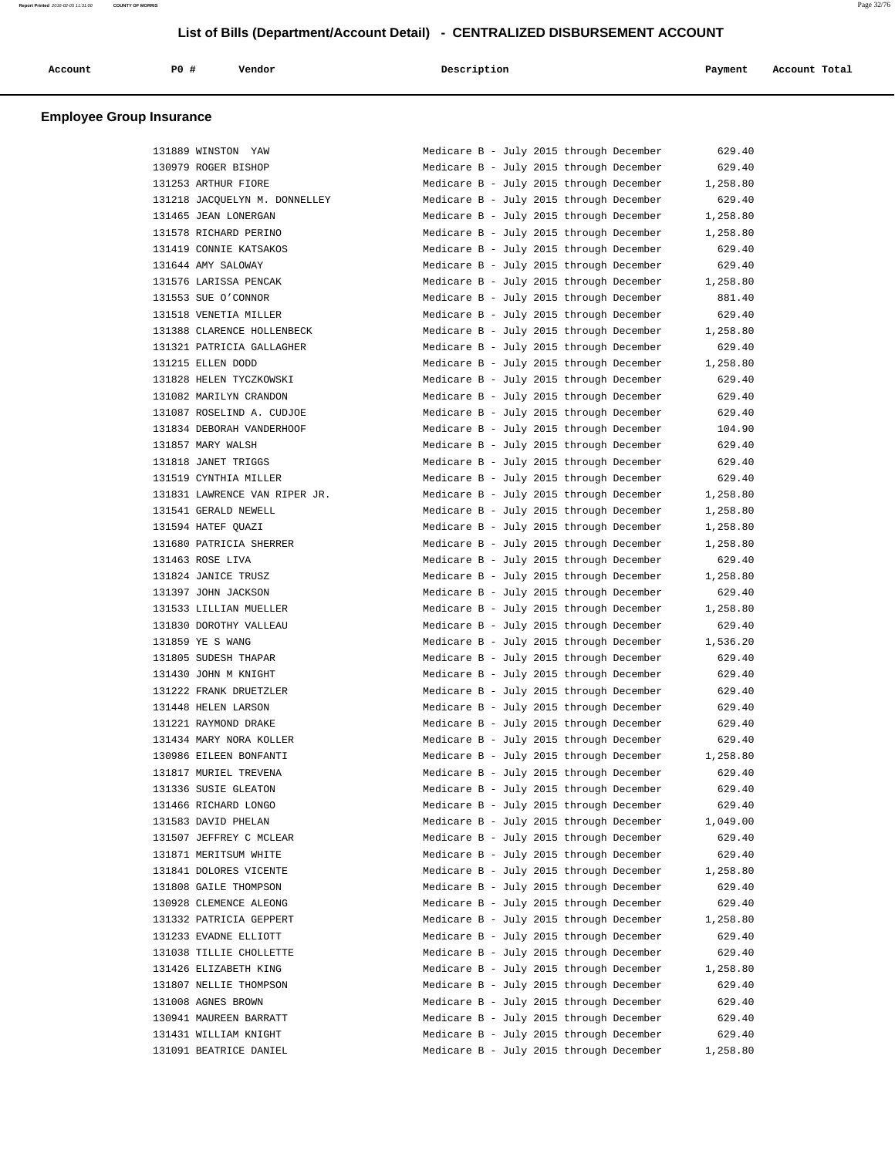| Account<br>. | P0 # | Vendor<br>. | Description | Payment | Account Total<br>. |
|--------------|------|-------------|-------------|---------|--------------------|
|              |      |             |             |         |                    |

| 131889 WINSTON YAW            | Medicare B - July 2015 through December | 629.40   |
|-------------------------------|-----------------------------------------|----------|
| 130979 ROGER BISHOP           | Medicare B - July 2015 through December | 629.40   |
| 131253 ARTHUR FIORE           |                                         |          |
|                               | Medicare B - July 2015 through December | 1,258.80 |
| 131218 JACQUELYN M. DONNELLEY | Medicare B - July 2015 through December | 629.40   |
| 131465 JEAN LONERGAN          | Medicare B - July 2015 through December | 1,258.80 |
| 131578 RICHARD PERINO         | Medicare B - July 2015 through December | 1,258.80 |
| 131419 CONNIE KATSAKOS        | Medicare B - July 2015 through December | 629.40   |
| 131644 AMY SALOWAY            | Medicare B - July 2015 through December | 629.40   |
| 131576 LARISSA PENCAK         | Medicare B - July 2015 through December | 1,258.80 |
| 131553 SUE O'CONNOR           | Medicare B - July 2015 through December | 881.40   |
| 131518 VENETIA MILLER         | Medicare B - July 2015 through December | 629.40   |
| 131388 CLARENCE HOLLENBECK    | Medicare B - July 2015 through December | 1,258.80 |
| 131321 PATRICIA GALLAGHER     | Medicare B - July 2015 through December | 629.40   |
| 131215 ELLEN DODD             | Medicare B - July 2015 through December | 1,258.80 |
| 131828 HELEN TYCZKOWSKI       | Medicare B - July 2015 through December | 629.40   |
| 131082 MARILYN CRANDON        | Medicare B - July 2015 through December | 629.40   |
| 131087 ROSELIND A. CUDJOE     | Medicare B - July 2015 through December | 629.40   |
|                               |                                         |          |
| 131834 DEBORAH VANDERHOOF     | Medicare B - July 2015 through December | 104.90   |
| 131857 MARY WALSH             | Medicare B - July 2015 through December | 629.40   |
| 131818 JANET TRIGGS           | Medicare B - July 2015 through December | 629.40   |
| 131519 CYNTHIA MILLER         | Medicare B - July 2015 through December | 629.40   |
| 131831 LAWRENCE VAN RIPER JR. | Medicare B - July 2015 through December | 1,258.80 |
| 131541 GERALD NEWELL          | Medicare B - July 2015 through December | 1,258.80 |
| 131594 HATEF OUAZI            | Medicare B - July 2015 through December | 1,258.80 |
| 131680 PATRICIA SHERRER       | Medicare B - July 2015 through December | 1,258.80 |
| 131463 ROSE LIVA              | Medicare B - July 2015 through December | 629.40   |
| 131824 JANICE TRUSZ           | Medicare B - July 2015 through December | 1,258.80 |
| 131397 JOHN JACKSON           | Medicare B - July 2015 through December | 629.40   |
| 131533 LILLIAN MUELLER        | Medicare B - July 2015 through December | 1,258.80 |
| 131830 DOROTHY VALLEAU        | Medicare B - July 2015 through December | 629.40   |
| 131859 YE S WANG              | Medicare B - July 2015 through December | 1,536.20 |
| 131805 SUDESH THAPAR          | Medicare B - July 2015 through December | 629.40   |
| 131430 JOHN M KNIGHT          | Medicare B - July 2015 through December | 629.40   |
| 131222 FRANK DRUETZLER        | Medicare B - July 2015 through December | 629.40   |
| 131448 HELEN LARSON           | Medicare B - July 2015 through December | 629.40   |
| 131221 RAYMOND DRAKE          | Medicare B - July 2015 through December | 629.40   |
| 131434 MARY NORA KOLLER       | Medicare B - July 2015 through December | 629.40   |
|                               |                                         | 1,258.80 |
| 130986 EILEEN BONFANTI        | Medicare B - July 2015 through December |          |
| 131817 MURIEL TREVENA         | Medicare B - July 2015 through December | 629.40   |
| 131336 SUSIE GLEATON          | Medicare B - July 2015 through December | 629.40   |
| 131466 RICHARD LONGO          | Medicare B - July 2015 through December | 629.40   |
| 131583 DAVID PHELAN           | Medicare B - July 2015 through December | 1,049.00 |
| 131507 JEFFREY C MCLEAR       | Medicare B - July 2015 through December | 629.40   |
| 131871 MERITSUM WHITE         | Medicare B - July 2015 through December | 629.40   |
| 131841 DOLORES VICENTE        | Medicare B - July 2015 through December | 1,258.80 |
| 131808 GAILE THOMPSON         | Medicare B - July 2015 through December | 629.40   |
| 130928 CLEMENCE ALEONG        | Medicare B - July 2015 through December | 629.40   |
| 131332 PATRICIA GEPPERT       | Medicare B - July 2015 through December | 1,258.80 |
| 131233 EVADNE ELLIOTT         | Medicare B - July 2015 through December | 629.40   |
| 131038 TILLIE CHOLLETTE       | Medicare B - July 2015 through December | 629.40   |
| 131426 ELIZABETH KING         | Medicare B - July 2015 through December | 1,258.80 |
| 131807 NELLIE THOMPSON        | Medicare B - July 2015 through December | 629.40   |
| 131008 AGNES BROWN            | Medicare B - July 2015 through December | 629.40   |
| 130941 MAUREEN BARRATT        | Medicare B - July 2015 through December | 629.40   |
| 131431 WILLIAM KNIGHT         | Medicare B - July 2015 through December | 629.40   |
| 131091 BEATRICE DANIEL        |                                         |          |
|                               | Medicare B - July 2015 through December | 1,258.80 |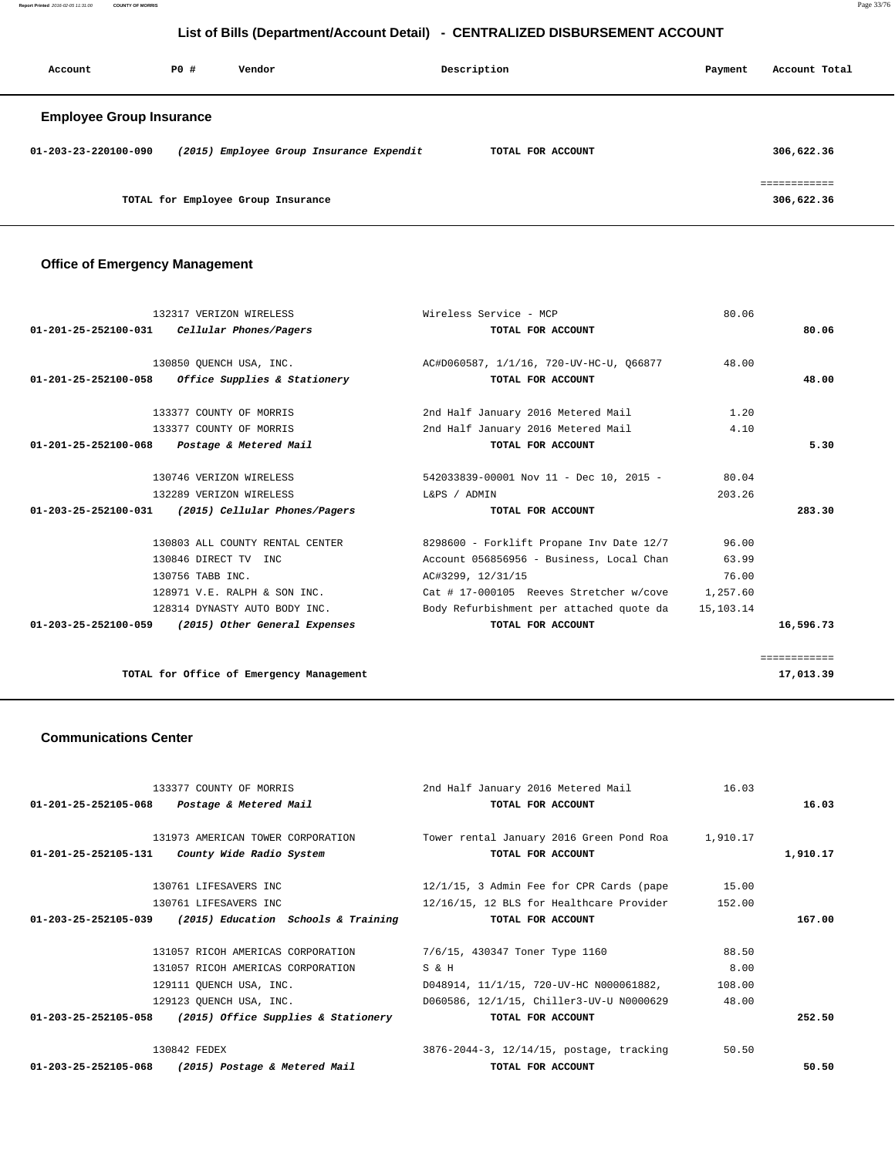**Report Printed** 2016-02-05 11:31:00 **COUNTY OF MORRIS** Page 33/76

## **List of Bills (Department/Account Detail) - CENTRALIZED DISBURSEMENT ACCOUNT**

| Account                         | PO# | Vendor                                   | Description       | Payment | Account Total              |
|---------------------------------|-----|------------------------------------------|-------------------|---------|----------------------------|
| <b>Employee Group Insurance</b> |     |                                          |                   |         |                            |
| $01 - 203 - 23 - 220100 - 090$  |     | (2015) Employee Group Insurance Expendit | TOTAL FOR ACCOUNT |         | 306,622.36                 |
|                                 |     | TOTAL for Employee Group Insurance       |                   |         | ============<br>306,622.36 |

## **Office of Emergency Management**

|                                                    | Wireless Service - MCP                   | 80.06     |                                                                                                                          |
|----------------------------------------------------|------------------------------------------|-----------|--------------------------------------------------------------------------------------------------------------------------|
| Cellular Phones/Pagers                             | TOTAL FOR ACCOUNT                        |           | 80.06                                                                                                                    |
| 130850 OUENCH USA, INC.                            |                                          | 48.00     |                                                                                                                          |
| Office Supplies & Stationery                       | TOTAL FOR ACCOUNT                        |           | 48.00                                                                                                                    |
| 133377 COUNTY OF MORRIS                            | 2nd Half January 2016 Metered Mail       | 1.20      |                                                                                                                          |
| 133377 COUNTY OF MORRIS                            | 2nd Half January 2016 Metered Mail       | 4.10      |                                                                                                                          |
| Postage & Metered Mail                             | TOTAL FOR ACCOUNT                        |           | 5.30                                                                                                                     |
| 130746 VERIZON WIRELESS                            | 542033839-00001 Nov 11 - Dec 10, 2015 -  | 80.04     |                                                                                                                          |
| 132289 VERIZON WIRELESS                            | L&PS / ADMIN                             | 203.26    |                                                                                                                          |
| (2015) Cellular Phones/Pagers                      | TOTAL FOR ACCOUNT                        |           | 283.30                                                                                                                   |
| 130803 ALL COUNTY RENTAL CENTER                    | 8298600 - Forklift Propane Inv Date 12/7 | 96.00     |                                                                                                                          |
| 130846 DIRECT TV INC                               | Account 056856956 - Business, Local Chan | 63.99     |                                                                                                                          |
| 130756 TABB INC.                                   | AC#3299, 12/31/15                        | 76.00     |                                                                                                                          |
| 128971 V.E. RALPH & SON INC.                       |                                          |           |                                                                                                                          |
| 128314 DYNASTY AUTO BODY INC.                      | Body Refurbishment per attached quote da | 15,103.14 |                                                                                                                          |
| 01-203-25-252100-059 (2015) Other General Expenses | TOTAL FOR ACCOUNT                        |           | 16,596.73                                                                                                                |
|                                                    |                                          |           | ============                                                                                                             |
|                                                    |                                          |           | 17,013.39                                                                                                                |
|                                                    | TOTAL for Office of Emergency Management |           | 132317 VERIZON WIRELESS<br>AC#D060587, 1/1/16, 720-UV-HC-U, 066877<br>Cat # 17-000105 Reeves Stretcher w/cove $1,257.60$ |

### **Communications Center**

| 133377 COUNTY OF MORRIS                                    | 2nd Half January 2016 Metered Mail                | 16.03  |          |
|------------------------------------------------------------|---------------------------------------------------|--------|----------|
| 01-201-25-252105-068 Postage & Metered Mail                | TOTAL FOR ACCOUNT                                 |        | 16.03    |
|                                                            |                                                   |        |          |
| 131973 AMERICAN TOWER CORPORATION                          | Tower rental January 2016 Green Pond Roa 1,910.17 |        |          |
| $01-201-25-252105-131$ County Wide Radio System            | TOTAL FOR ACCOUNT                                 |        | 1,910.17 |
| 130761 LIFESAVERS INC                                      | $12/1/15$ , 3 Admin Fee for CPR Cards (pape 15.00 |        |          |
| 130761 LIFESAVERS INC                                      | 12/16/15, 12 BLS for Healthcare Provider          | 152.00 |          |
| $01-203-25-252105-039$ (2015) Education Schools & Training | TOTAL FOR ACCOUNT                                 |        | 167.00   |
| 131057 RICOH AMERICAS CORPORATION                          | 7/6/15, 430347 Toner Type 1160                    | 88.50  |          |
|                                                            |                                                   |        |          |
| 131057 RICOH AMERICAS CORPORATION                          | S & H                                             | 8.00   |          |
| 129111 QUENCH USA, INC.                                    | D048914, 11/1/15, 720-UV-HC N000061882,           | 108.00 |          |
| 129123 OUENCH USA, INC.                                    | D060586, 12/1/15, Chiller3-UV-U N0000629          | 48.00  |          |
| $01-203-25-252105-058$ (2015) Office Supplies & Stationery | TOTAL FOR ACCOUNT                                 |        | 252.50   |
| 130842 FEDEX                                               | 3876-2044-3, 12/14/15, postage, tracking          | 50.50  |          |
| 01-203-25-252105-068 (2015) Postage & Metered Mail         | TOTAL FOR ACCOUNT                                 |        | 50.50    |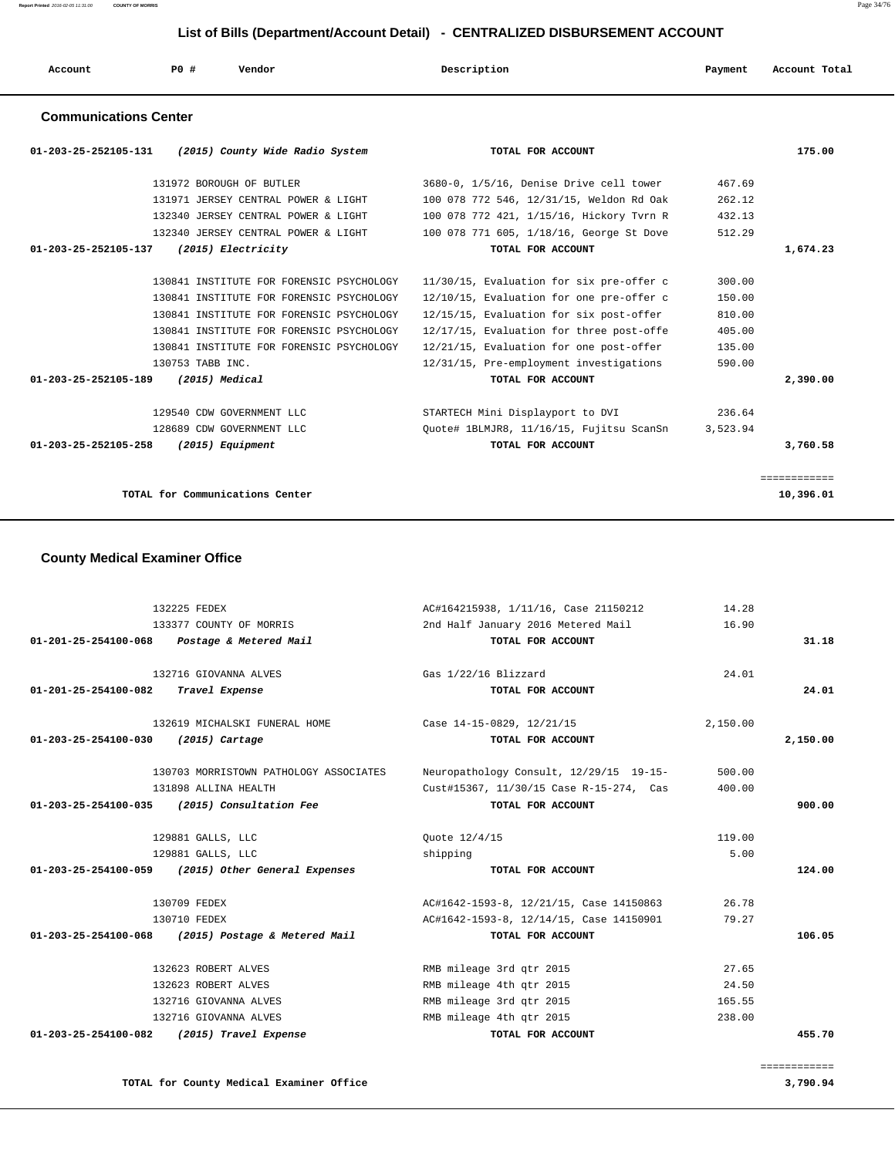## **List of Bills (Department/Account Detail) - CENTRALIZED DISBURSEMENT ACCOUNT**

| Account | P <sub>0</sub> | Vendor | Description | Payment | Account Total |
|---------|----------------|--------|-------------|---------|---------------|
|         |                |        |             |         |               |

## **Communications Center**

| (2015) County Wide Radio System<br>01-203-25-252105-131 | TOTAL FOR ACCOUNT                        | 175.00       |
|---------------------------------------------------------|------------------------------------------|--------------|
| 131972 BOROUGH OF BUTLER                                | 3680-0, 1/5/16, Denise Drive cell tower  | 467.69       |
| 131971 JERSEY CENTRAL POWER & LIGHT                     | 100 078 772 546, 12/31/15, Weldon Rd Oak | 262.12       |
| 132340 JERSEY CENTRAL POWER & LIGHT                     | 100 078 772 421, 1/15/16, Hickory Tyrn R | 432.13       |
| 132340 JERSEY CENTRAL POWER & LIGHT                     | 100 078 771 605, 1/18/16, George St Dove | 512.29       |
| 01-203-25-252105-137<br>(2015) Electricity              | TOTAL FOR ACCOUNT                        | 1,674.23     |
| 130841 INSTITUTE FOR FORENSIC PSYCHOLOGY                | 11/30/15, Evaluation for six pre-offer c | 300.00       |
| 130841 INSTITUTE FOR FORENSIC PSYCHOLOGY                | 12/10/15, Evaluation for one pre-offer c | 150.00       |
| 130841 INSTITUTE FOR FORENSIC PSYCHOLOGY                | 12/15/15, Evaluation for six post-offer  | 810.00       |
| 130841 INSTITUTE FOR FORENSIC PSYCHOLOGY                | 12/17/15, Evaluation for three post-offe | 405.00       |
| 130841 INSTITUTE FOR FORENSIC PSYCHOLOGY                | 12/21/15, Evaluation for one post-offer  | 135.00       |
| 130753 TABB INC.                                        | 12/31/15, Pre-employment investigations  | 590.00       |
| $01 - 203 - 25 - 252105 - 189$<br>(2015) Medical        | TOTAL FOR ACCOUNT                        | 2,390.00     |
| 129540 CDW GOVERNMENT LLC                               | STARTECH Mini Displayport to DVI         | 236.64       |
| 128689 CDW GOVERNMENT LLC                               | Ouote# 1BLMJR8, 11/16/15, Fujitsu ScanSn | 3,523.94     |
| $01 - 203 - 25 - 252105 - 258$<br>(2015) Equipment      | TOTAL FOR ACCOUNT                        | 3,760.58     |
|                                                         |                                          | ============ |
| TOTAL for Communications Center                         |                                          | 10,396.01    |

### **County Medical Examiner Office**

|          | 14.28    | AC#164215938, 1/11/16, Case 21150212    | 132225 FEDEX                                       |                                            |  |
|----------|----------|-----------------------------------------|----------------------------------------------------|--------------------------------------------|--|
|          | 16.90    | 2nd Half January 2016 Metered Mail      | 133377 COUNTY OF MORRIS                            |                                            |  |
| 31.18    |          | TOTAL FOR ACCOUNT                       | Postage & Metered Mail                             | $01 - 201 - 25 - 254100 - 068$             |  |
|          | 24.01    | Gas 1/22/16 Blizzard                    | 132716 GIOVANNA ALVES                              |                                            |  |
| 24.01    |          | TOTAL FOR ACCOUNT                       |                                                    | 01-201-25-254100-082 Travel Expense        |  |
|          | 2,150.00 | Case 14-15-0829, 12/21/15               | 132619 MICHALSKI FUNERAL HOME                      |                                            |  |
| 2,150.00 |          | TOTAL FOR ACCOUNT                       | $(2015)$ Cartage                                   | $01 - 203 - 25 - 254100 - 030$             |  |
|          | 500.00   | Neuropathology Consult, 12/29/15 19-15- | 130703 MORRISTOWN PATHOLOGY ASSOCIATES             |                                            |  |
|          | 400.00   | Cust#15367, 11/30/15 Case R-15-274, Cas | 131898 ALLINA HEALTH                               |                                            |  |
| 900.00   |          | TOTAL FOR ACCOUNT                       | 01-203-25-254100-035 (2015) Consultation Fee       |                                            |  |
|          | 119.00   | Ouote 12/4/15                           | 129881 GALLS, LLC                                  |                                            |  |
|          | 5.00     | shipping                                | 129881 GALLS, LLC                                  |                                            |  |
| 124.00   |          | TOTAL FOR ACCOUNT                       | 01-203-25-254100-059 (2015) Other General Expenses |                                            |  |
|          | 26.78    | AC#1642-1593-8, 12/21/15, Case 14150863 | 130709 FEDEX                                       |                                            |  |
|          | 79.27    | AC#1642-1593-8, 12/14/15, Case 14150901 | 130710 FEDEX                                       |                                            |  |
| 106.05   |          | TOTAL FOR ACCOUNT                       | (2015) Postage & Metered Mail                      | 01-203-25-254100-068                       |  |
|          | 27.65    | RMB mileage 3rd gtr 2015                | 132623 ROBERT ALVES                                |                                            |  |
|          | 24.50    | RMB mileage 4th gtr 2015                | 132623 ROBERT ALVES                                |                                            |  |
|          | 165.55   | RMB mileage 3rd gtr 2015                | 132716 GIOVANNA ALVES                              |                                            |  |
|          | 238.00   | RMB mileage 4th gtr 2015                | 132716 GIOVANNA ALVES                              |                                            |  |
| 455.70   |          | TOTAL FOR ACCOUNT                       |                                                    | 01-203-25-254100-082 (2015) Travel Expense |  |

**TOTAL for County Medical Examiner Office 3,790.94**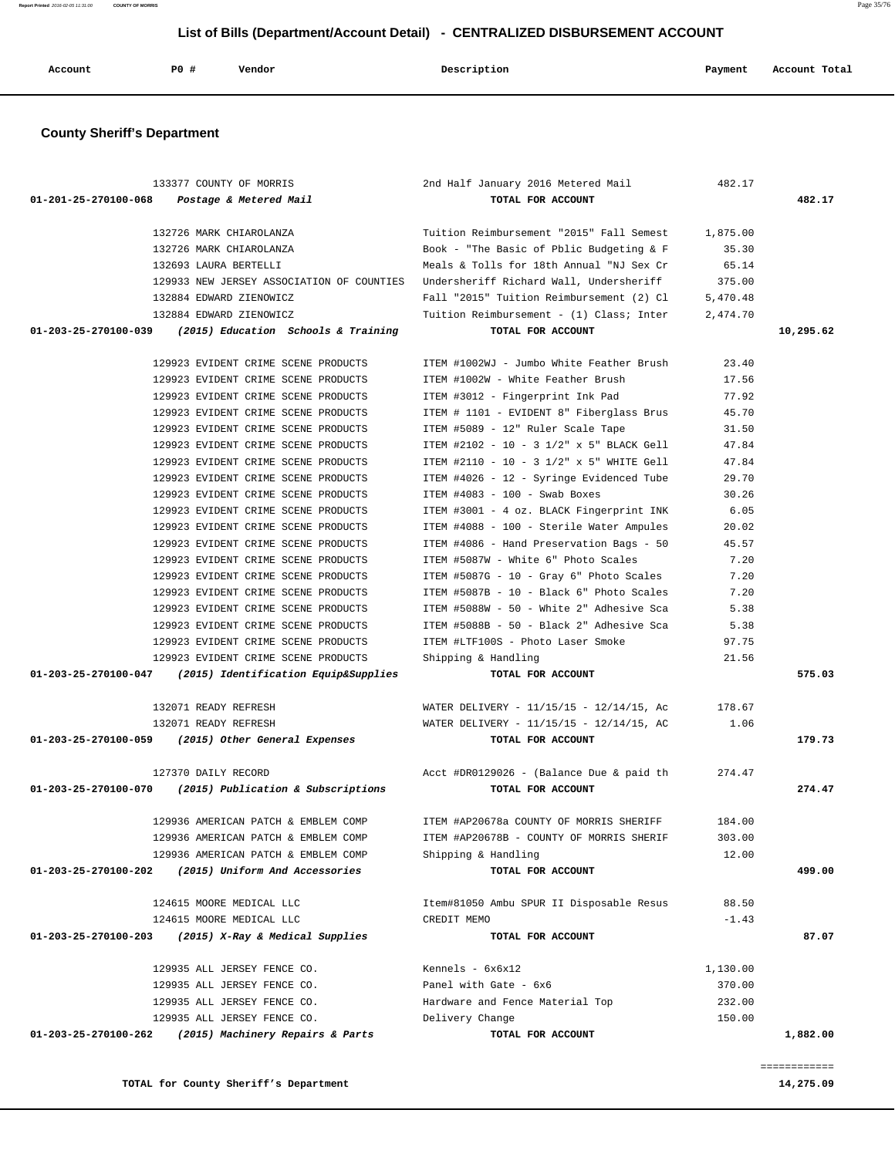**TOTAL for County Sheriff's Department 14,275.09**

============

|           | 482.17           | 2nd Half January 2016 Metered Mail                                                        | 133377 COUNTY OF MORRIS                                                                |
|-----------|------------------|-------------------------------------------------------------------------------------------|----------------------------------------------------------------------------------------|
| 482.17    |                  | TOTAL FOR ACCOUNT                                                                         | 01-201-25-270100-068<br>Postage & Metered Mail                                         |
|           | 1,875.00         | Tuition Reimbursement "2015" Fall Semest                                                  | 132726 MARK CHIAROLANZA                                                                |
|           | 35.30            | Book - "The Basic of Pblic Budgeting & F                                                  | 132726 MARK CHIAROLANZA                                                                |
|           | 65.14            | Meals & Tolls for 18th Annual "NJ Sex Cr                                                  | 132693 LAURA BERTELLI                                                                  |
|           | 375.00           | Undersheriff Richard Wall, Undersheriff                                                   | 129933 NEW JERSEY ASSOCIATION OF COUNTIES                                              |
|           | 5,470.48         | Fall "2015" Tuition Reimbursement (2) Cl                                                  | 132884 EDWARD ZIENOWICZ                                                                |
| 10,295.62 | 2,474.70         | Tuition Reimbursement - (1) Class; Inter<br>TOTAL FOR ACCOUNT                             | 132884 EDWARD ZIENOWICZ<br>01-203-25-270100-039<br>(2015) Education Schools & Training |
|           |                  |                                                                                           |                                                                                        |
|           | 23.40            | ITEM #1002WJ - Jumbo White Feather Brush                                                  | 129923 EVIDENT CRIME SCENE PRODUCTS                                                    |
|           | 17.56            | ITEM #1002W - White Feather Brush                                                         | 129923 EVIDENT CRIME SCENE PRODUCTS                                                    |
|           | 77.92            | ITEM #3012 - Fingerprint Ink Pad                                                          | 129923 EVIDENT CRIME SCENE PRODUCTS                                                    |
|           | 45.70            | ITEM # 1101 - EVIDENT 8" Fiberglass Brus                                                  | 129923 EVIDENT CRIME SCENE PRODUCTS                                                    |
|           | 31.50            | ITEM #5089 - 12" Ruler Scale Tape                                                         | 129923 EVIDENT CRIME SCENE PRODUCTS                                                    |
|           | 47.84            | ITEM #2102 - 10 - 3 1/2" x 5" BLACK Gell                                                  | 129923 EVIDENT CRIME SCENE PRODUCTS                                                    |
|           | 47.84            | ITEM #2110 - 10 - 3 1/2" x 5" WHITE Gell                                                  | 129923 EVIDENT CRIME SCENE PRODUCTS                                                    |
|           | 29.70            | ITEM #4026 - 12 - Syringe Evidenced Tube                                                  | 129923 EVIDENT CRIME SCENE PRODUCTS                                                    |
|           | 30.26            | ITEM #4083 - 100 - Swab Boxes                                                             | 129923 EVIDENT CRIME SCENE PRODUCTS                                                    |
|           | 6.05             | ITEM #3001 - 4 oz. BLACK Fingerprint INK                                                  | 129923 EVIDENT CRIME SCENE PRODUCTS                                                    |
|           | 20.02            | ITEM #4088 - 100 - Sterile Water Ampules                                                  | 129923 EVIDENT CRIME SCENE PRODUCTS                                                    |
|           | 45.57            | ITEM #4086 - Hand Preservation Bags - 50                                                  | 129923 EVIDENT CRIME SCENE PRODUCTS                                                    |
|           | 7.20             | ITEM #5087W - White 6" Photo Scales                                                       | 129923 EVIDENT CRIME SCENE PRODUCTS                                                    |
|           | 7.20             | ITEM #5087G - 10 - Gray 6" Photo Scales                                                   | 129923 EVIDENT CRIME SCENE PRODUCTS                                                    |
|           | 7.20             | ITEM #5087B - 10 - Black 6" Photo Scales                                                  | 129923 EVIDENT CRIME SCENE PRODUCTS                                                    |
|           | 5.38             | ITEM #5088W - 50 - White 2" Adhesive Sca                                                  | 129923 EVIDENT CRIME SCENE PRODUCTS                                                    |
|           | 5.38             | ITEM #5088B - 50 - Black 2" Adhesive Sca                                                  | 129923 EVIDENT CRIME SCENE PRODUCTS                                                    |
|           | 97.75<br>21.56   | ITEM #LTF100S - Photo Laser Smoke                                                         | 129923 EVIDENT CRIME SCENE PRODUCTS<br>129923 EVIDENT CRIME SCENE PRODUCTS             |
| 575.03    |                  | Shipping & Handling<br>TOTAL FOR ACCOUNT                                                  | 01-203-25-270100-047<br>(2015) Identification Equip&Supplies                           |
|           |                  |                                                                                           |                                                                                        |
|           | 178.67<br>1.06   | WATER DELIVERY - $11/15/15$ - $12/14/15$ , Ac<br>WATER DELIVERY - 11/15/15 - 12/14/15, AC | 132071 READY REFRESH<br>132071 READY REFRESH                                           |
| 179.73    |                  | TOTAL FOR ACCOUNT                                                                         | 01-203-25-270100-059 (2015) Other General Expenses                                     |
|           |                  |                                                                                           |                                                                                        |
|           | 274.47           |                                                                                           |                                                                                        |
|           |                  | Acct #DR0129026 - (Balance Due & paid th                                                  | 127370 DAILY RECORD                                                                    |
| 274.47    |                  | TOTAL FOR ACCOUNT                                                                         | 01-203-25-270100-070<br>(2015) Publication & Subscriptions                             |
|           | 184.00           | ITEM #AP20678a COUNTY OF MORRIS SHERIFF                                                   | 129936 AMERICAN PATCH & EMBLEM COMP                                                    |
|           | 303.00           | ITEM #AP20678B - COUNTY OF MORRIS SHERIF                                                  | 129936 AMERICAN PATCH & EMBLEM COMP                                                    |
|           | 12.00            | Shipping & Handling                                                                       | 129936 AMERICAN PATCH & EMBLEM COMP                                                    |
| 499.00    |                  | TOTAL FOR ACCOUNT                                                                         | (2015) Uniform And Accessories<br>01-203-25-270100-202                                 |
|           | 88.50            | Item#81050 Ambu SPUR II Disposable Resus                                                  | 124615 MOORE MEDICAL LLC                                                               |
|           | $-1.43$          | CREDIT MEMO                                                                               | 124615 MOORE MEDICAL LLC                                                               |
| 87.07     |                  | TOTAL FOR ACCOUNT                                                                         | (2015) X-Ray & Medical Supplies<br>01-203-25-270100-203                                |
|           |                  |                                                                                           | 129935 ALL JERSEY FENCE CO.                                                            |
|           | 1,130.00         | Kennels - 6x6x12                                                                          |                                                                                        |
|           | 370.00           | Panel with Gate - 6x6                                                                     | 129935 ALL JERSEY FENCE CO.                                                            |
|           | 232.00<br>150.00 | Hardware and Fence Material Top<br>Delivery Change                                        | 129935 ALL JERSEY FENCE CO.<br>129935 ALL JERSEY FENCE CO.                             |

 **List of Bills (Department/Account Detail) - CENTRALIZED DISBURSEMENT ACCOUNT**

 **Account P0 # Vendor Description Payment Account Total**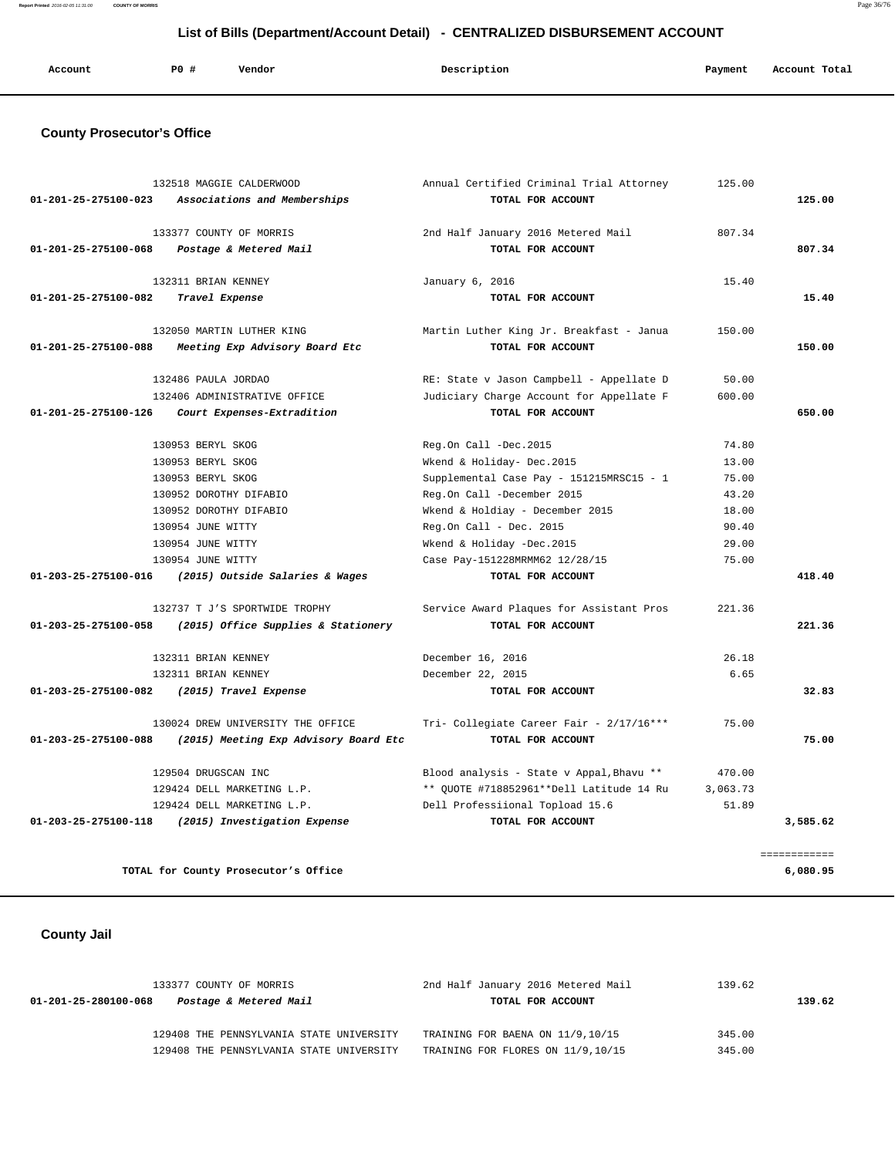**List of Bills (Department/Account Detail) - CENTRALIZED DISBURSEMENT ACCOUNT**

| Account<br>. | P0 # | Vendor<br>. | Description | Payment | Account Total |
|--------------|------|-------------|-------------|---------|---------------|
|              |      |             |             |         |               |

## **County Prosecutor's Office**

|                      | 132518 MAGGIE CALDERWOOD                          | Annual Certified Criminal Trial Attorney | 125.00   |              |
|----------------------|---------------------------------------------------|------------------------------------------|----------|--------------|
|                      | 01-201-25-275100-023 Associations and Memberships | TOTAL FOR ACCOUNT                        |          | 125.00       |
|                      | 133377 COUNTY OF MORRIS                           | 2nd Half January 2016 Metered Mail       | 807.34   |              |
| 01-201-25-275100-068 | Postage & Metered Mail                            | TOTAL FOR ACCOUNT                        |          | 807.34       |
|                      | 132311 BRIAN KENNEY                               | January 6, 2016                          | 15.40    |              |
| 01-201-25-275100-082 | Travel Expense                                    | TOTAL FOR ACCOUNT                        |          | 15.40        |
|                      | 132050 MARTIN LUTHER KING                         | Martin Luther King Jr. Breakfast - Janua | 150.00   |              |
| 01-201-25-275100-088 | Meeting Exp Advisory Board Etc                    | TOTAL FOR ACCOUNT                        |          | 150.00       |
|                      | 132486 PAULA JORDAO                               | RE: State v Jason Campbell - Appellate D | 50.00    |              |
|                      | 132406 ADMINISTRATIVE OFFICE                      | Judiciary Charge Account for Appellate F | 600.00   |              |
| 01-201-25-275100-126 | Court Expenses-Extradition                        | TOTAL FOR ACCOUNT                        |          | 650.00       |
|                      | 130953 BERYL SKOG                                 | Reg.On Call -Dec.2015                    | 74.80    |              |
|                      | 130953 BERYL SKOG                                 | Wkend & Holiday- Dec.2015                | 13.00    |              |
|                      | 130953 BERYL SKOG                                 | Supplemental Case Pay - 151215MRSC15 - 1 | 75.00    |              |
|                      | 130952 DOROTHY DIFABIO                            | Reg.On Call -December 2015               | 43.20    |              |
|                      | 130952 DOROTHY DIFABIO                            | Wkend & Holdiay - December 2015          | 18.00    |              |
| 130954 JUNE WITTY    |                                                   | $Reg. On Call - Dec. 2015$               | 90.40    |              |
| 130954 JUNE WITTY    |                                                   | Wkend & Holiday -Dec.2015                | 29.00    |              |
|                      | 130954 JUNE WITTY                                 | Case Pay-151228MRMM62 12/28/15           | 75.00    |              |
| 01-203-25-275100-016 | (2015) Outside Salaries & Wages                   | TOTAL FOR ACCOUNT                        |          | 418.40       |
|                      | 132737 T J'S SPORTWIDE TROPHY                     | Service Award Plaques for Assistant Pros | 221.36   |              |
| 01-203-25-275100-058 | (2015) Office Supplies & Stationery               | TOTAL FOR ACCOUNT                        |          | 221.36       |
|                      | 132311 BRIAN KENNEY                               | December 16, 2016                        | 26.18    |              |
|                      | 132311 BRIAN KENNEY                               | December 22, 2015                        | 6.65     |              |
| 01-203-25-275100-082 | (2015) Travel Expense                             | TOTAL FOR ACCOUNT                        |          | 32.83        |
|                      | 130024 DREW UNIVERSITY THE OFFICE                 | Tri- Collegiate Career Fair - 2/17/16*** | 75.00    |              |
| 01-203-25-275100-088 | (2015) Meeting Exp Advisory Board Etc             | TOTAL FOR ACCOUNT                        |          | 75.00        |
|                      | 129504 DRUGSCAN INC                               | Blood analysis - State v Appal, Bhavu ** | 470.00   |              |
|                      | 129424 DELL MARKETING L.P.                        | ** QUOTE #718852961**Dell Latitude 14 Ru | 3,063.73 |              |
|                      | 129424 DELL MARKETING L.P.                        | Dell Professiional Topload 15.6          | 51.89    |              |
|                      | 01-203-25-275100-118 (2015) Investigation Expense | TOTAL FOR ACCOUNT                        |          | 3,585.62     |
|                      |                                                   |                                          |          | ============ |
|                      | TOTAL for County Prosecutor's Office              |                                          |          | 6,080.95     |

## **County Jail**

| 133377 COUNTY OF MORRIS |                                          | 2nd Half January 2016 Metered Mail | 139.62 |  |  |
|-------------------------|------------------------------------------|------------------------------------|--------|--|--|
| 01-201-25-280100-068    | Postage & Metered Mail                   | TOTAL FOR ACCOUNT                  | 139.62 |  |  |
|                         | 129408 THE PENNSYLVANIA STATE UNIVERSITY | TRAINING FOR BAENA ON 11/9,10/15   | 345.00 |  |  |
|                         | 129408 THE PENNSYLVANIA STATE UNIVERSITY | TRAINING FOR FLORES ON 11/9,10/15  | 345.00 |  |  |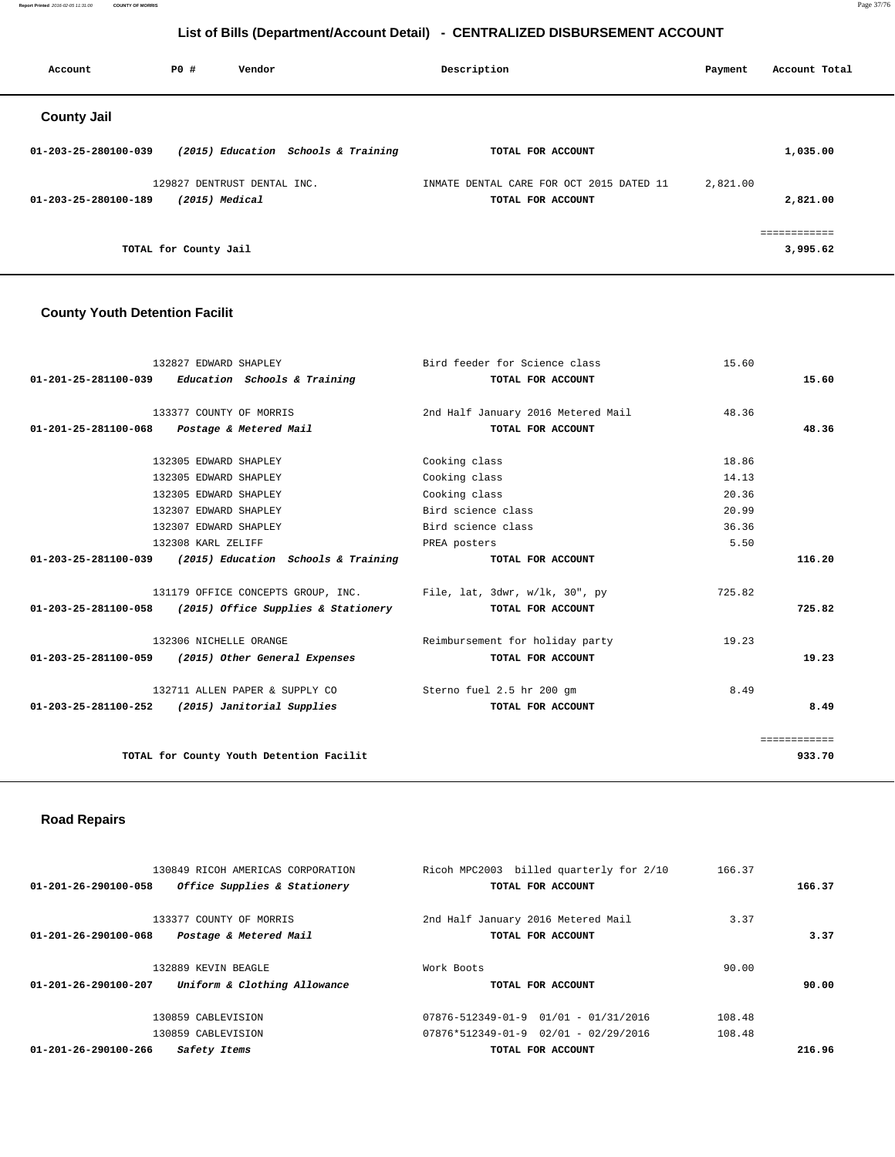**Report Printed** 2016-02-05 11:31:00 **COUNTY OF MORRIS** Page 37/76

### **List of Bills (Department/Account Detail) - CENTRALIZED DISBURSEMENT ACCOUNT**

| Account              | PO#                   | Vendor                                          |                                     | Description                                                   | Payment  | Account Total            |
|----------------------|-----------------------|-------------------------------------------------|-------------------------------------|---------------------------------------------------------------|----------|--------------------------|
| <b>County Jail</b>   |                       |                                                 |                                     |                                                               |          |                          |
| 01-203-25-280100-039 |                       |                                                 | (2015) Education Schools & Training | TOTAL FOR ACCOUNT                                             |          | 1,035.00                 |
| 01-203-25-280100-189 |                       | 129827 DENTRUST DENTAL INC.<br>$(2015)$ Medical |                                     | INMATE DENTAL CARE FOR OCT 2015 DATED 11<br>TOTAL FOR ACCOUNT | 2,821.00 | 2,821.00                 |
|                      | TOTAL for County Jail |                                                 |                                     |                                                               |          | ============<br>3,995.62 |

### **County Youth Detention Facilit**

| 132827 EDWARD SHAPLEY                                             | Bird feeder for Science class      | 15.60        |
|-------------------------------------------------------------------|------------------------------------|--------------|
| 01-201-25-281100-039 Education Schools & Training                 | TOTAL FOR ACCOUNT                  | 15.60        |
|                                                                   |                                    |              |
| 133377 COUNTY OF MORRIS                                           | 2nd Half January 2016 Metered Mail | 48.36        |
| 01-201-25-281100-068 Postage & Metered Mail                       | TOTAL FOR ACCOUNT                  | 48.36        |
|                                                                   |                                    |              |
| 132305 EDWARD SHAPLEY                                             | Cooking class                      | 18.86        |
| 132305 EDWARD SHAPLEY                                             | Cooking class                      | 14.13        |
| 132305 EDWARD SHAPLEY                                             | Cooking class                      | 20.36        |
| 132307 EDWARD SHAPLEY                                             | Bird science class                 | 20.99        |
| 132307 EDWARD SHAPLEY                                             | Bird science class                 | 36.36        |
| 132308 KARL ZELIFF                                                | PREA posters                       | 5.50         |
| 01-203-25-281100-039 (2015) Education Schools & Training          | TOTAL FOR ACCOUNT                  | 116.20       |
|                                                                   |                                    |              |
| 131179 OFFICE CONCEPTS GROUP, INC. File, lat, 3dwr, w/lk, 30", py |                                    | 725.82       |
| $01-203-25-281100-058$ (2015) Office Supplies & Stationery        | TOTAL FOR ACCOUNT                  | 725.82       |
| 132306 NICHELLE ORANGE                                            | Reimbursement for holiday party    | 19.23        |
|                                                                   |                                    |              |
| 01-203-25-281100-059 (2015) Other General Expenses                | TOTAL FOR ACCOUNT                  | 19.23        |
| 132711 ALLEN PAPER & SUPPLY CO                                    | Sterno fuel 2.5 hr 200 gm          | 8.49         |
| $01 - 203 - 25 - 281100 - 252$ (2015) Janitorial Supplies         | TOTAL FOR ACCOUNT                  | 8.49         |
|                                                                   |                                    | ============ |
| TOTAL for County Youth Detention Facilit                          |                                    | 933.70       |
|                                                                   |                                    |              |
|                                                                   |                                    |              |

### **Road Repairs**

| 130849 RICOH AMERICAS CORPORATION                              | Ricoh MPC2003 billed quarterly for 2/10  | 166.37 |        |
|----------------------------------------------------------------|------------------------------------------|--------|--------|
| Office Supplies & Stationery<br>$01 - 201 - 26 - 290100 - 058$ | TOTAL FOR ACCOUNT                        |        | 166.37 |
| 133377 COUNTY OF MORRIS                                        | 2nd Half January 2016 Metered Mail       | 3.37   |        |
| $01 - 201 - 26 - 290100 - 068$<br>Postage & Metered Mail       | TOTAL FOR ACCOUNT                        |        | 3.37   |
| 132889 KEVIN BEAGLE                                            | Work Boots                               | 90.00  |        |
| Uniform & Clothing Allowance<br>$01 - 201 - 26 - 290100 - 207$ | TOTAL FOR ACCOUNT                        |        | 90.00  |
| 130859 CABLEVISION                                             | 07876-512349-01-9  01/01 - 01/31/2016    | 108.48 |        |
| 130859 CABLEVISION                                             | $07876*512349-01-9$ $02/01 - 02/29/2016$ | 108.48 |        |
| $01 - 201 - 26 - 290100 - 266$<br>Safety Items                 | TOTAL FOR ACCOUNT                        |        | 216.96 |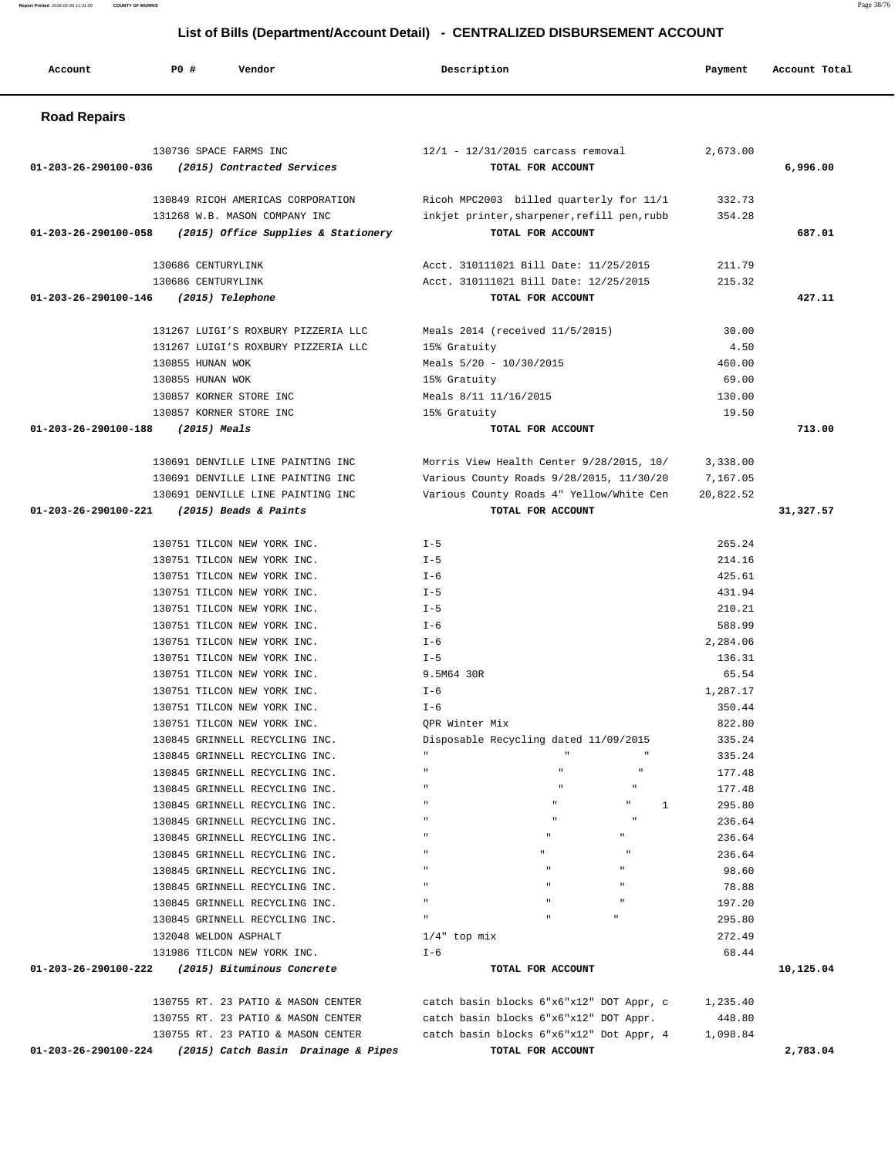### 130736 SPACE FARMS INC 12/1 - 12/31/2015 carcass removal 2,673.00  **01-203-26-290100-036 (2015) Contracted Services TOTAL FOR ACCOUNT 6,996.00** 130849 RICOH AMERICAS CORPORATION Ricoh MPC2003 billed quarterly for 11/1 332.73 131268 W.B. MASON COMPANY INC inkjet printer,sharpener,refill pen,rubb 354.28  **01-203-26-290100-058 (2015) Office Supplies & Stationery TOTAL FOR ACCOUNT 687.01** 130686 CENTURYLINK Acct. 310111021 Bill Date: 11/25/2015 211.79 130686 CENTURYLINK Acct. 310111021 Bill Date: 12/25/2015 215.32  **01-203-26-290100-146 (2015) Telephone TOTAL FOR ACCOUNT 427.11** 131267 LUIGI'S ROXBURY PIZZERIA LLC Meals 2014 (received 11/5/2015) 30.00 131267 LUIGI'S ROXBURY PIZZERIA LLC 15% Gratuity 4.50 130855 HUNAN WOK Meals 5/20 - 10/30/2015 460.00 130855 HUNAN WOK 15% Gratuity 69.00 130857 KORNER STORE INC Meals 8/11 11/16/2015 130.00 130857 KORNER STORE INC 15% Gratuity 19.50  **01-203-26-290100-188 (2015) Meals TOTAL FOR ACCOUNT 713.00** 130691 DENVILLE LINE PAINTING INC Morris View Health Center 9/28/2015, 10/ 3,338.00 130691 DENVILLE LINE PAINTING INC Various County Roads 9/28/2015, 11/30/20 7,167.05 130691 DENVILLE LINE PAINTING INC Various County Roads 4" Yellow/White Cen 20,822.52  **01-203-26-290100-221 (2015) Beads & Paints TOTAL FOR ACCOUNT 31,327.57** 130751 TILCON NEW YORK INC. I-5 265.24 130751 TILCON NEW YORK INC. I-5 214.16 130751 TILCON NEW YORK INC. I-6 425.61 130751 TILCON NEW YORK INC. I-5 431.94 130751 TILCON NEW YORK INC. I-5 210.21 130751 TILCON NEW YORK INC. I-6 588.99 130751 TILCON NEW YORK INC. I-6 2,284.06 130751 TILCON NEW YORK INC. I-5 136.31 130751 TILCON NEW YORK INC. 9.5M64 30R 65.54 130751 TILCON NEW YORK INC. I-6 1,287.17 130751 TILCON NEW YORK INC. I-6 350.44 130751 TILCON NEW YORK INC. QPR Winter Mix 822.80 130845 GRINNELL RECYCLING INC. Disposable Recycling dated 11/09/2015 335.24 130845 GRINNELL RECYCLING INC. " " " 335.24 130845 GRINNELL RECYCLING INC.  $\qquad$  " "  $\qquad$  " 177.48 130845 GRINNELL RECYCLING INC.  $\qquad$  "  $\qquad$  " 177.48

 130845 GRINNELL RECYCLING INC. " " " 1 295.80 130845 GRINNELL RECYCLING INC. " " " 236.64 130845 GRINNELL RECYCLING INC. " " " 236.64 130845 GRINNELL RECYCLING INC. " " " 236.64 130845 GRINNELL RECYCLING INC. " " " 98.60 130845 GRINNELL RECYCLING INC. " " " 78.88 130845 GRINNELL RECYCLING INC. " " " 197.20 130845 GRINNELL RECYCLING INC. " " " 295.80 132048 WELDON ASPHALT 1/4" top mix 272.49  $131986$  TILCON NEW YORK INC.  $I-6$  68.44  **01-203-26-290100-222 (2015) Bituminous Concrete TOTAL FOR ACCOUNT 10,125.04**

130755 RT. 23 PATIO & MASON CENTER catch basin blocks 6"x6"x12" DOT Appr, c 1,235.40<br>130755 RT. 23 PATIO & MASON CENTER catch basin blocks 6"x6"x12" DOT Appr. 448.80 130755 RT. 23 PATIO & MASON CENTER catch basin blocks 6"x6"x12" Dot Appr, 4 1,098.84  **01-203-26-290100-224 (2015) Catch Basin Drainage & Pipes TOTAL FOR ACCOUNT 2,783.04**

catch basin blocks  $6"x6"x12"$  DOT Appr, c 1,235.40

#### **Road Repairs**

# **List of Bills (Department/Account Detail) - CENTRALIZED DISBURSEMENT ACCOUNT**

 **Account P0 # Vendor Description Payment Account Total**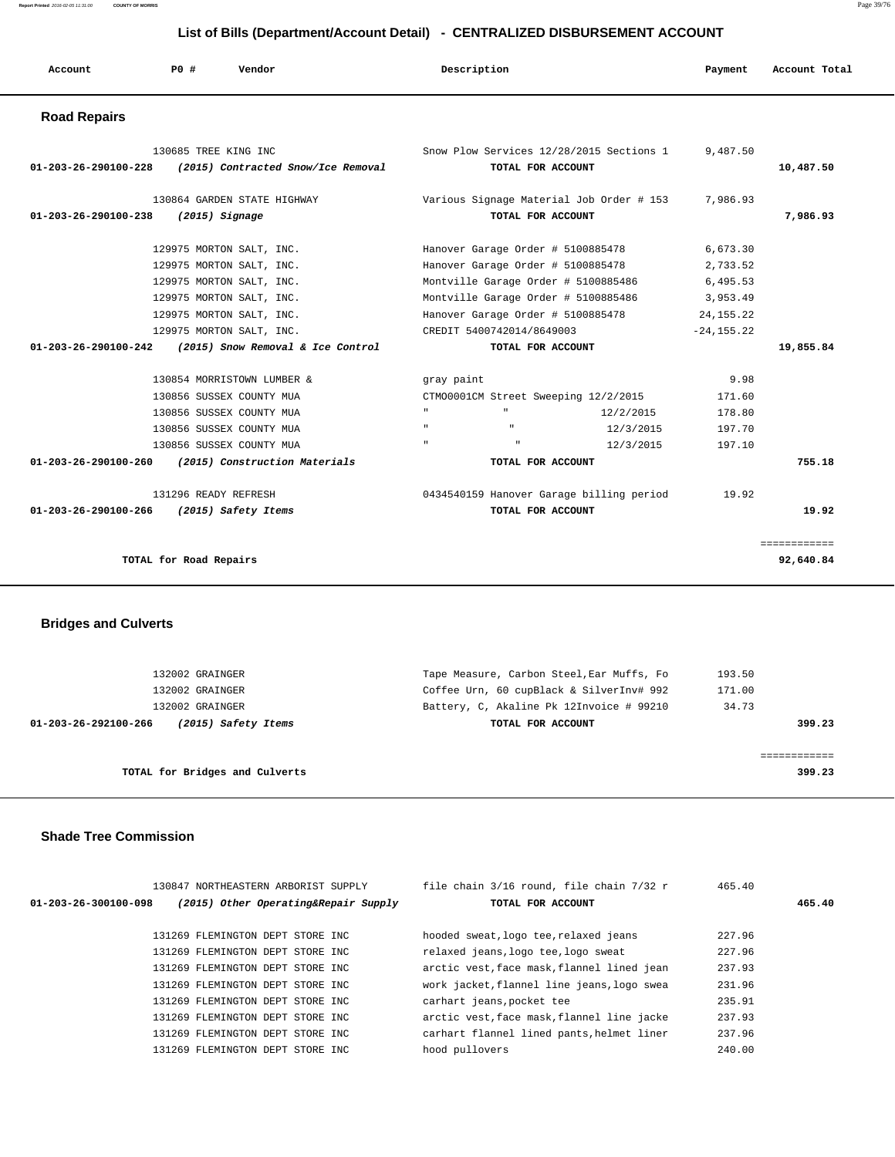| Account                                                | PO#                    | Vendor                                                                                                                |                                                | Description                                                                                                                |                                          | Payment                                  | Account Total             |
|--------------------------------------------------------|------------------------|-----------------------------------------------------------------------------------------------------------------------|------------------------------------------------|----------------------------------------------------------------------------------------------------------------------------|------------------------------------------|------------------------------------------|---------------------------|
| <b>Road Repairs</b>                                    |                        |                                                                                                                       |                                                |                                                                                                                            |                                          |                                          |                           |
| $01 - 203 - 26 - 290100 - 228$                         | 130685 TREE KING INC   | (2015) Contracted Snow/Ice Removal                                                                                    |                                                | TOTAL FOR ACCOUNT                                                                                                          | Snow Plow Services 12/28/2015 Sections 1 | 9,487.50                                 | 10,487.50                 |
| $01 - 203 - 26 - 290100 - 238$                         |                        | 130864 GARDEN STATE HIGHWAY<br>$(2015)$ Signage                                                                       |                                                | TOTAL FOR ACCOUNT                                                                                                          | Various Signage Material Job Order # 153 | 7,986.93                                 | 7,986.93                  |
|                                                        |                        | 129975 MORTON SALT, INC.<br>129975 MORTON SALT, INC.<br>129975 MORTON SALT, INC.                                      |                                                | Hanover Garage Order # 5100885478<br>Hanover Garage Order # 5100885478<br>Montville Garage Order # 5100885486              |                                          | 6,673.30<br>2,733.52<br>6,495.53         |                           |
| 01-203-26-290100-242                                   |                        | 129975 MORTON SALT, INC.<br>129975 MORTON SALT, INC.<br>129975 MORTON SALT, INC.<br>(2015) Snow Removal & Ice Control |                                                | Montville Garage Order # 5100885486<br>Hanover Garage Order # 5100885478<br>CREDIT 5400742014/8649003<br>TOTAL FOR ACCOUNT |                                          | 3,953.49<br>24, 155. 22<br>$-24, 155.22$ | 19,855.84                 |
|                                                        |                        | 130854 MORRISTOWN LUMBER &<br>130856 SUSSEX COUNTY MUA                                                                | gray paint                                     | CTM00001CM Street Sweeping 12/2/2015                                                                                       |                                          | 9.98<br>171.60                           |                           |
|                                                        |                        | 130856 SUSSEX COUNTY MUA<br>130856 SUSSEX COUNTY MUA<br>130856 SUSSEX COUNTY MUA                                      | $\mathbf{u}$ .<br>$\mathbf{u}$<br>$\mathbf{u}$ | $\mathfrak n$<br>$\mathbf{u}$                                                                                              | 12/2/2015<br>12/3/2015<br>12/3/2015      | 178.80<br>197.70<br>197.10               |                           |
| 01-203-26-290100-260<br>$01 - 203 - 26 - 290100 - 266$ | 131296 READY REFRESH   | (2015) Construction Materials<br>(2015) Safety Items                                                                  |                                                | TOTAL FOR ACCOUNT<br>TOTAL FOR ACCOUNT                                                                                     | 0434540159 Hanover Garage billing period | 19.92                                    | 755.18<br>19.92           |
|                                                        | TOTAL for Road Repairs |                                                                                                                       |                                                |                                                                                                                            |                                          |                                          | ============<br>92,640.84 |

# **Bridges and Culverts**

| 132002 GRAINGER                             | Tape Measure, Carbon Steel, Ear Muffs, Fo | 193.50 |
|---------------------------------------------|-------------------------------------------|--------|
| 132002 GRAINGER                             | Coffee Urn, 60 cupBlack & SilverInv# 992  | 171.00 |
| 132002 GRAINGER                             | Battery, C, Akaline Pk 12Invoice # 99210  | 34.73  |
| 01-203-26-292100-266<br>(2015) Safety Items | TOTAL FOR ACCOUNT                         | 399.23 |
|                                             |                                           |        |
|                                             |                                           |        |
| TOTAL for Bridges and Culverts              |                                           | 399.23 |
|                                             |                                           |        |

#### **Shade Tree Commission**

| $01 - 203 - 26 - 300100 - 098$ | 130847 NORTHEASTERN ARBORIST SUPPLY<br>(2015) Other Operating&Repair Supply | file chain 3/16 round, file chain 7/32 r<br>TOTAL FOR ACCOUNT | 465.40 | 465.40 |
|--------------------------------|-----------------------------------------------------------------------------|---------------------------------------------------------------|--------|--------|
|                                | 131269 FLEMINGTON DEPT STORE INC                                            | hooded sweat, logo tee, relaxed jeans                         | 227.96 |        |
|                                | 131269 FLEMINGTON DEPT STORE INC                                            | relaxed jeans, logo tee, logo sweat                           | 227.96 |        |
|                                | 131269 FLEMINGTON DEPT STORE INC                                            | arctic vest, face mask, flannel lined jean                    | 237.93 |        |
|                                | 131269 FLEMINGTON DEPT STORE INC                                            | work jacket, flannel line jeans, logo swea                    | 231.96 |        |
|                                | 131269 FLEMINGTON DEPT STORE INC                                            | carhart jeans, pocket tee                                     | 235.91 |        |
|                                | 131269 FLEMINGTON DEPT STORE INC                                            | arctic vest, face mask, flannel line jacke                    | 237.93 |        |
|                                | 131269 FLEMINGTON DEPT STORE INC.                                           | carhart flannel lined pants, helmet liner                     | 237.96 |        |
|                                | 131269 FLEMINGTON DEPT STORE INC                                            | hood pullovers                                                | 240.00 |        |
|                                |                                                                             |                                                               |        |        |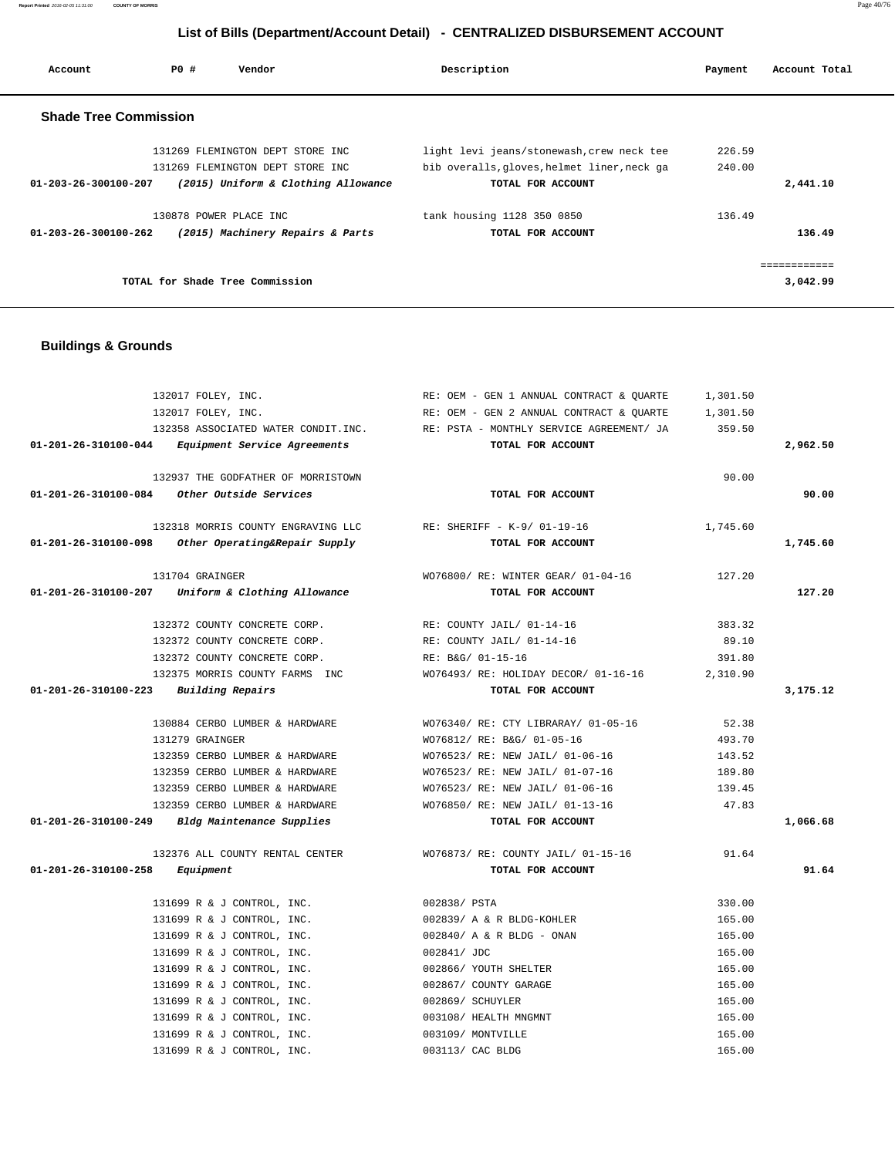| Account                        | PO#                    | Vendor                              | Description                                 | Payment | Account Total |
|--------------------------------|------------------------|-------------------------------------|---------------------------------------------|---------|---------------|
| <b>Shade Tree Commission</b>   |                        |                                     |                                             |         |               |
|                                |                        | 131269 FLEMINGTON DEPT STORE INC    | light levi jeans/stonewash, crew neck tee   | 226.59  |               |
|                                |                        | 131269 FLEMINGTON DEPT STORE INC    | bib overalls, gloves, helmet liner, neck ga | 240.00  |               |
| $01 - 203 - 26 - 300100 - 207$ |                        | (2015) Uniform & Clothing Allowance | TOTAL FOR ACCOUNT                           |         | 2,441.10      |
|                                | 130878 POWER PLACE INC |                                     | tank housing 1128 350 0850                  | 136.49  |               |
| 01-203-26-300100-262           |                        | (2015) Machinery Repairs & Parts    | TOTAL FOR ACCOUNT                           |         | 136.49        |
|                                |                        |                                     |                                             |         | ------------  |
|                                |                        | TOTAL for Shade Tree Commission     |                                             |         | 3,042.99      |

### **Buildings & Grounds**

|                                          | 132017 FOLEY, INC.                                             | RE: OEM - GEN 1 ANNUAL CONTRACT & QUARTE                                     | 1,301.50 |          |
|------------------------------------------|----------------------------------------------------------------|------------------------------------------------------------------------------|----------|----------|
|                                          | 132017 FOLEY, INC.                                             | RE: OEM - GEN 2 ANNUAL CONTRACT & OUARTE                                     | 1,301.50 |          |
|                                          |                                                                | 132358 ASSOCIATED WATER CONDIT.INC. RE: PSTA - MONTHLY SERVICE AGREEMENT/ JA | 359.50   |          |
|                                          | 01-201-26-310100-044 Equipment Service Agreements              | TOTAL FOR ACCOUNT                                                            |          | 2,962.50 |
|                                          | 132937 THE GODFATHER OF MORRISTOWN                             |                                                                              | 90.00    |          |
|                                          | $01-201-26-310100-084$ Other Outside Services                  | TOTAL FOR ACCOUNT                                                            |          | 90.00    |
|                                          | 132318 MORRIS COUNTY ENGRAVING LLC RE: SHERIFF - K-9/ 01-19-16 |                                                                              | 1,745.60 |          |
|                                          | $01-201-26-310100-098$ Other Operating&Repair Supply           | TOTAL FOR ACCOUNT                                                            |          | 1,745.60 |
|                                          | 131704 GRAINGER                                                | WO76800/ RE: WINTER GEAR/ 01-04-16                                           | 127.20   |          |
|                                          | $01-201-26-310100-207$ Uniform & Clothing Allowance            | TOTAL FOR ACCOUNT                                                            |          | 127.20   |
|                                          | 132372 COUNTY CONCRETE CORP.                                   | RE: COUNTY JAIL/ 01-14-16                                                    | 383.32   |          |
|                                          | 132372 COUNTY CONCRETE CORP.                                   | RE: COUNTY JAIL/ 01-14-16                                                    | 89.10    |          |
|                                          | 132372 COUNTY CONCRETE CORP.                                   | RE: B&G/ 01-15-16                                                            | 391.80   |          |
|                                          | 132375 MORRIS COUNTY FARMS INC                                 | WO76493/RE: HOLIDAY DECOR/01-16-16                                           | 2,310.90 |          |
| 01-201-26-310100-223 Building Repairs    |                                                                | TOTAL FOR ACCOUNT                                                            |          | 3,175.12 |
|                                          | 130884 CERBO LUMBER & HARDWARE                                 | WO76340/ RE: CTY LIBRARAY/ 01-05-16                                          | 52.38    |          |
|                                          | 131279 GRAINGER                                                | WO76812/ RE: B&G/ 01-05-16                                                   | 493.70   |          |
|                                          | 132359 CERBO LUMBER & HARDWARE                                 | WO76523/ RE: NEW JAIL/ 01-06-16                                              | 143.52   |          |
|                                          | 132359 CERBO LUMBER & HARDWARE                                 | WO76523/ RE: NEW JAIL/ 01-07-16                                              | 189.80   |          |
|                                          | 132359 CERBO LUMBER & HARDWARE                                 | WO76523/ RE: NEW JAIL/ 01-06-16                                              | 139.45   |          |
|                                          | 132359 CERBO LUMBER & HARDWARE                                 | WO76850/ RE: NEW JAIL/ 01-13-16                                              | 47.83    |          |
|                                          | 01-201-26-310100-249 Bldg Maintenance Supplies                 | TOTAL FOR ACCOUNT                                                            |          | 1,066.68 |
|                                          | 132376 ALL COUNTY RENTAL CENTER                                | WO76873/ RE: COUNTY JAIL/ 01-15-16                                           | 91.64    |          |
| $01 - 201 - 26 - 310100 - 258$ Equipment |                                                                | TOTAL FOR ACCOUNT                                                            |          | 91.64    |
|                                          | 131699 R & J CONTROL, INC.                                     | 002838/ PSTA                                                                 | 330.00   |          |
|                                          | 131699 R & J CONTROL, INC.                                     | 002839/ A & R BLDG-KOHLER                                                    | 165.00   |          |
|                                          | 131699 R & J CONTROL, INC.                                     | 002840/ A & R BLDG - ONAN                                                    | 165.00   |          |
|                                          | 131699 R & J CONTROL, INC.                                     | 002841/ JDC                                                                  | 165.00   |          |
|                                          | 131699 R & J CONTROL, INC.                                     | 002866/ YOUTH SHELTER                                                        | 165.00   |          |
|                                          | 131699 R & J CONTROL, INC.                                     | 002867/ COUNTY GARAGE                                                        | 165.00   |          |
|                                          | 131699 R & J CONTROL, INC.                                     | 002869/ SCHUYLER                                                             | 165.00   |          |
|                                          | 131699 R & J CONTROL, INC.                                     | 003108/ HEALTH MNGMNT                                                        | 165.00   |          |
|                                          | 131699 R & J CONTROL, INC.                                     | 003109/ MONTVILLE                                                            | 165.00   |          |
|                                          | 131699 R & J CONTROL, INC.                                     | 003113/ CAC BLDG                                                             | 165.00   |          |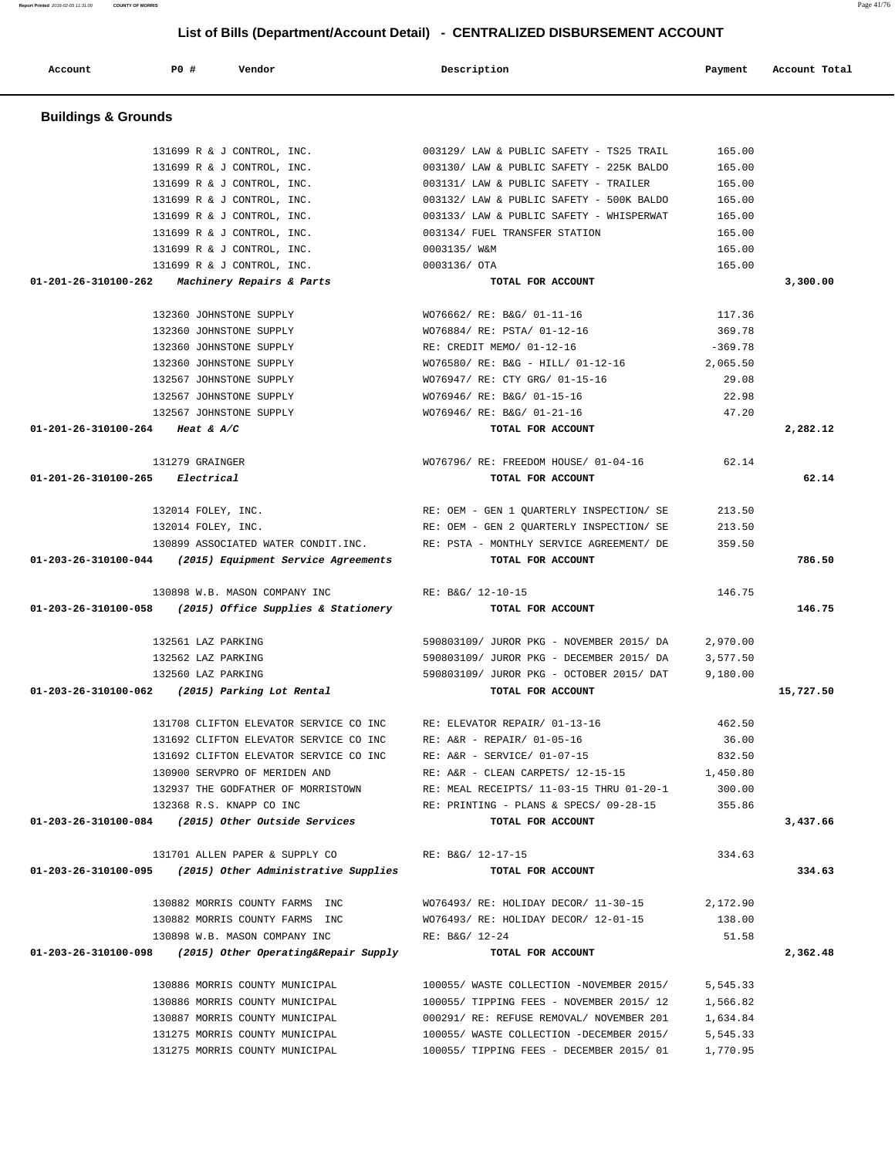# **Account P0 # Vendor Description Payment Account Total Buildings & Grounds**  131699 R & J CONTROL, INC. 003129/ LAW & PUBLIC SAFETY - TS25 TRAIL 165.00 131699 R & J CONTROL, INC. 003130/ LAW & PUBLIC SAFETY - 225K BALDO 165.00 131699 R & J CONTROL, INC. 003131/ LAW & PUBLIC SAFETY - TRAILER 165.00 131699 R & J CONTROL, INC. 003132/ LAW & PUBLIC SAFETY - 500K BALDO 165.00 131699 R & J CONTROL, INC. 003133/ LAW & PUBLIC SAFETY - WHISPERWAT 165.00 131699 R & J CONTROL, INC. 003134/ FUEL TRANSFER STATION 165.00 131699 R & J CONTROL, INC. 0003135/ W&M 165.00 131699 R & J CONTROL, INC. 0003136/ OTA 165.00  **01-201-26-310100-262 Machinery Repairs & Parts TOTAL FOR ACCOUNT 3,300.00** 132360 JOHNSTONE SUPPLY WO76662/ RE: B&G/ 01-11-16 117.36 132360 JOHNSTONE SUPPLY WO76884/ RE: PSTA/ 01-12-16 369.78 132360 JOHNSTONE SUPPLY RE: CREDIT MEMO/ 01-12-16 -369.78 132360 JOHNSTONE SUPPLY WO76580/ RE: B&G - HILL/ 01-12-16 2,065.50 132567 JOHNSTONE SUPPLY WO76947/ RE: CTY GRG/ 01-15-16 29.08 132567 JOHNSTONE SUPPLY WO76946/ RE: B&G/ 01-15-16 22.98 132567 JOHNSTONE SUPPLY WO76946/ RE: B&G/ 01-21-16 47.20  **01-201-26-310100-264 Heat & A/C TOTAL FOR ACCOUNT 2,282.12** 131279 GRAINGER WO76796/ RE: FREEDOM HOUSE/ 01-04-16 62.14  **01-201-26-310100-265 Electrical TOTAL FOR ACCOUNT 62.14** 132014 FOLEY, INC. RE: OEM - GEN 1 QUARTERLY INSPECTION/ SE 213.50 132014 FOLEY, INC. RE: OEM - GEN 2 QUARTERLY INSPECTION/ SE 213.50 130899 ASSOCIATED WATER CONDIT.INC. RE: PSTA - MONTHLY SERVICE AGREEMENT/ DE 359.50  **01-203-26-310100-044 (2015) Equipment Service Agreements TOTAL FOR ACCOUNT 786.50** 130898 W.B. MASON COMPANY INC RE: B&G/ 12-10-15 146.75  **01-203-26-310100-058 (2015) Office Supplies & Stationery TOTAL FOR ACCOUNT 146.75** 132561 LAZ PARKING 590803109/ JUROR PKG - NOVEMBER 2015/ DA 2,970.00 132562 LAZ PARKING 590803109/ JUROR PKG - DECEMBER 2015/ DA 3,577.50 132560 LAZ PARKING 590803109/ JUROR PKG - OCTOBER 2015/ DAT 9,180.00  **01-203-26-310100-062 (2015) Parking Lot Rental TOTAL FOR ACCOUNT 15,727.50** 131708 CLIFTON ELEVATOR SERVICE CO INC RE: ELEVATOR REPAIR/ 01-13-16 462.50 131692 CLIFTON ELEVATOR SERVICE CO INC RE: A&R - REPAIR/ 01-05-16 36.00 131692 CLIFTON ELEVATOR SERVICE CO INC RE: A&R - SERVICE/ 01-07-15 832.50 130900 SERVPRO OF MERIDEN AND <br>132937 THE GODFATHER OF MORRISTOWN RE: MEAL RECEIPTS/ 11-03-15 THRU 01-20-1 300.00 RE: MEAL RECEIPTS/ 11-03-15 THRU 01-20-1 300.00 132368 R.S. KNAPP CO INC RE: PRINTING - PLANS & SPECS/ 09-28-15 355.86  **01-203-26-310100-084 (2015) Other Outside Services TOTAL FOR ACCOUNT 3,437.66** 131701 ALLEN PAPER & SUPPLY CO RE: B&G/ 12-17-15 334.63  **01-203-26-310100-095 (2015) Other Administrative Supplies TOTAL FOR ACCOUNT 334.63** 130882 MORRIS COUNTY FARMS INC WO76493/ RE: HOLIDAY DECOR/ 11-30-15 2,172.90 130882 MORRIS COUNTY FARMS INC WO76493/ RE: HOLIDAY DECOR/ 12-01-15 138.00 130898 W.B. MASON COMPANY INC RE: B&G/ 12-24 51.58  **01-203-26-310100-098 (2015) Other Operating&Repair Supply TOTAL FOR ACCOUNT 2,362.48** 130886 MORRIS COUNTY MUNICIPAL 100055/ WASTE COLLECTION -NOVEMBER 2015/ 5,545.33 130886 MORRIS COUNTY MUNICIPAL 100055/ TIPPING FEES - NOVEMBER 2015/ 12 1,566.82 130887 MORRIS COUNTY MUNICIPAL 000291/ RE: REFUSE REMOVAL/ NOVEMBER 201 1,634.84 131275 MORRIS COUNTY MUNICIPAL 100055/ WASTE COLLECTION -DECEMBER 2015/ 5,545.33 131275 MORRIS COUNTY MUNICIPAL 100055/ TIPPING FEES - DECEMBER 2015/ 01 1,770.95

 **List of Bills (Department/Account Detail) - CENTRALIZED DISBURSEMENT ACCOUNT**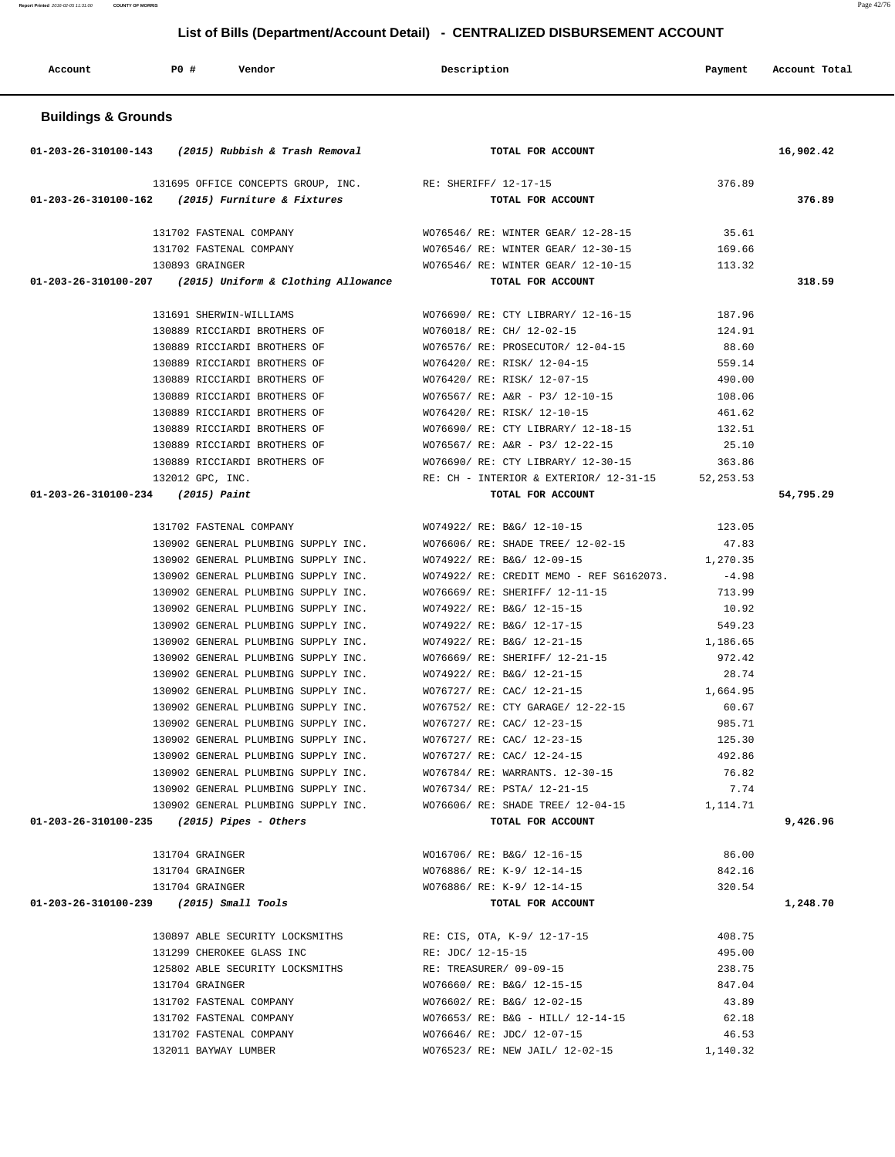| Account                        | P0 #<br>Vendor                                                             | Description                                                                         | Payment           | Account Total |
|--------------------------------|----------------------------------------------------------------------------|-------------------------------------------------------------------------------------|-------------------|---------------|
| <b>Buildings &amp; Grounds</b> |                                                                            |                                                                                     |                   |               |
|                                | 01-203-26-310100-143 (2015) Rubbish & Trash Removal TOTAL FOR ACCOUNT      |                                                                                     |                   | 16,902.42     |
|                                | 131695 OFFICE CONCEPTS GROUP, INC. RE: SHERIFF/ 12-17-15                   |                                                                                     | 376.89            |               |
|                                | 01-203-26-310100-162 (2015) Furniture & Fixtures                           | TOTAL FOR ACCOUNT                                                                   |                   | 376.89        |
|                                | 131702 FASTENAL COMPANY                                                    | WO76546/ RE: WINTER GEAR/ 12-28-15                                                  | 35.61             |               |
|                                | 131702 FASTENAL COMPANY                                                    | WO76546/ RE: WINTER GEAR/ 12-30-15                                                  | 169.66            |               |
|                                | 130893 GRAINGER                                                            | WO76546/ RE: WINTER GEAR/ 12-10-15 113.32                                           |                   |               |
|                                | 01-203-26-310100-207 (2015) Uniform & Clothing Allowance                   | TOTAL FOR ACCOUNT                                                                   |                   | 318.59        |
|                                | 131691 SHERWIN-WILLIAMS                                                    | WO76690/ RE: CTY LIBRARY/ 12-16-15                                                  | 187.96            |               |
|                                | 130889 RICCIARDI BROTHERS OF                                               | WO76018/ RE: CH/ 12-02-15                                                           | 124.91            |               |
|                                | 130889 RICCIARDI BROTHERS OF                                               | WO76576/ RE: PROSECUTOR/ 12-04-15                                                   | 88.60             |               |
|                                | 130889 RICCIARDI BROTHERS OF                                               | WO76420/ RE: RISK/ 12-04-15                                                         | 559.14            |               |
|                                | 130889 RICCIARDI BROTHERS OF                                               | WO76420/ RE: RISK/ 12-07-15                                                         | 490.00            |               |
|                                | 130889 RICCIARDI BROTHERS OF                                               | WO76567/ RE: A&R - P3/ 12-10-15 108.06                                              |                   |               |
|                                | 130889 RICCIARDI BROTHERS OF                                               | WO76420/ RE: RISK/ 12-10-15                                                         | 461.62            |               |
|                                | 130889 RICCIARDI BROTHERS OF                                               | WO76690/RE: CTY LIBRARY/ 12-18-15 132.51                                            |                   |               |
|                                | 130889 RICCIARDI BROTHERS OF                                               | WO76567/ RE: A&R - P3/ 12-22-15                                                     | 25.10             |               |
|                                | 130889 RICCIARDI BROTHERS OF                                               | WO76690/ RE: CTY LIBRARY/ 12-30-15                                                  | 363.86            |               |
|                                | 132012 GPC, INC.                                                           | RE: CH - INTERIOR & EXTERIOR/ 12-31-15 52,253.53                                    |                   |               |
|                                | $01-203-26-310100-234$ (2015) Paint                                        | TOTAL FOR ACCOUNT                                                                   |                   | 54,795.29     |
|                                | 131702 FASTENAL COMPANY                                                    | WO74922/ RE: B&G/ 12-10-15                                                          | 123.05            |               |
|                                |                                                                            | 130902 GENERAL PLUMBING SUPPLY INC. WO76606/ RE: SHADE TREE/ 12-02-15               | 47.83             |               |
|                                |                                                                            | 130902 GENERAL PLUMBING SUPPLY INC. WO74922/ RE: B&G/ 12-09-15                      | 1,270.35          |               |
|                                | 130902 GENERAL PLUMBING SUPPLY INC.                                        | WO74922/ RE: CREDIT MEMO - REF S6162073.                                            | $-4.98$           |               |
|                                | 130902 GENERAL PLUMBING SUPPLY INC.                                        | WO76669/ RE: SHERIFF/ 12-11-15                                                      | 713.99            |               |
|                                | 130902 GENERAL PLUMBING SUPPLY INC.                                        | WO74922/ RE: B&G/ 12-15-15                                                          | 10.92             |               |
|                                | 130902 GENERAL PLUMBING SUPPLY INC. WO74922/ RE: B&G/ 12-17-15             |                                                                                     | 549.23            |               |
|                                |                                                                            | 130902 GENERAL PLUMBING SUPPLY INC. WO74922/ RE: B&G/ 12-21-15                      | 1,186.65          |               |
|                                | 130902 GENERAL PLUMBING SUPPLY INC.                                        | WO76669/ RE: SHERIFF/ 12-21-15                                                      | 972.42            |               |
|                                | 130902 GENERAL PLUMBING SUPPLY INC.<br>130902 GENERAL PLUMBING SUPPLY INC. | WO74922/ RE: B&G/ 12-21-15<br>WO76727/ RE: CAC/ 12-21-15                            | 28.74<br>1,664.95 |               |
|                                | 130902 GENERAL PLUMBING SUPPLY INC.                                        | WO76752/ RE: CTY GARAGE/ 12-22-15                                                   | 60.67             |               |
|                                | 130902 GENERAL PLUMBING SUPPLY INC.                                        | WO76727/ RE: CAC/ 12-23-15                                                          | 985.71            |               |
|                                | 130902 GENERAL PLUMBING SUPPLY INC. WO76727/ RE: CAC/ 12-23-15             |                                                                                     | 125.30            |               |
|                                | 130902 GENERAL PLUMBING SUPPLY INC. WO76727/RE: CAC/ 12-24-15              |                                                                                     | 492.86            |               |
|                                |                                                                            | 130902 GENERAL PLUMBING SUPPLY INC. WO76784/ RE: WARRANTS. 12-30-15                 | 76.82             |               |
|                                | 130902 GENERAL PLUMBING SUPPLY INC. WO76734/ RE: PSTA/ 12-21-15            |                                                                                     | 7.74              |               |
|                                |                                                                            | 1,114.71    SHADE TREE / 12-04-15    SHADE TREE / 12-04-15    SHADE TREE / 12-04-15 |                   |               |
|                                | $01-203-26-310100-235$ (2015) Pipes - Others                               | TOTAL FOR ACCOUNT                                                                   |                   | 9,426.96      |
|                                | 131704 GRAINGER                                                            | WO16706/ RE: B&G/ 12-16-15                                                          | 86.00             |               |
|                                | 131704 GRAINGER                                                            | WO76886/ RE: K-9/ 12-14-15                                                          | 842.16            |               |
|                                | 131704 GRAINGER                                                            | WO76886/ RE: K-9/ 12-14-15                                                          | 320.54            |               |
|                                | $01-203-26-310100-239$ (2015) Small Tools                                  | TOTAL FOR ACCOUNT                                                                   |                   | 1,248.70      |
|                                |                                                                            |                                                                                     |                   |               |
|                                | 130897 ABLE SECURITY LOCKSMITHS                                            | RE: CIS, OTA, K-9/ 12-17-15                                                         | 408.75            |               |
|                                | 131299 CHEROKEE GLASS INC                                                  | RE: JDC/ 12-15-15                                                                   | 495.00<br>238.75  |               |
|                                | 125802 ABLE SECURITY LOCKSMITHS<br>131704 GRAINGER                         | RE: TREASURER/ 09-09-15<br>WO76660/ RE: B&G/ 12-15-15                               | 847.04            |               |
|                                | 131702 FASTENAL COMPANY                                                    | WO76602/ RE: B&G/ 12-02-15                                                          | 43.89             |               |
|                                | 131702 FASTENAL COMPANY                                                    | WO76653/ RE: B&G - HILL/ 12-14-15                                                   | 62.18             |               |
|                                | 131702 FASTENAL COMPANY                                                    | WO76646/ RE: JDC/ 12-07-15                                                          | 46.53             |               |
|                                | 132011 BAYWAY LUMBER                                                       | WO76523/ RE: NEW JAIL/ 12-02-15                                                     | 1,140.32          |               |
|                                |                                                                            |                                                                                     |                   |               |

**Report Printed 2016-02-05 11:31:00 COUNTY OF MORRIS COUNTY OF MORRIS**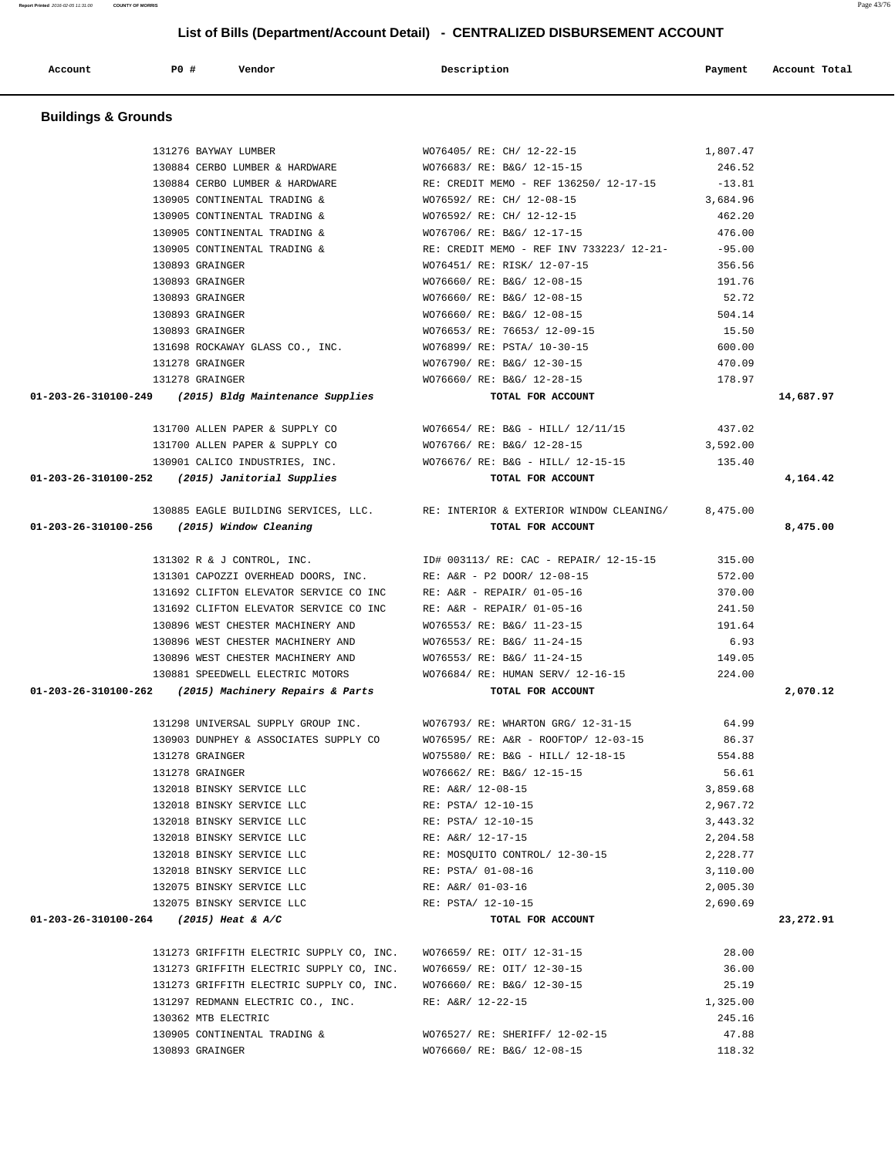| <b>Buildings &amp; Grounds</b>                                      |                                                                                                    |          |           |
|---------------------------------------------------------------------|----------------------------------------------------------------------------------------------------|----------|-----------|
| 131276 BAYWAY LUMBER                                                | WO76405/ RE: CH/ 12-22-15                                                                          | 1,807.47 |           |
| 130884 CERBO LUMBER & HARDWARE WO76683/RE: B&G/ 12-15-15            |                                                                                                    | 246.52   |           |
|                                                                     | 130884 CERBO LUMBER & HARDWARE RE: CREDIT MEMO - REF 136250/12-17-15                               | $-13.81$ |           |
| 130905 CONTINENTAL TRADING &                                        | WO76592/ RE: CH/ 12-08-15                                                                          | 3,684.96 |           |
| 130905 CONTINENTAL TRADING &                                        | WO76592/ RE: CH/ 12-12-15                                                                          | 462.20   |           |
| 130905 CONTINENTAL TRADING &                                        | WO76706/ RE: B&G/ 12-17-15                                                                         | 476.00   |           |
| 130905 CONTINENTAL TRADING &                                        | RE: CREDIT MEMO - REF INV 733223/ 12-21-                                                           | $-95.00$ |           |
| 130893 GRAINGER                                                     | WO76451/ RE: RISK/ 12-07-15                                                                        | 356.56   |           |
| 130893 GRAINGER                                                     | WO76660/ RE: B&G/ 12-08-15                                                                         | 191.76   |           |
| 130893 GRAINGER                                                     | WO76660/ RE: B&G/ 12-08-15                                                                         | 52.72    |           |
| 130893 GRAINGER                                                     | WO76660/ RE: B&G/ 12-08-15                                                                         | 504.14   |           |
| 130893 GRAINGER                                                     | WO76653/ RE: 76653/ 12-09-15                                                                       | 15.50    |           |
| 131698 ROCKAWAY GLASS CO., INC.                                     | WO76899/ RE: PSTA/ 10-30-15                                                                        | 600.00   |           |
| 131278 GRAINGER                                                     | WO76790/ RE: B&G/ 12-30-15                                                                         | 470.09   |           |
| 131278 GRAINGER                                                     | WO76660/ RE: B&G/ 12-28-15                                                                         | 178.97   |           |
| $01-203-26-310100-249$ (2015) Bldg Maintenance Supplies             | TOTAL FOR ACCOUNT                                                                                  |          | 14,687.97 |
| 131700 ALLEN PAPER & SUPPLY CO                                      | $WO76654 / RE: B&G - HILL / 12/11/15$ 437.02                                                       |          |           |
| 131700 ALLEN PAPER & SUPPLY CO                                      | WO76766/ RE: B&G/ 12-28-15                                                                         | 3,592.00 |           |
| 130901 CALICO INDUSTRIES, INC.                                      | WO76676/ RE: B&G - HILL/ 12-15-15                                                                  | 135.40   |           |
| 01-203-26-310100-252 (2015) Janitorial Supplies                     | TOTAL FOR ACCOUNT                                                                                  |          | 4,164.42  |
| 01-203-26-310100-256 (2015) Window Cleaning                         | 130885 EAGLE BUILDING SERVICES, LLC. RE: INTERIOR & EXTERIOR WINDOW CLEANING/<br>TOTAL FOR ACCOUNT | 8,475.00 | 8,475.00  |
| 131302 R & J CONTROL, INC.                                          | ID# 003113/ RE: CAC - REPAIR/ 12-15-15 315.00                                                      |          |           |
| 131301 CAPOZZI OVERHEAD DOORS, INC. RE: A&R - P2 DOOR/ 12-08-15     |                                                                                                    | 572.00   |           |
| 131692 CLIFTON ELEVATOR SERVICE CO INC                              | RE: A&R - REPAIR/ 01-05-16                                                                         | 370.00   |           |
| 131692 CLIFTON ELEVATOR SERVICE CO INC                              | RE: A&R - REPAIR/ 01-05-16                                                                         | 241.50   |           |
| 130896 WEST CHESTER MACHINERY AND                                   | WO76553/ RE: B&G/ 11-23-15                                                                         | 191.64   |           |
| 130896 WEST CHESTER MACHINERY AND                                   | WO76553/ RE: B&G/ 11-24-15                                                                         | 6.93     |           |
| 130896 WEST CHESTER MACHINERY AND                                   | WO76553/ RE: B&G/ 11-24-15                                                                         | 149.05   |           |
| 130881 SPEEDWELL ELECTRIC MOTORS                                    | WO76684/ RE: HUMAN SERV/ 12-16-15                                                                  | 224.00   |           |
| 01-203-26-310100-262 (2015) Machinery Repairs & Parts               | TOTAL FOR ACCOUNT                                                                                  |          | 2,070.12  |
| 131298 UNIVERSAL SUPPLY GROUP INC.                                  | WO76793/ RE: WHARTON GRG/ 12-31-15                                                                 | 64.99    |           |
| 130903 DUNPHEY & ASSOCIATES SUPPLY CO                               | WO76595/ RE: A&R - ROOFTOP/ 12-03-15                                                               | 86.37    |           |
| 131278 GRAINGER                                                     | WO75580/ RE: B&G - HILL/ 12-18-15                                                                  | 554.88   |           |
| 131278 GRAINGER                                                     | WO76662/ RE: B&G/ 12-15-15                                                                         | 56.61    |           |
| 132018 BINSKY SERVICE LLC                                           | RE: A&R/ 12-08-15                                                                                  | 3,859.68 |           |
| 132018 BINSKY SERVICE LLC                                           | RE: PSTA/ 12-10-15                                                                                 | 2,967.72 |           |
| 132018 BINSKY SERVICE LLC                                           | RE: PSTA/ 12-10-15                                                                                 | 3,443.32 |           |
| 132018 BINSKY SERVICE LLC                                           | RE: A&R/ 12-17-15                                                                                  | 2,204.58 |           |
| 132018 BINSKY SERVICE LLC                                           | RE: MOSQUITO CONTROL/ 12-30-15                                                                     | 2,228.77 |           |
| 132018 BINSKY SERVICE LLC                                           | RE: PSTA/ 01-08-16                                                                                 | 3,110.00 |           |
| 132075 BINSKY SERVICE LLC                                           | RE: A&R/ 01-03-16                                                                                  | 2,005.30 |           |
| 132075 BINSKY SERVICE LLC                                           | RE: PSTA/ 12-10-15                                                                                 | 2,690.69 |           |
| 01-203-26-310100-264 (2015) Heat & A/C                              | TOTAL FOR ACCOUNT                                                                                  |          | 23,272.91 |
| 131273 GRIFFITH ELECTRIC SUPPLY CO, INC. WO76659/ RE: OIT/ 12-31-15 |                                                                                                    | 28.00    |           |
| 131273 GRIFFITH ELECTRIC SUPPLY CO, INC. WO76659/RE: OIT/ 12-30-15  |                                                                                                    | 36.00    |           |
| 131273 GRIFFITH ELECTRIC SUPPLY CO, INC. WO76660/ RE: B&G/ 12-30-15 |                                                                                                    | 25.19    |           |
| 131297 REDMANN ELECTRIC CO., INC.                                   | RE: A&R/ 12-22-15                                                                                  | 1,325.00 |           |
| 130362 MTB ELECTRIC                                                 |                                                                                                    | 245.16   |           |
| 130905 CONTINENTAL TRADING &                                        | WO76527/ RE: SHERIFF/ 12-02-15                                                                     | 47.88    |           |

130893 GRAINGER WO76660/ RE: B&G/ 12-08-15 118.32

 **List of Bills (Department/Account Detail) - CENTRALIZED DISBURSEMENT ACCOUNT**

Account **1892 PO #** Vendor **Description** Payment Account Total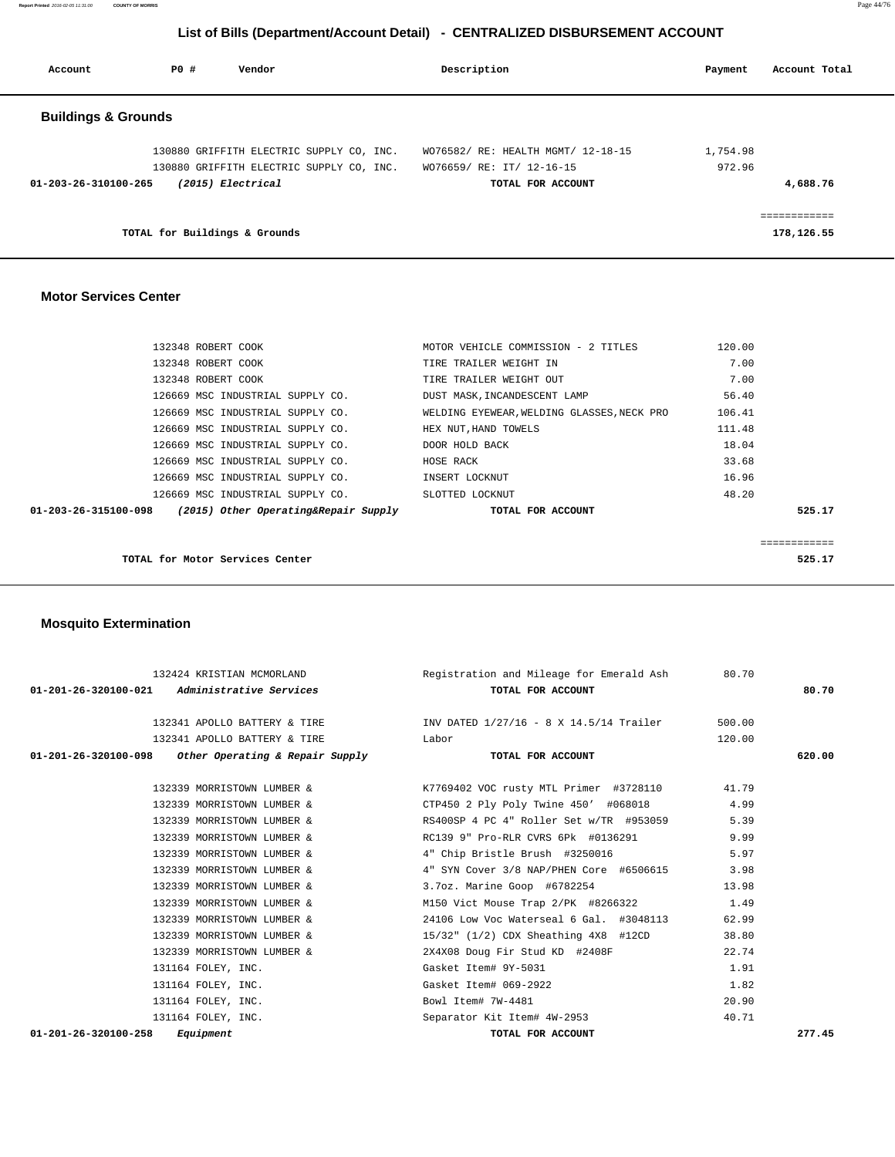**Report Printed** 2016-02-05 11:31:00 **COUNTY OF MORRIS** Page 44/76

### **List of Bills (Department/Account Detail) - CENTRALIZED DISBURSEMENT ACCOUNT**

| Account                        | PO#                           | Vendor                                                        | Description                        |                   | Payment  | Account Total |
|--------------------------------|-------------------------------|---------------------------------------------------------------|------------------------------------|-------------------|----------|---------------|
| <b>Buildings &amp; Grounds</b> |                               |                                                               |                                    |                   |          |               |
|                                |                               | 130880 GRIFFITH ELECTRIC SUPPLY CO, INC.                      | WO76582/ RE: HEALTH MGMT/ 12-18-15 |                   | 1,754.98 |               |
| 01-203-26-310100-265           |                               | 130880 GRIFFITH ELECTRIC SUPPLY CO, INC.<br>(2015) Electrical | WO76659/ RE: IT/ 12-16-15          | TOTAL FOR ACCOUNT | 972.96   | 4,688.76      |
|                                |                               |                                                               |                                    |                   |          | ============  |
|                                | TOTAL for Buildings & Grounds |                                                               |                                    |                   |          | 178,126.55    |

#### **Motor Services Center**

| 132348 ROBERT COOK |                                                             | MOTOR VEHICLE COMMISSION - 2 TITLES        | 120.00 |        |
|--------------------|-------------------------------------------------------------|--------------------------------------------|--------|--------|
| 132348 ROBERT COOK |                                                             | TIRE TRAILER WEIGHT IN                     | 7.00   |        |
| 132348 ROBERT COOK |                                                             | TIRE TRAILER WEIGHT OUT                    | 7.00   |        |
|                    | 126669 MSC INDUSTRIAL SUPPLY CO.                            | DUST MASK, INCANDESCENT LAMP               | 56.40  |        |
|                    | 126669 MSC INDUSTRIAL SUPPLY CO.                            | WELDING EYEWEAR, WELDING GLASSES, NECK PRO | 106.41 |        |
|                    | 126669 MSC INDUSTRIAL SUPPLY CO.                            | HEX NUT, HAND TOWELS                       | 111.48 |        |
|                    | 126669 MSC INDUSTRIAL SUPPLY CO.                            | DOOR HOLD BACK                             | 18.04  |        |
|                    | 126669 MSC INDUSTRIAL SUPPLY CO.                            | HOSE RACK                                  | 33.68  |        |
|                    | 126669 MSC INDUSTRIAL SUPPLY CO.                            | INSERT LOCKNUT                             | 16.96  |        |
|                    | 126669 MSC INDUSTRIAL SUPPLY CO.                            | SLOTTED LOCKNUT                            | 48.20  |        |
|                    | $01-203-26-315100-098$ (2015) Other Operating&Repair Supply | TOTAL FOR ACCOUNT                          |        | 525.17 |
|                    |                                                             |                                            |        |        |
|                    |                                                             |                                            |        |        |
|                    | TOTAL for Motor Services Center                             |                                            |        | 525.17 |

# **Mosquito Extermination**

|                                                                        | 132424 KRISTIAN MCMORLAND              | Registration and Mileage for Emerald Ash 80.70                           |        |        |
|------------------------------------------------------------------------|----------------------------------------|--------------------------------------------------------------------------|--------|--------|
| $01-201-26-320100-021$ Administrative Services                         |                                        | TOTAL FOR ACCOUNT                                                        |        | 80.70  |
|                                                                        |                                        | 132341 APOLLO BATTERY & TIRE THE TWO DATED 1/27/16 - 8 X 14.5/14 Trailer | 500.00 |        |
|                                                                        | 132341 APOLLO BATTERY & TIRE THE Labor |                                                                          | 120.00 |        |
| 01-201-26-320100-098 Other Operating & Repair Supply TOTAL FOR ACCOUNT |                                        |                                                                          |        | 620.00 |
|                                                                        |                                        | 132339 MORRISTOWN LUMBER & K7769402 VOC rusty MTL Primer #3728110        | 41.79  |        |
|                                                                        | 132339 MORRISTOWN LUMBER &             | CTP450 2 Ply Poly Twine 450' #068018 4.99                                |        |        |
|                                                                        | 132339 MORRISTOWN LUMBER &             | RS400SP 4 PC 4" Roller Set w/TR #953059                                  | 5.39   |        |
|                                                                        |                                        | 132339 MORRISTOWN LUMBER & RC139 9" Pro-RLR CVRS 6Pk #0136291            | 9.99   |        |
| 132339 MORRISTOWN LUMBER &                                             |                                        | 4" Chip Bristle Brush #3250016                                           | 5.97   |        |
|                                                                        | 132339 MORRISTOWN LUMBER &             | 4" SYN Cover 3/8 NAP/PHEN Core #6506615                                  | 3.98   |        |
| 132339 MORRISTOWN LUMBER &                                             |                                        | 3.7oz. Marine Goop #6782254                                              | 13.98  |        |
| 132339 MORRISTOWN LUMBER &                                             |                                        | M150 Vict Mouse Trap 2/PK #8266322                                       | 1.49   |        |
|                                                                        | 132339 MORRISTOWN LUMBER &             | 24106 Low Voc Waterseal 6 Gal. #3048113                                  | 62.99  |        |
| 132339 MORRISTOWN LUMBER &                                             |                                        | 15/32" (1/2) CDX Sheathing 4X8 #12CD                                     | 38.80  |        |
|                                                                        | 132339 MORRISTOWN LUMBER &             | 2X4X08 Doug Fir Stud KD #2408F                                           | 22.74  |        |
| 131164 FOLEY, INC.                                                     |                                        | Gasket Item# 9Y-5031                                                     | 1.91   |        |
| 131164 FOLEY, INC.                                                     |                                        | Gasket Item# 069-2922                                                    | 1.82   |        |
| 131164 FOLEY, INC.                                                     |                                        | Bowl Item# 7W-4481                                                       | 20.90  |        |
| 131164 FOLEY, INC.                                                     |                                        | Separator Kit Item# 4W-2953                                              | 40.71  |        |
| $01 - 201 - 26 - 320100 - 258$ Equipment                               |                                        | TOTAL FOR ACCOUNT                                                        |        | 277.45 |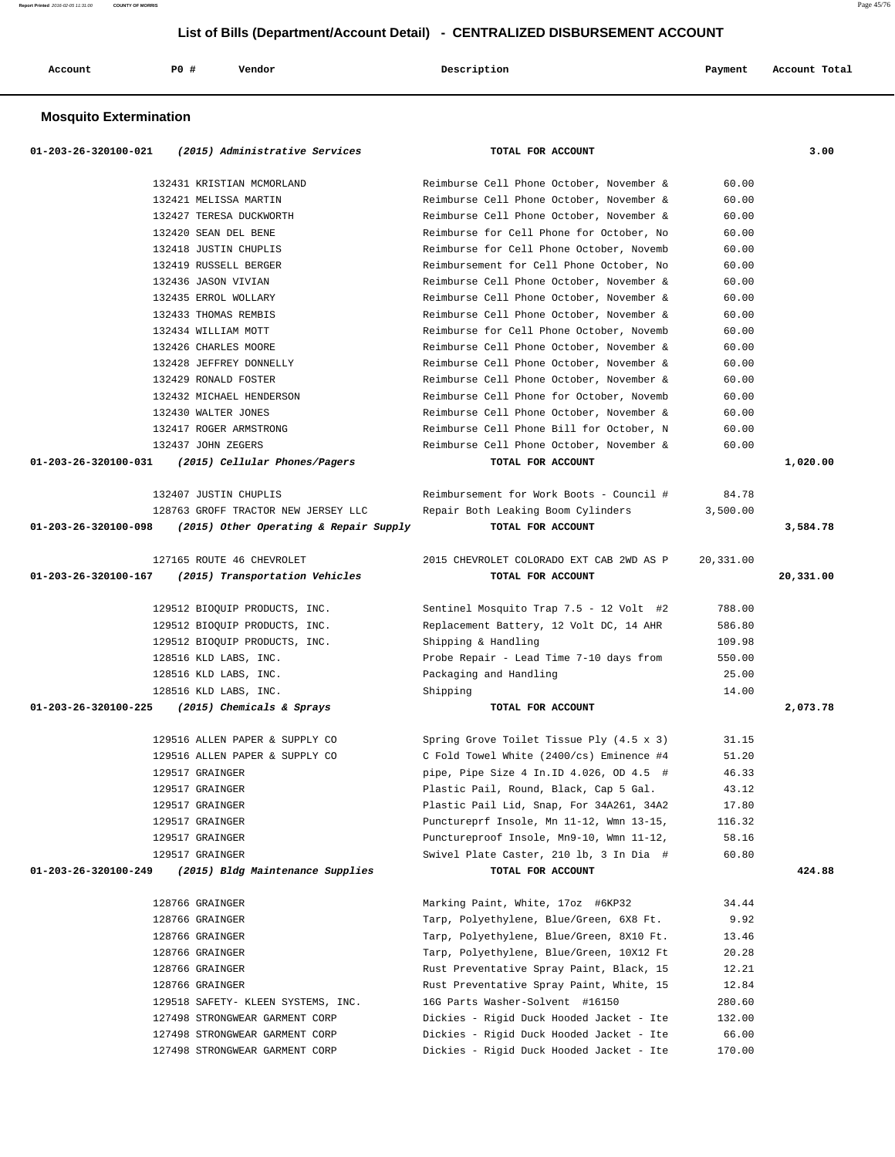| Account | PO# | Vendor<br>. | Description<br>. | Payment | Account Total<br>. |
|---------|-----|-------------|------------------|---------|--------------------|
|         |     |             |                  |         |                    |

#### **Mosquito Extermination**

| 01-203-26-320100-021<br>(2015) Administrative Services         | TOTAL FOR ACCOUNT                               |           | 3.00      |
|----------------------------------------------------------------|-------------------------------------------------|-----------|-----------|
| 132431 KRISTIAN MCMORLAND                                      | Reimburse Cell Phone October, November &        | 60.00     |           |
| 132421 MELISSA MARTIN                                          | Reimburse Cell Phone October, November &        | 60.00     |           |
| 132427 TERESA DUCKWORTH                                        | Reimburse Cell Phone October, November &        | 60.00     |           |
| 132420 SEAN DEL BENE                                           | Reimburse for Cell Phone for October, No        | 60.00     |           |
| 132418 JUSTIN CHUPLIS                                          | Reimburse for Cell Phone October, Novemb        | 60.00     |           |
| 132419 RUSSELL BERGER                                          | Reimbursement for Cell Phone October, No        | 60.00     |           |
| 132436 JASON VIVIAN                                            | Reimburse Cell Phone October, November &        | 60.00     |           |
| 132435 ERROL WOLLARY                                           | Reimburse Cell Phone October, November &        | 60.00     |           |
| 132433 THOMAS REMBIS                                           | Reimburse Cell Phone October, November &        | 60.00     |           |
| 132434 WILLIAM MOTT                                            | Reimburse for Cell Phone October, Novemb        | 60.00     |           |
| 132426 CHARLES MOORE                                           | Reimburse Cell Phone October, November &        | 60.00     |           |
| 132428 JEFFREY DONNELLY                                        | Reimburse Cell Phone October, November &        | 60.00     |           |
| 132429 RONALD FOSTER                                           | Reimburse Cell Phone October, November &        | 60.00     |           |
| 132432 MICHAEL HENDERSON                                       | Reimburse Cell Phone for October, Novemb        | 60.00     |           |
| 132430 WALTER JONES                                            | Reimburse Cell Phone October, November &        | 60.00     |           |
| 132417 ROGER ARMSTRONG                                         | Reimburse Cell Phone Bill for October, N        | 60.00     |           |
| 132437 JOHN ZEGERS                                             | Reimburse Cell Phone October, November &        | 60.00     |           |
| 01-203-26-320100-031 (2015) Cellular Phones/Pagers             | TOTAL FOR ACCOUNT                               |           | 1,020.00  |
| 132407 JUSTIN CHUPLIS                                          | Reimbursement for Work Boots - Council #        | 84.78     |           |
| 128763 GROFF TRACTOR NEW JERSEY LLC                            | Repair Both Leaking Boom Cylinders              | 3,500.00  |           |
| 01-203-26-320100-098<br>(2015) Other Operating & Repair Supply | TOTAL FOR ACCOUNT                               |           | 3,584.78  |
| 127165 ROUTE 46 CHEVROLET                                      | 2015 CHEVROLET COLORADO EXT CAB 2WD AS P        | 20,331.00 |           |
| 01-203-26-320100-167<br>(2015) Transportation Vehicles         | TOTAL FOR ACCOUNT                               |           | 20,331.00 |
|                                                                |                                                 |           |           |
| 129512 BIOQUIP PRODUCTS, INC.                                  | Sentinel Mosquito Trap 7.5 - 12 Volt #2         | 788.00    |           |
| 129512 BIOQUIP PRODUCTS, INC.                                  | Replacement Battery, 12 Volt DC, 14 AHR         | 586.80    |           |
| 129512 BIOQUIP PRODUCTS, INC.                                  | Shipping & Handling                             | 109.98    |           |
| 128516 KLD LABS, INC.                                          | Probe Repair - Lead Time 7-10 days from         | 550.00    |           |
| 128516 KLD LABS, INC.                                          | Packaging and Handling                          | 25.00     |           |
| 128516 KLD LABS, INC.                                          | Shipping                                        | 14.00     |           |
| 01-203-26-320100-225 (2015) Chemicals & Sprays                 | TOTAL FOR ACCOUNT                               |           | 2,073.78  |
| 129516 ALLEN PAPER & SUPPLY CO                                 | Spring Grove Toilet Tissue Ply $(4.5 \times 3)$ | 31.15     |           |
| 129516 ALLEN PAPER & SUPPLY CO                                 | C Fold Towel White (2400/cs) Eminence #4        | 51.20     |           |
| 129517 GRAINGER                                                | pipe, Pipe Size $4$ In. ID $4.026$ , OD $4.5$ # | 46.33     |           |
| 129517 GRAINGER                                                | Plastic Pail, Round, Black, Cap 5 Gal.          | 43.12     |           |
| 129517 GRAINGER                                                | Plastic Pail Lid, Snap, For 34A261, 34A2        | 17.80     |           |
| 129517 GRAINGER                                                | Punctureprf Insole, Mn 11-12, Wmn 13-15,        | 116.32    |           |
| 129517 GRAINGER                                                | Punctureproof Insole, Mn9-10, Wmn 11-12,        | 58.16     |           |
| 129517 GRAINGER                                                | Swivel Plate Caster, 210 lb, 3 In Dia #         | 60.80     |           |
| 01-203-26-320100-249<br>(2015) Bldg Maintenance Supplies       | TOTAL FOR ACCOUNT                               |           | 424.88    |
| 128766 GRAINGER                                                | Marking Paint, White, 17oz #6KP32               | 34.44     |           |
| 128766 GRAINGER                                                | Tarp, Polyethylene, Blue/Green, 6X8 Ft.         | 9.92      |           |
| 128766 GRAINGER                                                | Tarp, Polyethylene, Blue/Green, 8X10 Ft.        | 13.46     |           |
| 128766 GRAINGER                                                | Tarp, Polyethylene, Blue/Green, 10X12 Ft        | 20.28     |           |
| 128766 GRAINGER                                                | Rust Preventative Spray Paint, Black, 15        | 12.21     |           |
| 128766 GRAINGER                                                | Rust Preventative Spray Paint, White, 15        | 12.84     |           |
| 129518 SAFETY- KLEEN SYSTEMS, INC.                             | 16G Parts Washer-Solvent #16150                 | 280.60    |           |
| 127498 STRONGWEAR GARMENT CORP                                 | Dickies - Rigid Duck Hooded Jacket - Ite        | 132.00    |           |
| 127498 STRONGWEAR GARMENT CORP                                 | Dickies - Rigid Duck Hooded Jacket - Ite        | 66.00     |           |
| 127498 STRONGWEAR GARMENT CORP                                 | Dickies - Rigid Duck Hooded Jacket - Ite        | 170.00    |           |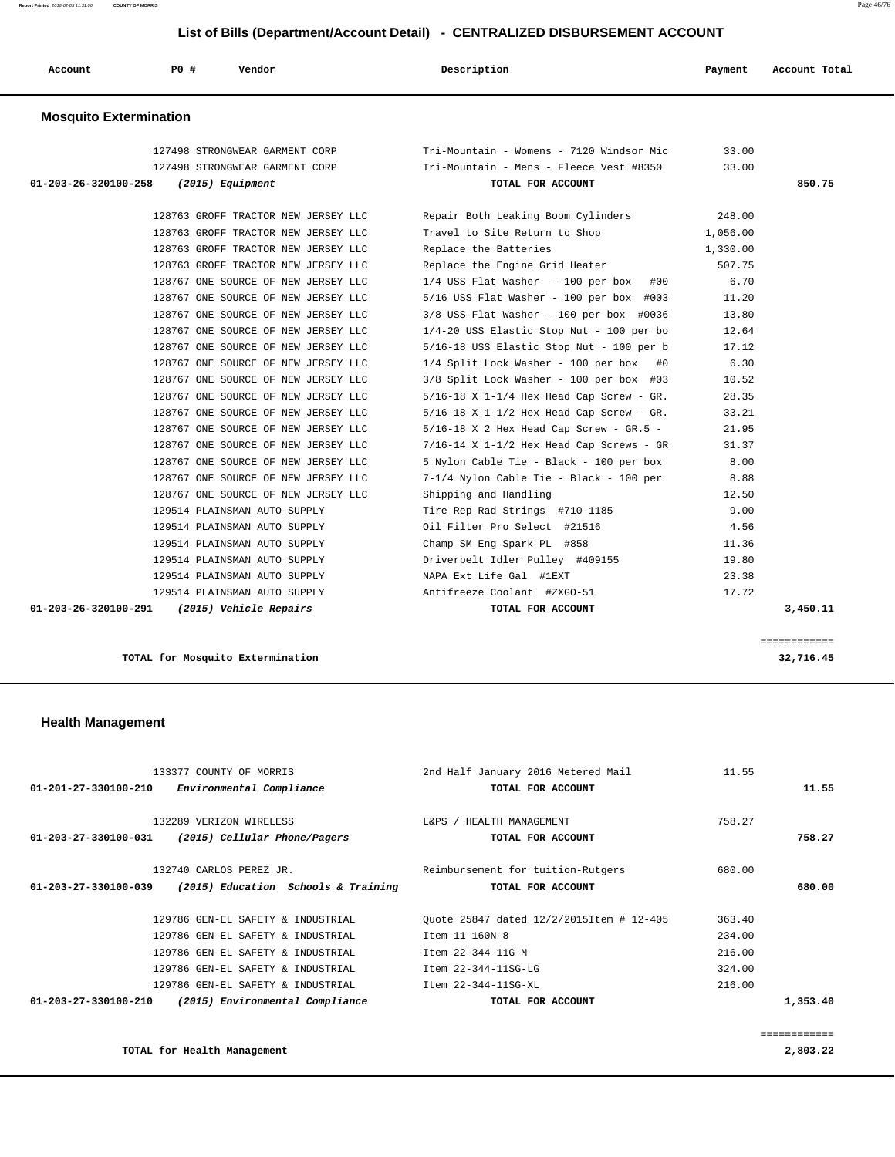**Report Printed** 2016-02-05 11:31:00 **COUNTY OF MORRIS** Page 46/76

### **List of Bills (Department/Account Detail) - CENTRALIZED DISBURSEMENT ACCOUNT**

| Account | P0 # | Vendor | Description | Payment | Account Total |
|---------|------|--------|-------------|---------|---------------|
|         |      |        |             |         |               |

#### **Mosquito Extermination**

|                      | 127498 STRONGWEAR GARMENT CORP              | Tri-Mountain - Womens - 7120 Windsor Mic     | 33.00    |          |
|----------------------|---------------------------------------------|----------------------------------------------|----------|----------|
|                      | 127498 STRONGWEAR GARMENT CORP              | Tri-Mountain - Mens - Fleece Vest #8350      | 33.00    |          |
| 01-203-26-320100-258 | (2015) Equipment                            | TOTAL FOR ACCOUNT                            |          | 850.75   |
|                      | 128763 GROFF TRACTOR NEW JERSEY LLC         | Repair Both Leaking Boom Cylinders           | 248.00   |          |
|                      | 128763 GROFF TRACTOR NEW JERSEY LLC         | Travel to Site Return to Shop                | 1,056.00 |          |
|                      | 128763 GROFF TRACTOR NEW JERSEY LLC         | Replace the Batteries                        | 1,330.00 |          |
|                      | 128763 GROFF TRACTOR NEW JERSEY LLC         | Replace the Engine Grid Heater               | 507.75   |          |
|                      | 128767 ONE SOURCE OF NEW JERSEY LLC         | $1/4$ USS Flat Washer - 100 per box #00      | 6.70     |          |
|                      | 128767 ONE SOURCE OF NEW JERSEY LLC         | 5/16 USS Flat Washer - 100 per box #003      | 11.20    |          |
|                      | 128767 ONE SOURCE OF NEW JERSEY LLC         | $3/8$ USS Flat Washer - 100 per box #0036    | 13.80    |          |
|                      | 128767 ONE SOURCE OF NEW JERSEY LLC         | $1/4-20$ USS Elastic Stop Nut - 100 per bo   | 12.64    |          |
|                      | 128767 ONE SOURCE OF NEW JERSEY LLC         | 5/16-18 USS Elastic Stop Nut - 100 per b     | 17.12    |          |
|                      | 128767 ONE SOURCE OF NEW JERSEY LLC         | 1/4 Split Lock Washer - 100 per box #0       | 6.30     |          |
|                      | 128767 ONE SOURCE OF NEW JERSEY LLC         | 3/8 Split Lock Washer - 100 per box #03      | 10.52    |          |
|                      | 128767 ONE SOURCE OF NEW JERSEY LLC         | $5/16-18$ X 1-1/4 Hex Head Cap Screw - GR.   | 28.35    |          |
|                      | 128767 ONE SOURCE OF NEW JERSEY LLC         | $5/16-18$ X $1-1/2$ Hex Head Cap Screw - GR. | 33.21    |          |
|                      | 128767 ONE SOURCE OF NEW JERSEY LLC         | $5/16-18$ X 2 Hex Head Cap Screw - GR.5 -    | 21.95    |          |
|                      | 128767 ONE SOURCE OF NEW JERSEY LLC         | $7/16-14$ X $1-1/2$ Hex Head Cap Screws - GR | 31.37    |          |
|                      | 128767 ONE SOURCE OF NEW JERSEY LLC         | 5 Nylon Cable Tie - Black - 100 per box      | 8.00     |          |
|                      | 128767 ONE SOURCE OF NEW JERSEY LLC         | 7-1/4 Nylon Cable Tie - Black - 100 per      | 8.88     |          |
|                      | 128767 ONE SOURCE OF NEW JERSEY LLC         | Shipping and Handling                        | 12.50    |          |
|                      | 129514 PLAINSMAN AUTO SUPPLY                | Tire Rep Rad Strings #710-1185               | 9.00     |          |
|                      | 129514 PLAINSMAN AUTO SUPPLY                | Oil Filter Pro Select #21516                 | 4.56     |          |
|                      | 129514 PLAINSMAN AUTO SUPPLY                | Champ SM Eng Spark PL #858                   | 11.36    |          |
|                      | 129514 PLAINSMAN AUTO SUPPLY                | Driverbelt Idler Pulley #409155              | 19.80    |          |
|                      | 129514 PLAINSMAN AUTO SUPPLY                | NAPA Ext Life Gal #1EXT                      | 23.38    |          |
|                      | 129514 PLAINSMAN AUTO SUPPLY                | Antifreeze Coolant #ZXGO-51                  | 17.72    |          |
|                      | 01-203-26-320100-291 (2015) Vehicle Repairs | TOTAL FOR ACCOUNT                            |          | 3,450.11 |

**TOTAL for Mosquito Extermination 32,716.45**

#### **Health Management**

| 133377 COUNTY OF MORRIS                                           | 2nd Half January 2016 Metered Mail       | 11.55       |
|-------------------------------------------------------------------|------------------------------------------|-------------|
| $01 - 201 - 27 - 330100 - 210$<br>Environmental Compliance        | TOTAL FOR ACCOUNT                        | 11.55       |
|                                                                   |                                          |             |
| 132289 VERIZON WIRELESS                                           | L&PS / HEALTH MANAGEMENT                 | 758.27      |
| (2015) Cellular Phone/Pagers<br>01-203-27-330100-031              | TOTAL FOR ACCOUNT                        | 758.27      |
|                                                                   |                                          |             |
| 132740 CARLOS PEREZ JR.                                           | Reimbursement for tuition-Rutgers        | 680.00      |
| (2015) Education Schools & Training<br>01-203-27-330100-039       | TOTAL FOR ACCOUNT                        | 680.00      |
|                                                                   |                                          |             |
| 129786 GEN-EL SAFETY & INDUSTRIAL                                 | Ouote 25847 dated 12/2/2015Item # 12-405 | 363.40      |
| 129786 GEN-EL SAFETY & INDUSTRIAL                                 | Item 11-160N-8                           | 234.00      |
| 129786 GEN-EL SAFETY & INDUSTRIAL                                 | Item 22-344-11G-M                        | 216.00      |
| 129786 GEN-EL SAFETY & INDUSTRIAL                                 | Item 22-344-11SG-LG                      | 324.00      |
| 129786 GEN-EL SAFETY & INDUSTRIAL                                 | Item 22-344-11SG-XL                      | 216.00      |
| $01 - 203 - 27 - 330100 - 210$<br>(2015) Environmental Compliance | TOTAL FOR ACCOUNT                        | 1,353.40    |
|                                                                   |                                          |             |
|                                                                   |                                          | ----------- |

**TOTAL for Health Management 2,803.22**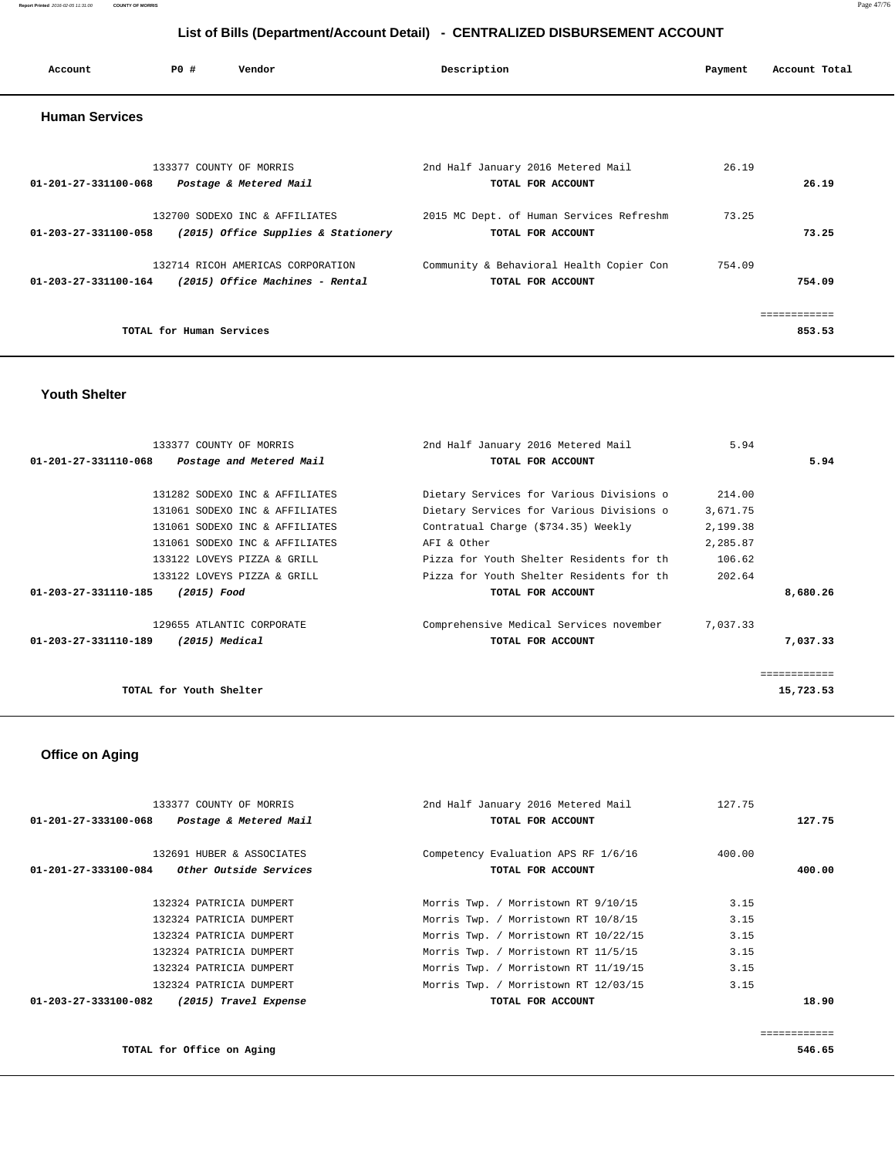| Account               | PO#                      | Vendor                                                                                      | Description                                                   | Payment | Account Total          |
|-----------------------|--------------------------|---------------------------------------------------------------------------------------------|---------------------------------------------------------------|---------|------------------------|
| <b>Human Services</b> |                          |                                                                                             |                                                               |         |                        |
| 01-201-27-331100-068  |                          | 133377 COUNTY OF MORRIS<br>Postage & Metered Mail                                           | 2nd Half January 2016 Metered Mail<br>TOTAL FOR ACCOUNT       | 26.19   | 26.19                  |
| 01-203-27-331100-058  |                          | 132700 SODEXO INC & AFFILIATES<br>(2015) Office Supplies & Stationery                       | 2015 MC Dept. of Human Services Refreshm<br>TOTAL FOR ACCOUNT | 73.25   | 73.25                  |
|                       |                          | 132714 RICOH AMERICAS CORPORATION<br>$01-203-27-331100-164$ (2015) Office Machines - Rental | Community & Behavioral Health Copier Con<br>TOTAL FOR ACCOUNT | 754.09  | 754.09                 |
|                       | TOTAL for Human Services |                                                                                             |                                                               |         | ------------<br>853.53 |

#### **Youth Shelter**

| 133377 COUNTY OF MORRIS                                    | 2nd Half January 2016 Metered Mail        | 5.94     |              |
|------------------------------------------------------------|-------------------------------------------|----------|--------------|
| $01 - 201 - 27 - 331110 - 068$<br>Postage and Metered Mail | TOTAL FOR ACCOUNT                         |          | 5.94         |
| 131282 SODEXO INC & AFFILIATES                             | Dietary Services for Various Divisions o  | 214.00   |              |
| 131061 SODEXO INC & AFFILIATES                             | Dietary Services for Various Divisions o  |          |              |
|                                                            |                                           | 3,671.75 |              |
| 131061 SODEXO INC & AFFILIATES                             | Contratual Charge (\$734.35) Weekly       | 2,199.38 |              |
| 131061 SODEXO INC & AFFILIATES                             | AFI & Other                               | 2,285.87 |              |
| 133122 LOVEYS PIZZA & GRILL                                | Pizza for Youth Shelter Residents for th  | 106.62   |              |
| 133122 LOVEYS PIZZA & GRILL                                | Pizza for Youth Shelter Residents for the | 202.64   |              |
| 01-203-27-331110-185<br>(2015) Food                        | TOTAL FOR ACCOUNT                         |          | 8,680.26     |
| 129655 ATLANTIC CORPORATE                                  | Comprehensive Medical Services november   | 7,037.33 |              |
| 01-203-27-331110-189<br>(2015) Medical                     | TOTAL FOR ACCOUNT                         |          | 7,037.33     |
|                                                            |                                           |          | ------------ |
| TOTAL for Youth Shelter                                    |                                           |          | 15,723.53    |

# **Office on Aging**

| 133377 COUNTY OF MORRIS                               | 2nd Half January 2016 Metered Mail   | 127.75 |        |
|-------------------------------------------------------|--------------------------------------|--------|--------|
| 01-201-27-333100-068<br>Postage & Metered Mail        | TOTAL FOR ACCOUNT                    |        | 127.75 |
|                                                       |                                      |        |        |
| 132691 HUBER & ASSOCIATES                             | Competency Evaluation APS RF 1/6/16  | 400.00 |        |
| <i>Other Outside Services</i><br>01-201-27-333100-084 | TOTAL FOR ACCOUNT                    |        | 400.00 |
|                                                       |                                      |        |        |
| 132324 PATRICIA DUMPERT                               | Morris Twp. / Morristown RT 9/10/15  | 3.15   |        |
| 132324 PATRICIA DUMPERT                               | Morris Twp. / Morristown RT 10/8/15  | 3.15   |        |
| 132324 PATRICIA DUMPERT                               | Morris Twp. / Morristown RT 10/22/15 | 3.15   |        |
| 132324 PATRICIA DUMPERT                               | Morris Twp. / Morristown RT 11/5/15  | 3.15   |        |
| 132324 PATRICIA DUMPERT                               | Morris Twp. / Morristown RT 11/19/15 | 3.15   |        |
| 132324 PATRICIA DUMPERT                               | Morris Twp. / Morristown RT 12/03/15 | 3.15   |        |
| 01-203-27-333100-082<br>(2015) Travel Expense         | TOTAL FOR ACCOUNT                    |        | 18.90  |
|                                                       |                                      |        |        |
|                                                       |                                      |        |        |

#### **TOTAL for Office on Aging 546.65**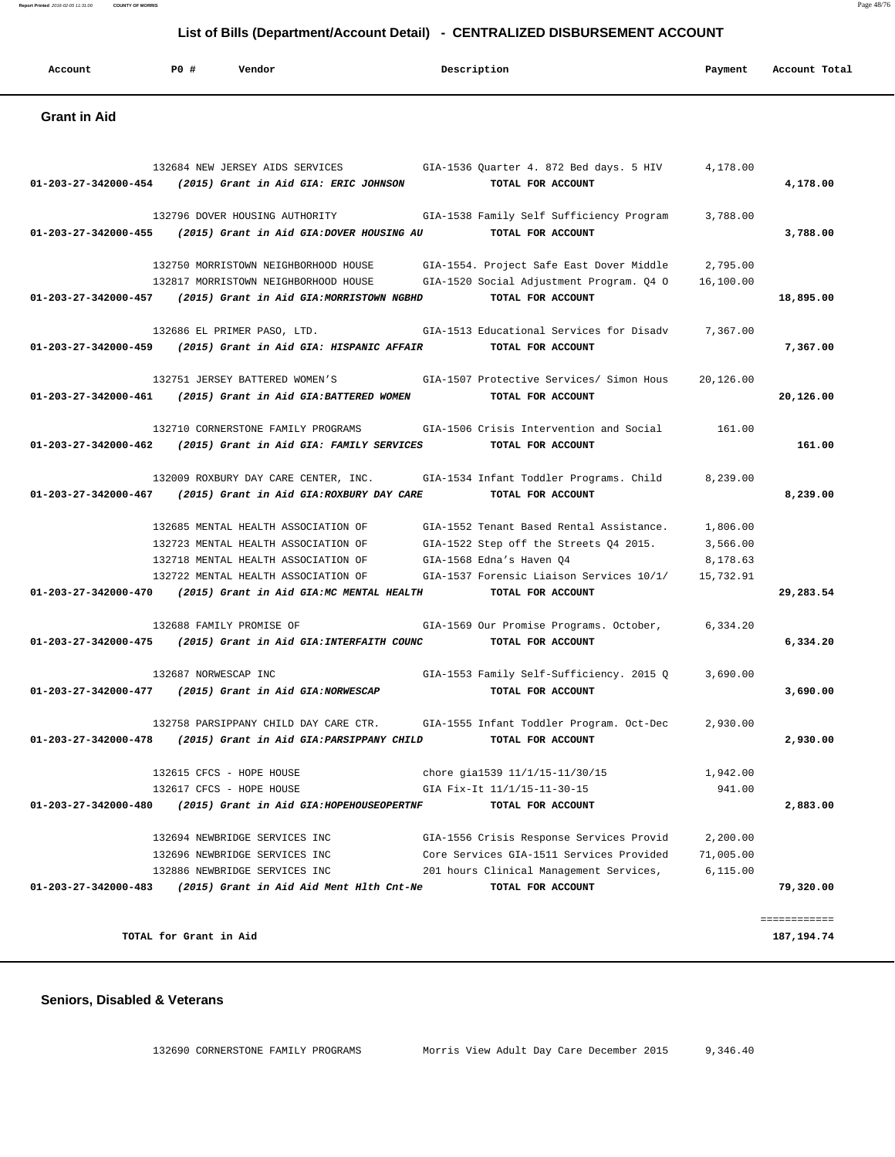| Report Printed 2016-02-05 11:31:00<br><b>COUNTY OF MORRIS</b> |     |                                           |                                                                              |           |               |
|---------------------------------------------------------------|-----|-------------------------------------------|------------------------------------------------------------------------------|-----------|---------------|
|                                                               |     |                                           | List of Bills (Department/Account Detail) - CENTRALIZED DISBURSEMENT ACCOUNT |           |               |
| Account                                                       | PO# | Vendor                                    | Description                                                                  | Payment   | Account Total |
| <b>Grant in Aid</b>                                           |     |                                           |                                                                              |           |               |
|                                                               |     | 132684 NEW JERSEY AIDS SERVICES           | GIA-1536 Quarter 4. 872 Bed days. 5 HIV                                      | 4,178.00  |               |
| 01-203-27-342000-454                                          |     | (2015) Grant in Aid GIA: ERIC JOHNSON     | TOTAL FOR ACCOUNT                                                            |           | 4,178.00      |
|                                                               |     | 132796 DOVER HOUSING AUTHORITY            | GIA-1538 Family Self Sufficiency Program                                     | 3,788.00  |               |
| $01 - 203 - 27 - 342000 - 455$                                |     | (2015) Grant in Aid GIA: DOVER HOUSING AU | TOTAL FOR ACCOUNT                                                            |           | 3,788.00      |
|                                                               |     | 132750 MORRISTOWN NEIGHBORHOOD HOUSE      | GIA-1554. Project Safe East Dover Middle                                     | 2,795.00  |               |
|                                                               |     | 132817 MORRISTOWN NEIGHBORHOOD HOUSE      | GIA-1520 Social Adjustment Program. Q4 O                                     | 16,100.00 |               |
| 01-203-27-342000-457                                          |     | (2015) Grant in Aid GIA: MORRISTOWN NGBHD | TOTAL FOR ACCOUNT                                                            |           | 18,895.00     |
|                                                               |     | 132686 EL PRIMER PASO, LTD.               | GTA-1513 Educational Services for Disady                                     | 7.367.00  |               |
| $01 - 203 - 27 - 342000 - 459$                                |     | (2015) Grant in Aid GIA: HISPANIC AFFAIR  | TOTAL FOR ACCOUNT                                                            |           | 7,367.00      |
|                                                               |     | 132751 JERSEY BATTERED WOMEN'S            | GTA-1507 Protective Services/ Simon Hous                                     | 20.126.00 |               |
| 01-203-27-342000-461                                          |     | (2015) Grant in Aid GIA: BATTERED WOMEN   | TOTAL FOR ACCOUNT                                                            |           | 20,126.00     |
|                                                               |     | 132710 CORNERSTONE FAMILY PROGRAMS        | GIA-1506 Crisis Intervention and Social                                      | 161.00    |               |
| 01-203-27-342000-462                                          |     | (2015) Grant in Aid GIA: FAMILY SERVICES  | TOTAL FOR ACCOUNT                                                            |           | 161.00        |
|                                                               |     | 132009 ROXBURY DAY CARE CENTER, INC.      | GIA-1534 Infant Toddler Programs. Child                                      | 8,239.00  |               |
| 01-203-27-342000-467                                          |     | (2015) Grant in Aid GIA: ROXBURY DAY CARE | TOTAL FOR ACCOUNT                                                            |           | 8,239.00      |
|                                                               |     | 132685 MENTAL HEALTH ASSOCIATION OF       | GIA-1552 Tenant Based Rental Assistance.                                     | 1,806.00  |               |
|                                                               |     | 132723 MENTAL HEALTH ASSOCIATION OF       | GIA-1522 Step off the Streets Q4 2015.                                       | 3,566.00  |               |
|                                                               |     | 132718 MENTAL HEALTH ASSOCIATION OF       | GIA-1568 Edna's Haven 04                                                     | 8,178.63  |               |
|                                                               |     | 132722 MENTAL HEALTH ASSOCIATION OF       | GIA-1537 Forensic Liaison Services 10/1/                                     | 15,732.91 |               |
| 01-203-27-342000-470                                          |     | (2015) Grant in Aid GIA: MC MENTAL HEALTH | TOTAL FOR ACCOUNT                                                            |           | 29,283.54     |

 132688 FAMILY PROMISE OF GIA-1569 Our Promise Programs. October, 6,334.20  **01-203-27-342000-475 (2015) Grant in Aid GIA:INTERFAITH COUNC TOTAL FOR ACCOUNT 6,334.20** 132687 NORWESCAP INC GIA-1553 Family Self-Sufficiency. 2015 Q 3,690.00  **01-203-27-342000-477 (2015) Grant in Aid GIA:NORWESCAP TOTAL FOR ACCOUNT 3,690.00** 132758 PARSIPPANY CHILD DAY CARE CTR. GIA-1555 Infant Toddler Program. Oct-Dec 2,930.00  **01-203-27-342000-478 (2015) Grant in Aid GIA:PARSIPPANY CHILD TOTAL FOR ACCOUNT 2,930.00** 132615 CFCS - HOPE HOUSE chore gial 539 11/1/15-11/30/15 1,942.00<br>
chore gial 539 11/1/15-11/30/15 1,942.00<br>
change of the the third is an also chore that the three seasons of the three seasons of the seasons of the se 132617 CFCS - HOPE HOUSE GIA Fix-It 11/1/15-11-30-15 941.00  **01-203-27-342000-480 (2015) Grant in Aid GIA:HOPEHOUSEOPERTNF TOTAL FOR ACCOUNT 2,883.00** 132694 NEWBRIDGE SERVICES INC GIA-1556 Crisis Response Services Provid 2,200.00 132696 NEWBRIDGE SERVICES INC Core Services GIA-1511 Services Provided 71,005.00 201 hours Clinical Management Services, 6,115.00  **01-203-27-342000-483 (2015) Grant in Aid Aid Ment Hlth Cnt-Ne TOTAL FOR ACCOUNT 79,320.00** ============

#### **Seniors, Disabled & Veterans**

132690 CORNERSTONE FAMILY PROGRAMS Morris View Adult Day Care December 2015 9,346.40

**TOTAL for Grant in Aid 187,194.74**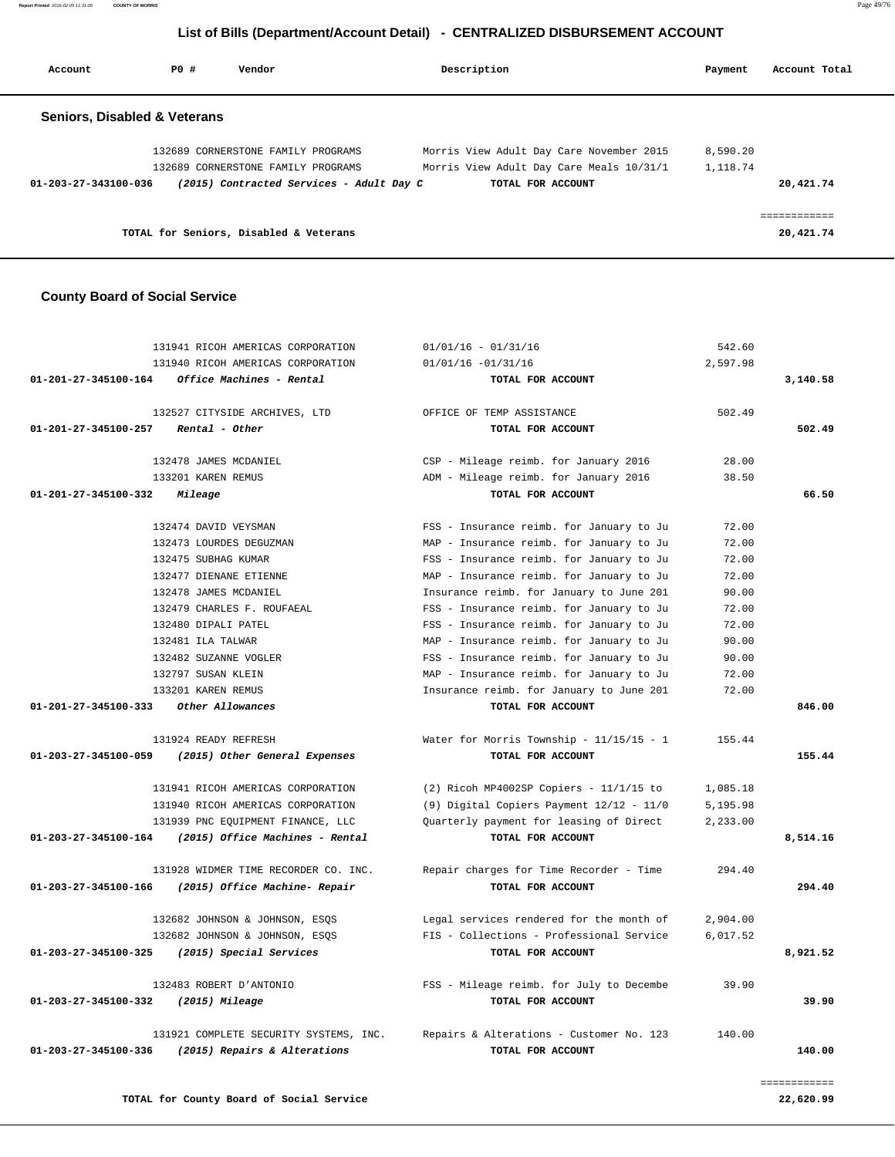| Account                                 | PO# | Vendor                                   | Description                              | Payment  | Account Total             |
|-----------------------------------------|-----|------------------------------------------|------------------------------------------|----------|---------------------------|
| <b>Seniors, Disabled &amp; Veterans</b> |     |                                          |                                          |          |                           |
|                                         |     | 132689 CORNERSTONE FAMILY PROGRAMS       | Morris View Adult Day Care November 2015 | 8,590.20 |                           |
|                                         |     | 132689 CORNERSTONE FAMILY PROGRAMS       | Morris View Adult Day Care Meals 10/31/1 | 1,118.74 |                           |
| 01-203-27-343100-036                    |     | (2015) Contracted Services - Adult Day C | TOTAL FOR ACCOUNT                        |          | 20,421.74                 |
|                                         |     | TOTAL for Seniors, Disabled & Veterans   |                                          |          | ============<br>20,421.74 |

#### **County Board of Social Service**

|                                | 131941 RICOH AMERICAS CORPORATION      | $01/01/16 - 01/31/16$                                           | 542.60   |          |
|--------------------------------|----------------------------------------|-----------------------------------------------------------------|----------|----------|
|                                | 131940 RICOH AMERICAS CORPORATION      | $01/01/16 - 01/31/16$                                           | 2,597.98 |          |
| 01-201-27-345100-164           | Office Machines - Rental               | TOTAL FOR ACCOUNT                                               |          | 3,140.58 |
|                                | 132527 CITYSIDE ARCHIVES, LTD          | OFFICE OF TEMP ASSISTANCE                                       | 502.49   |          |
| 01-201-27-345100-257           | Rental - Other                         | TOTAL FOR ACCOUNT                                               |          | 502.49   |
|                                |                                        |                                                                 |          |          |
|                                | 132478 JAMES MCDANIEL                  | CSP - Mileage reimb. for January 2016                           | 28.00    |          |
|                                | 133201 KAREN REMUS                     | ADM - Mileage reimb. for January 2016                           | 38.50    |          |
| $01 - 201 - 27 - 345100 - 332$ | Mileage                                | TOTAL FOR ACCOUNT                                               |          | 66.50    |
|                                | 132474 DAVID VEYSMAN                   | FSS - Insurance reimb. for January to Ju                        | 72.00    |          |
|                                | 132473 LOURDES DEGUZMAN                | MAP - Insurance reimb. for January to Ju                        | 72.00    |          |
|                                | 132475 SUBHAG KUMAR                    | FSS - Insurance reimb. for January to Ju                        | 72.00    |          |
|                                | 132477 DIENANE ETIENNE                 | MAP - Insurance reimb. for January to Ju                        | 72.00    |          |
|                                | 132478 JAMES MCDANIEL                  | Insurance reimb. for January to June 201                        | 90.00    |          |
|                                | 132479 CHARLES F. ROUFAEAL             | FSS - Insurance reimb. for January to Ju                        | 72.00    |          |
|                                | 132480 DIPALI PATEL                    | FSS - Insurance reimb. for January to Ju                        | 72.00    |          |
|                                | 132481 ILA TALWAR                      | MAP - Insurance reimb. for January to Ju                        | 90.00    |          |
|                                | 132482 SUZANNE VOGLER                  | FSS - Insurance reimb. for January to Ju                        | 90.00    |          |
|                                | 132797 SUSAN KLEIN                     | MAP - Insurance reimb. for January to Ju                        | 72.00    |          |
|                                | 133201 KAREN REMUS                     | Insurance reimb. for January to June 201                        | 72.00    |          |
| $01 - 201 - 27 - 345100 - 333$ | Other Allowances                       | TOTAL FOR ACCOUNT                                               |          | 846.00   |
|                                |                                        |                                                                 |          |          |
| 01-203-27-345100-059           | 131924 READY REFRESH                   | Water for Morris Township - $11/15/15 - 1$<br>TOTAL FOR ACCOUNT | 155.44   | 155.44   |
|                                | (2015) Other General Expenses          |                                                                 |          |          |
|                                | 131941 RICOH AMERICAS CORPORATION      | $(2)$ Ricoh MP4002SP Copiers - 11/1/15 to                       | 1,085.18 |          |
|                                | 131940 RICOH AMERICAS CORPORATION      | (9) Digital Copiers Payment 12/12 - 11/0                        | 5,195.98 |          |
|                                | 131939 PNC EQUIPMENT FINANCE, LLC      | Quarterly payment for leasing of Direct                         | 2,233.00 |          |
| 01-203-27-345100-164           | (2015) Office Machines - Rental        | TOTAL FOR ACCOUNT                                               |          | 8,514.16 |
|                                | 131928 WIDMER TIME RECORDER CO. INC.   | Repair charges for Time Recorder - Time                         | 294.40   |          |
| 01-203-27-345100-166           | (2015) Office Machine- Repair          | TOTAL FOR ACCOUNT                                               |          | 294.40   |
|                                |                                        |                                                                 |          |          |
|                                | 132682 JOHNSON & JOHNSON, ESQS         | Legal services rendered for the month of                        | 2,904.00 |          |
|                                | 132682 JOHNSON & JOHNSON, ESQS         | FIS - Collections - Professional Service                        | 6,017.52 |          |
| 01-203-27-345100-325           | (2015) Special Services                | TOTAL FOR ACCOUNT                                               |          | 8,921.52 |
|                                | 132483 ROBERT D'ANTONIO                | FSS - Mileage reimb. for July to Decembe                        | 39.90    |          |
| 01-203-27-345100-332           | (2015) Mileage                         | TOTAL FOR ACCOUNT                                               |          | 39.90    |
|                                |                                        |                                                                 |          |          |
|                                | 131921 COMPLETE SECURITY SYSTEMS, INC. | Repairs & Alterations - Customer No. 123                        | 140.00   |          |
| 01-203-27-345100-336           | (2015) Repairs & Alterations           | TOTAL FOR ACCOUNT                                               |          | 140.00   |
|                                |                                        |                                                                 |          |          |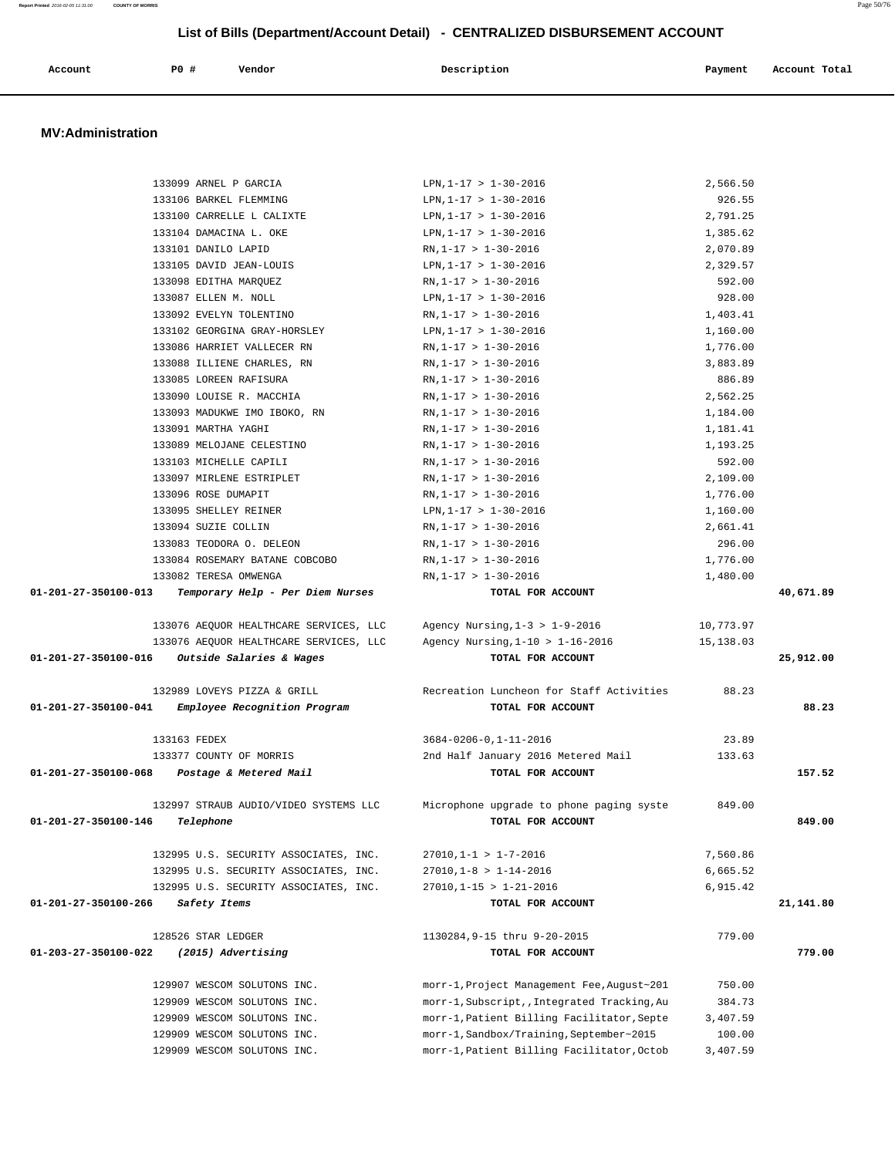| Account | P0 # | Vendor | Description   | Payment       | Account Total |
|---------|------|--------|---------------|---------------|---------------|
|         |      | .      | $\sim$ $\sim$ | $\sim$ $\sim$ |               |
|         |      |        |               |               |               |

#### **MV:Administration**

| 133099 ARNEL P GARCIA                                    | LPN, $1-17 > 1-30-2016$                      | 2,566.50  |           |
|----------------------------------------------------------|----------------------------------------------|-----------|-----------|
| 133106 BARKEL FLEMMING                                   | LPN, $1-17 > 1-30-2016$                      | 926.55    |           |
| 133100 CARRELLE L CALIXTE                                | LPN, $1-17 > 1-30-2016$                      | 2,791.25  |           |
| 133104 DAMACINA L. OKE                                   | LPN, $1-17 > 1-30-2016$                      | 1,385.62  |           |
| 133101 DANILO LAPID                                      | $RN, 1-17 > 1-30-2016$                       | 2,070.89  |           |
| 133105 DAVID JEAN-LOUIS                                  | LPN, $1-17 > 1-30-2016$                      | 2,329.57  |           |
| 133098 EDITHA MARQUEZ                                    | $RN, 1-17 > 1-30-2016$                       | 592.00    |           |
| 133087 ELLEN M. NOLL                                     | LPN, $1-17 > 1-30-2016$                      | 928.00    |           |
| 133092 EVELYN TOLENTINO                                  | $RN, 1-17 > 1-30-2016$                       | 1,403.41  |           |
| 133102 GEORGINA GRAY-HORSLEY                             | LPN, $1-17 > 1-30-2016$                      | 1,160.00  |           |
| 133086 HARRIET VALLECER RN                               | $RN, 1-17 > 1-30-2016$                       | 1,776.00  |           |
| 133088 ILLIENE CHARLES, RN                               | $RN, 1-17 > 1-30-2016$                       | 3,883.89  |           |
| 133085 LOREEN RAFISURA                                   | $RN, 1-17 > 1-30-2016$                       | 886.89    |           |
| 133090 LOUISE R. MACCHIA                                 | $RN, 1-17 > 1-30-2016$                       | 2,562.25  |           |
| 133093 MADUKWE IMO IBOKO, RN                             | $RN, 1-17 > 1-30-2016$                       | 1,184.00  |           |
| 133091 MARTHA YAGHI                                      | $RN, 1-17 > 1-30-2016$                       | 1,181.41  |           |
| 133089 MELOJANE CELESTINO                                | $RN, 1-17 > 1-30-2016$                       | 1,193.25  |           |
| 133103 MICHELLE CAPILI                                   | $RN, 1-17 > 1-30-2016$                       | 592.00    |           |
| 133097 MIRLENE ESTRIPLET                                 | $RN, 1-17 > 1-30-2016$                       | 2,109.00  |           |
| 133096 ROSE DUMAPIT                                      | $RN, 1-17 > 1-30-2016$                       | 1,776.00  |           |
| 133095 SHELLEY REINER                                    | LPN, $1-17 > 1-30-2016$                      | 1,160.00  |           |
| 133094 SUZIE COLLIN                                      | $RN, 1-17 > 1-30-2016$                       | 2,661.41  |           |
| 133083 TEODORA O. DELEON                                 | $RN, 1-17 > 1-30-2016$                       | 296.00    |           |
| 133084 ROSEMARY BATANE COBCOBO                           | $RN, 1-17 > 1-30-2016$                       | 1,776.00  |           |
| 133082 TERESA OMWENGA                                    | $RN, 1-17 > 1-30-2016$                       | 1,480.00  |           |
| 01-201-27-350100-013<br>Temporary Help - Per Diem Nurses | TOTAL FOR ACCOUNT                            |           | 40,671.89 |
|                                                          |                                              |           |           |
| 133076 AEQUOR HEALTHCARE SERVICES, LLC                   | Agency Nursing, $1-3 > 1-9-2016$             | 10,773.97 |           |
| 133076 AEQUOR HEALTHCARE SERVICES, LLC                   | Agency Nursing, $1-10$ > $1-16-2016$         | 15,138.03 |           |
| $01-201-27-350100-016$ Outside Salaries & Wages          | TOTAL FOR ACCOUNT                            |           | 25,912.00 |
|                                                          |                                              |           |           |
| 132989 LOVEYS PIZZA & GRILL                              | Recreation Luncheon for Staff Activities     | 88.23     |           |
| 01-201-27-350100-041<br>Employee Recognition Program     | TOTAL FOR ACCOUNT                            |           | 88.23     |
|                                                          |                                              |           |           |
| 133163 FEDEX                                             | $3684 - 0206 - 0, 1 - 11 - 2016$             | 23.89     |           |
| 133377 COUNTY OF MORRIS                                  | 2nd Half January 2016 Metered Mail           | 133.63    |           |
| 01-201-27-350100-068 Postage & Metered Mail              | TOTAL FOR ACCOUNT                            |           | 157.52    |
| 132997 STRAUB AUDIO/VIDEO SYSTEMS LLC                    | Microphone upgrade to phone paging syste     | 849.00    |           |
| 01-201-27-350100-146 Telephone                           | TOTAL FOR ACCOUNT                            |           | 849.00    |
|                                                          |                                              |           |           |
| 132995 U.S. SECURITY ASSOCIATES, INC.                    | $27010, 1 - 1 > 1 - 7 - 2016$                | 7,560.86  |           |
| 132995 U.S. SECURITY ASSOCIATES, INC.                    | $27010, 1-8 > 1-14-2016$                     | 6,665.52  |           |
| 132995 U.S. SECURITY ASSOCIATES, INC.                    | $27010, 1 - 15 > 1 - 21 - 2016$              | 6,915.42  |           |
| 01-201-27-350100-266<br>Safety Items                     | TOTAL FOR ACCOUNT                            |           | 21,141.80 |
|                                                          |                                              |           |           |
| 128526 STAR LEDGER                                       | 1130284, 9-15 thru 9-20-2015                 | 779.00    |           |
| (2015) Advertising<br>01-203-27-350100-022               | TOTAL FOR ACCOUNT                            |           | 779.00    |
|                                                          |                                              |           |           |
| 129907 WESCOM SOLUTONS INC.                              | morr-1, Project Management Fee, August~201   | 750.00    |           |
| 129909 WESCOM SOLUTONS INC.                              | morr-1, Subscript, , Integrated Tracking, Au | 384.73    |           |
| 129909 WESCOM SOLUTONS INC.                              | morr-1, Patient Billing Facilitator, Septe   | 3,407.59  |           |
| 129909 WESCOM SOLUTONS INC.                              | morr-1, Sandbox/Training, September~2015     | 100.00    |           |
| 129909 WESCOM SOLUTONS INC.                              | morr-1, Patient Billing Facilitator, Octob   | 3,407.59  |           |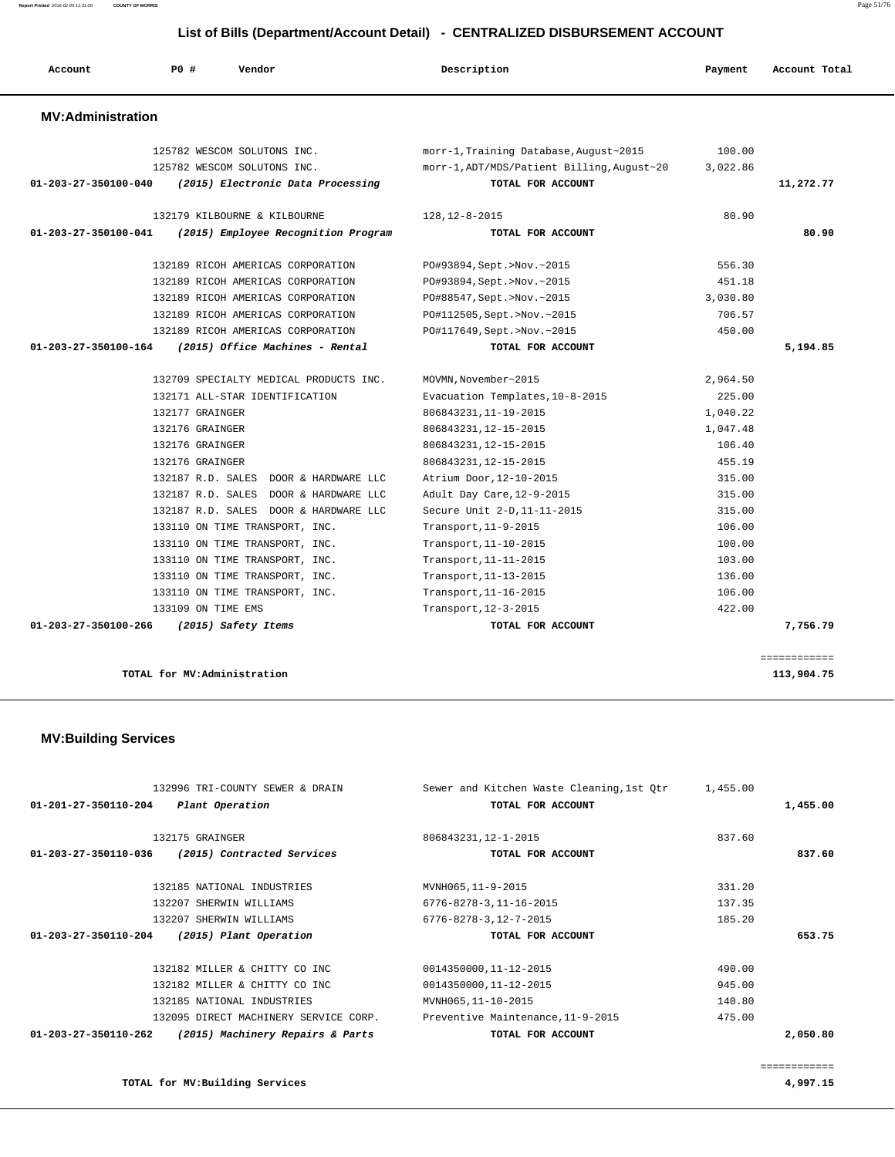| Account                  | <b>PO #</b><br>Vendor                    | Description                                | Payment  | Account Total |
|--------------------------|------------------------------------------|--------------------------------------------|----------|---------------|
| <b>MV:Administration</b> |                                          |                                            |          |               |
|                          | 125782 WESCOM SOLUTONS INC.              | morr-1, Training Database, August~2015     | 100.00   |               |
|                          | 125782 WESCOM SOLUTONS INC.              | morr-1, ADT/MDS/Patient Billing, August~20 | 3,022.86 |               |
| 01-203-27-350100-040     | (2015) Electronic Data Processing        | TOTAL FOR ACCOUNT                          |          | 11,272.77     |
|                          | 132179 KILBOURNE & KILBOURNE             | 128, 12-8-2015                             | 80.90    |               |
| 01-203-27-350100-041     | (2015) Employee Recognition Program      | TOTAL FOR ACCOUNT                          |          | 80.90         |
|                          | 132189 RICOH AMERICAS CORPORATION        | PO#93894, Sept. >Nov. ~ 2015               | 556.30   |               |
|                          | 132189 RICOH AMERICAS CORPORATION        | PO#93894, Sept. >Nov. ~2015                | 451.18   |               |
|                          | 132189 RICOH AMERICAS CORPORATION        | PO#88547, Sept.>Nov.~2015                  | 3,030.80 |               |
|                          | 132189 RICOH AMERICAS CORPORATION        | PO#112505, Sept. >Nov. ~2015               | 706.57   |               |
|                          | 132189 RICOH AMERICAS CORPORATION        | PO#117649, Sept. >Nov. ~2015               | 450.00   |               |
| 01-203-27-350100-164     | (2015) Office Machines - Rental          | TOTAL FOR ACCOUNT                          |          | 5,194.85      |
|                          | 132709 SPECIALTY MEDICAL PRODUCTS INC.   | MOVMN, November~2015                       | 2,964.50 |               |
|                          | 132171 ALL-STAR IDENTIFICATION           | Evacuation Templates, 10-8-2015            | 225.00   |               |
|                          | 132177 GRAINGER                          | 806843231, 11-19-2015                      | 1,040.22 |               |
|                          | 132176 GRAINGER                          | 806843231, 12-15-2015                      | 1,047.48 |               |
|                          | 132176 GRAINGER                          | 806843231, 12-15-2015                      | 106.40   |               |
|                          | 132176 GRAINGER                          | 806843231, 12-15-2015                      | 455.19   |               |
|                          | 132187 R.D. SALES DOOR & HARDWARE LLC    | Atrium Door, 12-10-2015                    | 315.00   |               |
|                          | 132187 R.D. SALES<br>DOOR & HARDWARE LLC | Adult Day Care, 12-9-2015                  | 315.00   |               |
|                          | 132187 R.D. SALES DOOR & HARDWARE LLC    | Secure Unit 2-D, 11-11-2015                | 315.00   |               |
|                          | 133110 ON TIME TRANSPORT, INC.           | Transport, 11-9-2015                       | 106.00   |               |
|                          | 133110 ON TIME TRANSPORT, INC.           | Transport, 11-10-2015                      | 100.00   |               |
|                          | 133110 ON TIME TRANSPORT, INC.           | Transport, 11-11-2015                      | 103.00   |               |
|                          | 133110 ON TIME TRANSPORT, INC.           | Transport, 11-13-2015                      | 136.00   |               |
|                          | 133110 ON TIME TRANSPORT, INC.           | Transport, 11-16-2015                      | 106.00   |               |
|                          | 133109 ON TIME EMS                       | Transport, 12-3-2015                       | 422.00   |               |
| 01-203-27-350100-266     | (2015) Safety Items                      | TOTAL FOR ACCOUNT                          |          | 7,756.79      |

**TOTAL for MV:Administration 113,904.75**

 **MV:Building Services** 

|                                | 132996 TRI-COUNTY SEWER & DRAIN       | Sewer and Kitchen Waste Cleaning, 1st Otr | 1,455.00 |              |
|--------------------------------|---------------------------------------|-------------------------------------------|----------|--------------|
| $01 - 201 - 27 - 350110 - 204$ | Plant Operation                       | TOTAL FOR ACCOUNT                         |          | 1,455.00     |
|                                | 132175 GRAINGER                       | 806843231, 12-1-2015                      | 837.60   |              |
| $01 - 203 - 27 - 350110 - 036$ | (2015) Contracted Services            | TOTAL FOR ACCOUNT                         |          | 837.60       |
|                                |                                       |                                           |          |              |
|                                | 132185 NATIONAL INDUSTRIES            | MVNH065,11-9-2015                         | 331.20   |              |
|                                | 132207 SHERWIN WILLIAMS               | $6776 - 8278 - 3, 11 - 16 - 2015$         | 137.35   |              |
|                                | 132207 SHERWIN WILLIAMS               | $6776 - 8278 - 3,12 - 7 - 2015$           | 185.20   |              |
| $01 - 203 - 27 - 350110 - 204$ | (2015) Plant Operation                | TOTAL FOR ACCOUNT                         |          | 653.75       |
|                                | 132182 MILLER & CHITTY CO INC         | 0014350000,11-12-2015                     | 490.00   |              |
|                                | 132182 MILLER & CHITTY CO INC         | 0014350000,11-12-2015                     | 945.00   |              |
|                                | 132185 NATIONAL INDUSTRIES            | MVNH065, 11-10-2015                       | 140.80   |              |
|                                | 132095 DIRECT MACHINERY SERVICE CORP. | Preventive Maintenance, 11-9-2015         | 475.00   |              |
| $01 - 203 - 27 - 350110 - 262$ | (2015) Machinery Repairs & Parts      | TOTAL FOR ACCOUNT                         |          | 2,050.80     |
|                                |                                       |                                           |          | ============ |

**TOTAL for MV:Building Services 4,997.15**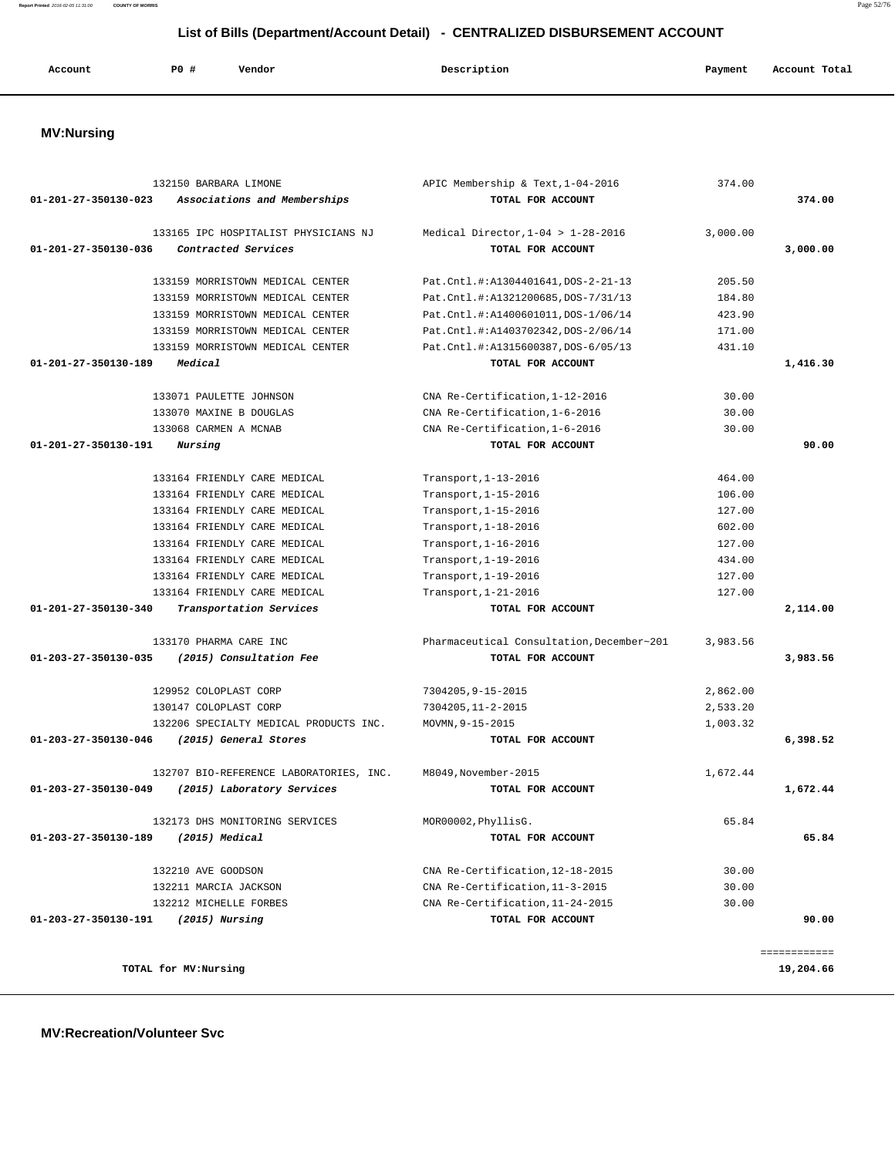**Report Printed** 2016-02-05 11:31:00 **COUNTY OF MORRIS** Page 52/76

# **List of Bills (Department/Account Detail) - CENTRALIZED DISBURSEMENT ACCOUNT**

| Account | PO# | Vendor | Description | Payment | Account Total |
|---------|-----|--------|-------------|---------|---------------|
|         |     |        |             |         |               |

# **MV:Nursing**

|                      | 132150 BARBARA LIMONE                   | APIC Membership & Text, 1-04-2016         | 374.00   |              |
|----------------------|-----------------------------------------|-------------------------------------------|----------|--------------|
| 01-201-27-350130-023 | Associations and Memberships            | TOTAL FOR ACCOUNT                         |          | 374.00       |
|                      | 133165 IPC HOSPITALIST PHYSICIANS NJ    | Medical Director, $1-04 > 1-28-2016$      | 3,000.00 |              |
| 01-201-27-350130-036 | Contracted Services                     | TOTAL FOR ACCOUNT                         |          | 3,000.00     |
|                      |                                         |                                           |          |              |
|                      | 133159 MORRISTOWN MEDICAL CENTER        | Pat.Cntl.#:A1304401641, DOS-2-21-13       | 205.50   |              |
|                      | 133159 MORRISTOWN MEDICAL CENTER        | Pat.Cntl.#:A1321200685,DOS-7/31/13        | 184.80   |              |
|                      | 133159 MORRISTOWN MEDICAL CENTER        | Pat.Cntl.#:A1400601011, DOS-1/06/14       | 423.90   |              |
|                      | 133159 MORRISTOWN MEDICAL CENTER        | Pat.Cntl.#:A1403702342, DOS-2/06/14       | 171.00   |              |
|                      | 133159 MORRISTOWN MEDICAL CENTER        | Pat.Cntl.#:A1315600387,DOS-6/05/13        | 431.10   |              |
| 01-201-27-350130-189 | Medical                                 | TOTAL FOR ACCOUNT                         |          | 1,416.30     |
|                      | 133071 PAULETTE JOHNSON                 | CNA Re-Certification, 1-12-2016           | 30.00    |              |
|                      | 133070 MAXINE B DOUGLAS                 | CNA Re-Certification, 1-6-2016            | 30.00    |              |
|                      | 133068 CARMEN A MCNAB                   | CNA Re-Certification, 1-6-2016            | 30.00    |              |
| 01-201-27-350130-191 | Nursing                                 | TOTAL FOR ACCOUNT                         |          | 90.00        |
|                      | 133164 FRIENDLY CARE MEDICAL            | Transport, 1-13-2016                      | 464.00   |              |
|                      | 133164 FRIENDLY CARE MEDICAL            | Transport, 1-15-2016                      | 106.00   |              |
|                      | 133164 FRIENDLY CARE MEDICAL            | Transport, 1-15-2016                      | 127.00   |              |
|                      | 133164 FRIENDLY CARE MEDICAL            | Transport, 1-18-2016                      | 602.00   |              |
|                      | 133164 FRIENDLY CARE MEDICAL            | Transport, 1-16-2016                      | 127.00   |              |
|                      | 133164 FRIENDLY CARE MEDICAL            | Transport, 1-19-2016                      | 434.00   |              |
|                      | 133164 FRIENDLY CARE MEDICAL            | Transport, 1-19-2016                      | 127.00   |              |
|                      | 133164 FRIENDLY CARE MEDICAL            | Transport, 1-21-2016                      | 127.00   |              |
| 01-201-27-350130-340 | Transportation Services                 | TOTAL FOR ACCOUNT                         |          | 2,114.00     |
|                      | 133170 PHARMA CARE INC                  | Pharmaceutical Consultation, December~201 | 3,983.56 |              |
| 01-203-27-350130-035 | (2015) Consultation Fee                 | TOTAL FOR ACCOUNT                         |          | 3,983.56     |
|                      | 129952 COLOPLAST CORP                   | 7304205, 9-15-2015                        | 2,862.00 |              |
|                      | 130147 COLOPLAST CORP                   | 7304205, 11-2-2015                        | 2,533.20 |              |
|                      | 132206 SPECIALTY MEDICAL PRODUCTS INC.  | MOVMN, 9-15-2015                          | 1,003.32 |              |
| 01-203-27-350130-046 | (2015) General Stores                   | TOTAL FOR ACCOUNT                         |          | 6,398.52     |
|                      | 132707 BIO-REFERENCE LABORATORIES, INC. | M8049, November-2015                      | 1,672.44 |              |
| 01-203-27-350130-049 | (2015) Laboratory Services              | TOTAL FOR ACCOUNT                         |          | 1,672.44     |
|                      | 132173 DHS MONITORING SERVICES          | MOR00002, PhyllisG.                       | 65.84    |              |
| 01-203-27-350130-189 | (2015) Medical                          | TOTAL FOR ACCOUNT                         |          | 65.84        |
|                      | 132210 AVE GOODSON                      | CNA Re-Certification, 12-18-2015          | 30.00    |              |
|                      | 132211 MARCIA JACKSON                   | CNA Re-Certification, 11-3-2015           | 30.00    |              |
|                      | 132212 MICHELLE FORBES                  | CNA Re-Certification, 11-24-2015          | 30.00    |              |
| 01-203-27-350130-191 | $(2015)$ Nursing                        | TOTAL FOR ACCOUNT                         |          | 90.00        |
|                      |                                         |                                           |          | ============ |
|                      | TOTAL for MV:Nursing                    |                                           |          | 19,204.66    |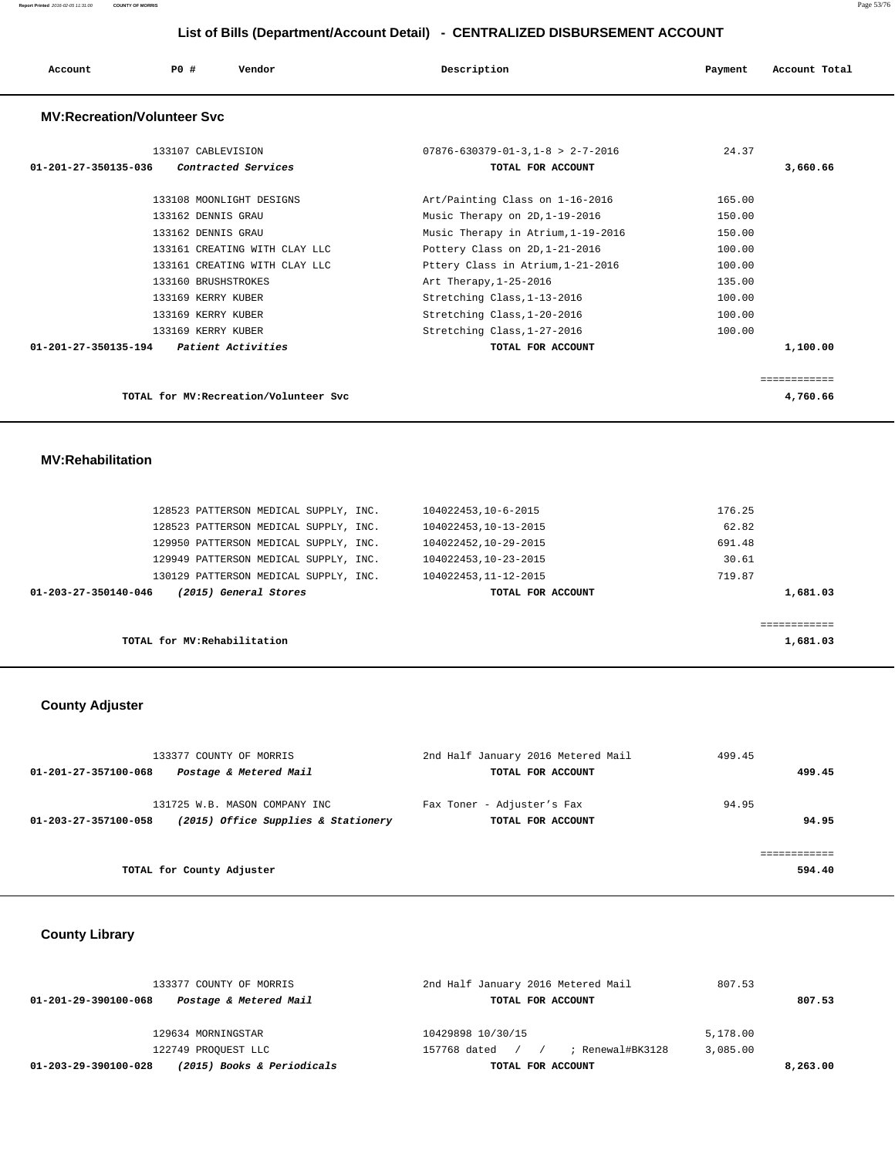| Account                            | PO#<br>Vendor                             | Description                                                         | Account Total<br>Payment |
|------------------------------------|-------------------------------------------|---------------------------------------------------------------------|--------------------------|
| <b>MV:Recreation/Volunteer Svc</b> |                                           |                                                                     |                          |
| 01-201-27-350135-036               | 133107 CABLEVISION<br>Contracted Services | $07876 - 630379 - 01 - 3.1 - 8 > 2 - 7 - 2016$<br>TOTAL FOR ACCOUNT | 24.37<br>3,660.66        |
|                                    | 133108 MOONLIGHT DESIGNS                  | Art/Painting Class on 1-16-2016                                     | 165.00                   |
|                                    | 133162 DENNIS GRAU                        | Music Therapy on 2D, 1-19-2016                                      | 150.00                   |
|                                    | 133162 DENNIS GRAU                        | Music Therapy in Atrium, 1-19-2016                                  | 150.00                   |
|                                    | 133161 CREATING WITH CLAY LLC             | Pottery Class on 2D, 1-21-2016                                      | 100.00                   |
|                                    | 133161 CREATING WITH CLAY LLC             | Pttery Class in Atrium, 1-21-2016                                   | 100.00                   |
|                                    | 133160 BRUSHSTROKES                       | Art Therapy, 1-25-2016                                              | 135.00                   |
|                                    | 133169 KERRY KUBER                        | Stretching Class, 1-13-2016                                         | 100.00                   |
|                                    | 133169 KERRY KUBER                        | Stretching Class, 1-20-2016                                         | 100.00                   |
|                                    | 133169 KERRY KUBER                        | Stretching Class, 1-27-2016                                         | 100.00                   |
| 01-201-27-350135-194               | <i>Patient Activities</i>                 | TOTAL FOR ACCOUNT                                                   | 1,100.00                 |
|                                    |                                           |                                                                     | ------------             |
|                                    | TOTAL for MV: Recreation/Volunteer Svc    |                                                                     | 4,760.66                 |

#### **MV:Rehabilitation**

|                                               | 128523 PATTERSON MEDICAL SUPPLY, INC. | 104022453, 10-6-2015  | 176.25   |
|-----------------------------------------------|---------------------------------------|-----------------------|----------|
|                                               | 128523 PATTERSON MEDICAL SUPPLY, INC. | 104022453, 10-13-2015 | 62.82    |
|                                               | 129950 PATTERSON MEDICAL SUPPLY, INC. | 104022452,10-29-2015  | 691.48   |
|                                               | 129949 PATTERSON MEDICAL SUPPLY, INC. | 104022453, 10-23-2015 | 30.61    |
|                                               | 130129 PATTERSON MEDICAL SUPPLY, INC. | 104022453, 11-12-2015 | 719.87   |
| (2015) General Stores<br>01-203-27-350140-046 |                                       | TOTAL FOR ACCOUNT     | 1,681.03 |
|                                               |                                       |                       |          |
|                                               |                                       |                       |          |
| TOTAL for MV: Rehabilitation                  |                                       |                       | 1,681.03 |

# **County Adjuster**

|                      | 133377 COUNTY OF MORRIS                                              | 2nd Half January 2016 Metered Mail              | 499.45         |
|----------------------|----------------------------------------------------------------------|-------------------------------------------------|----------------|
| 01-201-27-357100-068 | Postage & Metered Mail                                               | TOTAL FOR ACCOUNT                               | 499.45         |
| 01-203-27-357100-058 | 131725 W.B. MASON COMPANY INC<br>(2015) Office Supplies & Stationery | Fax Toner - Adjuster's Fax<br>TOTAL FOR ACCOUNT | 94.95<br>94.95 |
|                      |                                                                      |                                                 |                |
|                      | TOTAL for County Adjuster                                            |                                                 | 594.40         |
|                      |                                                                      |                                                 |                |

# **County Library**

| 129634 MORNINGSTAR                                 | 10429898 10/30/15                  | 5,178.00 |
|----------------------------------------------------|------------------------------------|----------|
| 122749 PROQUEST LLC                                | ; Renewal#BK3128<br>157768 dated / | 3,085.00 |
| (2015) Books & Periodicals<br>01-203-29-390100-028 | TOTAL FOR ACCOUNT                  | 8,263,00 |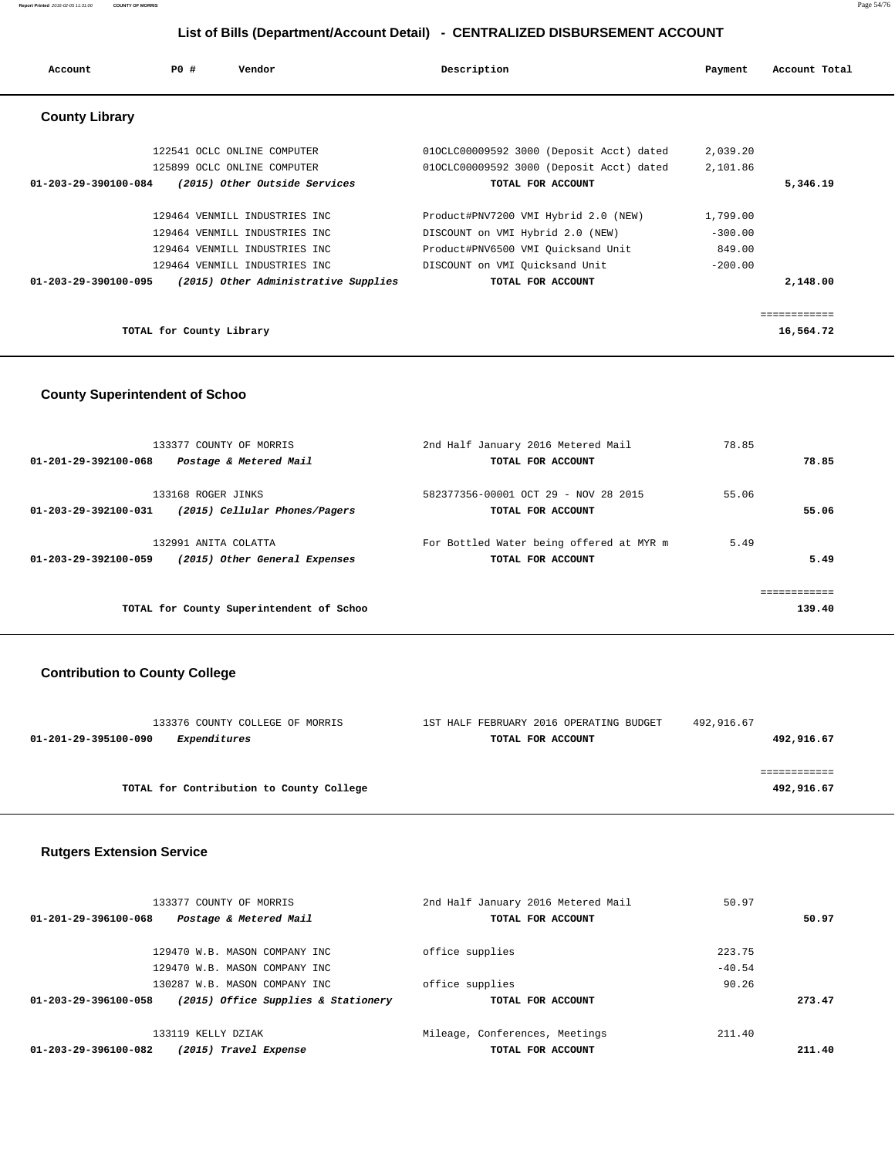| Account                        | PO#                      | Vendor                                                     | Description                                                                          | Payment              | Account Total |
|--------------------------------|--------------------------|------------------------------------------------------------|--------------------------------------------------------------------------------------|----------------------|---------------|
| <b>County Library</b>          |                          |                                                            |                                                                                      |                      |               |
|                                |                          | 122541 OCLC ONLINE COMPUTER<br>125899 OCLC ONLINE COMPUTER | 010CLC00009592 3000 (Deposit Acct) dated<br>010CLC00009592 3000 (Deposit Acct) dated | 2,039.20<br>2,101.86 |               |
| $01 - 203 - 29 - 390100 - 084$ |                          | (2015) Other Outside Services                              | TOTAL FOR ACCOUNT                                                                    |                      | 5,346.19      |
|                                |                          | 129464 VENMILL INDUSTRIES INC                              | Product#PNV7200 VMI Hybrid 2.0 (NEW)                                                 | 1,799.00             |               |
|                                |                          | 129464 VENMILL INDUSTRIES INC                              | DISCOUNT on VMI Hybrid 2.0 (NEW)                                                     | $-300.00$            |               |
|                                |                          | 129464 VENMILL INDUSTRIES INC                              | Product#PNV6500 VMI Quicksand Unit                                                   | 849.00               |               |
|                                |                          | 129464 VENMILL INDUSTRIES INC                              | DISCOUNT on VMI Quicksand Unit                                                       | $-200.00$            |               |
| 01-203-29-390100-095           |                          | (2015) Other Administrative Supplies                       | TOTAL FOR ACCOUNT                                                                    |                      | 2,148.00      |
|                                |                          |                                                            |                                                                                      |                      | ------------  |
|                                | TOTAL for County Library |                                                            |                                                                                      |                      | 16,564.72     |

#### **County Superintendent of Schoo**

| 133377 COUNTY OF MORRIS                               | 2nd Half January 2016 Metered Mail       | 78.85 |             |
|-------------------------------------------------------|------------------------------------------|-------|-------------|
| 01-201-29-392100-068<br>Postage & Metered Mail        | TOTAL FOR ACCOUNT                        |       | 78.85       |
| 133168 ROGER JINKS                                    | 582377356-00001 OCT 29 - NOV 28 2015     | 55.06 |             |
| (2015) Cellular Phones/Pagers<br>01-203-29-392100-031 | TOTAL FOR ACCOUNT                        |       | 55.06       |
| 132991 ANITA COLATTA                                  | For Bottled Water being offered at MYR m | 5.49  |             |
| (2015) Other General Expenses<br>01-203-29-392100-059 | TOTAL FOR ACCOUNT                        |       | 5.49        |
|                                                       |                                          |       |             |
|                                                       |                                          |       | =========== |
| TOTAL for County Superintendent of Schoo              |                                          |       | 139.40      |

# **Contribution to County College**

| 133376 COUNTY COLLEGE OF MORRIS          | 1ST HALF FEBRUARY 2016 OPERATING BUDGET | 492,916.67 |
|------------------------------------------|-----------------------------------------|------------|
| 01-201-29-395100-090<br>Expenditures     | TOTAL FOR ACCOUNT                       | 492,916.67 |
|                                          |                                         |            |
|                                          |                                         |            |
| TOTAL for Contribution to County College |                                         | 492,916.67 |
|                                          |                                         |            |

#### **Rutgers Extension Service**

|                      | 133377 COUNTY OF MORRIS             | 2nd Half January 2016 Metered Mail | 50.97    |        |
|----------------------|-------------------------------------|------------------------------------|----------|--------|
| 01-201-29-396100-068 | Postage & Metered Mail              | TOTAL FOR ACCOUNT                  |          | 50.97  |
|                      | 129470 W.B. MASON COMPANY INC       | office supplies                    | 223.75   |        |
|                      | 129470 W.B. MASON COMPANY INC.      |                                    | $-40.54$ |        |
|                      | 130287 W.B. MASON COMPANY INC.      | office supplies                    | 90.26    |        |
| 01-203-29-396100-058 | (2015) Office Supplies & Stationery | TOTAL FOR ACCOUNT                  |          | 273.47 |
|                      | 133119 KELLY DZTAK                  | Mileage, Conferences, Meetings     | 211.40   |        |
| 01-203-29-396100-082 | (2015) Travel Expense               | TOTAL FOR ACCOUNT                  |          | 211.40 |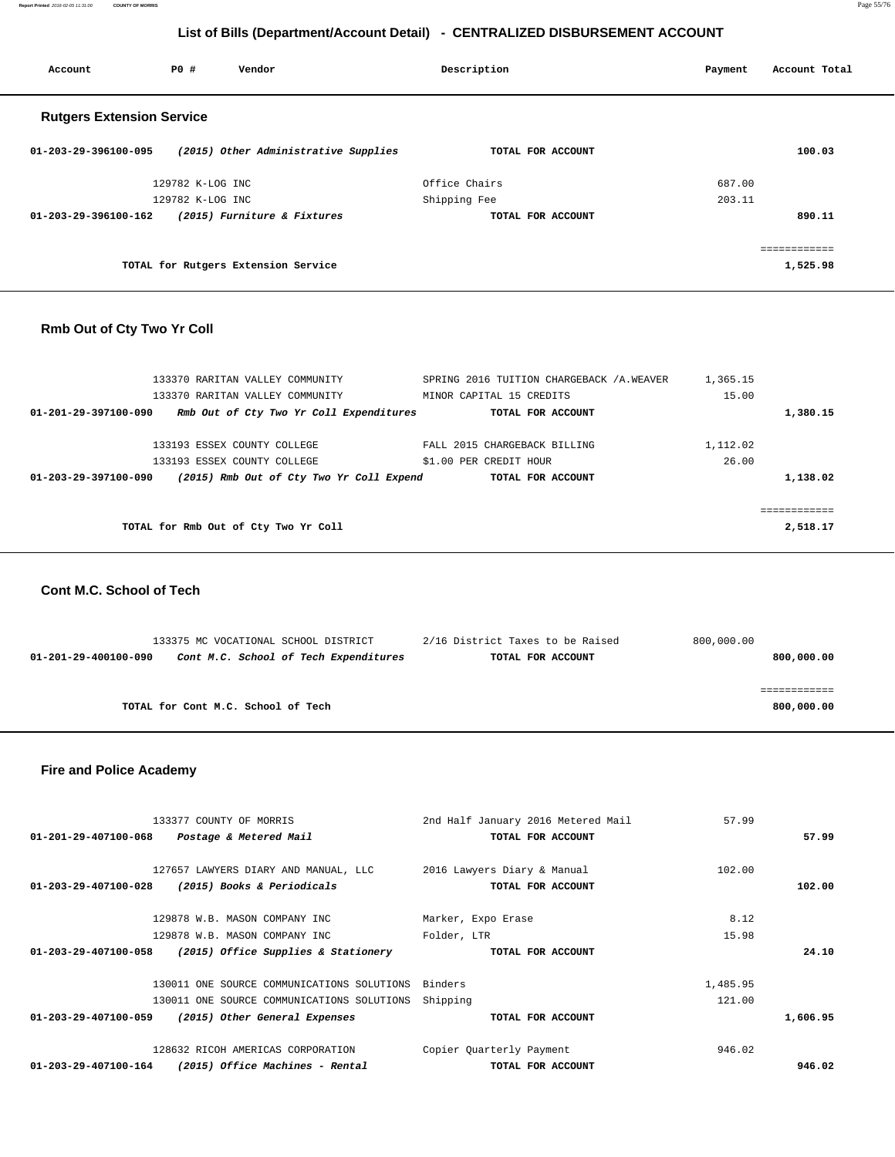**Report Printed** 2016-02-05 11:31:00 **COUNTY OF MORRIS** Page 55/76

### **List of Bills (Department/Account Detail) - CENTRALIZED DISBURSEMENT ACCOUNT**

| Account                          | PO#              | Vendor                               | Description   |                   | Payment | Account Total |
|----------------------------------|------------------|--------------------------------------|---------------|-------------------|---------|---------------|
| <b>Rutgers Extension Service</b> |                  |                                      |               |                   |         |               |
| 01-203-29-396100-095             |                  | (2015) Other Administrative Supplies |               | TOTAL FOR ACCOUNT |         | 100.03        |
|                                  | 129782 K-LOG INC |                                      | Office Chairs |                   | 687.00  |               |
|                                  | 129782 K-LOG INC |                                      | Shipping Fee  |                   | 203.11  |               |
| 01-203-29-396100-162             |                  | (2015) Furniture & Fixtures          |               | TOTAL FOR ACCOUNT |         | 890.11        |
|                                  |                  |                                      |               |                   |         |               |
|                                  |                  | TOTAL for Rutgers Extension Service  |               |                   |         | 1,525.98      |

#### **Rmb Out of Cty Two Yr Coll**

| 133370 RARITAN VALLEY COMMUNITY                                  | SPRING 2016 TUITION CHARGEBACK /A.WEAVER | 1,365.15 |          |
|------------------------------------------------------------------|------------------------------------------|----------|----------|
| 133370 RARITAN VALLEY COMMUNITY                                  | MINOR CAPITAL 15 CREDITS                 | 15.00    |          |
| Rmb Out of Cty Two Yr Coll Expenditures<br>01-201-29-397100-090  | TOTAL FOR ACCOUNT                        |          | 1,380.15 |
|                                                                  |                                          |          |          |
| 133193 ESSEX COUNTY COLLEGE                                      | FALL 2015 CHARGEBACK BILLING             | 1,112.02 |          |
| 133193 ESSEX COUNTY COLLEGE                                      | \$1.00 PER CREDIT HOUR                   | 26.00    |          |
| (2015) Rmb Out of Cty Two Yr Coll Expend<br>01-203-29-397100-090 | TOTAL FOR ACCOUNT                        |          | 1,138.02 |
|                                                                  |                                          |          |          |
|                                                                  |                                          |          | .        |
| TOTAL for Rmb Out of Cty Two Yr Coll                             |                                          |          | 2,518.17 |
|                                                                  |                                          |          |          |

#### **Cont M.C. School of Tech**

|                      | 133375 MC VOCATIONAL SCHOOL DISTRICT  | 2/16 District Taxes to be Raised | 800,000.00 |
|----------------------|---------------------------------------|----------------------------------|------------|
| 01-201-29-400100-090 | Cont M.C. School of Tech Expenditures | TOTAL FOR ACCOUNT                | 800,000.00 |
|                      |                                       |                                  |            |
|                      |                                       |                                  |            |
|                      | TOTAL for Cont M.C. School of Tech    |                                  | 800,000.00 |
|                      |                                       |                                  |            |

#### **Fire and Police Academy**

|                                | 133377 COUNTY OF MORRIS                    | 2nd Half January 2016 Metered Mail | 57.99    |          |
|--------------------------------|--------------------------------------------|------------------------------------|----------|----------|
| 01-201-29-407100-068           | Postage & Metered Mail                     | TOTAL FOR ACCOUNT                  |          | 57.99    |
|                                |                                            |                                    |          |          |
|                                | 127657 LAWYERS DIARY AND MANUAL, LLC       | 2016 Lawyers Diary & Manual        | 102.00   |          |
| $01 - 203 - 29 - 407100 - 028$ | (2015) Books & Periodicals                 | TOTAL FOR ACCOUNT                  |          | 102.00   |
|                                |                                            |                                    |          |          |
|                                | 129878 W.B. MASON COMPANY INC              | Marker, Expo Erase                 | 8.12     |          |
|                                | 129878 W.B. MASON COMPANY INC              | Folder, LTR                        | 15.98    |          |
| 01-203-29-407100-058           | (2015) Office Supplies & Stationery        | TOTAL FOR ACCOUNT                  |          | 24.10    |
|                                |                                            |                                    |          |          |
|                                | 130011 ONE SOURCE COMMUNICATIONS SOLUTIONS | Binders                            | 1,485.95 |          |
|                                | 130011 ONE SOURCE COMMUNICATIONS SOLUTIONS | Shipping                           | 121.00   |          |
| 01-203-29-407100-059           | (2015) Other General Expenses              | TOTAL FOR ACCOUNT                  |          | 1,606.95 |
|                                | 128632 RICOH AMERICAS CORPORATION          | Copier Quarterly Payment           | 946.02   |          |
| 01-203-29-407100-164           | (2015) Office Machines - Rental            | TOTAL FOR ACCOUNT                  |          | 946.02   |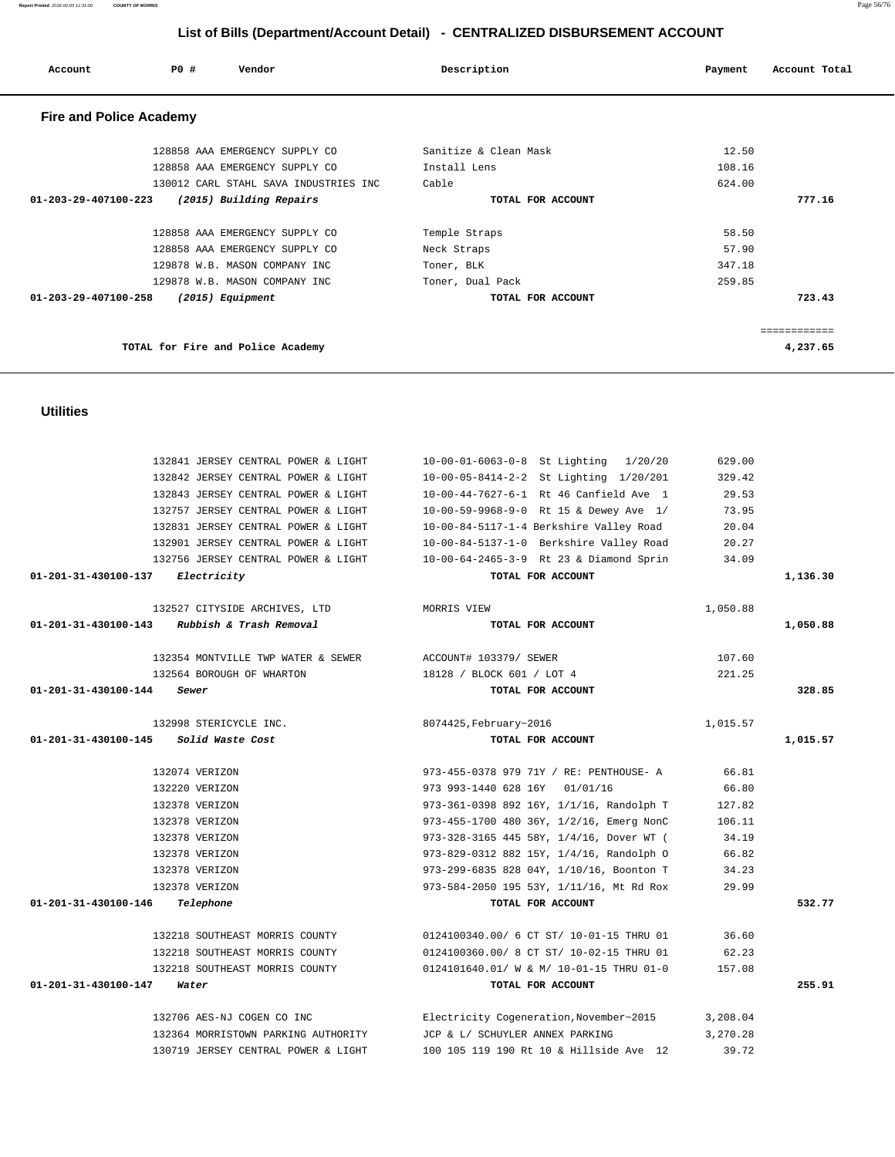| Account                        | PO# | Vendor                                |               | Description           | Payment | Account Total |
|--------------------------------|-----|---------------------------------------|---------------|-----------------------|---------|---------------|
| <b>Fire and Police Academy</b> |     |                                       |               |                       |         |               |
|                                |     | 128858 AAA EMERGENCY SUPPLY CO        |               | Sanitize & Clean Mask | 12.50   |               |
|                                |     | 128858 AAA EMERGENCY SUPPLY CO        | Install Lens  |                       | 108.16  |               |
|                                |     | 130012 CARL STAHL SAVA INDUSTRIES INC | Cable         |                       | 624.00  |               |
| $01 - 203 - 29 - 407100 - 223$ |     | (2015) Building Repairs               |               | TOTAL FOR ACCOUNT     |         | 777.16        |
|                                |     | 128858 AAA EMERGENCY SUPPLY CO        | Temple Straps |                       | 58.50   |               |
|                                |     | 128858 AAA EMERGENCY SUPPLY CO        | Neck Straps   |                       | 57.90   |               |
|                                |     | 129878 W.B. MASON COMPANY INC         | Toner, BLK    |                       | 347.18  |               |
|                                |     | 129878 W.B. MASON COMPANY INC         |               | Toner, Dual Pack      | 259.85  |               |
| $01 - 203 - 29 - 407100 - 258$ |     | (2015) Equipment                      |               | TOTAL FOR ACCOUNT     |         | 723.43        |
|                                |     |                                       |               |                       |         | ============  |
|                                |     | TOTAL for Fire and Police Academy     |               |                       |         | 4,237.65      |
|                                |     |                                       |               |                       |         |               |

#### **Utilities**

|                                            | 132841 JERSEY CENTRAL POWER & LIGHT            | 10-00-01-6063-0-8 St Lighting 1/20/20    | 629.00   |          |
|--------------------------------------------|------------------------------------------------|------------------------------------------|----------|----------|
|                                            | 132842 JERSEY CENTRAL POWER & LIGHT            | 10-00-05-8414-2-2 St Lighting 1/20/201   | 329.42   |          |
|                                            | 132843 JERSEY CENTRAL POWER & LIGHT            | 10-00-44-7627-6-1 Rt 46 Canfield Ave 1   | 29.53    |          |
|                                            | 132757 JERSEY CENTRAL POWER & LIGHT            | 10-00-59-9968-9-0 Rt 15 & Dewey Ave 1/   | 73.95    |          |
|                                            | 132831 JERSEY CENTRAL POWER & LIGHT            | 10-00-84-5117-1-4 Berkshire Valley Road  | 20.04    |          |
|                                            | 132901 JERSEY CENTRAL POWER & LIGHT            | 10-00-84-5137-1-0 Berkshire Valley Road  | 20.27    |          |
|                                            | 132756 JERSEY CENTRAL POWER & LIGHT            | 10-00-64-2465-3-9 Rt 23 & Diamond Sprin  | 34.09    |          |
| $01 - 201 - 31 - 430100 - 137$ Electricity |                                                | TOTAL FOR ACCOUNT                        |          | 1,136.30 |
|                                            | 132527 CITYSIDE ARCHIVES, LTD                  | MORRIS VIEW                              | 1,050.88 |          |
|                                            | $01-201-31-430100-143$ Rubbish & Trash Removal | TOTAL FOR ACCOUNT                        |          | 1,050.88 |
|                                            | 132354 MONTVILLE TWP WATER & SEWER             | ACCOUNT# 103379/ SEWER                   | 107.60   |          |
|                                            | 132564 BOROUGH OF WHARTON                      | 18128 / BLOCK 601 / LOT 4                | 221.25   |          |
| 01-201-31-430100-144                       | Sewer                                          | TOTAL FOR ACCOUNT                        |          | 328.85   |
|                                            | 132998 STERICYCLE INC.                         | 8074425, February~2016                   | 1,015.57 |          |
| 01-201-31-430100-145                       | Solid Waste Cost                               | TOTAL FOR ACCOUNT                        |          | 1,015.57 |
|                                            | 132074 VERIZON                                 | 973-455-0378 979 71Y / RE: PENTHOUSE- A  | 66.81    |          |
|                                            | 132220 VERIZON                                 | 973 993-1440 628 16Y 01/01/16            | 66.80    |          |
|                                            | 132378 VERIZON                                 | 973-361-0398 892 16Y, 1/1/16, Randolph T | 127.82   |          |
|                                            | 132378 VERIZON                                 | 973-455-1700 480 36Y, 1/2/16, Emerg NonC | 106.11   |          |
|                                            | 132378 VERIZON                                 | 973-328-3165 445 58Y, 1/4/16, Dover WT ( | 34.19    |          |
|                                            | 132378 VERIZON                                 | 973-829-0312 882 15Y, 1/4/16, Randolph O | 66.82    |          |
|                                            | 132378 VERIZON                                 | 973-299-6835 828 04Y, 1/10/16, Boonton T | 34.23    |          |
|                                            | 132378 VERIZON                                 | 973-584-2050 195 53Y, 1/11/16, Mt Rd Rox | 29.99    |          |
| 01-201-31-430100-146                       | Telephone                                      | TOTAL FOR ACCOUNT                        |          | 532.77   |
|                                            | 132218 SOUTHEAST MORRIS COUNTY                 | 0124100340.00/ 6 CT ST/ 10-01-15 THRU 01 | 36.60    |          |
|                                            | 132218 SOUTHEAST MORRIS COUNTY                 | 0124100360.00/ 8 CT ST/ 10-02-15 THRU 01 | 62.23    |          |
|                                            | 132218 SOUTHEAST MORRIS COUNTY                 | 0124101640.01/ W & M/ 10-01-15 THRU 01-0 | 157.08   |          |
| 01-201-31-430100-147                       | Water                                          | TOTAL FOR ACCOUNT                        |          | 255.91   |
|                                            | 132706 AES-NJ COGEN CO INC                     | Electricity Cogeneration, November~2015  | 3,208.04 |          |
|                                            | 132364 MORRISTOWN PARKING AUTHORITY            | JCP & L/ SCHUYLER ANNEX PARKING          | 3,270.28 |          |
|                                            | 130719 JERSEY CENTRAL POWER & LIGHT            | 100 105 119 190 Rt 10 & Hillside Ave 12  | 39.72    |          |

**Report Printed** 2016-02-05 11:31:00 **COUNTY OF MORRIS** Page 56/76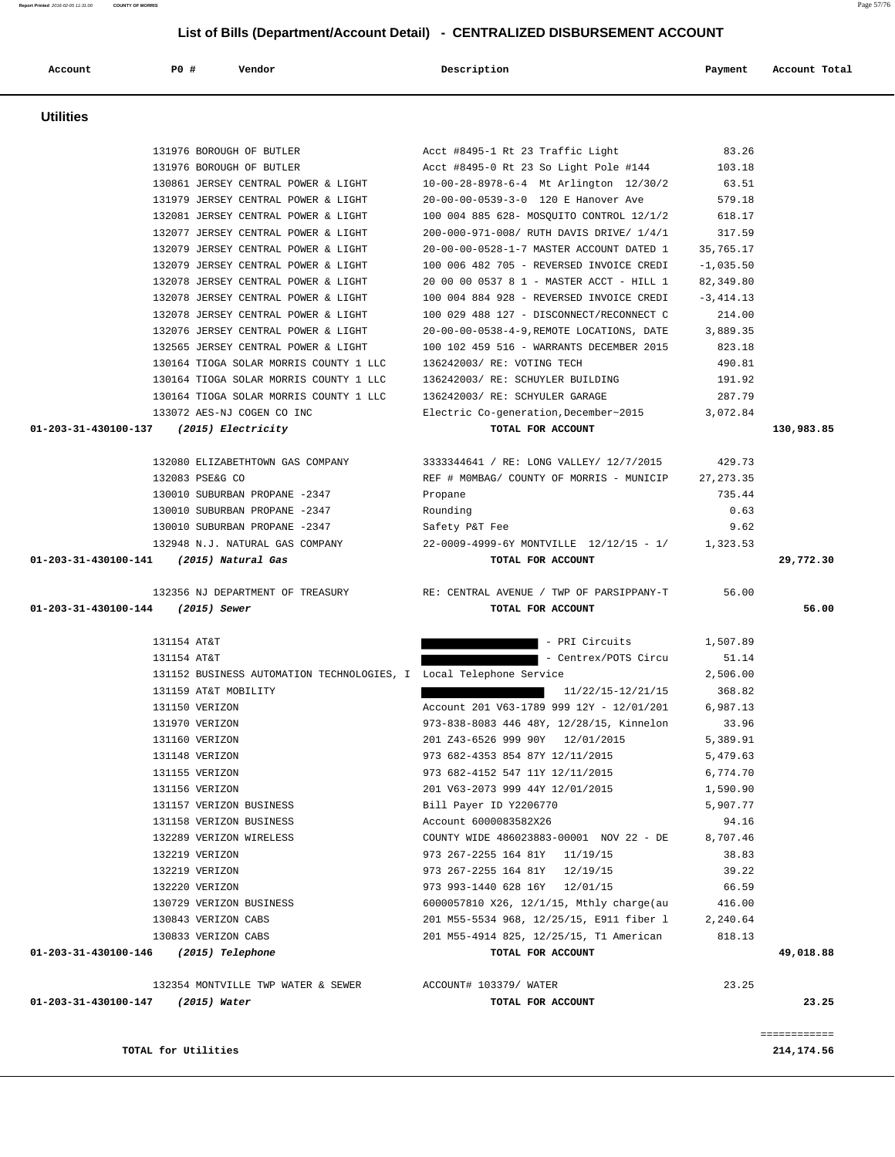|                                         | 132076 JERSEY CENTRAL POWER & LIGHT                                | 20-00-00-0538-4-9, REMOTE LOCATIONS, DATE | 3,889.35   |              |
|-----------------------------------------|--------------------------------------------------------------------|-------------------------------------------|------------|--------------|
|                                         | 132565 JERSEY CENTRAL POWER & LIGHT                                | 100 102 459 516 - WARRANTS DECEMBER 2015  | 823.18     |              |
|                                         | 130164 TIOGA SOLAR MORRIS COUNTY 1 LLC                             | 136242003/ RE: VOTING TECH                | 490.81     |              |
|                                         | 130164 TIOGA SOLAR MORRIS COUNTY 1 LLC                             | 136242003/ RE: SCHUYLER BUILDING          | 191.92     |              |
|                                         | 130164 TIOGA SOLAR MORRIS COUNTY 1 LLC                             | 136242003/ RE: SCHYULER GARAGE            | 287.79     |              |
|                                         | 133072 AES-NJ COGEN CO INC                                         | Electric Co-generation, December~2015     | 3,072.84   |              |
| 01-203-31-430100-137 (2015) Electricity |                                                                    | TOTAL FOR ACCOUNT                         |            | 130,983.85   |
|                                         | 132080 ELIZABETHTOWN GAS COMPANY                                   | 3333344641 / RE: LONG VALLEY/ 12/7/2015   | 429.73     |              |
|                                         | 132083 PSE&G CO                                                    | REF # MOMBAG/ COUNTY OF MORRIS - MUNICIP  | 27, 273.35 |              |
|                                         | 130010 SUBURBAN PROPANE -2347                                      | Propane                                   | 735.44     |              |
|                                         | 130010 SUBURBAN PROPANE -2347                                      | Rounding                                  | 0.63       |              |
|                                         | 130010 SUBURBAN PROPANE -2347                                      | Safety P&T Fee                            | 9.62       |              |
|                                         | 132948 N.J. NATURAL GAS COMPANY                                    | 22-0009-4999-6Y MONTVILLE 12/12/15 - 1/   | 1,323.53   |              |
| 01-203-31-430100-141 (2015) Natural Gas |                                                                    | TOTAL FOR ACCOUNT                         |            | 29,772.30    |
|                                         |                                                                    |                                           |            |              |
|                                         | 132356 NJ DEPARTMENT OF TREASURY                                   | RE: CENTRAL AVENUE / TWP OF PARSIPPANY-T  | 56.00      |              |
| 01-203-31-430100-144 (2015) Sewer       |                                                                    | TOTAL FOR ACCOUNT                         |            | 56.00        |
|                                         | 131154 AT&T                                                        | - PRI Circuits                            | 1,507.89   |              |
|                                         | 131154 AT&T                                                        | - Centrex/POTS Circu                      | 51.14      |              |
|                                         | 131152 BUSINESS AUTOMATION TECHNOLOGIES, I Local Telephone Service |                                           | 2,506.00   |              |
|                                         | 131159 AT&T MOBILITY                                               | 11/22/15-12/21/15                         | 368.82     |              |
|                                         | 131150 VERIZON                                                     | Account 201 V63-1789 999 12Y - 12/01/201  | 6,987.13   |              |
|                                         | 131970 VERIZON                                                     | 973-838-8083 446 48Y, 12/28/15, Kinnelon  | 33.96      |              |
|                                         | 131160 VERIZON                                                     | 201 Z43-6526 999 90Y 12/01/2015           | 5,389.91   |              |
|                                         | 131148 VERIZON                                                     | 973 682-4353 854 87Y 12/11/2015           | 5,479.63   |              |
|                                         | 131155 VERIZON                                                     | 973 682-4152 547 11Y 12/11/2015           | 6,774.70   |              |
|                                         | 131156 VERIZON                                                     | 201 V63-2073 999 44Y 12/01/2015           | 1,590.90   |              |
|                                         | 131157 VERIZON BUSINESS                                            | Bill Payer ID Y2206770                    | 5,907.77   |              |
|                                         | 131158 VERIZON BUSINESS                                            | Account 6000083582X26                     | 94.16      |              |
|                                         | 132289 VERIZON WIRELESS                                            | COUNTY WIDE 486023883-00001 NOV 22 - DE   | 8,707.46   |              |
|                                         | 132219 VERIZON                                                     | 973 267-2255 164 81Y 11/19/15             | 38.83      |              |
|                                         | 132219 VERIZON                                                     | 973 267-2255 164 81Y 12/19/15             | 39.22      |              |
|                                         | 132220 VERIZON                                                     | 973 993-1440 628 16Y 12/01/15             | 66.59      |              |
|                                         | 130729 VERIZON BUSINESS                                            | 6000057810 X26, 12/1/15, Mthly charge(au  | 416.00     |              |
|                                         | 130843 VERIZON CABS                                                | 201 M55-5534 968, 12/25/15, E911 fiber 1  | 2,240.64   |              |
|                                         | 130833 VERIZON CABS                                                | 201 M55-4914 825, 12/25/15, T1 American   | 818.13     |              |
| 01-203-31-430100-146 (2015) Telephone   |                                                                    | TOTAL FOR ACCOUNT                         |            | 49,018.88    |
|                                         | 132354 MONTVILLE TWP WATER & SEWER                                 | ACCOUNT# 103379/ WATER                    | 23.25      |              |
| 01-203-31-430100-147 (2015) Water       |                                                                    | TOTAL FOR ACCOUNT                         |            | 23.25        |
|                                         |                                                                    |                                           |            |              |
|                                         | TOTAL for Utilities                                                |                                           |            | ============ |
|                                         |                                                                    |                                           |            | 214,174.56   |

#### **Utilities**

| <b>Utilities</b>                           |                                           |              |            |
|--------------------------------------------|-------------------------------------------|--------------|------------|
|                                            |                                           |              |            |
| 131976 BOROUGH OF BUTLER                   | Acct #8495-1 Rt 23 Traffic Light          | 83.26        |            |
| 131976 BOROUGH OF BUTLER                   | Acct #8495-0 Rt 23 So Light Pole #144     | 103.18       |            |
| 130861 JERSEY CENTRAL POWER & LIGHT        | 10-00-28-8978-6-4 Mt Arlington 12/30/2    | 63.51        |            |
| 131979 JERSEY CENTRAL POWER & LIGHT        | 20-00-00-0539-3-0 120 E Hanover Ave       | 579.18       |            |
| 132081 JERSEY CENTRAL POWER & LIGHT        | 100 004 885 628- MOSQUITO CONTROL 12/1/2  | 618.17       |            |
| 132077 JERSEY CENTRAL POWER & LIGHT        | 200-000-971-008/ RUTH DAVIS DRIVE/ 1/4/1  | 317.59       |            |
| 132079 JERSEY CENTRAL POWER & LIGHT        | 20-00-00-0528-1-7 MASTER ACCOUNT DATED 1  | 35,765.17    |            |
| 132079 JERSEY CENTRAL POWER & LIGHT        | 100 006 482 705 - REVERSED INVOICE CREDI  | $-1.035.50$  |            |
| 132078 JERSEY CENTRAL POWER & LIGHT        | 20 00 00 0537 8 1 - MASTER ACCT - HILL 1  | 82,349.80    |            |
| 132078 JERSEY CENTRAL POWER & LIGHT        | 100 004 884 928 - REVERSED INVOICE CREDI  | $-3, 414.13$ |            |
| 132078 JERSEY CENTRAL POWER & LIGHT        | 100 029 488 127 - DISCONNECT/RECONNECT C  | 214.00       |            |
| 132076 JERSEY CENTRAL POWER & LIGHT        | 20-00-00-0538-4-9, REMOTE LOCATIONS, DATE | 3,889.35     |            |
| 132565 JERSEY CENTRAL POWER & LIGHT        | 100 102 459 516 - WARRANTS DECEMBER 2015  | 823.18       |            |
| 130164 TIOGA SOLAR MORRIS COUNTY 1 LLC     | 136242003/ RE: VOTING TECH                | 490.81       |            |
| 130164 TIOGA SOLAR MORRIS COUNTY 1 LLC     | 136242003/ RE: SCHUYLER BUILDING          | 191.92       |            |
| 130164 TIOGA SOLAR MORRIS COUNTY 1 LLC     | 136242003/ RE: SCHYULER GARAGE            | 287.79       |            |
| 133072 AES-NJ COGEN CO INC                 | Electric Co-generation, December~2015     | 3,072.84     |            |
| 01-203-31-430100-137<br>(2015) Electricity | TOTAL FOR ACCOUNT                         |              | 130,983.85 |

 **Account P0 # Vendor Description Payment Account Total**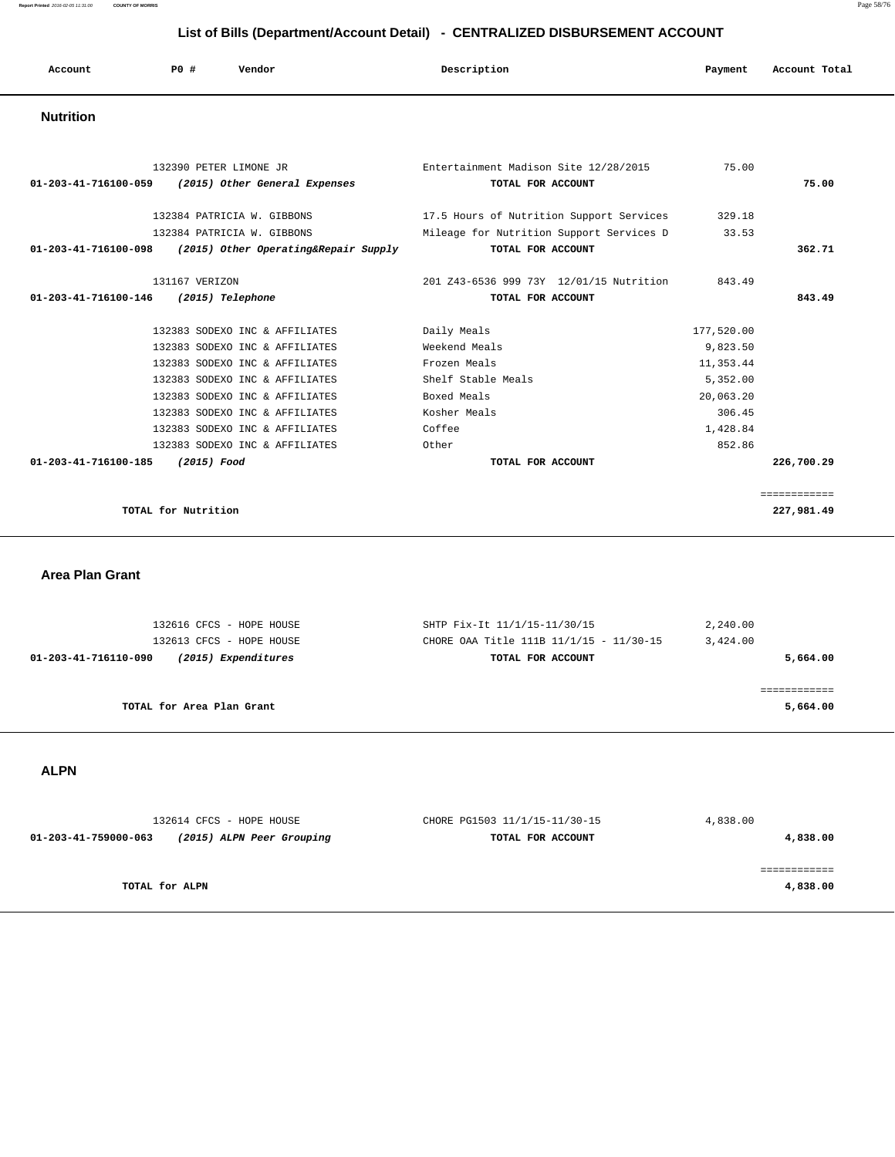**Report Printed** 2016-02-05 11:31:00 **COUNTY OF MORRIS** Page 58/76

### **List of Bills (Department/Account Detail) - CENTRALIZED DISBURSEMENT ACCOUNT**

| Account          | P0 # | Vendor | Description | Payment | Account Total |
|------------------|------|--------|-------------|---------|---------------|
| <b>Nutrition</b> |      |        |             |         |               |

|                                     | 132390 PETER LIMONE JR                                       | Entertainment Madison Site 12/28/2015    | 75.00      |              |
|-------------------------------------|--------------------------------------------------------------|------------------------------------------|------------|--------------|
| 01-203-41-716100-059                | (2015) Other General Expenses                                | TOTAL FOR ACCOUNT                        |            | 75.00        |
|                                     |                                                              |                                          |            |              |
|                                     | 132384 PATRICIA W. GIBBONS                                   | 17.5 Hours of Nutrition Support Services | 329.18     |              |
|                                     | 132384 PATRICIA W. GIBBONS                                   | Mileage for Nutrition Support Services D | 33.53      |              |
|                                     | $01-203-41-716100-098$ (2015) Other Operating& Repair Supply | TOTAL FOR ACCOUNT                        |            | 362.71       |
| 131167 VERIZON                      |                                                              | 201 Z43-6536 999 73Y 12/01/15 Nutrition  | 843.49     |              |
| 01-203-41-716100-146                | (2015) Telephone                                             | TOTAL FOR ACCOUNT                        |            | 843.49       |
|                                     |                                                              |                                          |            |              |
|                                     | 132383 SODEXO INC & AFFILIATES                               | Daily Meals                              | 177,520.00 |              |
|                                     | 132383 SODEXO INC & AFFILIATES                               | Weekend Meals                            | 9,823.50   |              |
|                                     | 132383 SODEXO INC & AFFILIATES                               | Frozen Meals                             | 11,353.44  |              |
|                                     | 132383 SODEXO INC & AFFILIATES                               | Shelf Stable Meals                       | 5,352.00   |              |
|                                     | 132383 SODEXO INC & AFFILIATES                               | Boxed Meals                              | 20,063.20  |              |
|                                     | 132383 SODEXO INC & AFFILIATES                               | Kosher Meals                             | 306.45     |              |
|                                     | 132383 SODEXO INC & AFFILIATES                               | Coffee                                   | 1,428.84   |              |
|                                     | 132383 SODEXO INC & AFFILIATES                               | Other                                    | 852.86     |              |
| 01-203-41-716100-185<br>(2015) Food |                                                              | TOTAL FOR ACCOUNT                        |            | 226,700.29   |
|                                     |                                                              |                                          |            |              |
|                                     |                                                              |                                          |            | ============ |
| TOTAL for Nutrition                 |                                                              |                                          |            | 227,981.49   |

 **Area Plan Grant** 

| 132613 CFCS - HOPE HOUSE<br>(2015) Expenditures<br>01-203-41-716110-090 | CHORE OAA Title 111B 11/1/15 - 11/30-15<br>TOTAL FOR ACCOUNT | 3,424.00<br>5,664.00 |
|-------------------------------------------------------------------------|--------------------------------------------------------------|----------------------|
|                                                                         |                                                              |                      |
|                                                                         |                                                              |                      |
|                                                                         |                                                              |                      |
| TOTAL for Area Plan Grant                                               |                                                              | 5,664.00             |

 **ALPN** 

| 132614 CFCS - HOPE HOUSE                          | CHORE PG1503 11/1/15-11/30-15 | 4,838.00 |  |
|---------------------------------------------------|-------------------------------|----------|--|
| (2015) ALPN Peer Grouping<br>01-203-41-759000-063 | TOTAL FOR ACCOUNT             | 4,838.00 |  |
|                                                   |                               |          |  |
|                                                   |                               |          |  |
| TOTAL for ALPN                                    |                               | 4,838.00 |  |
|                                                   |                               |          |  |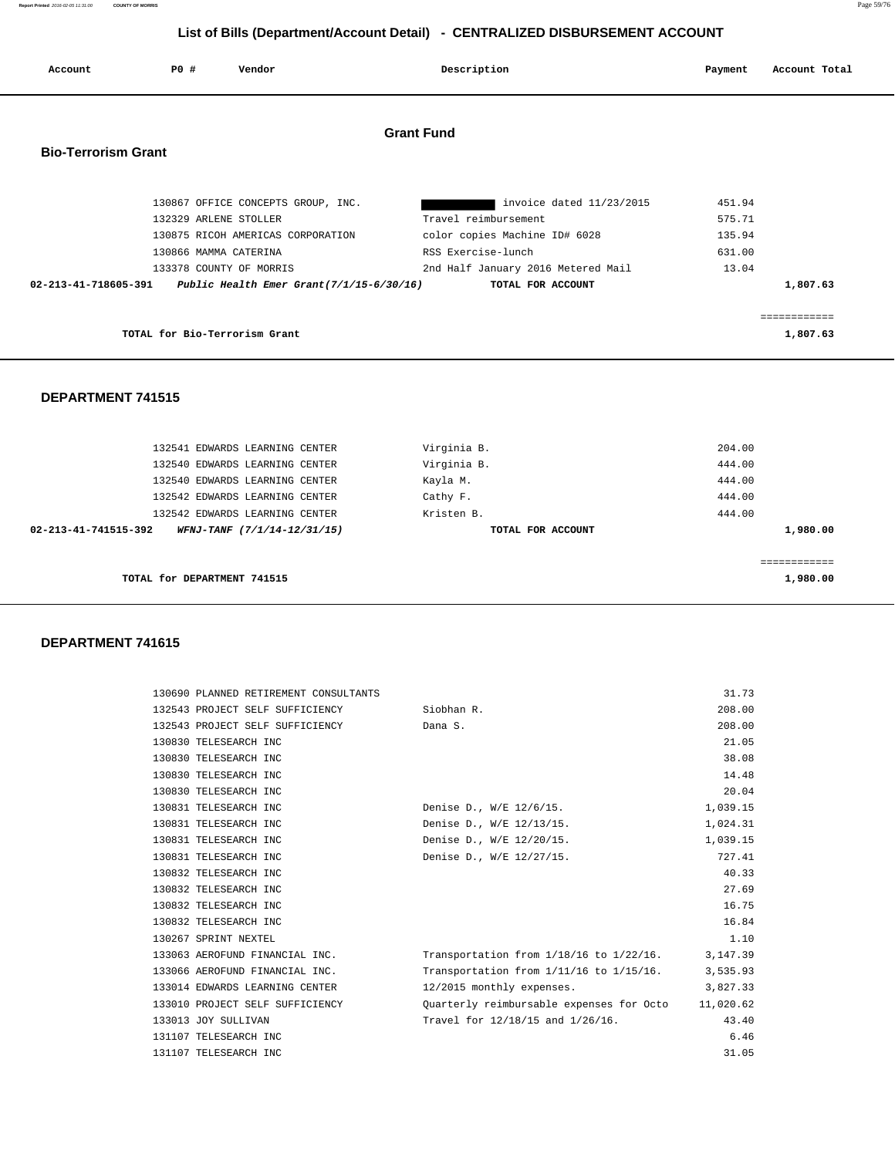**Report Printed** 2016-02-05 11:31:00 **COUNTY OF MORRIS** Page 59/76

# **List of Bills (Department/Account Detail) - CENTRALIZED DISBURSEMENT ACCOUNT**

| Account                    | PO#<br>Vendor                                                                                                                                                                                    | Description                                                                                                                                                        | Account Total<br>Payment                                  |
|----------------------------|--------------------------------------------------------------------------------------------------------------------------------------------------------------------------------------------------|--------------------------------------------------------------------------------------------------------------------------------------------------------------------|-----------------------------------------------------------|
| <b>Bio-Terrorism Grant</b> |                                                                                                                                                                                                  | <b>Grant Fund</b>                                                                                                                                                  |                                                           |
| 02-213-41-718605-391       | 130867 OFFICE CONCEPTS GROUP, INC.<br>132329 ARLENE STOLLER<br>130875 RICOH AMERICAS CORPORATION<br>130866 MAMMA CATERINA<br>133378 COUNTY OF MORRIS<br>Public Health Emer Grant(7/1/15-6/30/16) | invoice dated 11/23/2015<br>Travel reimbursement<br>color copies Machine ID# 6028<br>RSS Exercise-lunch<br>2nd Half January 2016 Metered Mail<br>TOTAL FOR ACCOUNT | 451.94<br>575.71<br>135.94<br>631.00<br>13.04<br>1,807.63 |
|                            | TOTAL for Bio-Terrorism Grant                                                                                                                                                                    |                                                                                                                                                                    | ============<br>1,807.63                                  |
| <b>DEPARTMENT 741515</b>   |                                                                                                                                                                                                  |                                                                                                                                                                    |                                                           |
|                            | 132541 EDWARDS LEARNING CENTER<br>132540 EDWARDS LEARNING CENTER<br>132540 EDWARDS LEARNING CENTER                                                                                               | Virginia B.<br>Virginia B.<br>Kayla M.                                                                                                                             | 204.00<br>444.00<br>444.00                                |

|          | 444.00 | Cathy F.          | 132542 EDWARDS LEARNING CENTER                      |  |
|----------|--------|-------------------|-----------------------------------------------------|--|
|          | 444.00 | Kristen B.        | 132542 EDWARDS LEARNING CENTER                      |  |
| 1,980.00 |        | TOTAL FOR ACCOUNT | 02-213-41-741515-392<br>WFNJ-TANF (7/1/14-12/31/15) |  |
|          |        |                   |                                                     |  |
|          |        |                   |                                                     |  |
| 1,980.00 |        |                   | TOTAL for DEPARTMENT 741515                         |  |
|          |        |                   |                                                     |  |

## **DEPARTMENT 741615**

| 130690 PLANNED RETIREMENT CONSULTANTS      |                                                    | 31.73    |
|--------------------------------------------|----------------------------------------------------|----------|
| 132543 PROJECT SELF SUFFICIENCY Siobhan R. |                                                    | 208.00   |
| 132543 PROJECT SELF SUFFICIENCY            | Dana S.                                            | 208.00   |
| 130830 TELESEARCH INC                      |                                                    | 21.05    |
| 130830 TELESEARCH INC                      |                                                    | 38.08    |
| 130830 TELESEARCH INC                      |                                                    | 14.48    |
| 130830 TELESEARCH INC                      |                                                    | 20.04    |
| 130831 TELESEARCH INC                      | Denise D., W/E 12/6/15.                            | 1,039.15 |
| 130831 TELESEARCH INC                      | Denise D., W/E 12/13/15.                           | 1,024.31 |
| 130831 TELESEARCH INC                      | Denise D., W/E 12/20/15.                           | 1,039.15 |
| 130831 TELESEARCH INC                      | Denise D., W/E 12/27/15.                           | 727.41   |
| 130832 TELESEARCH INC                      |                                                    | 40.33    |
| 130832 TELESEARCH INC                      |                                                    | 27.69    |
| 130832 TELESEARCH INC                      |                                                    | 16.75    |
| 130832 TELESEARCH INC                      |                                                    | 16.84    |
| 130267 SPRINT NEXTEL                       |                                                    | 1.10     |
| 133063 AEROFUND FINANCIAL INC.             | Transportation from $1/18/16$ to $1/22/16$ .       | 3,147.39 |
| 133066 AEROFUND FINANCIAL INC.             | Transportation from $1/11/16$ to $1/15/16$ .       | 3,535.93 |
| 133014 EDWARDS LEARNING CENTER             | 12/2015 monthly expenses.                          | 3,827.33 |
| 133010 PROJECT SELF SUFFICIENCY            | Quarterly reimbursable expenses for Octo 11,020.62 |          |
| 133013 JOY SULLIVAN                        | Travel for 12/18/15 and 1/26/16.                   | 43.40    |
| 131107 TELESEARCH INC                      |                                                    | 6.46     |
| 131107 TELESEARCH INC                      |                                                    | 31.05    |
|                                            |                                                    |          |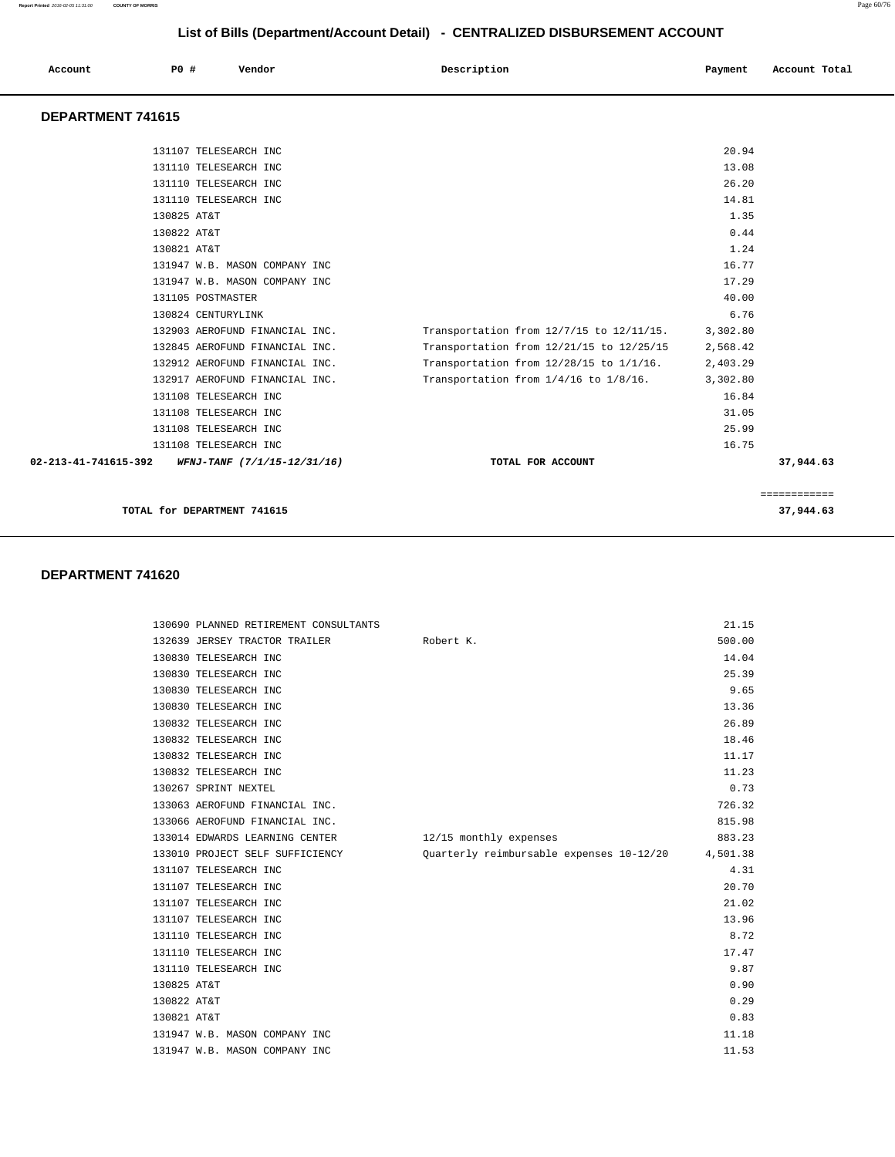| Account<br>. | P0 # | Vendor | Description | Payment | Account Total |
|--------------|------|--------|-------------|---------|---------------|
|              |      |        |             |         |               |

#### **DEPARTMENT 741615**

| 131110 TELESEARCH INC                                      |                                                   | 14.81    |           |
|------------------------------------------------------------|---------------------------------------------------|----------|-----------|
| 130825 AT&T                                                |                                                   | 1.35     |           |
| 130822 AT&T                                                |                                                   | 0.44     |           |
| 130821 AT&T                                                |                                                   | 1.24     |           |
| 131947 W.B. MASON COMPANY INC                              |                                                   | 16.77    |           |
| 131947 W.B. MASON COMPANY INC                              |                                                   | 17.29    |           |
| 131105 POSTMASTER                                          |                                                   | 40.00    |           |
| 130824 CENTURYLINK                                         |                                                   | 6.76     |           |
| 132903 AEROFUND FINANCIAL INC.                             | Transportation from 12/7/15 to 12/11/15. 3,302.80 |          |           |
| 132845 AEROFUND FINANCIAL INC.                             | Transportation from 12/21/15 to 12/25/15 2,568.42 |          |           |
| 132912 AEROFUND FINANCIAL INC.                             | Transportation from 12/28/15 to 1/1/16.           | 2,403.29 |           |
| 132917 AEROFUND FINANCIAL INC.                             | Transportation from $1/4/16$ to $1/8/16$ .        | 3,302.80 |           |
| 131108 TELESEARCH INC                                      |                                                   | 16.84    |           |
| 131108 TELESEARCH INC                                      |                                                   | 31.05    |           |
| 131108 TELESEARCH INC                                      |                                                   | 25.99    |           |
| 131108 TELESEARCH INC                                      |                                                   | 16.75    |           |
| $02 - 213 - 41 - 741615 - 392$ WFNJ-TANF (7/1/15-12/31/16) | TOTAL FOR ACCOUNT                                 |          | 37,944.63 |

#### **DEPARTMENT 741620**

| 130690 PLANNED RETIREMENT CONSULTANTS |                                          | 21.15    |
|---------------------------------------|------------------------------------------|----------|
| 132639 JERSEY TRACTOR TRAILER         | Robert K.                                | 500.00   |
| 130830 TELESEARCH INC                 |                                          | 14.04    |
| 130830 TELESEARCH INC                 |                                          | 25.39    |
| 130830 TELESEARCH INC                 |                                          | 9.65     |
| 130830 TELESEARCH INC                 |                                          | 13.36    |
| 130832 TELESEARCH INC                 |                                          | 26.89    |
| 130832 TELESEARCH INC                 |                                          | 18.46    |
| 130832 TELESEARCH INC                 |                                          | 11.17    |
| 130832 TELESEARCH INC                 |                                          | 11.23    |
| 130267 SPRINT NEXTEL                  |                                          | 0.73     |
| 133063 AEROFUND FINANCIAL INC.        |                                          | 726.32   |
| 133066 AEROFUND FINANCIAL INC.        |                                          | 815.98   |
| 133014 EDWARDS LEARNING CENTER        | 12/15 monthly expenses                   | 883.23   |
| 133010 PROJECT SELF SUFFICIENCY       | Ouarterly reimbursable expenses 10-12/20 | 4,501.38 |
| 131107 TELESEARCH INC                 |                                          | 4.31     |
| 131107 TELESEARCH INC                 |                                          | 20.70    |
| 131107 TELESEARCH INC                 |                                          | 21.02    |
| 131107 TELESEARCH INC                 |                                          | 13.96    |
| 131110 TELESEARCH INC                 |                                          | 8.72     |
| 131110 TELESEARCH INC                 |                                          | 17.47    |
| 131110 TELESEARCH INC                 |                                          | 9.87     |
| 130825 AT&T                           |                                          | 0.90     |
| 130822 AT&T                           |                                          | 0.29     |
| 130821 AT&T                           |                                          | 0.83     |
| 131947 W.B. MASON COMPANY INC         |                                          | 11.18    |
| 131947 W.B. MASON COMPANY INC         |                                          | 11.53    |

**Report Printed** 2016-02-05 11:31:00 **COUNTY OF MORRIS** Page 60/76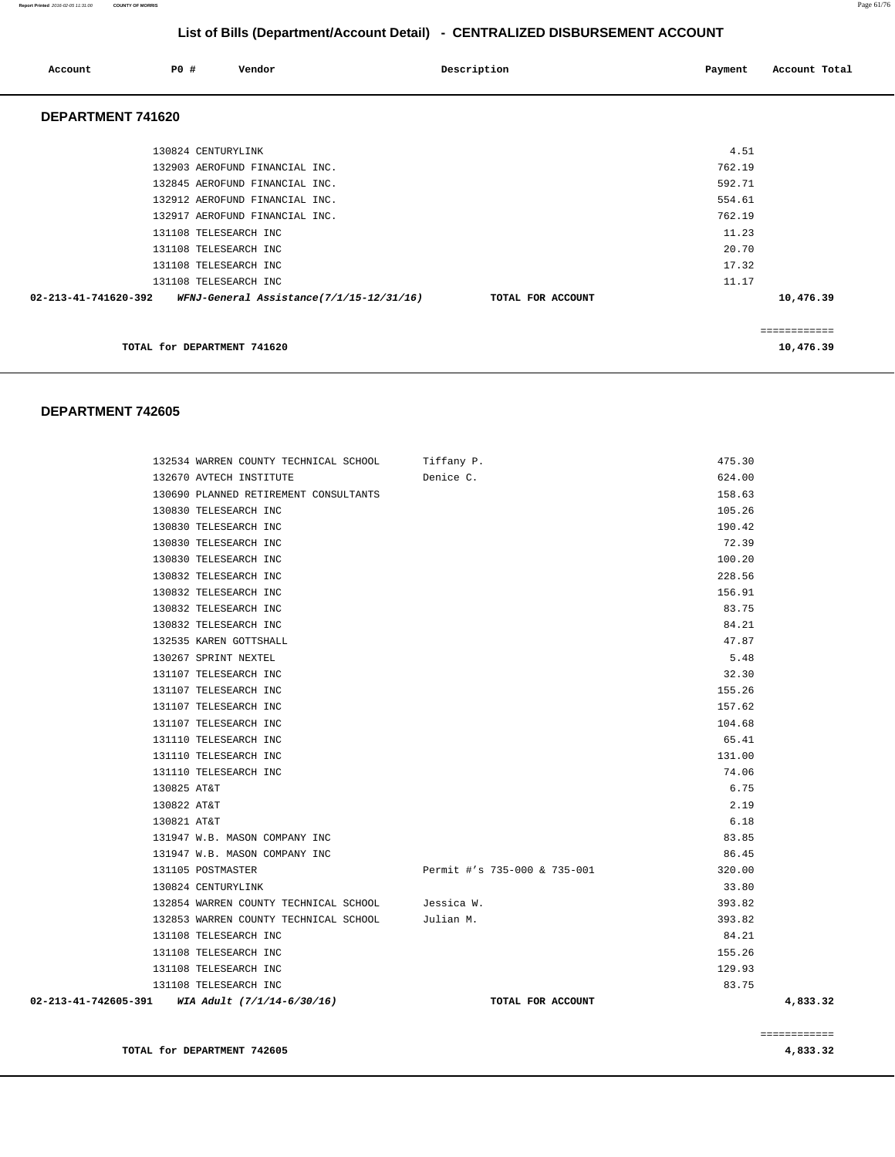| Account              | PO#                         | Vendor                                   | Description       | Payment | Account Total |
|----------------------|-----------------------------|------------------------------------------|-------------------|---------|---------------|
| DEPARTMENT 741620    |                             |                                          |                   |         |               |
|                      | 130824 CENTURYLINK          |                                          |                   | 4.51    |               |
|                      |                             | 132903 AEROFUND FINANCIAL INC.           |                   | 762.19  |               |
|                      |                             | 132845 AEROFUND FINANCIAL INC.           |                   | 592.71  |               |
|                      |                             | 132912 AEROFUND FINANCIAL INC.           |                   | 554.61  |               |
|                      |                             | 132917 AEROFUND FINANCIAL INC.           |                   | 762.19  |               |
|                      |                             | 131108 TELESEARCH INC                    |                   | 11.23   |               |
|                      |                             | 131108 TELESEARCH INC                    |                   | 20.70   |               |
|                      |                             | 131108 TELESEARCH INC                    |                   | 17.32   |               |
|                      |                             | 131108 TELESEARCH INC                    |                   | 11.17   |               |
| 02-213-41-741620-392 |                             | WFNJ-General Assistance(7/1/15-12/31/16) | TOTAL FOR ACCOUNT |         | 10,476.39     |
|                      |                             |                                          |                   |         | ============  |
|                      | TOTAL for DEPARTMENT 741620 |                                          |                   |         | 10,476.39     |

#### **DEPARTMENT 742605**

|                      | 132534 WARREN COUNTY TECHNICAL SCHOOL           | Tiffany P.                   | 475.30   |
|----------------------|-------------------------------------------------|------------------------------|----------|
|                      | 132670 AVTECH INSTITUTE                         | Denice C.                    | 624.00   |
|                      | 130690 PLANNED RETIREMENT CONSULTANTS           |                              | 158.63   |
|                      | 130830 TELESEARCH INC                           |                              | 105.26   |
|                      | 130830 TELESEARCH INC                           |                              | 190.42   |
|                      | 130830 TELESEARCH INC                           |                              | 72.39    |
|                      | 130830 TELESEARCH INC                           |                              | 100.20   |
|                      | 130832 TELESEARCH INC                           |                              | 228.56   |
|                      | 130832 TELESEARCH INC                           |                              | 156.91   |
|                      | 130832 TELESEARCH INC                           |                              | 83.75    |
|                      | 130832 TELESEARCH INC                           |                              | 84.21    |
|                      | 132535 KAREN GOTTSHALL                          |                              | 47.87    |
|                      | 130267 SPRINT NEXTEL                            |                              | 5.48     |
|                      | 131107 TELESEARCH INC                           |                              | 32.30    |
|                      | 131107 TELESEARCH INC                           |                              | 155.26   |
|                      | 131107 TELESEARCH INC                           |                              | 157.62   |
|                      | 131107 TELESEARCH INC                           |                              | 104.68   |
|                      | 131110 TELESEARCH INC                           |                              | 65.41    |
|                      | 131110 TELESEARCH INC                           |                              | 131.00   |
|                      | 131110 TELESEARCH INC                           |                              | 74.06    |
| 130825 AT&T          |                                                 |                              | 6.75     |
| 130822 AT&T          |                                                 |                              | 2.19     |
| 130821 AT&T          |                                                 |                              | 6.18     |
|                      | 131947 W.B. MASON COMPANY INC                   |                              | 83.85    |
|                      | 131947 W.B. MASON COMPANY INC                   |                              | 86.45    |
|                      | 131105 POSTMASTER                               | Permit #'s 735-000 & 735-001 | 320.00   |
|                      | 130824 CENTURYLINK                              |                              | 33.80    |
|                      | 132854 WARREN COUNTY TECHNICAL SCHOOL           | Jessica W.                   | 393.82   |
|                      | 132853 WARREN COUNTY TECHNICAL SCHOOL Julian M. |                              | 393.82   |
|                      | 131108 TELESEARCH INC                           |                              | 84.21    |
|                      | 131108 TELESEARCH INC                           |                              | 155.26   |
|                      | 131108 TELESEARCH INC                           |                              | 129.93   |
|                      | 131108 TELESEARCH INC                           |                              | 83.75    |
| 02-213-41-742605-391 | WIA Adult (7/1/14-6/30/16)                      | TOTAL FOR ACCOUNT            | 4,833.32 |

============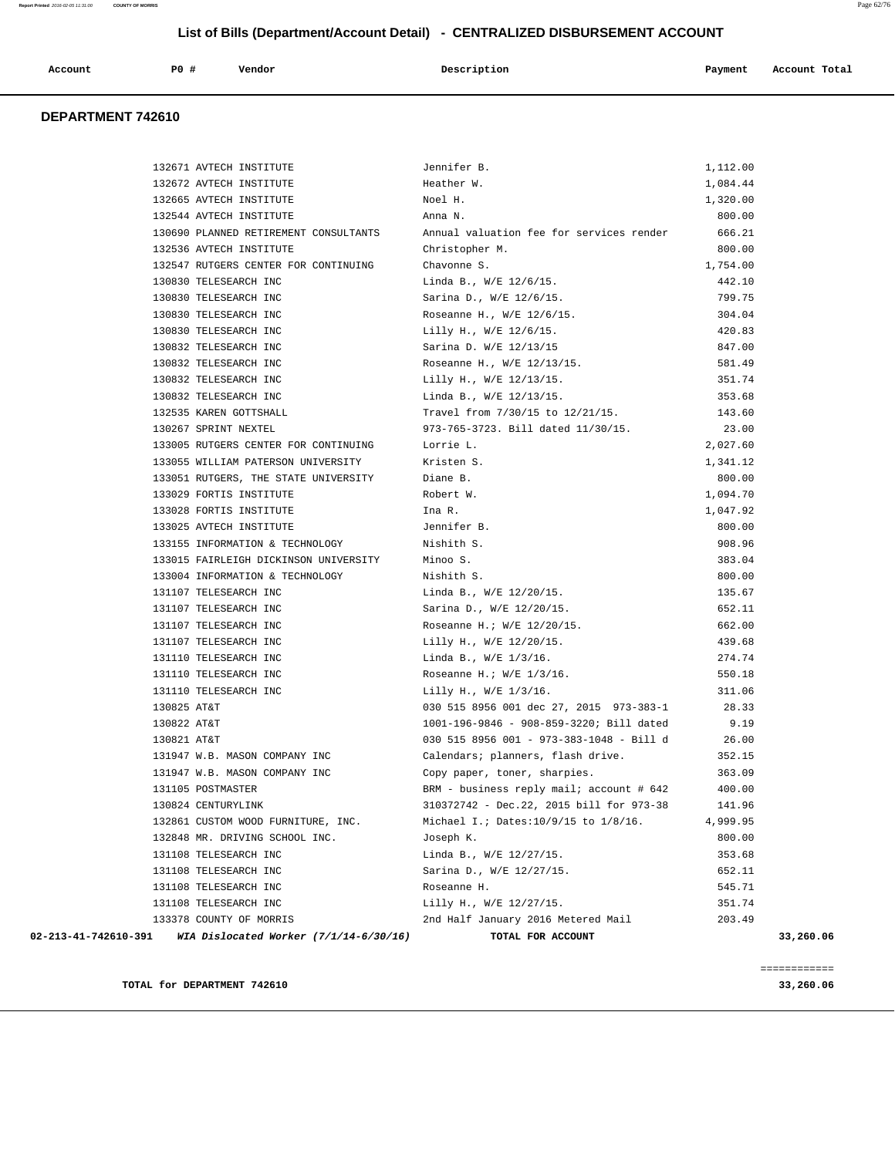| Account | P0# | Vendor | Description | Payment | Account Total |
|---------|-----|--------|-------------|---------|---------------|
|         |     |        |             |         |               |

#### **DEPARTMENT 742610**

| 132671 AVTECH INSTITUTE                                        | Jennifer B.                              | 1,112.00 |           |
|----------------------------------------------------------------|------------------------------------------|----------|-----------|
| 132672 AVTECH INSTITUTE                                        | Heather W.                               | 1,084.44 |           |
| 132665 AVTECH INSTITUTE                                        | Noel H.                                  | 1,320.00 |           |
| 132544 AVTECH INSTITUTE                                        | Anna N.                                  | 800.00   |           |
| 130690 PLANNED RETIREMENT CONSULTANTS                          | Annual valuation fee for services render | 666.21   |           |
| 132536 AVTECH INSTITUTE                                        | Christopher M.                           | 800.00   |           |
| 132547 RUTGERS CENTER FOR CONTINUING                           | Chavonne S.                              | 1,754.00 |           |
| 130830 TELESEARCH INC                                          | Linda B., W/E 12/6/15.                   | 442.10   |           |
| 130830 TELESEARCH INC                                          | Sarina D., W/E 12/6/15.                  | 799.75   |           |
| 130830 TELESEARCH INC                                          | Roseanne H., W/E 12/6/15.                | 304.04   |           |
| 130830 TELESEARCH INC                                          | Lilly H., W/E 12/6/15.                   | 420.83   |           |
| 130832 TELESEARCH INC                                          | Sarina D. W/E 12/13/15                   | 847.00   |           |
| 130832 TELESEARCH INC                                          | Roseanne H., W/E 12/13/15.               | 581.49   |           |
| 130832 TELESEARCH INC                                          | Lilly H., W/E 12/13/15.                  | 351.74   |           |
| 130832 TELESEARCH INC                                          | Linda B., W/E 12/13/15.                  | 353.68   |           |
| 132535 KAREN GOTTSHALL                                         | Travel from 7/30/15 to 12/21/15.         | 143.60   |           |
| 130267 SPRINT NEXTEL                                           | 973-765-3723. Bill dated 11/30/15.       | 23.00    |           |
| 133005 RUTGERS CENTER FOR CONTINUING                           | Lorrie L.                                | 2,027.60 |           |
| 133055 WILLIAM PATERSON UNIVERSITY                             | Kristen S.                               | 1,341.12 |           |
| 133051 RUTGERS, THE STATE UNIVERSITY                           | Diane B.                                 | 800.00   |           |
| 133029 FORTIS INSTITUTE                                        | Robert W.                                | 1,094.70 |           |
| 133028 FORTIS INSTITUTE                                        | Ina R.                                   | 1,047.92 |           |
| 133025 AVTECH INSTITUTE                                        | Jennifer B.                              | 800.00   |           |
| 133155 INFORMATION & TECHNOLOGY                                | Nishith S.                               | 908.96   |           |
| 133015 FAIRLEIGH DICKINSON UNIVERSITY                          | Minoo S.                                 | 383.04   |           |
| 133004 INFORMATION & TECHNOLOGY                                | Nishith S.                               | 800.00   |           |
| 131107 TELESEARCH INC                                          | Linda B., W/E 12/20/15.                  | 135.67   |           |
| 131107 TELESEARCH INC                                          | Sarina D., W/E 12/20/15.                 | 652.11   |           |
| 131107 TELESEARCH INC                                          | Roseanne H.; W/E 12/20/15.               | 662.00   |           |
| 131107 TELESEARCH INC                                          | Lilly H., W/E 12/20/15.                  | 439.68   |           |
| 131110 TELESEARCH INC                                          | Linda B., W/E 1/3/16.                    | 274.74   |           |
| 131110 TELESEARCH INC                                          | Roseanne H.; $W/E$ 1/3/16.               | 550.18   |           |
| 131110 TELESEARCH INC                                          | Lilly H., W/E 1/3/16.                    | 311.06   |           |
| 130825 AT&T                                                    | 030 515 8956 001 dec 27, 2015 973-383-1  | 28.33    |           |
| 130822 AT&T                                                    | 1001-196-9846 - 908-859-3220; Bill dated | 9.19     |           |
| 130821 AT&T                                                    | 030 515 8956 001 - 973-383-1048 - Bill d | 26.00    |           |
| 131947 W.B. MASON COMPANY INC                                  | Calendars; planners, flash drive.        | 352.15   |           |
| 131947 W.B. MASON COMPANY INC                                  | Copy paper, toner, sharpies.             | 363.09   |           |
| 131105 POSTMASTER                                              | BRM - business reply mail; account # 642 | 400.00   |           |
| 130824 CENTURYLINK                                             | 310372742 - Dec.22, 2015 bill for 973-38 | 141.96   |           |
| 132861 CUSTOM WOOD FURNITURE, INC.                             | Michael I.; Dates:10/9/15 to 1/8/16.     | 4,999.95 |           |
| 132848 MR. DRIVING SCHOOL INC.                                 | Joseph K.                                | 800.00   |           |
| 131108 TELESEARCH INC                                          | Linda B., W/E 12/27/15.                  | 353.68   |           |
| 131108 TELESEARCH INC                                          | Sarina D., W/E 12/27/15.                 | 652.11   |           |
| 131108 TELESEARCH INC                                          | Roseanne H.                              | 545.71   |           |
| 131108 TELESEARCH INC                                          | Lilly H., W/E 12/27/15.                  | 351.74   |           |
| 133378 COUNTY OF MORRIS                                        | 2nd Half January 2016 Metered Mail       | 203.49   |           |
| 02-213-41-742610-391<br>WIA Dislocated Worker (7/1/14-6/30/16) | TOTAL FOR ACCOUNT                        |          | 33,260.06 |

============

**TOTAL for DEPARTMENT 742610 33,260.06**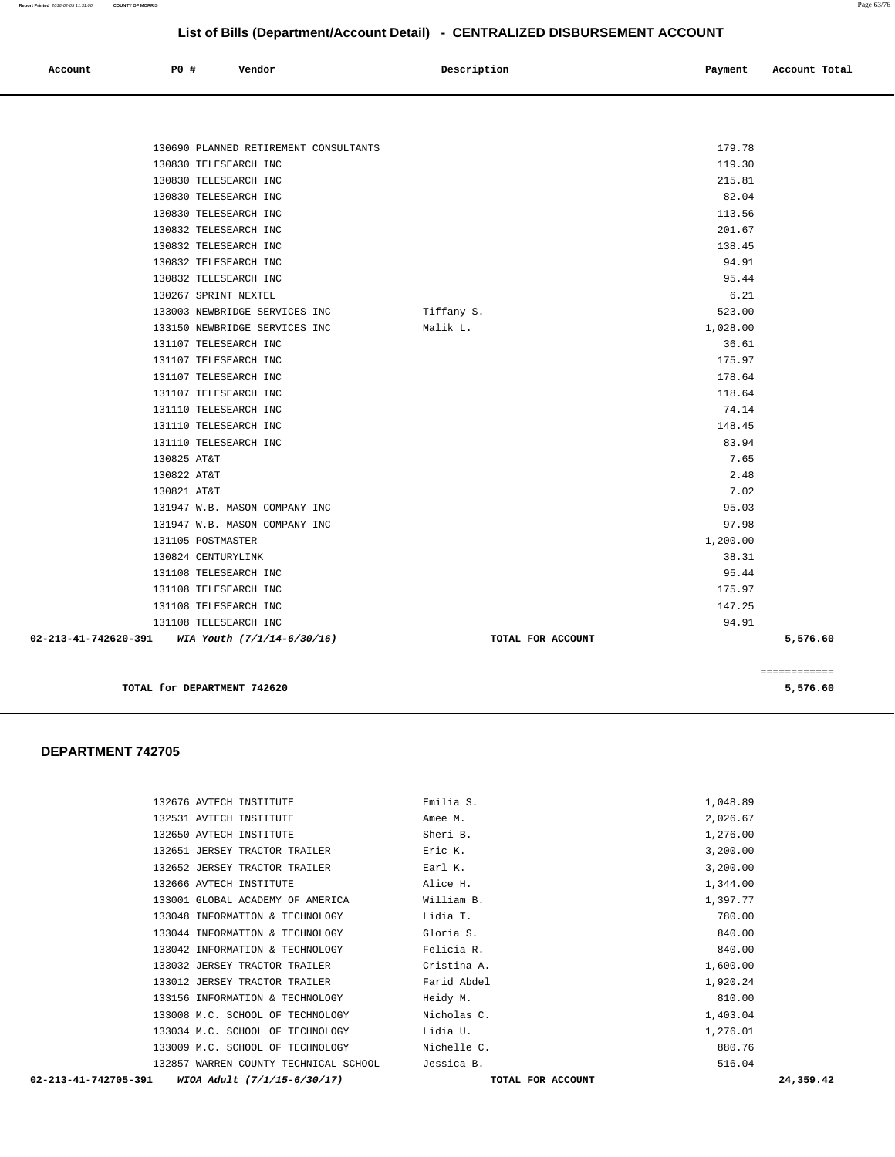| Account | <b>PO #</b> | Vendor | Description | Payment | Account Total |
|---------|-------------|--------|-------------|---------|---------------|
|         |             |        |             |         |               |

|                                                   |                                       |                   |          | ============ |
|---------------------------------------------------|---------------------------------------|-------------------|----------|--------------|
| 02-213-41-742620-391 WIA Youth $(7/1/14-6/30/16)$ |                                       | TOTAL FOR ACCOUNT |          | 5,576.60     |
|                                                   | 131108 TELESEARCH INC                 |                   | 94.91    |              |
|                                                   | 131108 TELESEARCH INC                 |                   | 147.25   |              |
|                                                   | 131108 TELESEARCH INC                 |                   | 175.97   |              |
|                                                   | 131108 TELESEARCH INC                 |                   | 95.44    |              |
|                                                   | 130824 CENTURYLINK                    |                   | 38.31    |              |
|                                                   | 131105 POSTMASTER                     |                   | 1,200.00 |              |
|                                                   | 131947 W.B. MASON COMPANY INC         |                   | 97.98    |              |
|                                                   | 131947 W.B. MASON COMPANY INC         |                   | 95.03    |              |
| 130821 AT&T                                       |                                       |                   | 7.02     |              |
| 130822 AT&T                                       |                                       |                   | 2.48     |              |
| 130825 AT&T                                       |                                       |                   | 7.65     |              |
|                                                   | 131110 TELESEARCH INC                 |                   | 83.94    |              |
|                                                   | 131110 TELESEARCH INC                 |                   | 148.45   |              |
|                                                   | 131110 TELESEARCH INC                 |                   | 74.14    |              |
|                                                   | 131107 TELESEARCH INC                 |                   | 118.64   |              |
|                                                   | 131107 TELESEARCH INC                 |                   | 178.64   |              |
|                                                   | 131107 TELESEARCH INC                 |                   | 175.97   |              |
|                                                   | 131107 TELESEARCH INC                 |                   | 36.61    |              |
|                                                   | 133150 NEWBRIDGE SERVICES INC         | Malik L.          | 1,028.00 |              |
|                                                   | 133003 NEWBRIDGE SERVICES INC         | Tiffany S.        | 523.00   |              |
|                                                   | 130267 SPRINT NEXTEL                  |                   | 6.21     |              |
|                                                   | 130832 TELESEARCH INC                 |                   | 95.44    |              |
|                                                   | 130832 TELESEARCH INC                 |                   | 94.91    |              |
|                                                   | 130832 TELESEARCH INC                 |                   | 138.45   |              |
|                                                   | 130832 TELESEARCH INC                 |                   | 201.67   |              |
|                                                   | 130830 TELESEARCH INC                 |                   | 113.56   |              |
|                                                   | 130830 TELESEARCH INC                 |                   | 82.04    |              |
|                                                   | 130830 TELESEARCH INC                 |                   | 215.81   |              |
|                                                   | 130830 TELESEARCH INC                 |                   | 119.30   |              |
|                                                   | 130690 PLANNED RETIREMENT CONSULTANTS |                   | 179.78   |              |
|                                                   |                                       |                   |          |              |

**TOTAL for DEPARTMENT 742620 5,576.60**

 **DEPARTMENT 742705** 

| 02-213-41-742705-391<br>WIOA Adult (7/1/15-6/30/17) | TOTAL FOR ACCOUNT | 24,359.42 |  |
|-----------------------------------------------------|-------------------|-----------|--|
| 132857 WARREN COUNTY TECHNICAL SCHOOL               | Jessica B.        | 516.04    |  |
| 133009 M.C. SCHOOL OF TECHNOLOGY                    | Nichelle C.       | 880.76    |  |
| 133034 M.C. SCHOOL OF TECHNOLOGY                    | Lidia U.          | 1,276.01  |  |
| 133008 M.C. SCHOOL OF TECHNOLOGY                    | Nicholas C.       | 1,403.04  |  |
| 133156 INFORMATION & TECHNOLOGY                     | Heidy M.          | 810.00    |  |
| 133012 JERSEY TRACTOR TRAILER                       | Farid Abdel       | 1,920.24  |  |
| 133032 JERSEY TRACTOR TRAILER                       | Cristina A.       | 1,600.00  |  |
| 133042 INFORMATION & TECHNOLOGY                     | Felicia R.        | 840.00    |  |
| 133044 INFORMATION & TECHNOLOGY                     | Gloria S.         | 840.00    |  |
| 133048 INFORMATION & TECHNOLOGY                     | Lidia T.          | 780.00    |  |
| 133001 GLOBAL ACADEMY OF AMERICA                    | William B.        | 1,397.77  |  |
| 132666 AVTECH INSTITUTE                             | Alice H.          | 1,344.00  |  |
| 132652 JERSEY TRACTOR TRAILER                       | Earl K.           | 3,200.00  |  |
| 132651 JERSEY TRACTOR TRAILER                       | Eric K.           | 3,200.00  |  |
| 132650 AVTECH INSTITUTE                             | Sheri B.          | 1,276.00  |  |
| 132531 AVTECH INSTITUTE                             | Amee M.           | 2,026.67  |  |
| 132676 AVTECH INSTITUTE                             | Emilia S.         | 1,048.89  |  |
|                                                     |                   |           |  |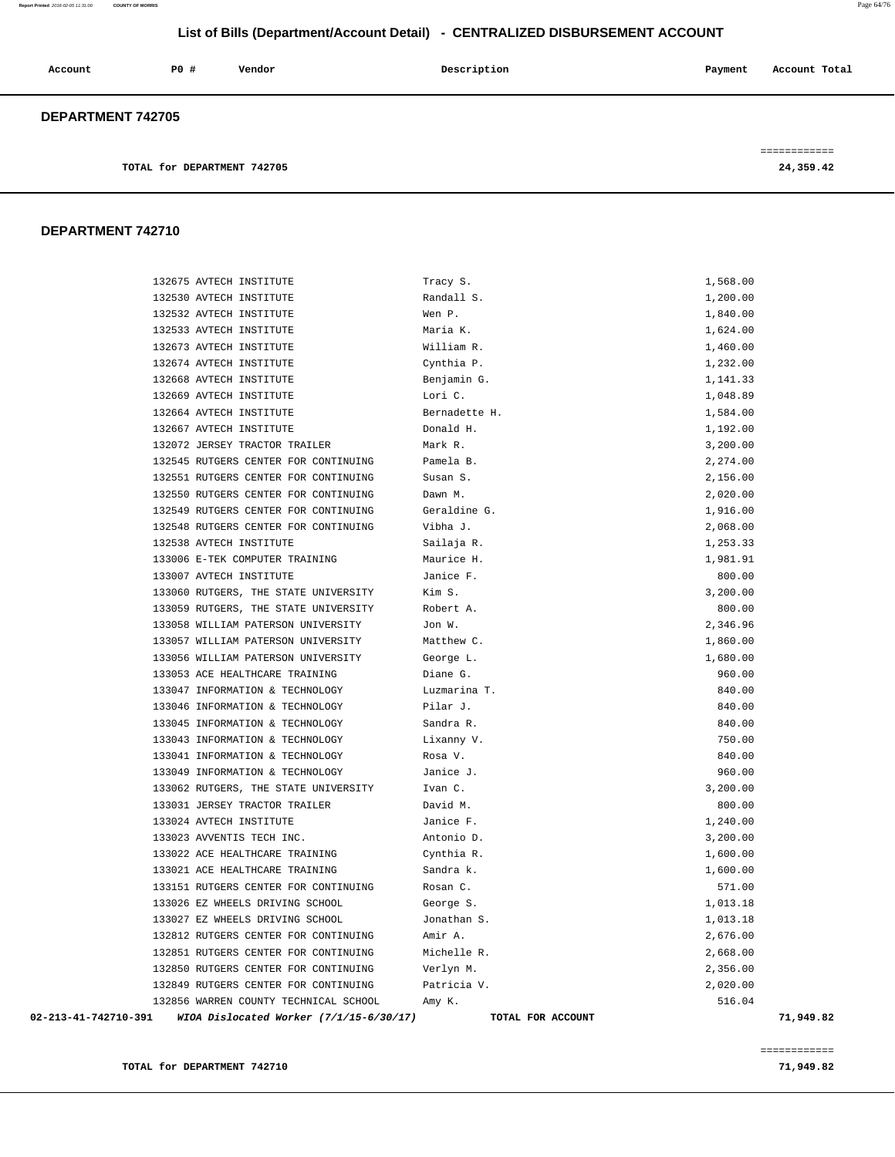| Account                  | P0# | Vendor | Description | Payment | Account Total |
|--------------------------|-----|--------|-------------|---------|---------------|
| <b>DEPARTMENT 742705</b> |     |        |             |         |               |

============

**TOTAL for DEPARTMENT 742705** 24,359.42

#### **DEPARTMENT 742710**

| WIOA Dislocated Worker (7/1/15-6/30/17)<br>02-213-41-742710-391 | TOTAL FOR ACCOUNT | 71,949.82 |
|-----------------------------------------------------------------|-------------------|-----------|
| 132856 WARREN COUNTY TECHNICAL SCHOOL                           | Amy K.            | 516.04    |
| 132849 RUTGERS CENTER FOR CONTINUING                            | Patricia V.       | 2,020.00  |
| 132850 RUTGERS CENTER FOR CONTINUING                            | Verlyn M.         | 2,356.00  |
| 132851 RUTGERS CENTER FOR CONTINUING                            | Michelle R.       | 2,668.00  |
| 132812 RUTGERS CENTER FOR CONTINUING                            | Amir A.           | 2,676.00  |
| 133027 EZ WHEELS DRIVING SCHOOL                                 | Jonathan S.       | 1,013.18  |
| 133026 EZ WHEELS DRIVING SCHOOL                                 | George S.         | 1,013.18  |
| 133151 RUTGERS CENTER FOR CONTINUING                            | Rosan C.          | 571.00    |
| 133021 ACE HEALTHCARE TRAINING                                  | Sandra k.         | 1,600.00  |
| 133022 ACE HEALTHCARE TRAINING                                  | Cynthia R.        | 1,600.00  |
| 133023 AVVENTIS TECH INC.                                       | Antonio D.        | 3,200.00  |
| 133024 AVTECH INSTITUTE                                         | Janice F.         | 1,240.00  |
| 133031 JERSEY TRACTOR TRAILER                                   | David M.          | 800.00    |
| 133062 RUTGERS, THE STATE UNIVERSITY                            | Ivan C.           | 3,200.00  |
| 133049 INFORMATION & TECHNOLOGY                                 | Janice J.         | 960.00    |
| 133041 INFORMATION & TECHNOLOGY                                 | Rosa V.           | 840.00    |
| 133043 INFORMATION & TECHNOLOGY                                 | Lixanny V.        | 750.00    |
| 133045 INFORMATION & TECHNOLOGY                                 | Sandra R.         | 840.00    |
| 133046 INFORMATION & TECHNOLOGY                                 | Pilar J.          | 840.00    |
| 133047 INFORMATION & TECHNOLOGY                                 | Luzmarina T.      | 840.00    |
| 133053 ACE HEALTHCARE TRAINING                                  | Diane G.          | 960.00    |
| 133056 WILLIAM PATERSON UNIVERSITY                              | George L.         | 1,680.00  |
| 133057 WILLIAM PATERSON UNIVERSITY                              | Matthew C.        | 1,860.00  |
| 133058 WILLIAM PATERSON UNIVERSITY                              | Jon W.            | 2,346.96  |
| 133059 RUTGERS, THE STATE UNIVERSITY                            | Robert A.         | 800.00    |
| 133060 RUTGERS, THE STATE UNIVERSITY                            | Kim S.            | 3,200.00  |
| 133007 AVTECH INSTITUTE                                         | Janice F.         | 800.00    |
| 133006 E-TEK COMPUTER TRAINING                                  | Maurice H.        | 1,981.91  |
| 132538 AVTECH INSTITUTE                                         | Sailaja R.        | 1,253.33  |
| 132548 RUTGERS CENTER FOR CONTINUING                            | Vibha J.          | 2,068.00  |
| 132549 RUTGERS CENTER FOR CONTINUING                            | Geraldine G.      | 1,916.00  |
| 132550 RUTGERS CENTER FOR CONTINUING                            | Dawn M.           | 2,020.00  |
| 132551 RUTGERS CENTER FOR CONTINUING                            | Susan S.          | 2,156.00  |
| 132545 RUTGERS CENTER FOR CONTINUING                            | Pamela B.         | 2,274.00  |
| 132072 JERSEY TRACTOR TRAILER                                   | Mark R.           | 3,200.00  |
| 132667 AVTECH INSTITUTE                                         | Donald H.         | 1,192.00  |
| 132664 AVTECH INSTITUTE                                         | Bernadette H.     | 1,584.00  |
| 132669 AVTECH INSTITUTE                                         | Lori C.           | 1,048.89  |
| 132668 AVTECH INSTITUTE                                         | Benjamin G.       | 1,141.33  |
| 132674 AVTECH INSTITUTE                                         | Cynthia P.        | 1,232.00  |
| 132673 AVTECH INSTITUTE                                         | William R.        | 1,460.00  |
| 132533 AVTECH INSTITUTE                                         | Maria K.          | 1,624.00  |
| 132532 AVTECH INSTITUTE                                         | Wen P.            | 1,840.00  |
| 132530 AVTECH INSTITUTE                                         | Randall S.        | 1,200.00  |
| 132675 AVTECH INSTITUTE                                         | Tracy S.          | 1,568.00  |

============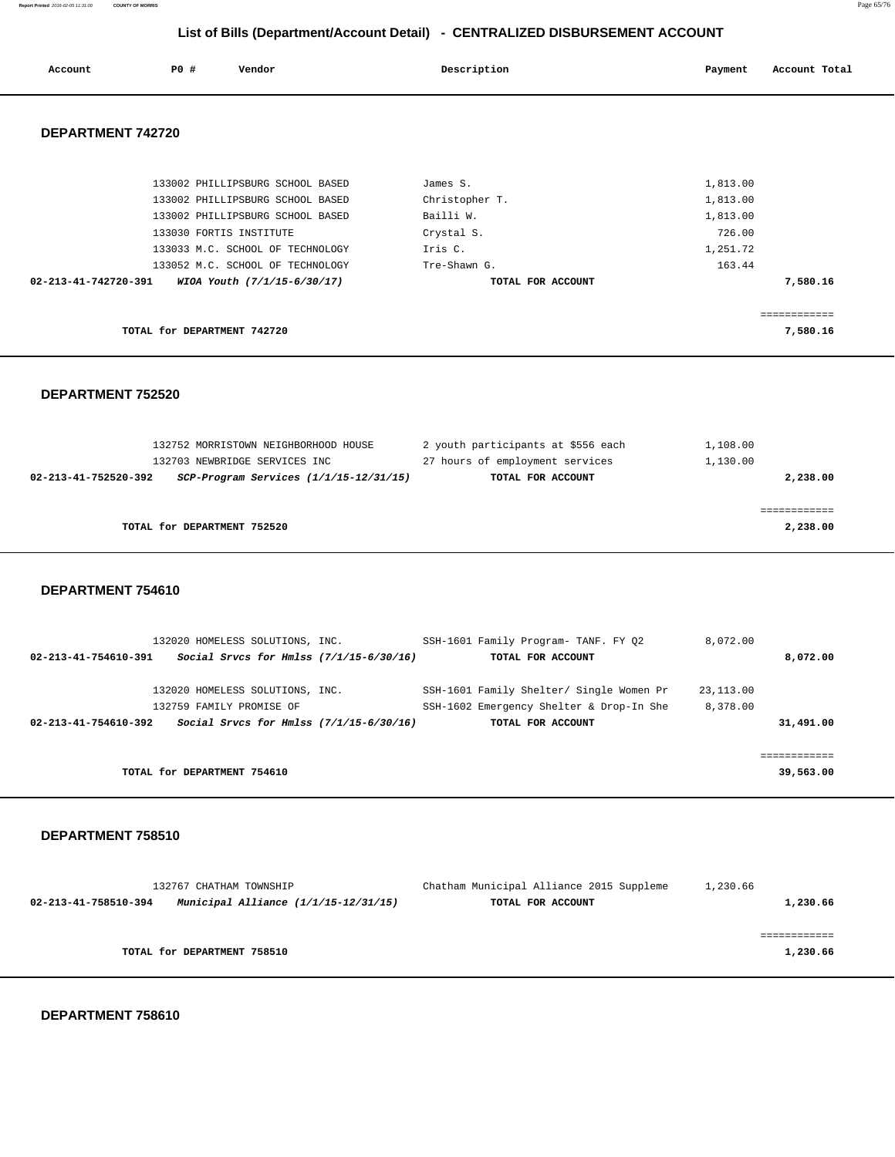**Report Printed** 2016-02-05 11:31:00 **COUNTY OF MORRIS** Page 65/76

## **List of Bills (Department/Account Detail) - CENTRALIZED DISBURSEMENT ACCOUNT**

| Account              | <b>PO #</b>                 | Vendor                           | Description       | Payment  | Account Total |
|----------------------|-----------------------------|----------------------------------|-------------------|----------|---------------|
| DEPARTMENT 742720    |                             |                                  |                   |          |               |
|                      |                             | 133002 PHILLIPSBURG SCHOOL BASED | James S.          | 1,813.00 |               |
|                      |                             | 133002 PHILLIPSBURG SCHOOL BASED | Christopher T.    | 1,813.00 |               |
|                      |                             | 133002 PHILLIPSBURG SCHOOL BASED | Bailli W.         | 1,813.00 |               |
|                      |                             | 133030 FORTIS INSTITUTE          | Crystal S.        | 726.00   |               |
|                      |                             | 133033 M.C. SCHOOL OF TECHNOLOGY | Iris C.           | 1,251.72 |               |
|                      |                             | 133052 M.C. SCHOOL OF TECHNOLOGY | Tre-Shawn G.      | 163.44   |               |
| 02-213-41-742720-391 |                             | WIOA Youth (7/1/15-6/30/17)      | TOTAL FOR ACCOUNT |          | 7,580.16      |
|                      |                             |                                  |                   |          |               |
|                      |                             |                                  |                   |          | ============  |
|                      | TOTAL for DEPARTMENT 742720 |                                  |                   |          | 7,580.16      |

 **DEPARTMENT 752520** 

|                      | 132752 MORRISTOWN NEIGHBORHOOD HOUSE       | 2 youth participants at \$556 each | 1,108.00 |
|----------------------|--------------------------------------------|------------------------------------|----------|
|                      | 132703 NEWBRIDGE SERVICES INC              | 27 hours of employment services    | 1,130.00 |
| 02-213-41-752520-392 | $SCP-Program$ Services $(1/1/15-12/31/15)$ | TOTAL FOR ACCOUNT                  | 2,238.00 |
|                      |                                            |                                    |          |
|                      |                                            |                                    |          |
|                      | TOTAL for DEPARTMENT 752520                |                                    | 2,238.00 |
|                      |                                            |                                    |          |

 **DEPARTMENT 754610** 

|                      | 132020 HOMELESS SOLUTIONS, INC.           |  | SSH-1601 Family Program- TANF. FY 02     | 8,072.00  |           |
|----------------------|-------------------------------------------|--|------------------------------------------|-----------|-----------|
| 02-213-41-754610-391 | Social Srvcs for Hmlss $(7/1/15-6/30/16)$ |  | TOTAL FOR ACCOUNT                        |           | 8,072.00  |
|                      | 132020 HOMELESS SOLUTIONS, INC.           |  | SSH-1601 Family Shelter/ Single Women Pr | 23,113.00 |           |
|                      | 132759 FAMILY PROMISE OF                  |  | SSH-1602 Emergency Shelter & Drop-In She | 8,378.00  |           |
| 02-213-41-754610-392 | Social Srvcs for Hmlss $(7/1/15-6/30/16)$ |  | TOTAL FOR ACCOUNT                        |           | 31,491.00 |
|                      |                                           |  |                                          |           |           |
|                      |                                           |  |                                          |           |           |
|                      | TOTAL for DEPARTMENT 754610               |  |                                          |           | 39,563.00 |
|                      |                                           |  |                                          |           |           |

 **DEPARTMENT 758510** 

| 132767 CHATHAM TOWNSHIP     |                                      | Chatham Municipal Alliance 2015 Suppleme | 1,230.66 |          |
|-----------------------------|--------------------------------------|------------------------------------------|----------|----------|
| 02-213-41-758510-394        | Municipal Alliance (1/1/15-12/31/15) | TOTAL FOR ACCOUNT                        |          | 1,230.66 |
|                             |                                      |                                          |          |          |
|                             |                                      |                                          |          |          |
| TOTAL for DEPARTMENT 758510 |                                      |                                          |          | 1,230.66 |
|                             |                                      |                                          |          |          |

 **DEPARTMENT 758610**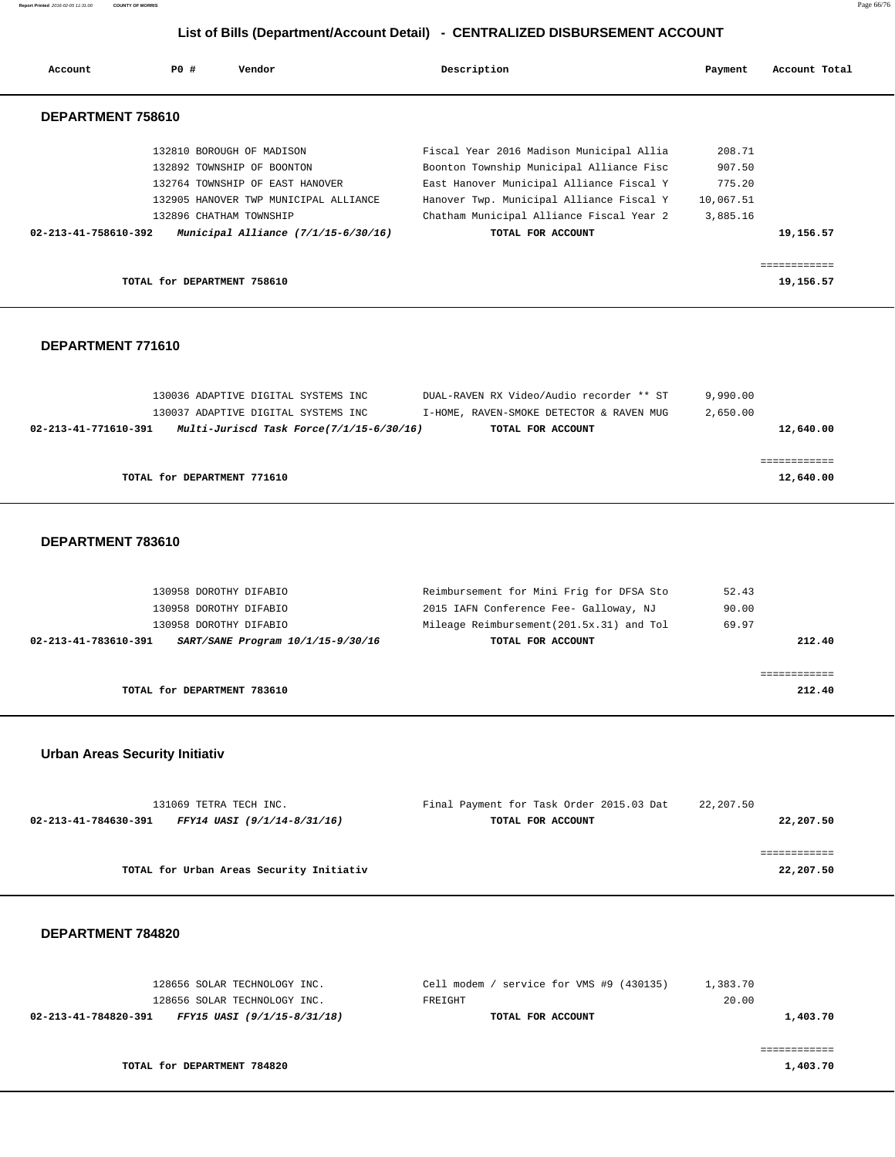**Report Printed** 2016-02-05 11:31:00 **COUNTY OF MORRIS** Page 66/76

### **List of Bills (Department/Account Detail) - CENTRALIZED DISBURSEMENT ACCOUNT**

| Account              | PO#                         | Vendor                                | Description                              | Payment   | Account Total |
|----------------------|-----------------------------|---------------------------------------|------------------------------------------|-----------|---------------|
| DEPARTMENT 758610    |                             |                                       |                                          |           |               |
|                      |                             | 132810 BOROUGH OF MADISON             | Fiscal Year 2016 Madison Municipal Allia | 208.71    |               |
|                      |                             | 132892 TOWNSHIP OF BOONTON            | Boonton Township Municipal Alliance Fisc | 907.50    |               |
|                      |                             | 132764 TOWNSHIP OF EAST HANOVER       | East Hanover Municipal Alliance Fiscal Y | 775.20    |               |
|                      |                             | 132905 HANOVER TWP MUNICIPAL ALLIANCE | Hanover Twp. Municipal Alliance Fiscal Y | 10,067.51 |               |
|                      |                             | 132896 CHATHAM TOWNSHIP               | Chatham Municipal Alliance Fiscal Year 2 | 3,885.16  |               |
| 02-213-41-758610-392 |                             | Municipal Alliance $(7/1/15-6/30/16)$ | TOTAL FOR ACCOUNT                        |           | 19,156.57     |
|                      |                             |                                       |                                          |           |               |
|                      | TOTAL for DEPARTMENT 758610 |                                       |                                          |           | 19,156.57     |

#### **DEPARTMENT 771610**

| 130036 ADAPTIVE DIGITAL SYSTEMS INC |                                          | DUAL-RAVEN RX Video/Audio recorder ** ST | 9,990.00  |
|-------------------------------------|------------------------------------------|------------------------------------------|-----------|
| 130037 ADAPTIVE DIGITAL SYSTEMS INC |                                          | I-HOME, RAVEN-SMOKE DETECTOR & RAVEN MUG | 2,650.00  |
| 02-213-41-771610-391                | Multi-Juriscd Task Force(7/1/15-6/30/16) | TOTAL FOR ACCOUNT                        | 12,640.00 |
|                                     |                                          |                                          |           |
|                                     |                                          |                                          |           |
| TOTAL for DEPARTMENT 771610         |                                          |                                          | 12,640.00 |

#### **DEPARTMENT 783610**

| 130958 DOROTHY DIFABIO                                    | Reimbursement for Mini Frig for DFSA Sto  | 52.43  |
|-----------------------------------------------------------|-------------------------------------------|--------|
| 130958 DOROTHY DIFABIO                                    | 2015 IAFN Conference Fee- Galloway, NJ    | 90.00  |
| 130958 DOROTHY DIFABIO                                    | Mileage Reimbursement (201.5x.31) and Tol | 69.97  |
| SART/SANE Program 10/1/15-9/30/16<br>02-213-41-783610-391 | TOTAL FOR ACCOUNT                         | 212.40 |
|                                                           |                                           |        |
|                                                           |                                           |        |
| TOTAL for DEPARTMENT 783610                               |                                           | 212.40 |

### **Urban Areas Security Initiativ**

| 22,207.50 | Final Payment for Task Order 2015.03 Dat | 131069 TETRA TECH INC.                   |                      |
|-----------|------------------------------------------|------------------------------------------|----------------------|
| 22,207.50 | TOTAL FOR ACCOUNT                        | FFY14 UASI (9/1/14-8/31/16)              | 02-213-41-784630-391 |
|           |                                          |                                          |                      |
|           |                                          |                                          |                      |
| 22,207.50 |                                          | TOTAL for Urban Areas Security Initiativ |                      |
|           |                                          |                                          |                      |

#### **DEPARTMENT 784820**

| 128656 SOLAR TECHNOLOGY INC.                        | Cell modem / service for VMS #9 (430135) | 1,383.70 |
|-----------------------------------------------------|------------------------------------------|----------|
| 128656 SOLAR TECHNOLOGY INC.                        | FREIGHT                                  | 20.00    |
| 02-213-41-784820-391<br>FFY15 UASI (9/1/15-8/31/18) | TOTAL FOR ACCOUNT                        | 1,403.70 |
|                                                     |                                          |          |
|                                                     |                                          |          |
| TOTAL for DEPARTMENT 784820                         |                                          | 1,403.70 |
|                                                     |                                          |          |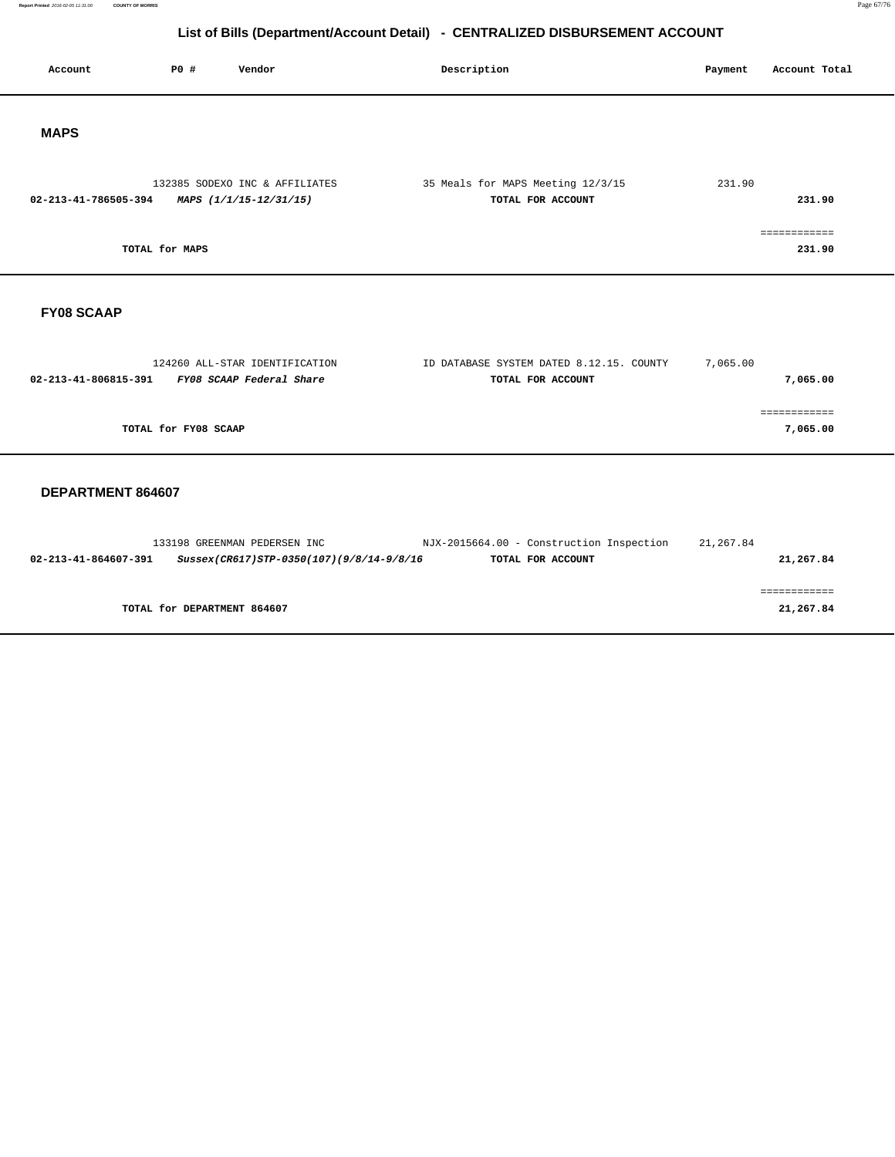**Report Primed 2016-02-05 11:31:00 COUNTY OF MORRIS** Page 67/76

# **List of Bills (Department/Account Detail) - CENTRALIZED DISBURSEMENT ACCOUNT**

| Account              | P0 #                 | Vendor                                                     | Description                                                   | Payment  | Account Total            |
|----------------------|----------------------|------------------------------------------------------------|---------------------------------------------------------------|----------|--------------------------|
| <b>MAPS</b>          |                      |                                                            |                                                               |          |                          |
| 02-213-41-786505-394 |                      | 132385 SODEXO INC & AFFILIATES<br>MAPS (1/1/15-12/31/15)   | 35 Meals for MAPS Meeting 12/3/15<br>TOTAL FOR ACCOUNT        | 231.90   | 231.90                   |
|                      | TOTAL for MAPS       |                                                            |                                                               |          | ============<br>231.90   |
| <b>FY08 SCAAP</b>    |                      |                                                            |                                                               |          |                          |
| 02-213-41-806815-391 |                      | 124260 ALL-STAR IDENTIFICATION<br>FY08 SCAAP Federal Share | ID DATABASE SYSTEM DATED 8.12.15. COUNTY<br>TOTAL FOR ACCOUNT | 7,065.00 | 7,065.00                 |
|                      | TOTAL for FY08 SCAAP |                                                            |                                                               |          | ============<br>7,065.00 |
| DEPARTMENT 864607    |                      |                                                            |                                                               |          |                          |

# 133198 GREENMAN PEDERSEN INC NJX-2015664.00 - Construction Inspection 21,267.84  **02-213-41-864607-391 Sussex(CR617)STP-0350(107)(9/8/14-9/8/16 TOTAL FOR ACCOUNT 21,267.84** ============ **TOTAL for DEPARTMENT 864607 21,267.84**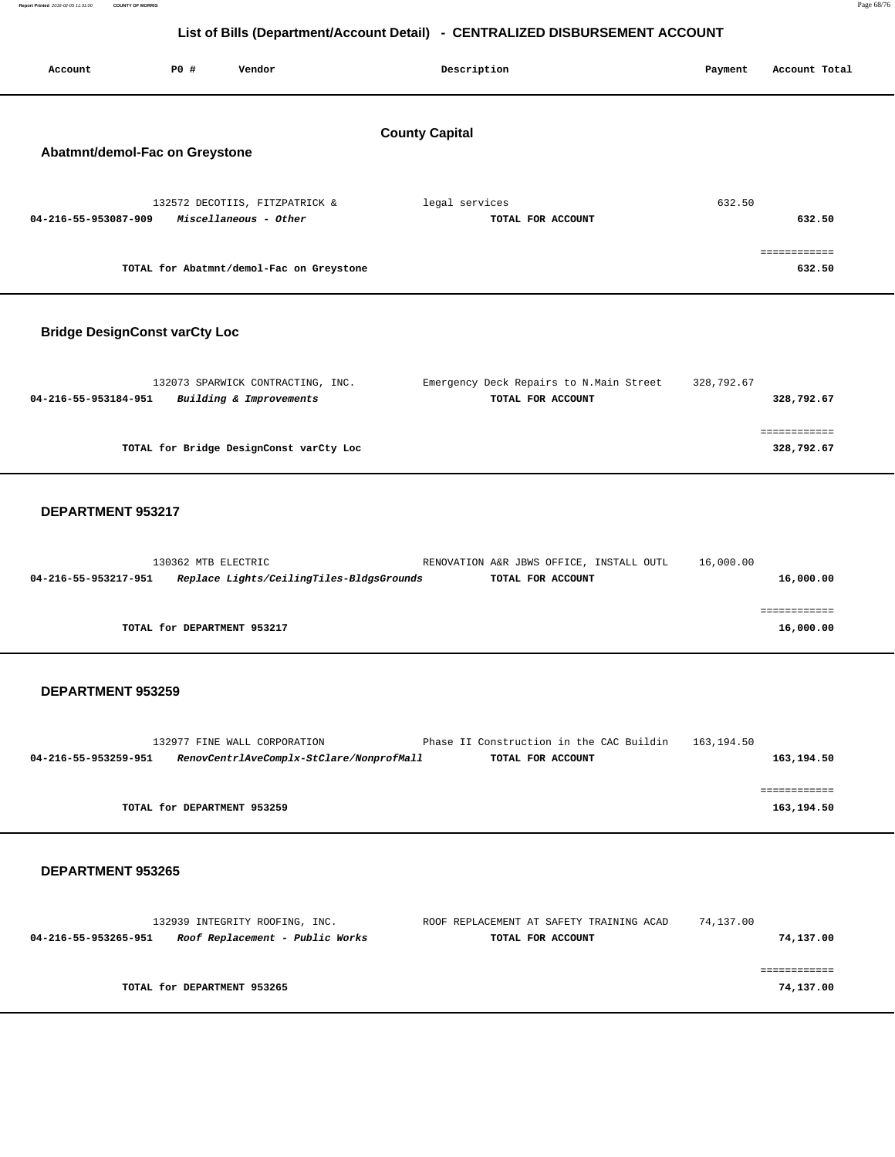| Account                              | P0 #                | Vendor                                                                   | Description           |                                                               | Payment    | Account Total              |
|--------------------------------------|---------------------|--------------------------------------------------------------------------|-----------------------|---------------------------------------------------------------|------------|----------------------------|
| Abatmnt/demol-Fac on Greystone       |                     |                                                                          | <b>County Capital</b> |                                                               |            |                            |
| 04-216-55-953087-909                 |                     | 132572 DECOTIIS, FITZPATRICK &<br>Miscellaneous - Other                  | legal services        | TOTAL FOR ACCOUNT                                             | 632.50     | 632.50                     |
|                                      |                     | TOTAL for Abatmnt/demol-Fac on Greystone                                 |                       |                                                               |            | ============<br>632.50     |
| <b>Bridge DesignConst varCty Loc</b> |                     |                                                                          |                       |                                                               |            |                            |
| 04-216-55-953184-951                 |                     | 132073 SPARWICK CONTRACTING, INC.<br>Building & Improvements             |                       | Emergency Deck Repairs to N.Main Street<br>TOTAL FOR ACCOUNT  | 328,792.67 | 328,792.67                 |
|                                      |                     | TOTAL for Bridge DesignConst varCty Loc                                  |                       |                                                               |            | ============<br>328,792.67 |
| DEPARTMENT 953217                    |                     |                                                                          |                       |                                                               |            |                            |
| 04-216-55-953217-951                 | 130362 MTB ELECTRIC | Replace Lights/CeilingTiles-BldgsGrounds                                 |                       | RENOVATION A&R JBWS OFFICE, INSTALL OUTL<br>TOTAL FOR ACCOUNT | 16,000.00  | 16,000.00                  |
|                                      |                     | TOTAL for DEPARTMENT 953217                                              |                       |                                                               |            | ============<br>16,000.00  |
| DEPARTMENT 953259                    |                     |                                                                          |                       |                                                               |            |                            |
| 04-216-55-953259-951                 |                     | 132977 FINE WALL CORPORATION<br>RenovCentrlAveComplx-StClare/NonprofMall |                       | Phase II Construction in the CAC Buildin<br>TOTAL FOR ACCOUNT | 163,194.50 | 163,194.50                 |
|                                      |                     | TOTAL for DEPARTMENT 953259                                              |                       |                                                               |            | ============<br>163,194.50 |

#### **DEPARTMENT 953265**

| 132939 INTEGRITY ROOFING, INC.                          | ROOF REPLACEMENT AT SAFETY TRAINING ACAD | 74,137.00 |
|---------------------------------------------------------|------------------------------------------|-----------|
| Roof Replacement - Public Works<br>04-216-55-953265-951 | TOTAL FOR ACCOUNT                        | 74,137.00 |
|                                                         |                                          |           |
|                                                         |                                          |           |
| TOTAL for DEPARTMENT 953265                             |                                          | 74,137.00 |
|                                                         |                                          |           |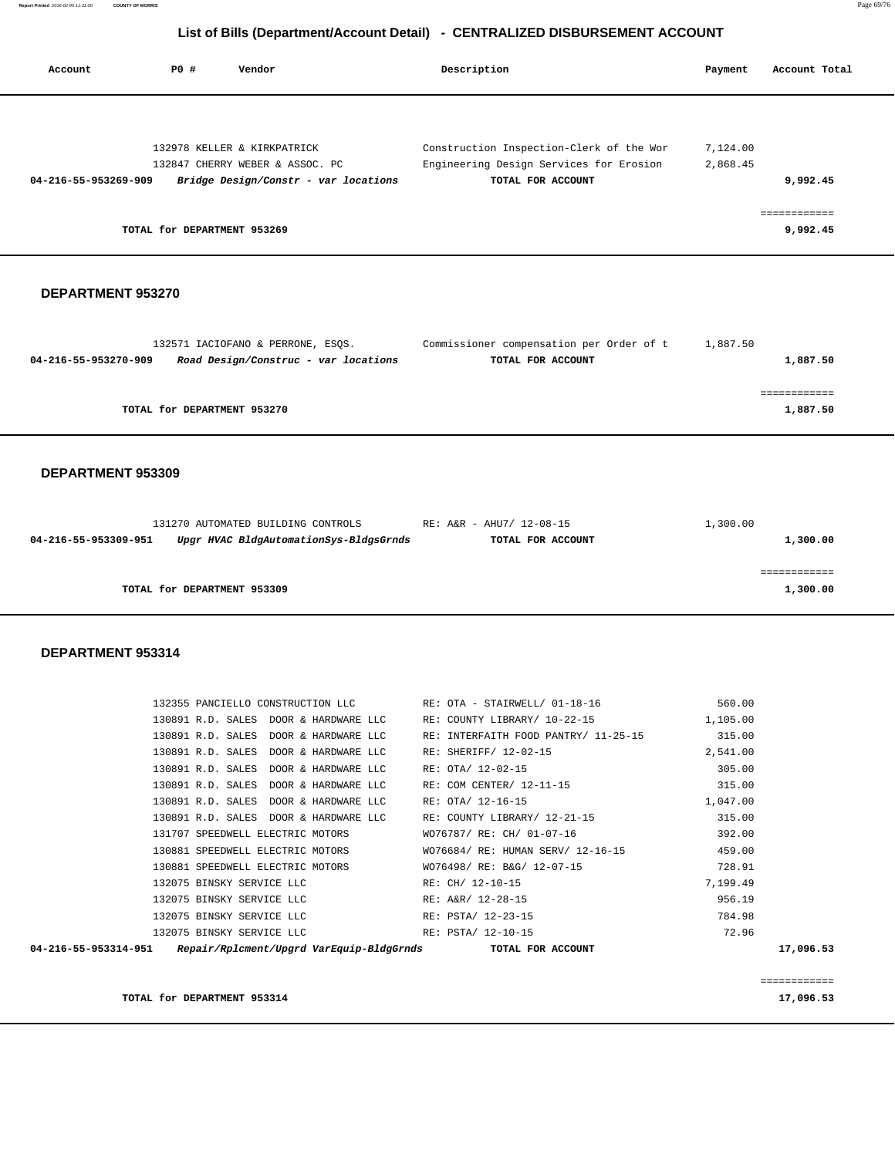| 04-216-55-953270-909 | Road Design/Construc - var locations                                                                  | TOTAL FOR ACCOUNT                             |                  | 1,887.50                 |
|----------------------|-------------------------------------------------------------------------------------------------------|-----------------------------------------------|------------------|--------------------------|
|                      | TOTAL for DEPARTMENT 953270                                                                           |                                               |                  | ============<br>1,887.50 |
| DEPARTMENT 953309    |                                                                                                       |                                               |                  |                          |
| 04-216-55-953309-951 | 131270 AUTOMATED BUILDING CONTROLS RE: A&R - AHU7/ 12-08-15<br>Upgr HVAC BldgAutomationSys-BldgsGrnds | TOTAL FOR ACCOUNT                             | 1,300.00         | 1,300.00                 |
|                      | TOTAL for DEPARTMENT 953309                                                                           |                                               |                  | ============<br>1,300.00 |
| DEPARTMENT 953314    |                                                                                                       |                                               |                  |                          |
|                      | 132355 PANCIELLO CONSTRUCTION LLC                                                                     | RE: OTA - STAIRWELL/ 01-18-16                 | 560.00           |                          |
|                      | 130891 R.D. SALES DOOR & HARDWARE LLC                                                                 | RE: COUNTY LIBRARY/ 10-22-15                  | 1,105.00         |                          |
|                      | 130891 R.D. SALES DOOR & HARDWARE LLC                                                                 | RE: INTERFAITH FOOD PANTRY/ 11-25-15          | 315.00           |                          |
|                      | 130891 R.D. SALES DOOR & HARDWARE LLC                                                                 | RE: SHERIFF/ 12-02-15                         | 2,541.00         |                          |
|                      | 130891 R.D. SALES DOOR & HARDWARE LLC<br>130891 R.D. SALES DOOR & HARDWARE LLC                        | RE: OTA/ 12-02-15<br>RE: COM CENTER/ 12-11-15 | 305.00<br>315.00 |                          |
|                      | 130891 R.D. SALES DOOR & HARDWARE LLC                                                                 | RE: OTA/ 12-16-15                             | 1,047.00         |                          |
|                      | 130891 R.D. SALES DOOR & HARDWARE LLC                                                                 | RE: COUNTY LIBRARY/ 12-21-15                  | 315.00           |                          |
|                      | 131707 SPEEDWELL ELECTRIC MOTORS                                                                      | WO76787/ RE: CH/ 01-07-16                     | 392.00           |                          |
|                      | 130881 SPEEDWELL ELECTRIC MOTORS                                                                      | WO76684/ RE: HUMAN SERV/ 12-16-15             | 459.00           |                          |
|                      | 130881 SPEEDWELL ELECTRIC MOTORS                                                                      | WO76498/ RE: B&G/ 12-07-15                    | 728.91           |                          |
|                      | 132075 BINSKY SERVICE LLC                                                                             | RE: CH/ 12-10-15                              | 7,199.49         |                          |
|                      | 132075 BINSKY SERVICE LLC                                                                             | RE: A&R/ 12-28-15                             | 956.19           |                          |
|                      | 132075 BINSKY SERVICE LLC                                                                             | RE: PSTA/ 12-23-15                            | 784.98           |                          |
|                      | 132075 BINSKY SERVICE LLC                                                                             | RE: PSTA/ 12-10-15                            | 72.96            |                          |
| 04-216-55-953314-951 | Repair/Rplcment/Upgrd VarEquip-BldgGrnds                                                              | TOTAL FOR ACCOUNT                             |                  | 17,096.53                |

#### **DEPARTMENT 953270**

| Account              | PO#                         | Vendor                               | Description                              | Payment  | Account Total |
|----------------------|-----------------------------|--------------------------------------|------------------------------------------|----------|---------------|
|                      |                             |                                      |                                          |          |               |
|                      |                             |                                      |                                          |          |               |
|                      |                             | 132978 KELLER & KIRKPATRICK          | Construction Inspection-Clerk of the Wor | 7,124.00 |               |
|                      |                             | 132847 CHERRY WEBER & ASSOC. PC      | Engineering Design Services for Erosion  | 2,868.45 |               |
| 04-216-55-953269-909 |                             | Bridge Design/Constr - var locations | TOTAL FOR ACCOUNT                        |          | 9,992.45      |
|                      |                             |                                      |                                          |          | ============  |
|                      | TOTAL for DEPARTMENT 953269 |                                      |                                          |          | 9,992.45      |
|                      |                             |                                      |                                          |          |               |

132571 IACIOFANO & PERRONE, ESQS. Commissioner compensation per Order of t 1,887.50

# **List of Bills (Department/Account Detail) - CENTRALIZED DISBURSEMENT ACCOUNT**

**TOTAL for DEPARTMENT 953314 17,096.53**

============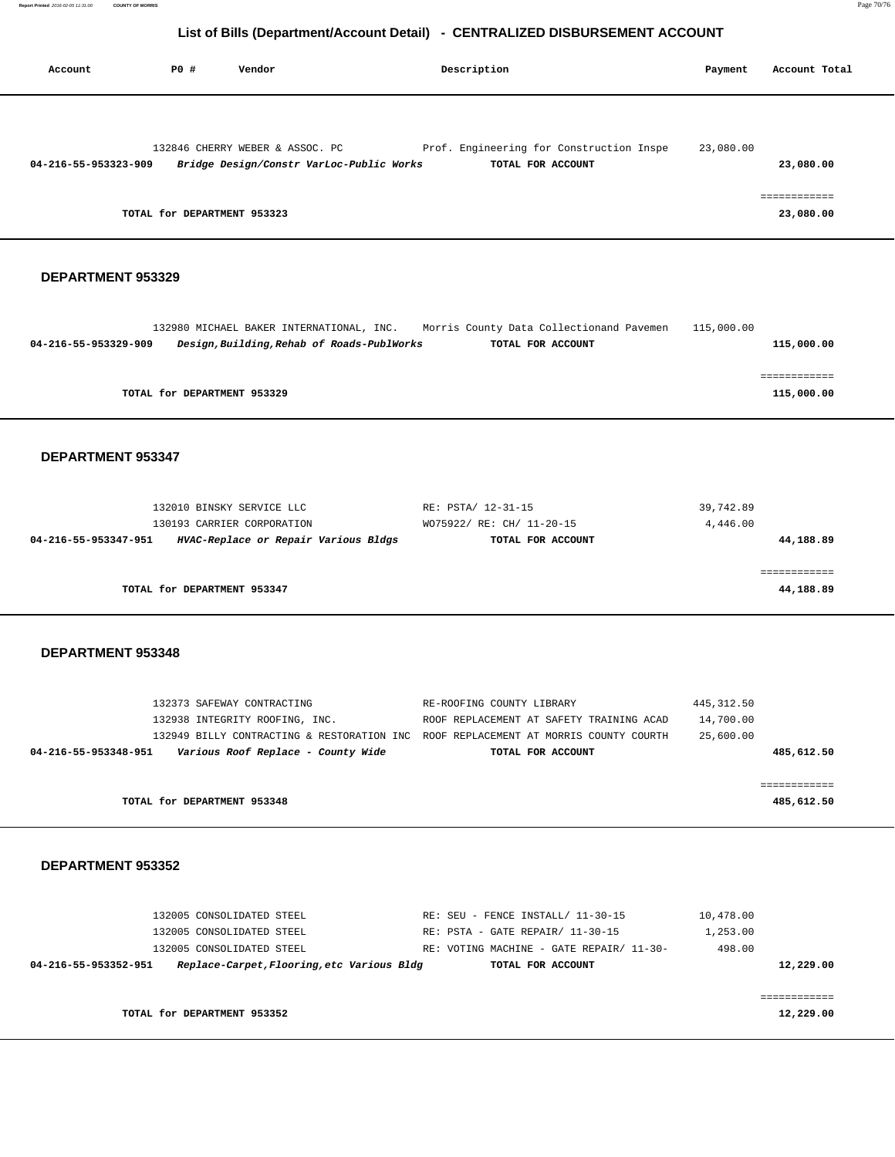| Account              | P0 #                        | Vendor                                                                      | Description                                                   | Payment   | Account Total |
|----------------------|-----------------------------|-----------------------------------------------------------------------------|---------------------------------------------------------------|-----------|---------------|
|                      |                             |                                                                             |                                                               |           |               |
| 04-216-55-953323-909 |                             | 132846 CHERRY WEBER & ASSOC. PC<br>Bridge Design/Constr VarLoc-Public Works | Prof. Engineering for Construction Inspe<br>TOTAL FOR ACCOUNT | 23,080.00 | 23,080.00     |
|                      | TOTAL for DEPARTMENT 953323 |                                                                             |                                                               |           | 23,080.00     |

#### **DEPARTMENT 953329**

|                      | 132980 MICHAEL BAKER INTERNATIONAL, INC.   | Morris County Data Collectionand Pavemen | 115,000.00 |
|----------------------|--------------------------------------------|------------------------------------------|------------|
| 04-216-55-953329-909 | Design, Building, Rehab of Roads-PublWorks | TOTAL FOR ACCOUNT                        | 115,000.00 |
|                      |                                            |                                          |            |
|                      |                                            |                                          |            |
|                      | TOTAL for DEPARTMENT 953329                |                                          | 115,000.00 |

#### **DEPARTMENT 953347**

| 132010 BINSKY SERVICE LLC                                    | RE: PSTA/ 12-31-15        | 39,742.89 |
|--------------------------------------------------------------|---------------------------|-----------|
| 130193 CARRIER CORPORATION                                   | WO75922/ RE: CH/ 11-20-15 | 4,446.00  |
| HVAC-Replace or Repair Various Bldgs<br>04-216-55-953347-951 | TOTAL FOR ACCOUNT         | 44,188.89 |
|                                                              |                           |           |
|                                                              |                           | .         |
| TOTAL for DEPARTMENT 953347                                  |                           | 44,188.89 |

#### **DEPARTMENT 953348**

|                      | 132373 SAFEWAY CONTRACTING                                                          | RE-ROOFING COUNTY LIBRARY                | 445,312.50 |
|----------------------|-------------------------------------------------------------------------------------|------------------------------------------|------------|
|                      | 132938 INTEGRITY ROOFING, INC.                                                      | ROOF REPLACEMENT AT SAFETY TRAINING ACAD | 14,700.00  |
|                      | 132949 BILLY CONTRACTING & RESTORATION INC ROOF REPLACEMENT AT MORRIS COUNTY COURTH |                                          | 25,600.00  |
| 04-216-55-953348-951 | Various Roof Replace - County Wide                                                  | TOTAL FOR ACCOUNT                        | 485,612.50 |
|                      |                                                                                     |                                          |            |
|                      |                                                                                     |                                          |            |
|                      | TOTAL for DEPARTMENT 953348                                                         |                                          | 485,612.50 |

#### **DEPARTMENT 953352**

|              | 10,478.00 | RE: SEU - FENCE INSTALL/ 11-30-15        | 132005 CONSOLIDATED STEEL                  |                      |
|--------------|-----------|------------------------------------------|--------------------------------------------|----------------------|
|              | 1,253.00  | RE: PSTA - GATE REPAIR/ 11-30-15         | 132005 CONSOLIDATED STEEL                  |                      |
|              | 498.00    | RE: VOTING MACHINE - GATE REPAIR/ 11-30- | 132005 CONSOLIDATED STEEL                  |                      |
| 12,229.00    |           | TOTAL FOR ACCOUNT                        | Replace-Carpet, Flooring, etc Various Bldg | 04-216-55-953352-951 |
|              |           |                                          |                                            |                      |
| ------------ |           |                                          |                                            |                      |
| 12,229.00    |           |                                          | TOTAL for DEPARTMENT 953352                |                      |
|              |           |                                          |                                            |                      |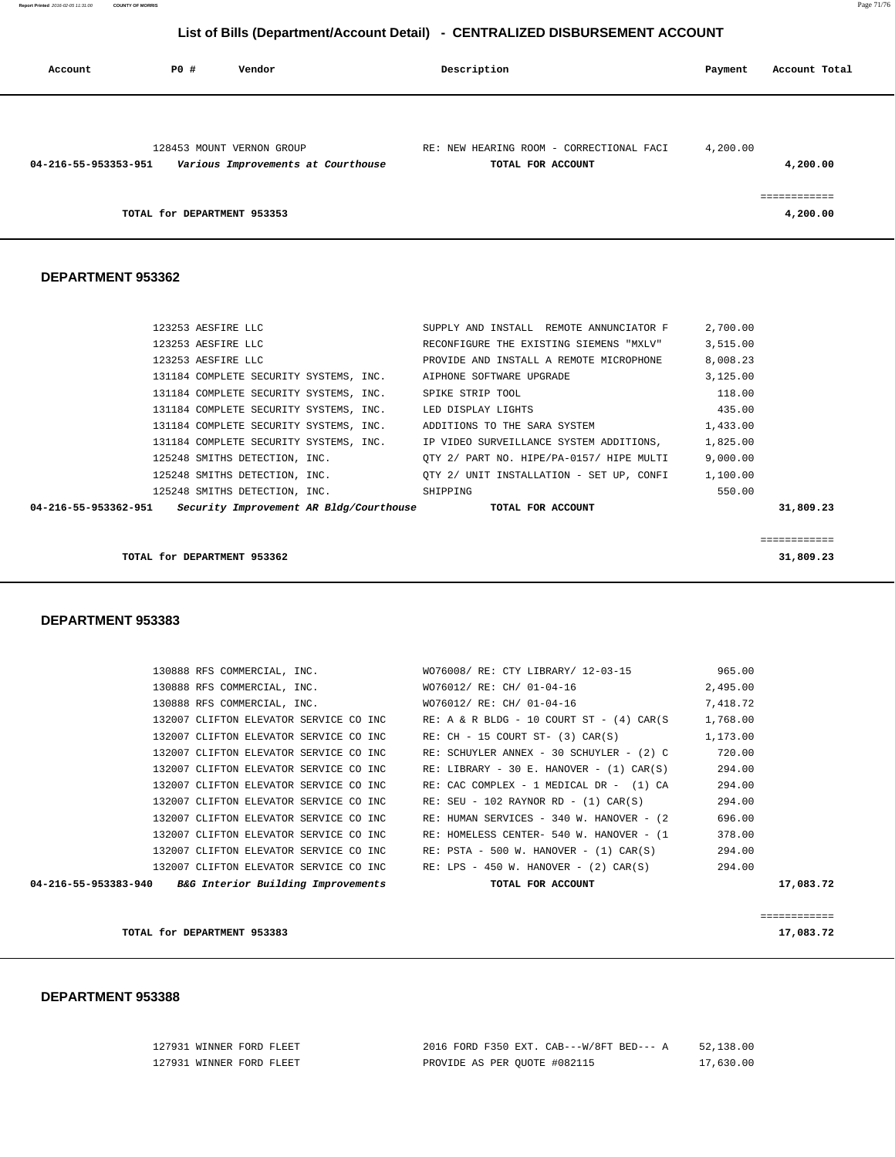|  |  | 2016 FORD F350 EXT. CAB---W/8FT BED--- A |  | 52,138.00 |
|--|--|------------------------------------------|--|-----------|
|  |  | PROVIDE AS PER OUOTE #082115             |  | 17,630.00 |

# **DEPARTMENT 953388**

127931 WINNER FORD FLEET 127931 WINNER FORD FLEET

| AB BED TUU W. HANUVER TIZI CARIOI<br>22 T. UU |
|-----------------------------------------------|
| 17,083.72                                     |
|                                               |
|                                               |
| 17,083.72                                     |
|                                               |

| $0.4 - 216 - 55 - 953292 - 940$ Red Interior Puilding Improvements |                                        |  |                             | <b>TOTAL FOR ACCOUNT</b>                          |          | 17.092.7' |
|--------------------------------------------------------------------|----------------------------------------|--|-----------------------------|---------------------------------------------------|----------|-----------|
|                                                                    | 132007 CLIFTON ELEVATOR SERVICE CO INC |  |                             | RE: LPS - 450 W. HANOVER - (2) CAR(S)             | 294.00   |           |
|                                                                    | 132007 CLIFTON ELEVATOR SERVICE CO INC |  |                             | $RE: \texttt{PSTA - 500 W. HANOVER - (1) CAR(S)}$ | 294.00   |           |
|                                                                    | 132007 CLIFTON ELEVATOR SERVICE CO INC |  |                             | RE: HOMELESS CENTER- 540 W. HANOVER - (1          | 378.00   |           |
|                                                                    | 132007 CLIFTON ELEVATOR SERVICE CO INC |  |                             | RE: HUMAN SERVICES - 340 W. HANOVER - (2)         | 696.00   |           |
|                                                                    | 132007 CLIFTON ELEVATOR SERVICE CO INC |  |                             | $RE: SEU - 102 RAYNOR RD - (1) CAR(S)$            | 294.00   |           |
|                                                                    | 132007 CLIFTON ELEVATOR SERVICE CO INC |  |                             | RE: CAC COMPLEX - 1 MEDICAL DR - (1) CA           | 294.00   |           |
|                                                                    | 132007 CLIFTON ELEVATOR SERVICE CO INC |  |                             | $RE: LIBRARY - 30 E. HANOVER - (1) CAR(S)$        | 294.00   |           |
|                                                                    | 132007 CLIFTON ELEVATOR SERVICE CO INC |  |                             | RE: SCHUYLER ANNEX - 30 SCHUYLER - (2) C          | 720.00   |           |
|                                                                    | 132007 CLIFTON ELEVATOR SERVICE CO INC |  |                             | $RE: CH - 15 COURT ST- (3) CAR(S)$                | 1,173.00 |           |
|                                                                    | 132007 CLIFTON ELEVATOR SERVICE CO INC |  |                             | $RE: A & R BLDG - 10 COURT ST - (4) CAR(S)$       | 1,768.00 |           |
|                                                                    |                                        |  | 130888 RFS COMMERCIAL, INC. | WO76012/ RE: CH/ 01-04-16                         | 7.418.72 |           |
|                                                                    |                                        |  | 130888 RFS COMMERCIAL, INC. | WO76012/ RE: CH/ 01-04-16                         | 2,495.00 |           |
|                                                                    | 130888 RFS COMMERCIAL, INC.            |  |                             | WO76008/ RE: CTY LIBRARY/ 12-03-15                | 965.00   |           |

#### **DEPARTMENT 953383**

| 04-216-55-953362-951 |  |                                        | Security Improvement AR Bldg/Courthouse |                              | TOTAL FOR ACCOUNT |                                          |          | 31,809.23 |
|----------------------|--|----------------------------------------|-----------------------------------------|------------------------------|-------------------|------------------------------------------|----------|-----------|
|                      |  | 125248 SMITHS DETECTION, INC.          |                                         | SHIPPING                     |                   |                                          | 550.00   |           |
|                      |  | 125248 SMITHS DETECTION, INC.          |                                         |                              |                   | OTY 2/ UNIT INSTALLATION - SET UP, CONFI | 1,100.00 |           |
|                      |  | 125248 SMITHS DETECTION, INC.          |                                         |                              |                   | OTY 2/ PART NO. HIPE/PA-0157/ HIPE MULTI | 9.000.00 |           |
|                      |  | 131184 COMPLETE SECURITY SYSTEMS, INC. |                                         |                              |                   | IP VIDEO SURVEILLANCE SYSTEM ADDITIONS,  | 1,825.00 |           |
|                      |  | 131184 COMPLETE SECURITY SYSTEMS, INC. |                                         | ADDITIONS TO THE SARA SYSTEM |                   |                                          | 1,433.00 |           |

============

 131184 COMPLETE SECURITY SYSTEMS, INC. AIPHONE SOFTWARE UPGRADE 3,125.00 131184 COMPLETE SECURITY SYSTEMS, INC. SPIKE STRIP TOOL 118.00

#### **DEPARTMENT 953362**

| 128453 MOUNT VERNON GROUP<br>Various Improvements at Courthouse<br>04-216-55-953353-951 | RE: NEW HEARING ROOM - CORRECTIONAL FACI<br>TOTAL FOR ACCOUNT | 4,200.00<br>4,200.00 |
|-----------------------------------------------------------------------------------------|---------------------------------------------------------------|----------------------|
| TOTAL for DEPARTMENT 953353                                                             |                                                               | 4,200.00             |

 123253 AESFIRE LLC SUPPLY AND INSTALL REMOTE ANNUNCIATOR F 2,700.00 123253 AESFIRE LLC RECONFIGURE THE EXISTING SIEMENS "MXLV" 3,515.00 123253 AESFIRE LLC PROVIDE AND INSTALL A REMOTE MICROPHONE 8,008.23

131184 COMPLETE SECURITY SYSTEMS, INC. LED DISPLAY LIGHTS 435.00

**TOTAL for DEPARTMENT 953362 31,809.23**

 **Account P0 # Vendor Description Payment Account Total**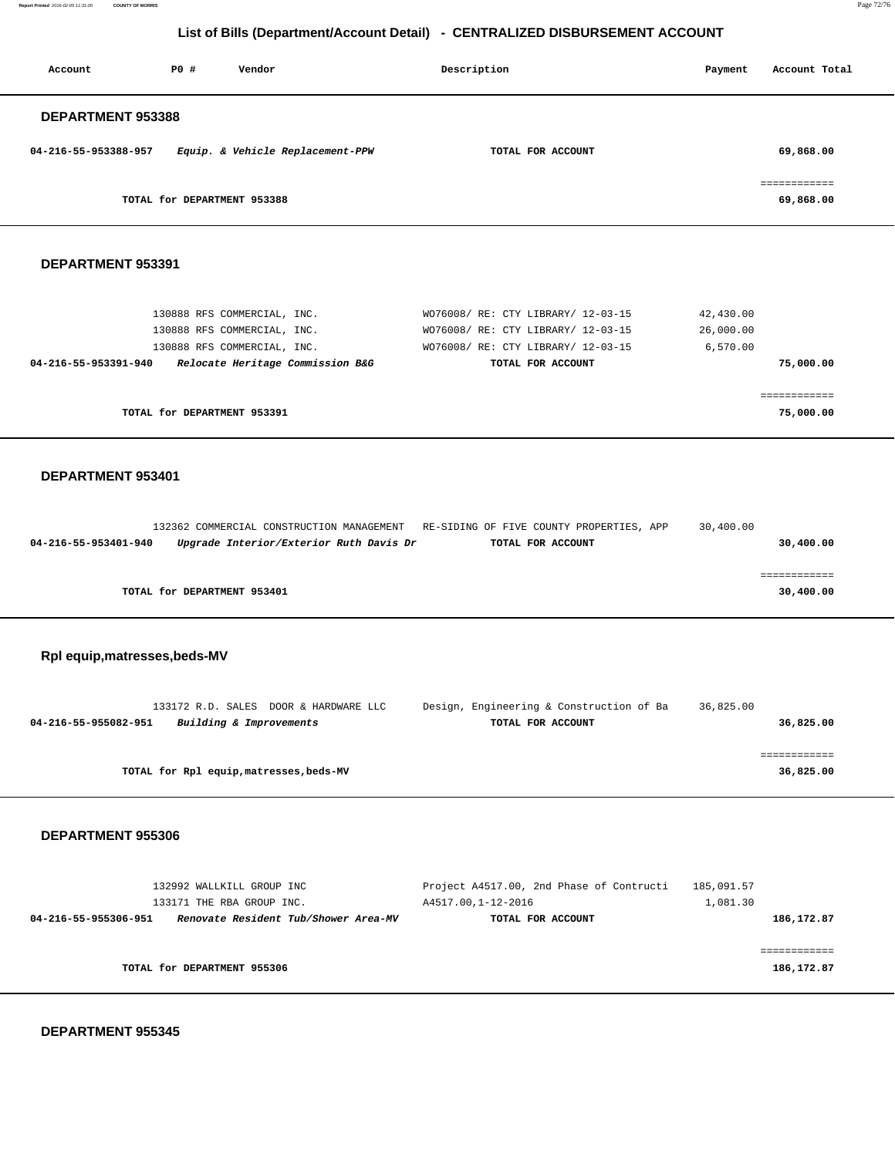**Report Printed** 2016-02-05 11:31:00 **COUNTY OF MORRIS** Page 72/76

# **List of Bills (Department/Account Detail) - CENTRALIZED DISBURSEMENT ACCOUNT**

| Account                       | P0 #<br>Vendor                                                                                                                | Description                                                                                                                         | Payment                            | Account Total              |
|-------------------------------|-------------------------------------------------------------------------------------------------------------------------------|-------------------------------------------------------------------------------------------------------------------------------------|------------------------------------|----------------------------|
| DEPARTMENT 953388             |                                                                                                                               |                                                                                                                                     |                                    |                            |
| 04-216-55-953388-957          | Equip. & Vehicle Replacement-PPW                                                                                              | TOTAL FOR ACCOUNT                                                                                                                   |                                    | 69,868.00                  |
|                               | TOTAL for DEPARTMENT 953388                                                                                                   |                                                                                                                                     |                                    | ============<br>69,868.00  |
| DEPARTMENT 953391             |                                                                                                                               |                                                                                                                                     |                                    |                            |
| 04-216-55-953391-940          | 130888 RFS COMMERCIAL, INC.<br>130888 RFS COMMERCIAL, INC.<br>130888 RFS COMMERCIAL, INC.<br>Relocate Heritage Commission B&G | WO76008/ RE: CTY LIBRARY/ 12-03-15<br>WO76008/ RE: CTY LIBRARY/ 12-03-15<br>WO76008/ RE: CTY LIBRARY/ 12-03-15<br>TOTAL FOR ACCOUNT | 42,430.00<br>26,000.00<br>6,570.00 | 75,000.00                  |
|                               | TOTAL for DEPARTMENT 953391                                                                                                   |                                                                                                                                     |                                    | ============<br>75,000.00  |
| DEPARTMENT 953401             |                                                                                                                               |                                                                                                                                     |                                    |                            |
| 04-216-55-953401-940          | Upgrade Interior/Exterior Ruth Davis Dr                                                                                       | 132362 COMMERCIAL CONSTRUCTION MANAGEMENT RE-SIDING OF FIVE COUNTY PROPERTIES, APP<br>TOTAL FOR ACCOUNT                             | 30,400.00                          | 30,400.00                  |
|                               | TOTAL for DEPARTMENT 953401                                                                                                   |                                                                                                                                     |                                    | ============<br>30,400.00  |
| Rpl equip, matresses, beds-MV |                                                                                                                               |                                                                                                                                     |                                    |                            |
| 04-216-55-955082-951          | 133172 R.D. SALES DOOR & HARDWARE LLC<br>Building & Improvements                                                              | Design, Engineering & Construction of Ba<br>TOTAL FOR ACCOUNT                                                                       | 36,825.00                          | 36,825.00                  |
|                               | TOTAL for Rpl equip, matresses, beds-MV                                                                                       |                                                                                                                                     |                                    | ============<br>36,825.00  |
| DEPARTMENT 955306             |                                                                                                                               |                                                                                                                                     |                                    |                            |
| 04-216-55-955306-951          | 132992 WALLKILL GROUP INC<br>133171 THE RBA GROUP INC.<br>Renovate Resident Tub/Shower Area-MV                                | Project A4517.00, 2nd Phase of Contructi<br>A4517.00,1-12-2016<br>TOTAL FOR ACCOUNT                                                 | 185,091.57<br>1,081.30             | 186,172.87                 |
|                               | TOTAL for DEPARTMENT 955306                                                                                                   |                                                                                                                                     |                                    | ============<br>186,172.87 |

 **DEPARTMENT 955345**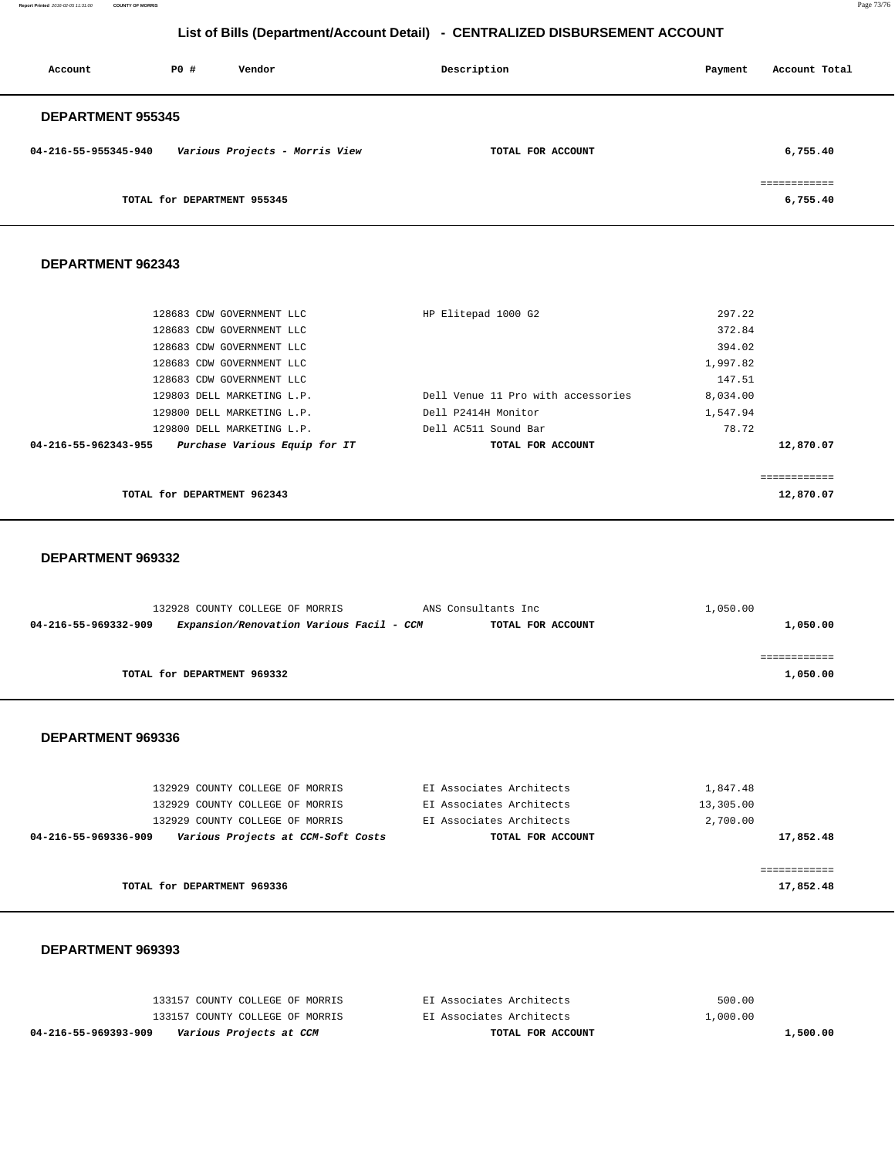**Report Printed** 2016-02-05 11:31:00 **COUNTY OF MORRIS** Page 73/76

## **List of Bills (Department/Account Detail) - CENTRALIZED DISBURSEMENT ACCOUNT**

| Account                  | PO#                         | Vendor                         | Description       | Payment | Account Total            |
|--------------------------|-----------------------------|--------------------------------|-------------------|---------|--------------------------|
| <b>DEPARTMENT 955345</b> |                             |                                |                   |         |                          |
| 04-216-55-955345-940     |                             | Various Projects - Morris View | TOTAL FOR ACCOUNT |         | 6,755.40                 |
|                          | TOTAL for DEPARTMENT 955345 |                                |                   |         | ============<br>6,755.40 |

#### **DEPARTMENT 962343**

| 128683 CDW GOVERNMENT LLC                             | HP Elitepad 1000 G2                | 297.22    |
|-------------------------------------------------------|------------------------------------|-----------|
| 128683 CDW GOVERNMENT LLC                             |                                    | 372.84    |
| 128683 CDW GOVERNMENT LLC                             |                                    | 394.02    |
| 128683 CDW GOVERNMENT LLC                             |                                    | 1,997.82  |
| 128683 CDW GOVERNMENT LLC                             |                                    | 147.51    |
| 129803 DELL MARKETING L.P.                            | Dell Venue 11 Pro with accessories | 8,034.00  |
| 129800 DELL MARKETING L.P.                            | Dell P2414H Monitor                | 1,547.94  |
| 129800 DELL MARKETING L.P.                            | Dell AC511 Sound Bar               | 78.72     |
| 04-216-55-962343-955<br>Purchase Various Equip for IT | TOTAL FOR ACCOUNT                  | 12,870.07 |
|                                                       |                                    |           |
|                                                       |                                    |           |
| TOTAL for DEPARTMENT 962343                           |                                    | 12,870.07 |

#### **DEPARTMENT 969332**

|                      | 132928 COUNTY COLLEGE OF MORRIS          | ANS Consultants Inc | 1,050.00 |
|----------------------|------------------------------------------|---------------------|----------|
| 04-216-55-969332-909 | Expansion/Renovation Various Facil - CCM | TOTAL FOR ACCOUNT   | 1,050.00 |
|                      |                                          |                     |          |
|                      |                                          |                     |          |
|                      | TOTAL for DEPARTMENT 969332              |                     | 1,050.00 |
|                      |                                          |                     |          |

#### **DEPARTMENT 969336**

| 132929 COUNTY COLLEGE OF MORRIS                            | EI Associates Architects | 1,847.48  |
|------------------------------------------------------------|--------------------------|-----------|
| 132929 COUNTY COLLEGE OF MORRIS                            | EI Associates Architects | 13,305.00 |
| 132929 COUNTY COLLEGE OF MORRIS                            | EI Associates Architects | 2,700.00  |
| Various Projects at CCM-Soft Costs<br>04-216-55-969336-909 | TOTAL FOR ACCOUNT        | 17,852.48 |
|                                                            |                          |           |
|                                                            |                          |           |
| TOTAL for DEPARTMENT 969336                                |                          | 17,852.48 |

### **DEPARTMENT 969393**

| 04-216-55-969393-909<br>Various Projects at CCM | TOTAL FOR ACCOUNT        | 1,500.00 |
|-------------------------------------------------|--------------------------|----------|
| 133157 COUNTY COLLEGE OF MORRIS                 | EI Associates Architects | 1,000.00 |
| 133157 COUNTY COLLEGE OF MORRIS                 | EI Associates Architects | 500.00   |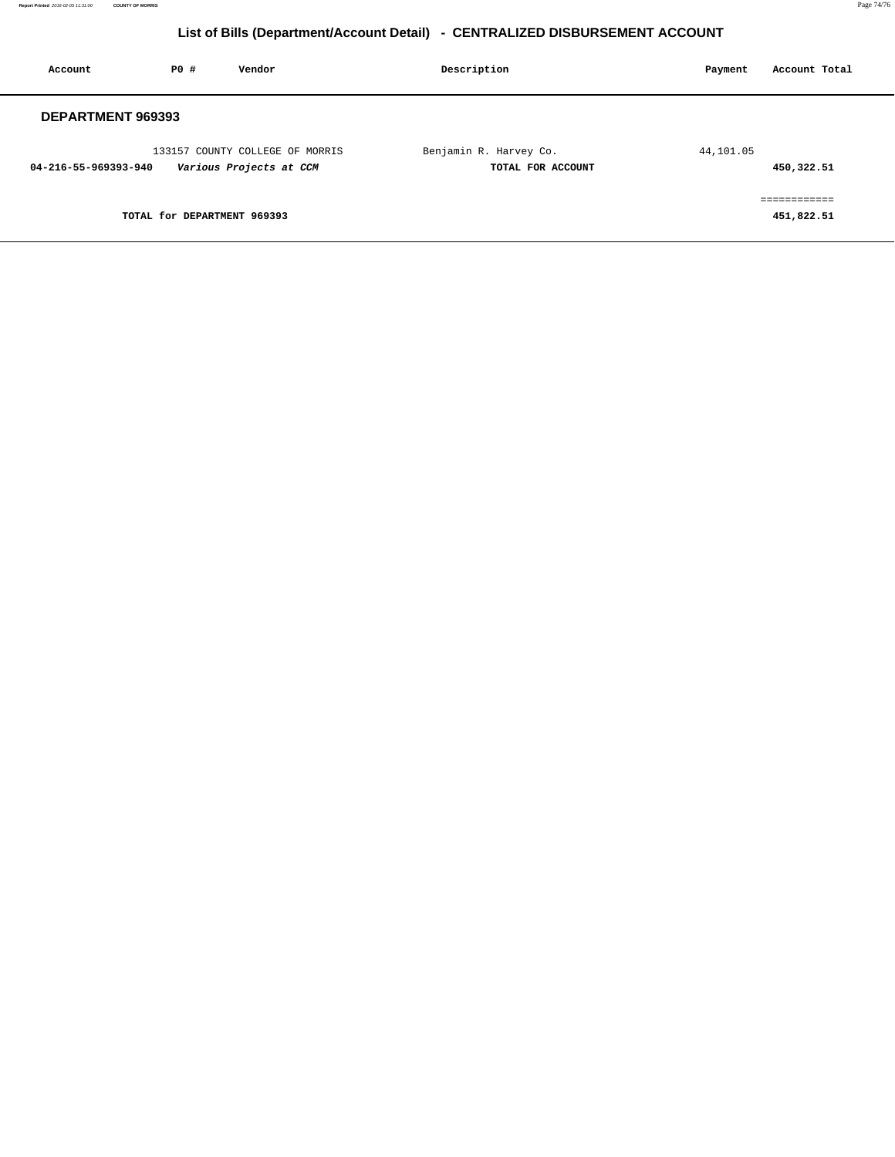# **List of Bills (Department/Account Detail) - CENTRALIZED DISBURSEMENT ACCOUNT**

| Account              | PO#                         | Vendor                                                     | Description                                 | Account Total<br>Payment   |
|----------------------|-----------------------------|------------------------------------------------------------|---------------------------------------------|----------------------------|
| DEPARTMENT 969393    |                             |                                                            |                                             |                            |
| 04-216-55-969393-940 |                             | 133157 COUNTY COLLEGE OF MORRIS<br>Various Projects at CCM | Benjamin R. Harvey Co.<br>TOTAL FOR ACCOUNT | 44,101.05<br>450,322.51    |
|                      | TOTAL for DEPARTMENT 969393 |                                                            |                                             | ------------<br>451,822.51 |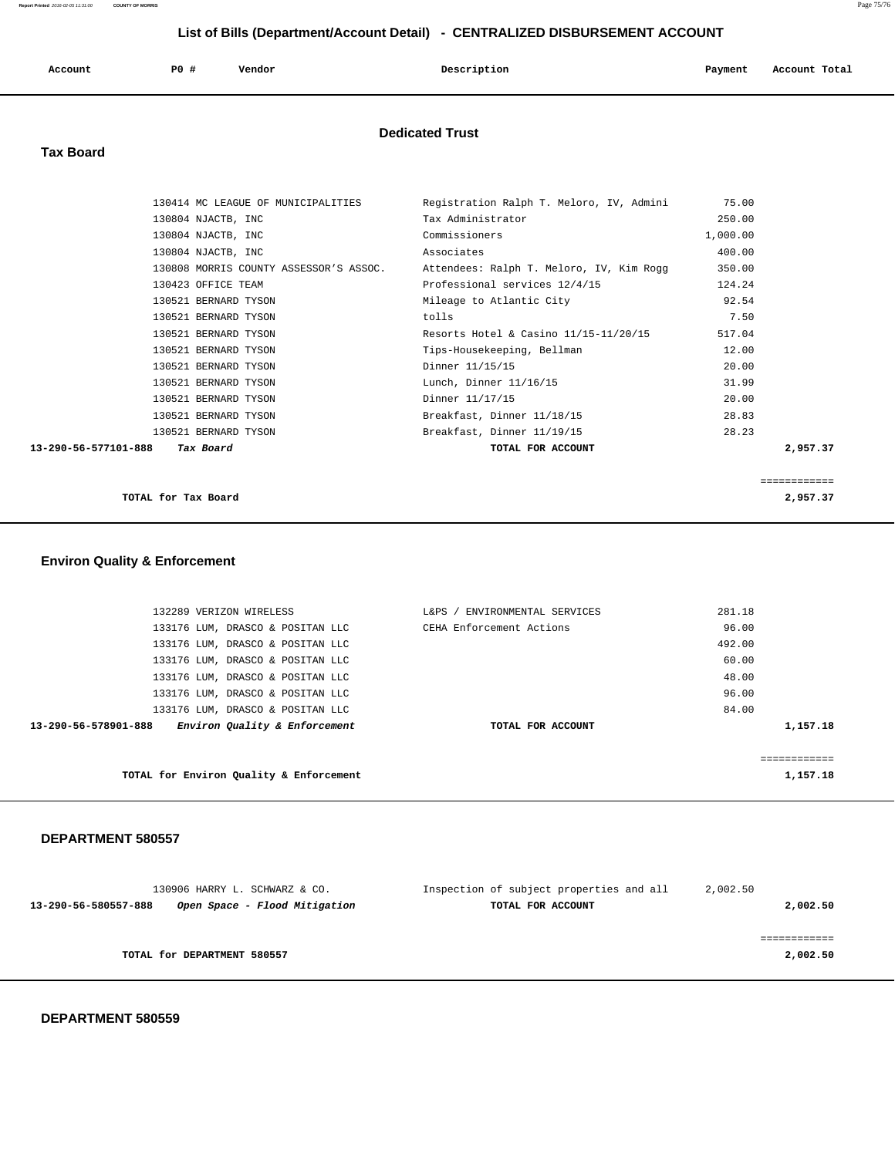## **List of Bills (Department/Account Detail) - CENTRALIZED DISBURSEMENT ACCOUNT**

| Account | <b>PO #</b> | Vendor | Description | Payment | Account Total |
|---------|-------------|--------|-------------|---------|---------------|
|         |             |        |             |         |               |

### **Dedicated Trust**

### **Tax Board**

| 130414 MC LEAGUE OF MUNICIPALITIES     | Registration Ralph T. Meloro, IV, Admini | 75.00        |
|----------------------------------------|------------------------------------------|--------------|
| 130804 NJACTB, INC                     | Tax Administrator                        | 250.00       |
| 130804 NJACTB, INC                     | Commissioners                            | 1,000.00     |
| 130804 NJACTB, INC                     | Associates                               | 400.00       |
| 130808 MORRIS COUNTY ASSESSOR'S ASSOC. | Attendees: Ralph T. Meloro, IV, Kim Rogg | 350.00       |
| 130423 OFFICE TEAM                     | Professional services 12/4/15            | 124.24       |
| 130521 BERNARD TYSON                   | Mileage to Atlantic City                 | 92.54        |
| 130521 BERNARD TYSON                   | tolls                                    | 7.50         |
| 130521 BERNARD TYSON                   | Resorts Hotel & Casino $11/15-11/20/15$  | 517.04       |
| 130521 BERNARD TYSON                   | Tips-Housekeeping, Bellman               | 12.00        |
| 130521 BERNARD TYSON                   | Dinner 11/15/15                          | 20.00        |
| 130521 BERNARD TYSON                   | Lunch, Dinner 11/16/15                   | 31.99        |
| 130521 BERNARD TYSON                   | Dinner 11/17/15                          | 20.00        |
| 130521 BERNARD TYSON                   | Breakfast, Dinner 11/18/15               | 28.83        |
| 130521 BERNARD TYSON                   | Breakfast, Dinner 11/19/15               | 28.23        |
| Tax Board<br>13-290-56-577101-888      | TOTAL FOR ACCOUNT                        | 2,957.37     |
|                                        |                                          |              |
|                                        |                                          | ============ |

**TOTAL for Tax Board 2,957.37**

# **Environ Quality & Enforcement**

| 132289 VERIZON WIRELESS                               | ' ENVIRONMENTAL SERVICES<br>$L\&PS$ / | 281.18   |
|-------------------------------------------------------|---------------------------------------|----------|
| 133176 LUM, DRASCO & POSITAN LLC                      | CEHA Enforcement Actions              | 96.00    |
| 133176 LUM, DRASCO & POSITAN LLC                      |                                       | 492.00   |
| 133176 LUM, DRASCO & POSITAN LLC                      |                                       | 60.00    |
| 133176 LUM, DRASCO & POSITAN LLC                      |                                       | 48.00    |
| 133176 LUM, DRASCO & POSITAN LLC                      |                                       | 96.00    |
| 133176 LUM, DRASCO & POSITAN LLC                      |                                       | 84.00    |
| Environ Quality & Enforcement<br>13-290-56-578901-888 | TOTAL FOR ACCOUNT                     | 1,157.18 |
|                                                       |                                       |          |
|                                                       |                                       |          |
| TOTAL for Environ Quality & Enforcement               |                                       | 1,157.18 |
|                                                       |                                       |          |

### **DEPARTMENT 580557**

| 130906 HARRY L. SCHWARZ & CO.                         | Inspection of subject properties and all | 2,002.50 |
|-------------------------------------------------------|------------------------------------------|----------|
| Open Space - Flood Mitigation<br>13-290-56-580557-888 | TOTAL FOR ACCOUNT                        | 2,002.50 |
|                                                       |                                          |          |
|                                                       |                                          |          |
| TOTAL for DEPARTMENT 580557                           |                                          | 2,002.50 |
|                                                       |                                          |          |